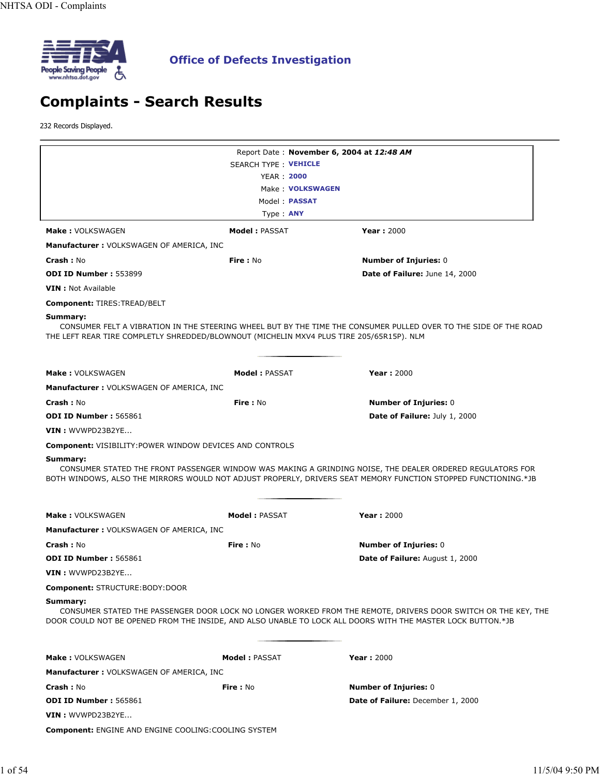

# **Complaints - Search Results**

232 Records Displayed.

|                                                                                                      |                             | Report Date: November 6, 2004 at 12:48 AM                                                                                                                                                                                    |
|------------------------------------------------------------------------------------------------------|-----------------------------|------------------------------------------------------------------------------------------------------------------------------------------------------------------------------------------------------------------------------|
|                                                                                                      | <b>SEARCH TYPE: VEHICLE</b> |                                                                                                                                                                                                                              |
|                                                                                                      | <b>YEAR: 2000</b>           |                                                                                                                                                                                                                              |
|                                                                                                      | Make: VOLKSWAGEN            |                                                                                                                                                                                                                              |
|                                                                                                      | Model: <b>PASSAT</b>        |                                                                                                                                                                                                                              |
|                                                                                                      | Type: <b>ANY</b>            |                                                                                                                                                                                                                              |
| <b>Make: VOLKSWAGEN</b>                                                                              | <b>Model: PASSAT</b>        | <b>Year: 2000</b>                                                                                                                                                                                                            |
| <b>Manufacturer: VOLKSWAGEN OF AMERICA, INC</b>                                                      |                             |                                                                                                                                                                                                                              |
| <b>Crash: No</b>                                                                                     | <b>Fire: No</b>             | <b>Number of Injuries: 0</b>                                                                                                                                                                                                 |
| <b>ODI ID Number: 553899</b>                                                                         |                             | Date of Failure: June 14, 2000                                                                                                                                                                                               |
| <b>VIN</b> : Not Available                                                                           |                             |                                                                                                                                                                                                                              |
| <b>Component: TIRES: TREAD/BELT</b>                                                                  |                             |                                                                                                                                                                                                                              |
| Summary:<br>THE LEFT REAR TIRE COMPLETLY SHREDDED/BLOWNOUT (MICHELIN MXV4 PLUS TIRE 205/65R15P). NLM |                             | CONSUMER FELT A VIBRATION IN THE STEERING WHEEL BUT BY THE TIME THE CONSUMER PULLED OVER TO THE SIDE OF THE ROAD                                                                                                             |
| <b>Make: VOLKSWAGEN</b>                                                                              | <b>Model: PASSAT</b>        | <b>Year: 2000</b>                                                                                                                                                                                                            |
| <b>Manufacturer: VOLKSWAGEN OF AMERICA, INC</b>                                                      |                             |                                                                                                                                                                                                                              |
| <b>Crash: No</b>                                                                                     | <b>Fire: No</b>             | <b>Number of Injuries: 0</b>                                                                                                                                                                                                 |
| ODI ID Number: 565861                                                                                |                             | <b>Date of Failure: July 1, 2000</b>                                                                                                                                                                                         |
| VIN : WVWPD23B2YE                                                                                    |                             |                                                                                                                                                                                                                              |
| <b>Component: VISIBILITY: POWER WINDOW DEVICES AND CONTROLS</b>                                      |                             |                                                                                                                                                                                                                              |
| Summary:                                                                                             |                             | CONSUMER STATED THE FRONT PASSENGER WINDOW WAS MAKING A GRINDING NOISE, THE DEALER ORDERED REGULATORS FOR<br>BOTH WINDOWS, ALSO THE MIRRORS WOULD NOT ADJUST PROPERLY, DRIVERS SEAT MEMORY FUNCTION STOPPED FUNCTIONING.*JB  |
| <b>Make: VOLKSWAGEN</b>                                                                              | <b>Model: PASSAT</b>        | <b>Year: 2000</b>                                                                                                                                                                                                            |
| <b>Manufacturer: VOLKSWAGEN OF AMERICA, INC</b>                                                      |                             |                                                                                                                                                                                                                              |
| <b>Crash: No</b>                                                                                     | <b>Fire</b> : No            | <b>Number of Injuries: 0</b>                                                                                                                                                                                                 |
| <b>ODI ID Number: 565861</b>                                                                         |                             | <b>Date of Failure:</b> August 1, 2000                                                                                                                                                                                       |
| VIN: WVWPD23B2YE                                                                                     |                             |                                                                                                                                                                                                                              |
| Component: STRUCTURE:BODY:DOOR                                                                       |                             |                                                                                                                                                                                                                              |
| Summary:                                                                                             |                             | CONSUMER STATED THE PASSENGER DOOR LOCK NO LONGER WORKED FROM THE REMOTE, DRIVERS DOOR SWITCH OR THE KEY, THE<br>DOOR COULD NOT BE OPENED FROM THE INSIDE, AND ALSO UNABLE TO LOCK ALL DOORS WITH THE MASTER LOCK BUTTON.*JB |
| <b>Make: VOLKSWAGEN</b>                                                                              | Model: PASSAT               | <b>Year: 2000</b>                                                                                                                                                                                                            |
| Manufacturer: VOLKSWAGEN OF AMERICA, INC                                                             |                             |                                                                                                                                                                                                                              |
| <b>Crash: No</b>                                                                                     | <b>Fire: No</b>             | <b>Number of Injuries: 0</b>                                                                                                                                                                                                 |
| <b>ODI ID Number: 565861</b>                                                                         |                             | Date of Failure: December 1, 2000                                                                                                                                                                                            |
| VIN : WVWPD23B2YE                                                                                    |                             |                                                                                                                                                                                                                              |
| Component: ENGINE AND ENGINE COOLING: COOLING SYSTEM                                                 |                             |                                                                                                                                                                                                                              |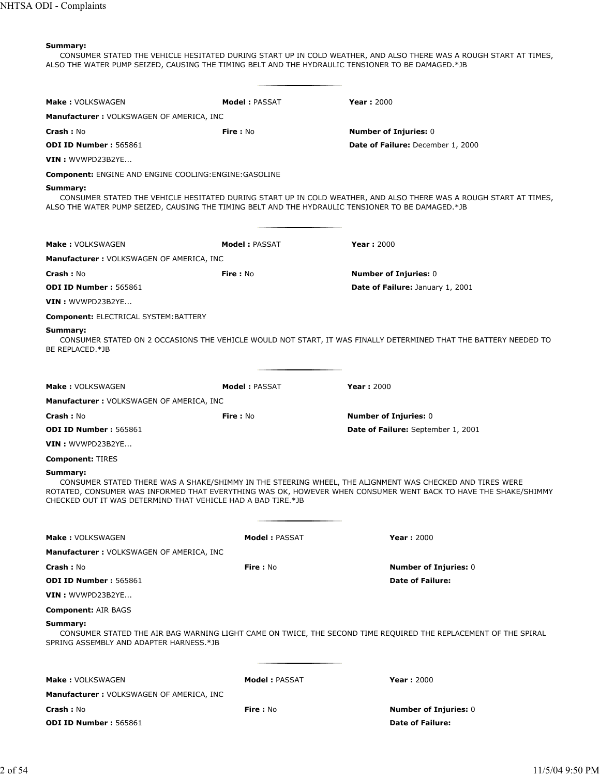CONSUMER STATED THE VEHICLE HESITATED DURING START UP IN COLD WEATHER, AND ALSO THERE WAS A ROUGH START AT TIMES, ALSO THE WATER PUMP SEIZED, CAUSING THE TIMING BELT AND THE HYDRAULIC TENSIONER TO BE DAMAGED.\*JB

| <b>Make: VOLKSWAGEN</b>                                                                                       | <b>Model: PASSAT</b> | <b>Year: 2000</b>                                                                                                                                                                                                           |
|---------------------------------------------------------------------------------------------------------------|----------------------|-----------------------------------------------------------------------------------------------------------------------------------------------------------------------------------------------------------------------------|
| Manufacturer: VOLKSWAGEN OF AMERICA, INC                                                                      |                      |                                                                                                                                                                                                                             |
| <b>Crash: No</b>                                                                                              | Fire: No             | <b>Number of Injuries: 0</b>                                                                                                                                                                                                |
| <b>ODI ID Number: 565861</b>                                                                                  |                      | Date of Failure: December 1, 2000                                                                                                                                                                                           |
| $VIN:$ WVWPD23B2YE                                                                                            |                      |                                                                                                                                                                                                                             |
| <b>Component: ENGINE AND ENGINE COOLING: ENGINE: GASOLINE</b>                                                 |                      |                                                                                                                                                                                                                             |
| Summary:<br>ALSO THE WATER PUMP SEIZED, CAUSING THE TIMING BELT AND THE HYDRAULIC TENSIONER TO BE DAMAGED.*JB |                      | CONSUMER STATED THE VEHICLE HESITATED DURING START UP IN COLD WEATHER, AND ALSO THERE WAS A ROUGH START AT TIMES,                                                                                                           |
| Make: VOLKSWAGEN                                                                                              | <b>Model: PASSAT</b> | <b>Year: 2000</b>                                                                                                                                                                                                           |
| <b>Manufacturer: VOLKSWAGEN OF AMERICA, INC</b>                                                               |                      |                                                                                                                                                                                                                             |
| <b>Crash: No</b>                                                                                              | Fire: No             | <b>Number of Injuries: 0</b>                                                                                                                                                                                                |
| ODI ID Number: 565861                                                                                         |                      | Date of Failure: January 1, 2001                                                                                                                                                                                            |
| $VIN:$ WVWPD23B2YE                                                                                            |                      |                                                                                                                                                                                                                             |
| <b>Component: ELECTRICAL SYSTEM: BATTERY</b>                                                                  |                      |                                                                                                                                                                                                                             |
| Summary:<br>BE REPLACED.*JB                                                                                   |                      | CONSUMER STATED ON 2 OCCASIONS THE VEHICLE WOULD NOT START, IT WAS FINALLY DETERMINED THAT THE BATTERY NEEDED TO                                                                                                            |
| <b>Make: VOLKSWAGEN</b>                                                                                       | <b>Model: PASSAT</b> | <b>Year: 2000</b>                                                                                                                                                                                                           |
| <b>Manufacturer: VOLKSWAGEN OF AMERICA, INC</b>                                                               |                      |                                                                                                                                                                                                                             |
| <b>Crash: No</b>                                                                                              | Fire: No             | <b>Number of Injuries: 0</b>                                                                                                                                                                                                |
| <b>ODI ID Number: 565861</b>                                                                                  |                      | <b>Date of Failure:</b> September 1, 2001                                                                                                                                                                                   |
| VIN: WVWPD23B2YE                                                                                              |                      |                                                                                                                                                                                                                             |
| <b>Component: TIRES</b>                                                                                       |                      |                                                                                                                                                                                                                             |
| Summary:<br>CHECKED OUT IT WAS DETERMIND THAT VEHICLE HAD A BAD TIRE.*JB                                      |                      | CONSUMER STATED THERE WAS A SHAKE/SHIMMY IN THE STEERING WHEEL, THE ALIGNMENT WAS CHECKED AND TIRES WERE<br>ROTATED, CONSUMER WAS INFORMED THAT EVERYTHING WAS OK, HOWEVER WHEN CONSUMER WENT BACK TO HAVE THE SHAKE/SHIMMY |
| <b>Make: VOLKSWAGEN</b>                                                                                       | <b>Model: PASSAT</b> | <b>Year: 2000</b>                                                                                                                                                                                                           |
| <b>Manufacturer: VOLKSWAGEN OF AMERICA, INC</b>                                                               |                      |                                                                                                                                                                                                                             |
| <b>Crash: No</b>                                                                                              | Fire: No             | <b>Number of Injuries: 0</b>                                                                                                                                                                                                |
| <b>ODI ID Number: 565861</b>                                                                                  |                      | <b>Date of Failure:</b>                                                                                                                                                                                                     |
| $VIN:$ WVWPD23B2YE                                                                                            |                      |                                                                                                                                                                                                                             |
| <b>Component: AIR BAGS</b>                                                                                    |                      |                                                                                                                                                                                                                             |
| Summary:<br>SPRING ASSEMBLY AND ADAPTER HARNESS.*JB                                                           |                      | CONSUMER STATED THE AIR BAG WARNING LIGHT CAME ON TWICE, THE SECOND TIME REQUIRED THE REPLACEMENT OF THE SPIRAL                                                                                                             |
| Make: VOLKSWAGEN                                                                                              | <b>Model: PASSAT</b> | <b>Year: 2000</b>                                                                                                                                                                                                           |
| <b>Manufacturer: VOLKSWAGEN OF AMERICA, INC</b>                                                               |                      |                                                                                                                                                                                                                             |
| <b>Crash: No</b>                                                                                              | <b>Fire:</b> No      | <b>Number of Injuries: 0</b>                                                                                                                                                                                                |
| <b>ODI ID Number: 565861</b>                                                                                  |                      | <b>Date of Failure:</b>                                                                                                                                                                                                     |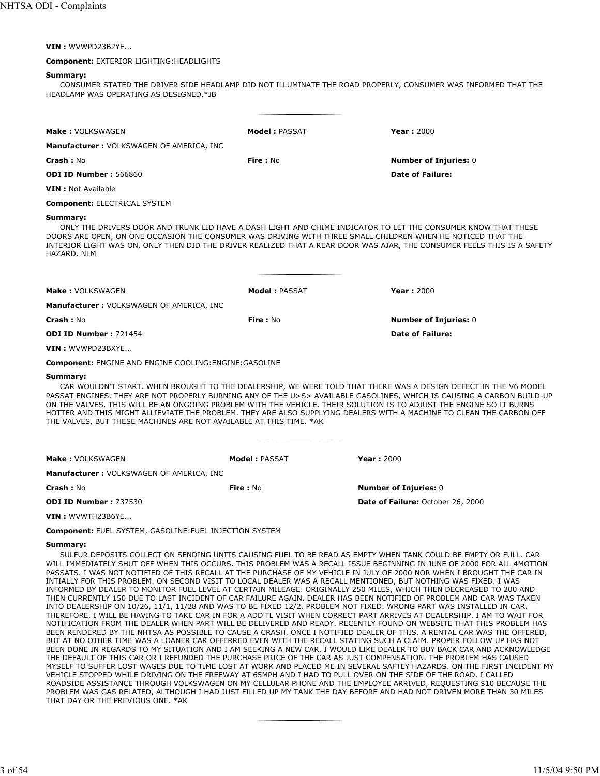**VIN :** WVWPD23B2YE...

#### **Component:** EXTERIOR LIGHTING:HEADLIGHTS

#### **Summary:**

CONSUMER STATED THE DRIVER SIDE HEADLAMP DID NOT ILLUMINATE THE ROAD PROPERLY, CONSUMER WAS INFORMED THAT THE HEADLAMP WAS OPERATING AS DESIGNED.\*JB

| Make: VOLKSWAGEN                         | Model: PASSAT   | <b>Year: 2000</b>                                                                                                                                                                                                                                                                                                                                       |
|------------------------------------------|-----------------|---------------------------------------------------------------------------------------------------------------------------------------------------------------------------------------------------------------------------------------------------------------------------------------------------------------------------------------------------------|
| Manufacturer: VOLKSWAGEN OF AMERICA, INC |                 |                                                                                                                                                                                                                                                                                                                                                         |
| Crash: No                                | <b>Fire: No</b> | <b>Number of Injuries: 0</b>                                                                                                                                                                                                                                                                                                                            |
| <b>ODI ID Number: 566860</b>             |                 | Date of Failure:                                                                                                                                                                                                                                                                                                                                        |
| <b>VIN</b> : Not Available               |                 |                                                                                                                                                                                                                                                                                                                                                         |
| <b>Component: ELECTRICAL SYSTEM</b>      |                 |                                                                                                                                                                                                                                                                                                                                                         |
| Summary:<br>HAZARD, NLM                  |                 | ONLY THE DRIVERS DOOR AND TRUNK LID HAVE A DASH LIGHT AND CHIME INDICATOR TO LET THE CONSUMER KNOW THAT THESE<br>DOORS ARE OPEN, ON ONE OCCASION THE CONSUMER WAS DRIVING WITH THREE SMALL CHILDREN WHEN HE NOTICED THAT THE<br>INTERIOR LIGHT WAS ON, ONLY THEN DID THE DRIVER REALIZED THAT A REAR DOOR WAS AJAR, THE CONSUMER FEELS THIS IS A SAFETY |

| Make: VOLKSWAGEN                                              | <b>Model: PASSAT</b> | <b>Year: 2000</b>                                                                                                                                                                                                                                                                                                                                               |
|---------------------------------------------------------------|----------------------|-----------------------------------------------------------------------------------------------------------------------------------------------------------------------------------------------------------------------------------------------------------------------------------------------------------------------------------------------------------------|
| <b>Manufacturer: VOLKSWAGEN OF AMERICA, INC.</b>              |                      |                                                                                                                                                                                                                                                                                                                                                                 |
| Crash: No                                                     | Fire: No             | <b>Number of Injuries: 0</b>                                                                                                                                                                                                                                                                                                                                    |
| <b>ODI ID Number: 721454</b>                                  |                      | <b>Date of Failure:</b>                                                                                                                                                                                                                                                                                                                                         |
| $VIN:$ WVWPD23BXYE                                            |                      |                                                                                                                                                                                                                                                                                                                                                                 |
| <b>Component: ENGINE AND ENGINE COOLING: ENGINE: GASOLINE</b> |                      |                                                                                                                                                                                                                                                                                                                                                                 |
| Summarv:                                                      |                      |                                                                                                                                                                                                                                                                                                                                                                 |
|                                                               |                      | CAR WOULDN'T START. WHEN BROUGHT TO THE DEALERSHIP, WE WERE TOLD THAT THERE WAS A DESIGN DEFECT IN THE V6 MODEL<br>PASSAT ENGINES. THEY ARE NOT PROPERLY BURNING ANY OF THE U>S> AVAILABLE GASOLINES. WHICH IS CAUSING A CARBON BUILD-UP<br>ON THE VALVES. THIS WILL BE AN ONGOING PROBLEM WITH THE VEHICLE. THEIR SOLUTION IS TO ADJUST THE ENGINE SO IT BURNS |
|                                                               |                      | HOTTED AND THIC MICHT ALLIEVIATE THE DDORLEM THEV ADE ALCO CLIDDIVING DEALEDC WITH A MACHINE TO CLEAN THE CADRON OFF                                                                                                                                                                                                                                            |

PASSAT ENGINES. THEY ARE NOT PROPERLY BURNING ANY OF THE U>S> AVAILABLE GASOLINES, WHICH IS CAUSING A CARBON BUILD-UP LYING DEALERS WITH A MACHINE TO CLEAN THE CARBON OFF THE VALVES, BUT THESE MACHINES ARE NOT AVAILABLE AT THIS TIME. \*AK

| <b>Make: VOLKSWAGEN</b>                  | Model: PASSAT | Year: $2000$                      |
|------------------------------------------|---------------|-----------------------------------|
| Manufacturer: VOLKSWAGEN OF AMERICA, INC |               |                                   |
| <b>Crash :</b> No                        | Fire : No     | <b>Number of Injuries: 0</b>      |
| <b>ODI ID Number: 737530</b>             |               | Date of Failure: October 26, 2000 |
| <b>VIN :</b> WVWTH23B6YE                 |               |                                   |

**Component:** FUEL SYSTEM, GASOLINE:FUEL INJECTION SYSTEM

#### **Summary:**

SULFUR DEPOSITS COLLECT ON SENDING UNITS CAUSING FUEL TO BE READ AS EMPTY WHEN TANK COULD BE EMPTY OR FULL. CAR WILL IMMEDIATELY SHUT OFF WHEN THIS OCCURS. THIS PROBLEM WAS A RECALL ISSUE BEGINNING IN JUNE OF 2000 FOR ALL 4MOTION PASSATS. I WAS NOT NOTIFIED OF THIS RECALL AT THE PURCHASE OF MY VEHICLE IN JULY OF 2000 NOR WHEN I BROUGHT THE CAR IN INTIALLY FOR THIS PROBLEM. ON SECOND VISIT TO LOCAL DEALER WAS A RECALL MENTIONED, BUT NOTHING WAS FIXED. I WAS INFORMED BY DEALER TO MONITOR FUEL LEVEL AT CERTAIN MILEAGE. ORIGINALLY 250 MILES, WHICH THEN DECREASED TO 200 AND THEN CURRENTLY 150 DUE TO LAST INCIDENT OF CAR FAILURE AGAIN. DEALER HAS BEEN NOTIFIED OF PROBLEM AND CAR WAS TAKEN INTO DEALERSHIP ON 10/26, 11/1, 11/28 AND WAS TO BE FIXED 12/2. PROBLEM NOT FIXED. WRONG PART WAS INSTALLED IN CAR. THEREFORE, I WILL BE HAVING TO TAKE CAR IN FOR A ADD'TL VISIT WHEN CORRECT PART ARRIVES AT DEALERSHIP. I AM TO WAIT FOR NOTIFICATION FROM THE DEALER WHEN PART WILL BE DELIVERED AND READY. RECENTLY FOUND ON WEBSITE THAT THIS PROBLEM HAS BEEN RENDERED BY THE NHTSA AS POSSIBLE TO CAUSE A CRASH. ONCE I NOTIFIED DEALER OF THIS, A RENTAL CAR WAS THE OFFERED, BUT AT NO OTHER TIME WAS A LOANER CAR OFFERRED EVEN WITH THE RECALL STATING SUCH A CLAIM. PROPER FOLLOW UP HAS NOT BEEN DONE IN REGARDS TO MY SITUATION AND I AM SEEKING A NEW CAR. I WOULD LIKE DEALER TO BUY BACK CAR AND ACKNOWLEDGE THE DEFAULT OF THIS CAR OR I REFUNDED THE PURCHASE PRICE OF THE CAR AS JUST COMPENSATION. THE PROBLEM HAS CAUSED MYSELF TO SUFFER LOST WAGES DUE TO TIME LOST AT WORK AND PLACED ME IN SEVERAL SAFTEY HAZARDS. ON THE FIRST INCIDENT MY VEHICLE STOPPED WHILE DRIVING ON THE FREEWAY AT 65MPH AND I HAD TO PULL OVER ON THE SIDE OF THE ROAD. I CALLED ROADSIDE ASSISTANCE THROUGH VOLKSWAGEN ON MY CELLULAR PHONE AND THE EMPLOYEE ARRIVED, REQUESTING \$10 BECAUSE THE PROBLEM WAS GAS RELATED, ALTHOUGH I HAD JUST FILLED UP MY TANK THE DAY BEFORE AND HAD NOT DRIVEN MORE THAN 30 MILES THAT DAY OR THE PREVIOUS ONE. \*AK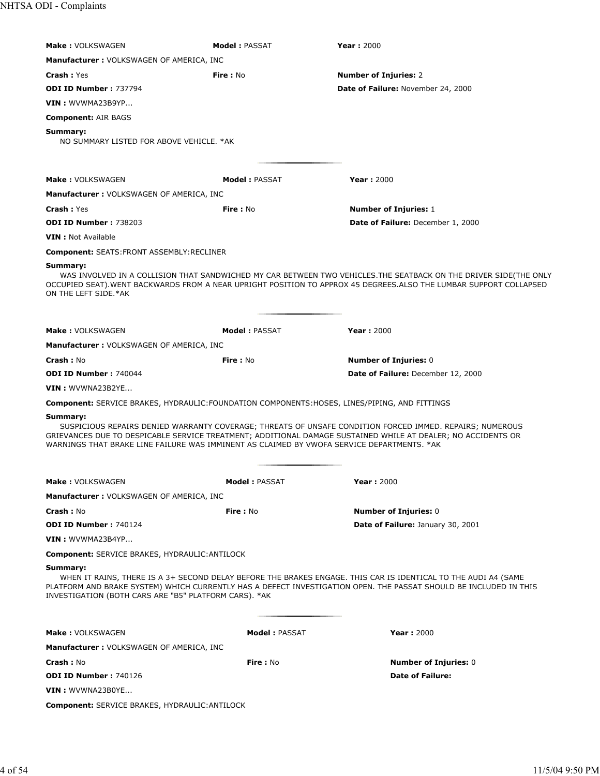| <b>Make: VOLKSWAGEN</b>                                                                                 | <b>Model: PASSAT</b> | <b>Year: 2000</b>                                                                                                                                                                                                                      |
|---------------------------------------------------------------------------------------------------------|----------------------|----------------------------------------------------------------------------------------------------------------------------------------------------------------------------------------------------------------------------------------|
|                                                                                                         |                      |                                                                                                                                                                                                                                        |
| Manufacturer: VOLKSWAGEN OF AMERICA, INC                                                                |                      |                                                                                                                                                                                                                                        |
| <b>Crash: Yes</b>                                                                                       | Fire: No             | <b>Number of Injuries: 2</b>                                                                                                                                                                                                           |
| <b>ODI ID Number: 737794</b>                                                                            |                      | Date of Failure: November 24, 2000                                                                                                                                                                                                     |
| $VIN:$ WVWMA23B9YP                                                                                      |                      |                                                                                                                                                                                                                                        |
| <b>Component: AIR BAGS</b>                                                                              |                      |                                                                                                                                                                                                                                        |
| Summary:<br>NO SUMMARY LISTED FOR ABOVE VEHICLE. * AK                                                   |                      |                                                                                                                                                                                                                                        |
| <b>Make: VOLKSWAGEN</b>                                                                                 | <b>Model: PASSAT</b> | <b>Year: 2000</b>                                                                                                                                                                                                                      |
| <b>Manufacturer: VOLKSWAGEN OF AMERICA, INC</b>                                                         |                      |                                                                                                                                                                                                                                        |
| <b>Crash: Yes</b>                                                                                       | <b>Fire: No</b>      | <b>Number of Injuries: 1</b>                                                                                                                                                                                                           |
| <b>ODI ID Number: 738203</b>                                                                            |                      | Date of Failure: December 1, 2000                                                                                                                                                                                                      |
| <b>VIN</b> : Not Available                                                                              |                      |                                                                                                                                                                                                                                        |
| <b>Component: SEATS:FRONT ASSEMBLY:RECLINER</b>                                                         |                      |                                                                                                                                                                                                                                        |
| Summary:<br>ON THE LEFT SIDE.*AK                                                                        |                      | WAS INVOLVED IN A COLLISION THAT SANDWICHED MY CAR BETWEEN TWO VEHICLES.THE SEATBACK ON THE DRIVER SIDE(THE ONLY<br>OCCUPIED SEAT). WENT BACKWARDS FROM A NEAR UPRIGHT POSITION TO APPROX 45 DEGREES.ALSO THE LUMBAR SUPPORT COLLAPSED |
| <b>Make: VOLKSWAGEN</b>                                                                                 | Model: PASSAT        | <b>Year: 2000</b>                                                                                                                                                                                                                      |
| <b>Manufacturer: VOLKSWAGEN OF AMERICA, INC</b>                                                         |                      |                                                                                                                                                                                                                                        |
| Crash: No                                                                                               | <b>Fire: No</b>      | <b>Number of Injuries: 0</b>                                                                                                                                                                                                           |
| <b>ODI ID Number: 740044</b>                                                                            |                      | Date of Failure: December 12, 2000                                                                                                                                                                                                     |
| VIN: WVWNA23B2YE                                                                                        |                      |                                                                                                                                                                                                                                        |
| <b>Component:</b> SERVICE BRAKES, HYDRAULIC: FOUNDATION COMPONENTS: HOSES, LINES/PIPING, AND FITTINGS   |                      |                                                                                                                                                                                                                                        |
| Summary:<br>WARNINGS THAT BRAKE LINE FAILURE WAS IMMINENT AS CLAIMED BY VWOFA SERVICE DEPARTMENTS. * AK |                      | SUSPICIOUS REPAIRS DENIED WARRANTY COVERAGE; THREATS OF UNSAFE CONDITION FORCED IMMED. REPAIRS; NUMEROUS<br>GRIEVANCES DUE TO DESPICABLE SERVICE TREATMENT; ADDITIONAL DAMAGE SUSTAINED WHILE AT DEALER; NO ACCIDENTS OR               |
| <b>Make: VOLKSWAGEN</b>                                                                                 | <b>Model: PASSAT</b> | Year: 2000                                                                                                                                                                                                                             |
| <b>Manufacturer: VOLKSWAGEN OF AMERICA, INC</b>                                                         |                      |                                                                                                                                                                                                                                        |
| <b>Crash: No</b>                                                                                        | <b>Fire: No</b>      | <b>Number of Injuries: 0</b>                                                                                                                                                                                                           |
| <b>ODI ID Number: 740124</b>                                                                            |                      | Date of Failure: January 30, 2001                                                                                                                                                                                                      |
| VIN: WVWMA23B4YP                                                                                        |                      |                                                                                                                                                                                                                                        |
| <b>Component: SERVICE BRAKES, HYDRAULIC: ANTILOCK</b>                                                   |                      |                                                                                                                                                                                                                                        |
| Summary:<br>INVESTIGATION (BOTH CARS ARE "B5" PLATFORM CARS). *AK                                       |                      | WHEN IT RAINS, THERE IS A 3+ SECOND DELAY BEFORE THE BRAKES ENGAGE. THIS CAR IS IDENTICAL TO THE AUDI A4 (SAME<br>PLATFORM AND BRAKE SYSTEM) WHICH CURRENTLY HAS A DEFECT INVESTIGATION OPEN. THE PASSAT SHOULD BE INCLUDED IN THIS    |
|                                                                                                         |                      |                                                                                                                                                                                                                                        |
| <b>Make: VOLKSWAGEN</b>                                                                                 | <b>Model: PASSAT</b> | <b>Year: 2000</b>                                                                                                                                                                                                                      |
| <b>Manufacturer: VOLKSWAGEN OF AMERICA, INC</b>                                                         |                      |                                                                                                                                                                                                                                        |
| <b>Crash: No</b>                                                                                        | <b>Fire</b> : No     | <b>Number of Injuries: 0</b>                                                                                                                                                                                                           |
| ODI ID Number: 740126                                                                                   |                      | <b>Date of Failure:</b>                                                                                                                                                                                                                |
| VIN: WVWNA23B0YE                                                                                        |                      |                                                                                                                                                                                                                                        |
| <b>Component:</b> SERVICE BRAKES, HYDRAULIC: ANTILOCK                                                   |                      |                                                                                                                                                                                                                                        |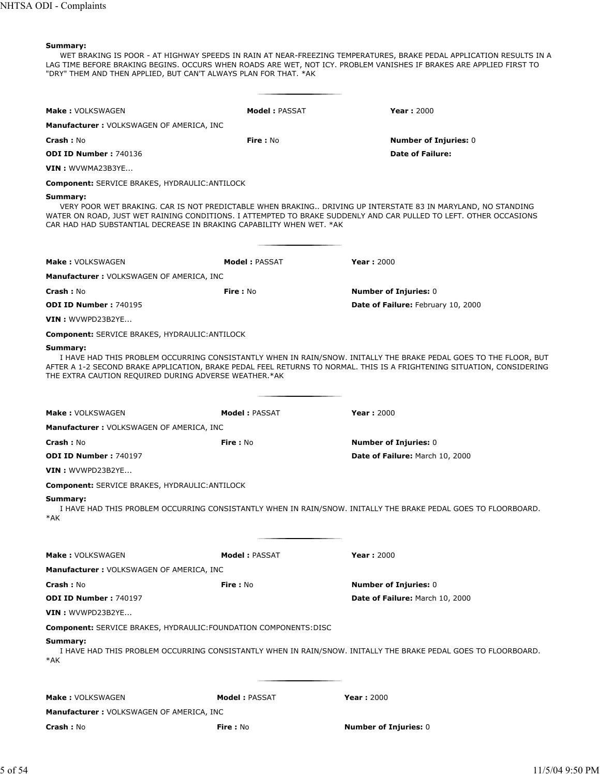WET BRAKING IS POOR - AT HIGHWAY SPEEDS IN RAIN AT NEAR-FREEZING TEMPERATURES, BRAKE PEDAL APPLICATION RESULTS IN A LAG TIME BEFORE BRAKING BEGINS. OCCURS WHEN ROADS ARE WET, NOT ICY. PROBLEM VANISHES IF BRAKES ARE APPLIED FIRST TO "DRY" THEM AND THEN APPLIED, BUT CAN'T ALWAYS PLAN FOR THAT. \*AK

| <b>Make: VOLKSWAGEN</b>                                                          | <b>Model: PASSAT</b> | <b>Year: 2000</b>                                                                                                                                                                                                                           |
|----------------------------------------------------------------------------------|----------------------|---------------------------------------------------------------------------------------------------------------------------------------------------------------------------------------------------------------------------------------------|
| <b>Manufacturer: VOLKSWAGEN OF AMERICA, INC</b>                                  |                      |                                                                                                                                                                                                                                             |
| <b>Crash: No</b>                                                                 | Fire: No             | <b>Number of Injuries: 0</b>                                                                                                                                                                                                                |
| ODI ID Number: 740136                                                            |                      | <b>Date of Failure:</b>                                                                                                                                                                                                                     |
| VIN: WVWMA23B3YE                                                                 |                      |                                                                                                                                                                                                                                             |
| <b>Component: SERVICE BRAKES, HYDRAULIC: ANTILOCK</b>                            |                      |                                                                                                                                                                                                                                             |
| Summary:<br>CAR HAD HAD SUBSTANTIAL DECREASE IN BRAKING CAPABILITY WHEN WET, *AK |                      | VERY POOR WET BRAKING. CAR IS NOT PREDICTABLE WHEN BRAKING DRIVING UP INTERSTATE 83 IN MARYLAND, NO STANDING<br>WATER ON ROAD, JUST WET RAINING CONDITIONS. I ATTEMPTED TO BRAKE SUDDENLY AND CAR PULLED TO LEFT. OTHER OCCASIONS           |
|                                                                                  |                      |                                                                                                                                                                                                                                             |
| <b>Make: VOLKSWAGEN</b>                                                          | <b>Model: PASSAT</b> | <b>Year: 2000</b>                                                                                                                                                                                                                           |
| <b>Manufacturer: VOLKSWAGEN OF AMERICA, INC</b>                                  |                      |                                                                                                                                                                                                                                             |
| <b>Crash: No</b>                                                                 | Fire: No             | <b>Number of Injuries: 0</b>                                                                                                                                                                                                                |
| <b>ODI ID Number: 740195</b>                                                     |                      | Date of Failure: February 10, 2000                                                                                                                                                                                                          |
| VIN: WVWPD23B2YE                                                                 |                      |                                                                                                                                                                                                                                             |
| <b>Component: SERVICE BRAKES, HYDRAULIC: ANTILOCK</b>                            |                      |                                                                                                                                                                                                                                             |
| Summary:<br>THE EXTRA CAUTION REQUIRED DURING ADVERSE WEATHER.*AK                |                      | I HAVE HAD THIS PROBLEM OCCURRING CONSISTANTLY WHEN IN RAIN/SNOW. INITALLY THE BRAKE PEDAL GOES TO THE FLOOR, BUT<br>AFTER A 1-2 SECOND BRAKE APPLICATION, BRAKE PEDAL FEEL RETURNS TO NORMAL. THIS IS A FRIGHTENING SITUATION, CONSIDERING |
| <b>Make: VOLKSWAGEN</b>                                                          | <b>Model: PASSAT</b> | <b>Year: 2000</b>                                                                                                                                                                                                                           |
| <b>Manufacturer: VOLKSWAGEN OF AMERICA, INC</b>                                  |                      |                                                                                                                                                                                                                                             |
| <b>Crash: No</b>                                                                 | Fire: No             | <b>Number of Injuries: 0</b>                                                                                                                                                                                                                |
| ODI ID Number: 740197                                                            |                      | Date of Failure: March 10, 2000                                                                                                                                                                                                             |
| VIN: WVWPD23B2YE                                                                 |                      |                                                                                                                                                                                                                                             |
| <b>Component: SERVICE BRAKES, HYDRAULIC: ANTILOCK</b>                            |                      |                                                                                                                                                                                                                                             |
| Summary:<br>*AK                                                                  |                      | I HAVE HAD THIS PROBLEM OCCURRING CONSISTANTLY WHEN IN RAIN/SNOW. INITALLY THE BRAKE PEDAL GOES TO FLOORBOARD.                                                                                                                              |
| <b>Make: VOLKSWAGEN</b>                                                          | <b>Model: PASSAT</b> | <b>Year: 2000</b>                                                                                                                                                                                                                           |
| Manufacturer: VOLKSWAGEN OF AMERICA, INC                                         |                      |                                                                                                                                                                                                                                             |
| <b>Crash: No</b>                                                                 | Fire: No             | <b>Number of Injuries: 0</b>                                                                                                                                                                                                                |
| ODI ID Number: 740197                                                            |                      | Date of Failure: March 10, 2000                                                                                                                                                                                                             |
| VIN : WVWPD23B2YE                                                                |                      |                                                                                                                                                                                                                                             |
| <b>Component: SERVICE BRAKES, HYDRAULIC: FOUNDATION COMPONENTS: DISC</b>         |                      |                                                                                                                                                                                                                                             |
| Summary:<br>*AK                                                                  |                      | I HAVE HAD THIS PROBLEM OCCURRING CONSISTANTLY WHEN IN RAIN/SNOW. INITALLY THE BRAKE PEDAL GOES TO FLOORBOARD.                                                                                                                              |
| <b>Make: VOLKSWAGEN</b>                                                          | <b>Model: PASSAT</b> | <b>Year: 2000</b>                                                                                                                                                                                                                           |
| <b>Manufacturer: VOLKSWAGEN OF AMERICA, INC</b>                                  |                      |                                                                                                                                                                                                                                             |
| Crash: No                                                                        | Fire: No             | <b>Number of Injuries: 0</b>                                                                                                                                                                                                                |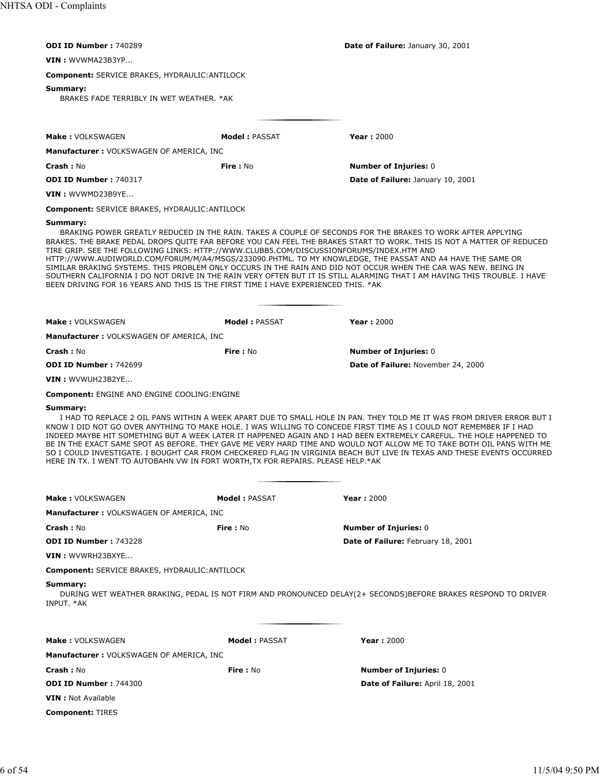| ODI ID Number: 740289                                                                                                                                                         |                      |                                                                                                                                                                                                                                                                                                                                                                                                                                                                                                                                                                                                                        |
|-------------------------------------------------------------------------------------------------------------------------------------------------------------------------------|----------------------|------------------------------------------------------------------------------------------------------------------------------------------------------------------------------------------------------------------------------------------------------------------------------------------------------------------------------------------------------------------------------------------------------------------------------------------------------------------------------------------------------------------------------------------------------------------------------------------------------------------------|
|                                                                                                                                                                               |                      | <b>Date of Failure: January 30, 2001</b>                                                                                                                                                                                                                                                                                                                                                                                                                                                                                                                                                                               |
| VIN: WVWMA23B3YP                                                                                                                                                              |                      |                                                                                                                                                                                                                                                                                                                                                                                                                                                                                                                                                                                                                        |
| <b>Component: SERVICE BRAKES, HYDRAULIC: ANTILOCK</b>                                                                                                                         |                      |                                                                                                                                                                                                                                                                                                                                                                                                                                                                                                                                                                                                                        |
| Summary:<br>BRAKES FADE TERRIBLY IN WET WEATHER, *AK                                                                                                                          |                      |                                                                                                                                                                                                                                                                                                                                                                                                                                                                                                                                                                                                                        |
|                                                                                                                                                                               |                      |                                                                                                                                                                                                                                                                                                                                                                                                                                                                                                                                                                                                                        |
| Make: VOLKSWAGEN                                                                                                                                                              | <b>Model: PASSAT</b> | <b>Year: 2000</b>                                                                                                                                                                                                                                                                                                                                                                                                                                                                                                                                                                                                      |
| <b>Manufacturer: VOLKSWAGEN OF AMERICA, INC</b>                                                                                                                               |                      |                                                                                                                                                                                                                                                                                                                                                                                                                                                                                                                                                                                                                        |
| <b>Crash: No</b>                                                                                                                                                              | Fire: No             | <b>Number of Injuries: 0</b>                                                                                                                                                                                                                                                                                                                                                                                                                                                                                                                                                                                           |
| <b>ODI ID Number: 740317</b>                                                                                                                                                  |                      | <b>Date of Failure: January 10, 2001</b>                                                                                                                                                                                                                                                                                                                                                                                                                                                                                                                                                                               |
| VIN: WVWMD23B9YE                                                                                                                                                              |                      |                                                                                                                                                                                                                                                                                                                                                                                                                                                                                                                                                                                                                        |
| <b>Component: SERVICE BRAKES, HYDRAULIC: ANTILOCK</b>                                                                                                                         |                      |                                                                                                                                                                                                                                                                                                                                                                                                                                                                                                                                                                                                                        |
| Summary:                                                                                                                                                                      |                      |                                                                                                                                                                                                                                                                                                                                                                                                                                                                                                                                                                                                                        |
| TIRE GRIP. SEE THE FOLLOWING LINKS: HTTP://WWW.CLUBB5.COM/DISCUSSIONFORUMS/INDEX.HTM AND<br>BEEN DRIVING FOR 16 YEARS AND THIS IS THE FIRST TIME I HAVE EXPERIENCED THIS. *AK |                      | BRAKING POWER GREATLY REDUCED IN THE RAIN. TAKES A COUPLE OF SECONDS FOR THE BRAKES TO WORK AFTER APPLYING<br>BRAKES. THE BRAKE PEDAL DROPS QUITE FAR BEFORE YOU CAN FEEL THE BRAKES START TO WORK. THIS IS NOT A MATTER OF REDUCED<br>HTTP://WWW.AUDIWORLD.COM/FORUM/M/A4/MSGS/233090.PHTML. TO MY KNOWLEDGE, THE PASSAT AND A4 HAVE THE SAME OR<br>SIMILAR BRAKING SYSTEMS. THIS PROBLEM ONLY OCCURS IN THE RAIN AND DID NOT OCCUR WHEN THE CAR WAS NEW. BEING IN<br>SOUTHERN CALIFORNIA I DO NOT DRIVE IN THE RAIN VERY OFTEN BUT IT IS STILL ALARMING THAT I AM HAVING THIS TROUBLE. I HAVE                        |
| <b>Make: VOLKSWAGEN</b>                                                                                                                                                       | <b>Model: PASSAT</b> | <b>Year: 2000</b>                                                                                                                                                                                                                                                                                                                                                                                                                                                                                                                                                                                                      |
| <b>Manufacturer: VOLKSWAGEN OF AMERICA, INC</b>                                                                                                                               |                      |                                                                                                                                                                                                                                                                                                                                                                                                                                                                                                                                                                                                                        |
| <b>Crash: No</b>                                                                                                                                                              | Fire: No             | <b>Number of Injuries: 0</b>                                                                                                                                                                                                                                                                                                                                                                                                                                                                                                                                                                                           |
| <b>ODI ID Number: 742699</b>                                                                                                                                                  |                      | Date of Failure: November 24, 2000                                                                                                                                                                                                                                                                                                                                                                                                                                                                                                                                                                                     |
| $VIN:$ WVWUH23B2YE                                                                                                                                                            |                      |                                                                                                                                                                                                                                                                                                                                                                                                                                                                                                                                                                                                                        |
| <b>Component: ENGINE AND ENGINE COOLING: ENGINE</b>                                                                                                                           |                      |                                                                                                                                                                                                                                                                                                                                                                                                                                                                                                                                                                                                                        |
| Summary:<br>HERE IN TX. I WENT TO AUTOBAHN VW IN FORT WORTH, TX FOR REPAIRS. PLEASE HELP.*AK                                                                                  |                      | I HAD TO REPLACE 2 OIL PANS WITHIN A WEEK APART DUE TO SMALL HOLE IN PAN. THEY TOLD ME IT WAS FROM DRIVER ERROR BUT I<br>KNOW I DID NOT GO OVER ANYTHING TO MAKE HOLE. I WAS WILLING TO CONCEDE FIRST TIME AS I COULD NOT REMEMBER IF I HAD<br>INDEED MAYBE HIT SOMETHING BUT A WEEK LATER IT HAPPENED AGAIN AND I HAD BEEN EXTREMELY CAREFUL. THE HOLE HAPPENED TO<br>BE IN THE EXACT SAME SPOT AS BEFORE. THEY GAVE ME VERY HARD TIME AND WOULD NOT ALLOW ME TO TAKE BOTH OIL PANS WITH ME<br>SO I COULD INVESTIGATE. I BOUGHT CAR FROM CHECKERED FLAG IN VIRGINIA BEACH BUT LIVE IN TEXAS AND THESE EVENTS OCCURRED |
| <b>Make: VOLKSWAGEN</b>                                                                                                                                                       | <b>Model: PASSAT</b> | <b>Year: 2000</b>                                                                                                                                                                                                                                                                                                                                                                                                                                                                                                                                                                                                      |
| <b>Manufacturer: VOLKSWAGEN OF AMERICA, INC</b>                                                                                                                               |                      |                                                                                                                                                                                                                                                                                                                                                                                                                                                                                                                                                                                                                        |
| <b>Crash: No</b>                                                                                                                                                              | Fire: No             | <b>Number of Injuries: 0</b>                                                                                                                                                                                                                                                                                                                                                                                                                                                                                                                                                                                           |
| <b>ODI ID Number: 743228</b>                                                                                                                                                  |                      | Date of Failure: February 18, 2001                                                                                                                                                                                                                                                                                                                                                                                                                                                                                                                                                                                     |
| VIN: WVWRH23BXYE                                                                                                                                                              |                      |                                                                                                                                                                                                                                                                                                                                                                                                                                                                                                                                                                                                                        |
| <b>Component: SERVICE BRAKES, HYDRAULIC: ANTILOCK</b>                                                                                                                         |                      |                                                                                                                                                                                                                                                                                                                                                                                                                                                                                                                                                                                                                        |
| Summary:<br>INPUT. *AK                                                                                                                                                        |                      | DURING WET WEATHER BRAKING, PEDAL IS NOT FIRM AND PRONOUNCED DELAY(2+ SECONDS)BEFORE BRAKES RESPOND TO DRIVER                                                                                                                                                                                                                                                                                                                                                                                                                                                                                                          |
|                                                                                                                                                                               |                      |                                                                                                                                                                                                                                                                                                                                                                                                                                                                                                                                                                                                                        |
| <b>Make: VOLKSWAGEN</b>                                                                                                                                                       | <b>Model: PASSAT</b> | <b>Year: 2000</b>                                                                                                                                                                                                                                                                                                                                                                                                                                                                                                                                                                                                      |
| <b>Manufacturer: VOLKSWAGEN OF AMERICA, INC</b>                                                                                                                               |                      |                                                                                                                                                                                                                                                                                                                                                                                                                                                                                                                                                                                                                        |
| <b>Crash: No</b><br><b>ODI ID Number: 744300</b>                                                                                                                              | Fire: No             | <b>Number of Injuries: 0</b><br><b>Date of Failure: April 18, 2001</b>                                                                                                                                                                                                                                                                                                                                                                                                                                                                                                                                                 |
| <b>VIN</b> : Not Available                                                                                                                                                    |                      |                                                                                                                                                                                                                                                                                                                                                                                                                                                                                                                                                                                                                        |
|                                                                                                                                                                               |                      |                                                                                                                                                                                                                                                                                                                                                                                                                                                                                                                                                                                                                        |
| <b>Component: TIRES</b>                                                                                                                                                       |                      |                                                                                                                                                                                                                                                                                                                                                                                                                                                                                                                                                                                                                        |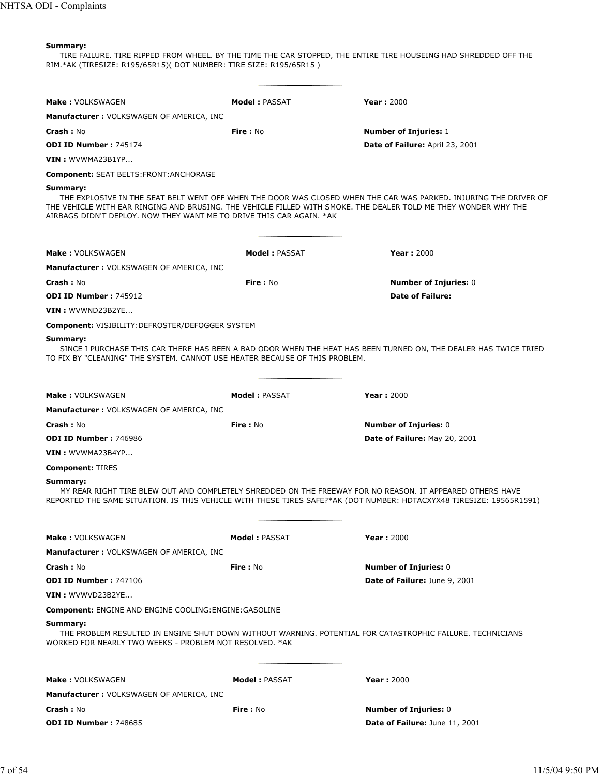TIRE FAILURE. TIRE RIPPED FROM WHEEL. BY THE TIME THE CAR STOPPED, THE ENTIRE TIRE HOUSEING HAD SHREDDED OFF THE RIM.\*AK (TIRESIZE: R195/65R15)( DOT NUMBER: TIRE SIZE: R195/65R15 )

| Make: VOLKSWAGEN                                                    | <b>Model: PASSAT</b>                                                        | <b>Year: 2000</b>                                                                                                                                                                                                                   |
|---------------------------------------------------------------------|-----------------------------------------------------------------------------|-------------------------------------------------------------------------------------------------------------------------------------------------------------------------------------------------------------------------------------|
| <b>Manufacturer: VOLKSWAGEN OF AMERICA, INC</b>                     |                                                                             |                                                                                                                                                                                                                                     |
| <b>Crash: No</b>                                                    | Fire: No                                                                    | <b>Number of Injuries: 1</b>                                                                                                                                                                                                        |
| <b>ODI ID Number: 745174</b>                                        |                                                                             | Date of Failure: April 23, 2001                                                                                                                                                                                                     |
| $VIN:$ WVWMA23B1YP                                                  |                                                                             |                                                                                                                                                                                                                                     |
| <b>Component: SEAT BELTS: FRONT: ANCHORAGE</b>                      |                                                                             |                                                                                                                                                                                                                                     |
| Summary:                                                            | AIRBAGS DIDN'T DEPLOY. NOW THEY WANT ME TO DRIVE THIS CAR AGAIN. *AK        | THE EXPLOSIVE IN THE SEAT BELT WENT OFF WHEN THE DOOR WAS CLOSED WHEN THE CAR WAS PARKED. INJURING THE DRIVER OF<br>THE VEHICLE WITH EAR RINGING AND BRUSING. THE VEHICLE FILLED WITH SMOKE. THE DEALER TOLD ME THEY WONDER WHY THE |
| <b>Make: VOLKSWAGEN</b>                                             | <b>Model: PASSAT</b>                                                        | <b>Year: 2000</b>                                                                                                                                                                                                                   |
| <b>Manufacturer: VOLKSWAGEN OF AMERICA, INC</b>                     |                                                                             |                                                                                                                                                                                                                                     |
| <b>Crash: No</b>                                                    | Fire: No                                                                    | <b>Number of Injuries: 0</b>                                                                                                                                                                                                        |
| <b>ODI ID Number: 745912</b>                                        |                                                                             | <b>Date of Failure:</b>                                                                                                                                                                                                             |
| VIN: WVWND23B2YE                                                    |                                                                             |                                                                                                                                                                                                                                     |
| <b>Component: VISIBILITY:DEFROSTER/DEFOGGER SYSTEM</b>              |                                                                             |                                                                                                                                                                                                                                     |
| Summary:                                                            | TO FIX BY "CLEANING" THE SYSTEM. CANNOT USE HEATER BECAUSE OF THIS PROBLEM. | SINCE I PURCHASE THIS CAR THERE HAS BEEN A BAD ODOR WHEN THE HEAT HAS BEEN TURNED ON, THE DEALER HAS TWICE TRIED                                                                                                                    |
| <b>Make: VOLKSWAGEN</b>                                             | <b>Model: PASSAT</b>                                                        | <b>Year: 2000</b>                                                                                                                                                                                                                   |
| <b>Manufacturer: VOLKSWAGEN OF AMERICA, INC</b>                     |                                                                             |                                                                                                                                                                                                                                     |
| <b>Crash: No</b>                                                    | Fire: No                                                                    | <b>Number of Injuries: 0</b>                                                                                                                                                                                                        |
| <b>ODI ID Number: 746986</b>                                        |                                                                             | Date of Failure: May 20, 2001                                                                                                                                                                                                       |
| VIN : WVWMA23B4YP                                                   |                                                                             |                                                                                                                                                                                                                                     |
| <b>Component: TIRES</b>                                             |                                                                             |                                                                                                                                                                                                                                     |
| Summary:                                                            |                                                                             | MY REAR RIGHT TIRE BLEW OUT AND COMPLETELY SHREDDED ON THE FREEWAY FOR NO REASON. IT APPEARED OTHERS HAVE<br>REPORTED THE SAME SITUATION. IS THIS VEHICLE WITH THESE TIRES SAFE?*AK (DOT NUMBER: HDTACXYX48 TIRESIZE: 19565R1591)   |
| <b>Make: VOLKSWAGEN</b>                                             | <b>Model: PASSAT</b>                                                        | <b>Year: 2000</b>                                                                                                                                                                                                                   |
| <b>Manufacturer: VOLKSWAGEN OF AMERICA, INC</b>                     |                                                                             |                                                                                                                                                                                                                                     |
| <b>Crash: No</b>                                                    | Fire: No                                                                    | <b>Number of Injuries: 0</b>                                                                                                                                                                                                        |
| <b>ODI ID Number: 747106</b>                                        |                                                                             | Date of Failure: June 9, 2001                                                                                                                                                                                                       |
| VIN: WVWVD23B2YE                                                    |                                                                             |                                                                                                                                                                                                                                     |
| <b>Component: ENGINE AND ENGINE COOLING: ENGINE: GASOLINE</b>       |                                                                             |                                                                                                                                                                                                                                     |
| Summary:<br>WORKED FOR NEARLY TWO WEEKS - PROBLEM NOT RESOLVED. *AK |                                                                             | THE PROBLEM RESULTED IN ENGINE SHUT DOWN WITHOUT WARNING. POTENTIAL FOR CATASTROPHIC FAILURE. TECHNICIANS                                                                                                                           |
| <b>Make: VOLKSWAGEN</b>                                             | <b>Model: PASSAT</b>                                                        | <b>Year: 2000</b>                                                                                                                                                                                                                   |
| <b>Manufacturer: VOLKSWAGEN OF AMERICA, INC</b>                     |                                                                             |                                                                                                                                                                                                                                     |
| <b>Crash: No</b>                                                    | Fire: No                                                                    | <b>Number of Injuries: 0</b>                                                                                                                                                                                                        |
| ODI ID Number: 748685                                               |                                                                             | Date of Failure: June 11, 2001                                                                                                                                                                                                      |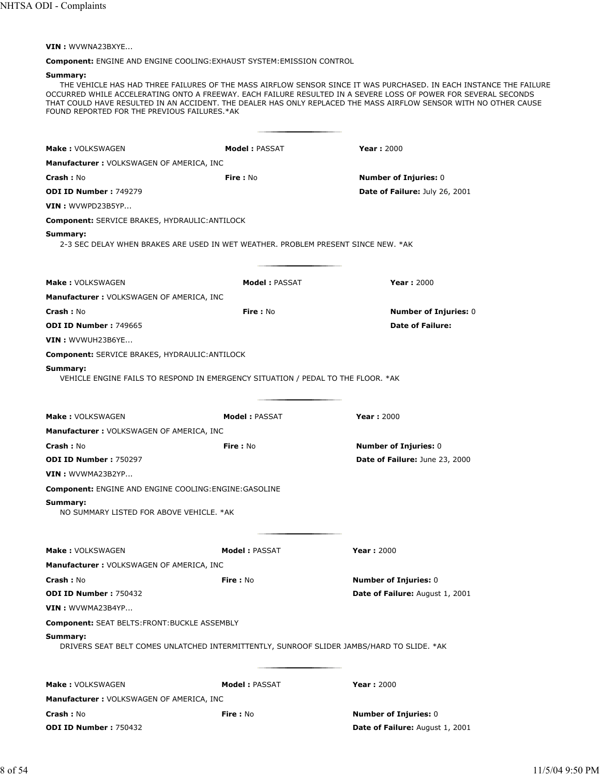**VIN :** WVWNA23BXYE...

**Component:** ENGINE AND ENGINE COOLING:EXHAUST SYSTEM:EMISSION CONTROL

# **Summary:**

THE VEHICLE HAS HAD THREE FAILURES OF THE MASS AIRFLOW SENSOR SINCE IT WAS PURCHASED. IN EACH INSTANCE THE FAILURE OCCURRED WHILE ACCELERATING ONTO A FREEWAY. EACH FAILURE RESULTED IN A SEVERE LOSS OF POWER FOR SEVERAL SECONDS THAT COULD HAVE RESULTED IN AN ACCIDENT. THE DEALER HAS ONLY REPLACED THE MASS AIRFLOW SENSOR WITH NO OTHER CAUSE FOUND REPORTED FOR THE PREVIOUS FAILURES.\*AK

| Make: VOLKSWAGEN                                                                                       | <b>Model: PASSAT</b> | <b>Year: 2000</b>                                              |
|--------------------------------------------------------------------------------------------------------|----------------------|----------------------------------------------------------------|
|                                                                                                        |                      |                                                                |
| <b>Manufacturer: VOLKSWAGEN OF AMERICA, INC</b>                                                        |                      |                                                                |
| <b>Crash: No</b><br><b>ODI ID Number: 749279</b>                                                       | <b>Fire: No</b>      | <b>Number of Injuries: 0</b><br>Date of Failure: July 26, 2001 |
|                                                                                                        |                      |                                                                |
| VIN: WVWPD23B5YP                                                                                       |                      |                                                                |
| <b>Component: SERVICE BRAKES, HYDRAULIC: ANTILOCK</b>                                                  |                      |                                                                |
| Summary:<br>2-3 SEC DELAY WHEN BRAKES ARE USED IN WET WEATHER. PROBLEM PRESENT SINCE NEW. *AK          |                      |                                                                |
|                                                                                                        |                      |                                                                |
| <b>Make: VOLKSWAGEN</b>                                                                                | <b>Model: PASSAT</b> | <b>Year: 2000</b>                                              |
| <b>Manufacturer: VOLKSWAGEN OF AMERICA, INC</b>                                                        |                      |                                                                |
| Crash: No                                                                                              | Fire: No             | <b>Number of Injuries: 0</b>                                   |
| ODI ID Number: 749665                                                                                  |                      | <b>Date of Failure:</b>                                        |
| VIN: WVWUH23B6YE                                                                                       |                      |                                                                |
| <b>Component: SERVICE BRAKES, HYDRAULIC: ANTILOCK</b>                                                  |                      |                                                                |
| Summary:                                                                                               |                      |                                                                |
| VEHICLE ENGINE FAILS TO RESPOND IN EMERGENCY SITUATION / PEDAL TO THE FLOOR. *AK                       |                      |                                                                |
|                                                                                                        |                      |                                                                |
| <b>Make: VOLKSWAGEN</b>                                                                                | <b>Model: PASSAT</b> | Year: $2000$                                                   |
| <b>Manufacturer: VOLKSWAGEN OF AMERICA, INC</b>                                                        |                      |                                                                |
| <b>Crash: No</b>                                                                                       | Fire: No             | <b>Number of Injuries: 0</b>                                   |
| <b>ODI ID Number: 750297</b>                                                                           |                      | Date of Failure: June 23, 2000                                 |
| VIN : WVWMA23B2YP                                                                                      |                      |                                                                |
| <b>Component: ENGINE AND ENGINE COOLING: ENGINE: GASOLINE</b>                                          |                      |                                                                |
| Summary:                                                                                               |                      |                                                                |
| NO SUMMARY LISTED FOR ABOVE VEHICLE. *AK                                                               |                      |                                                                |
| <b>Make: VOLKSWAGEN</b>                                                                                | <b>Model: PASSAT</b> | <b>Year: 2000</b>                                              |
|                                                                                                        |                      |                                                                |
| <b>Manufacturer: VOLKSWAGEN OF AMERICA, INC</b>                                                        |                      |                                                                |
| Crash: No<br><b>ODI ID Number: 750432</b>                                                              | Fire: No             | Number of Injuries: 0<br>Date of Failure: August 1, 2001       |
|                                                                                                        |                      |                                                                |
| VIN: WVWMA23B4YP                                                                                       |                      |                                                                |
| Component: SEAT BELTS: FRONT: BUCKLE ASSEMBLY                                                          |                      |                                                                |
| Summary:<br>DRIVERS SEAT BELT COMES UNLATCHED INTERMITTENTLY, SUNROOF SLIDER JAMBS/HARD TO SLIDE. * AK |                      |                                                                |
|                                                                                                        |                      |                                                                |
| Make: VOLKSWAGEN                                                                                       | Model: PASSAT        | Year: 2000                                                     |
| <b>Manufacturer: VOLKSWAGEN OF AMERICA, INC</b>                                                        |                      |                                                                |
| Crash: No                                                                                              | Fire: No             | <b>Number of Injuries: 0</b>                                   |
| ODI ID Number: 750432                                                                                  |                      | Date of Failure: August 1, 2001                                |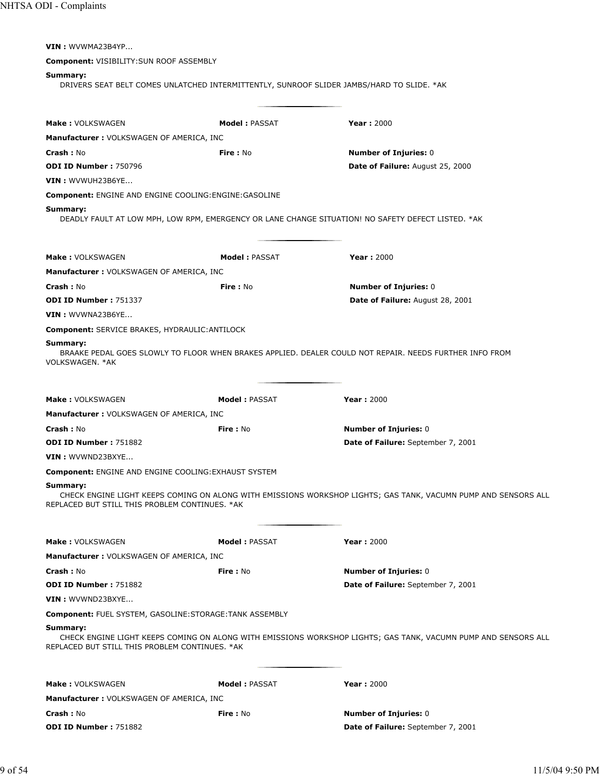| VIN: WVWMA23B4YP                                                                                                           |                      |                                                                                                                |
|----------------------------------------------------------------------------------------------------------------------------|----------------------|----------------------------------------------------------------------------------------------------------------|
| Component: VISIBILITY: SUN ROOF ASSEMBLY                                                                                   |                      |                                                                                                                |
| Summary:                                                                                                                   |                      | DRIVERS SEAT BELT COMES UNLATCHED INTERMITTENTLY, SUNROOF SLIDER JAMBS/HARD TO SLIDE. * AK                     |
| <b>Make: VOLKSWAGEN</b>                                                                                                    | <b>Model: PASSAT</b> | <b>Year: 2000</b>                                                                                              |
| Manufacturer: VOLKSWAGEN OF AMERICA, INC                                                                                   |                      |                                                                                                                |
| Crash: No                                                                                                                  | Fire: No             | <b>Number of Injuries: 0</b>                                                                                   |
| <b>ODI ID Number: 750796</b>                                                                                               |                      | Date of Failure: August 25, 2000                                                                               |
| VIN: WVWUH23B6YE                                                                                                           |                      |                                                                                                                |
| Component: ENGINE AND ENGINE COOLING: ENGINE: GASOLINE                                                                     |                      |                                                                                                                |
| Summary:                                                                                                                   |                      | DEADLY FAULT AT LOW MPH, LOW RPM, EMERGENCY OR LANE CHANGE SITUATION! NO SAFETY DEFECT LISTED. *AK             |
| <b>Make: VOLKSWAGEN</b>                                                                                                    | <b>Model: PASSAT</b> | <b>Year: 2000</b>                                                                                              |
| <b>Manufacturer: VOLKSWAGEN OF AMERICA, INC</b>                                                                            |                      |                                                                                                                |
| Crash: No                                                                                                                  | Fire: No             | <b>Number of Injuries: 0</b>                                                                                   |
| <b>ODI ID Number: 751337</b>                                                                                               |                      | Date of Failure: August 28, 2001                                                                               |
| VIN: WVWNA23B6YE                                                                                                           |                      |                                                                                                                |
| Component: SERVICE BRAKES, HYDRAULIC: ANTILOCK                                                                             |                      |                                                                                                                |
| Summary:<br>VOLKSWAGEN, *AK                                                                                                |                      | BRAAKE PEDAL GOES SLOWLY TO FLOOR WHEN BRAKES APPLIED. DEALER COULD NOT REPAIR. NEEDS FURTHER INFO FROM        |
| <b>Make: VOLKSWAGEN</b>                                                                                                    | <b>Model: PASSAT</b> | <b>Year: 2000</b>                                                                                              |
| Manufacturer : VOLKSWAGEN OF AMERICA, INC                                                                                  |                      |                                                                                                                |
| <b>Crash: No</b><br><b>ODI ID Number: 751882</b>                                                                           | <b>Fire: No</b>      | <b>Number of Injuries: 0</b>                                                                                   |
| VIN: WVWND23BXYE                                                                                                           |                      | Date of Failure: September 7, 2001                                                                             |
|                                                                                                                            |                      |                                                                                                                |
| <b>Component: ENGINE AND ENGINE COOLING: EXHAUST SYSTEM</b><br>Summary:<br>REPLACED BUT STILL THIS PROBLEM CONTINUES. * AK |                      | CHECK ENGINE LIGHT KEEPS COMING ON ALONG WITH EMISSIONS WORKSHOP LIGHTS; GAS TANK, VACUMN PUMP AND SENSORS ALL |
| <b>Make: VOLKSWAGEN</b>                                                                                                    | <b>Model: PASSAT</b> | <b>Year: 2000</b>                                                                                              |
| <b>Manufacturer: VOLKSWAGEN OF AMERICA, INC</b>                                                                            |                      |                                                                                                                |
| Crash: No                                                                                                                  | Fire: No             | <b>Number of Injuries: 0</b>                                                                                   |
| <b>ODI ID Number: 751882</b>                                                                                               |                      | Date of Failure: September 7, 2001                                                                             |
| VIN: WVWND23BXYE                                                                                                           |                      |                                                                                                                |
| Component: FUEL SYSTEM, GASOLINE:STORAGE:TANK ASSEMBLY                                                                     |                      |                                                                                                                |
| Summary:<br>REPLACED BUT STILL THIS PROBLEM CONTINUES. * AK                                                                |                      | CHECK ENGINE LIGHT KEEPS COMING ON ALONG WITH EMISSIONS WORKSHOP LIGHTS; GAS TANK, VACUMN PUMP AND SENSORS ALL |
| Make: VOLKSWAGEN                                                                                                           | <b>Model: PASSAT</b> | <b>Year: 2000</b>                                                                                              |
| <b>Manufacturer: VOLKSWAGEN OF AMERICA, INC</b>                                                                            |                      |                                                                                                                |
| Crash: No                                                                                                                  | Fire: No             | <b>Number of Injuries: 0</b>                                                                                   |
| ODI ID Number: 751882                                                                                                      |                      | Date of Failure: September 7, 2001                                                                             |
|                                                                                                                            |                      |                                                                                                                |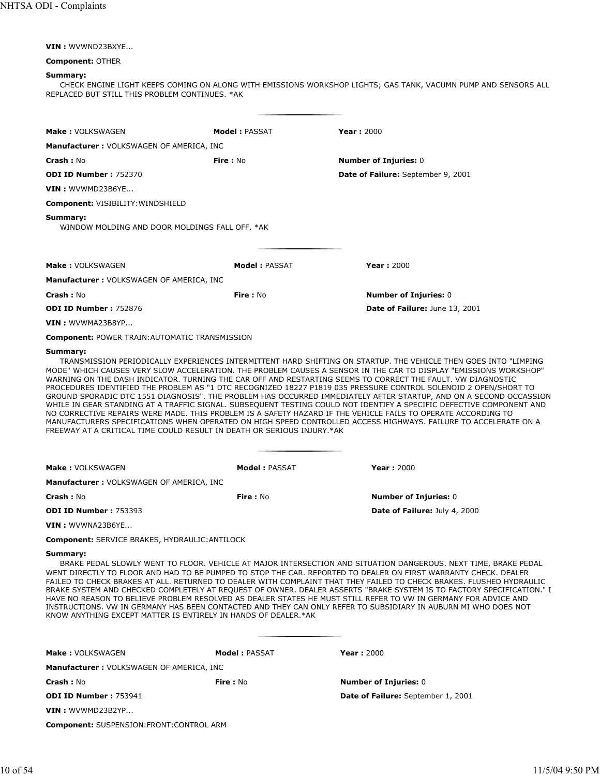|  |  | VIN: WVWND23BXYE |
|--|--|------------------|
|--|--|------------------|

#### **Component:** OTHER

#### **Summary:**

CHECK ENGINE LIGHT KEEPS COMING ON ALONG WITH EMISSIONS WORKSHOP LIGHTS; GAS TANK, VACUMN PUMP AND SENSORS ALL REPLACED BUT STILL THIS PROBLEM CONTINUES. \*AK

| Make: VOLKSWAGEN                                           | <b>Model: PASSAT</b> | <b>Year: 2000</b>                  |
|------------------------------------------------------------|----------------------|------------------------------------|
| Manufacturer: VOLKSWAGEN OF AMERICA, INC                   |                      |                                    |
| Crash: No                                                  | Fire: No             | <b>Number of Injuries: 0</b>       |
| <b>ODI ID Number: 752370</b>                               |                      | Date of Failure: September 9, 2001 |
| VIN: WVWMD23B6YE                                           |                      |                                    |
| <b>Component: VISIBILITY: WINDSHIELD</b>                   |                      |                                    |
| Summary:<br>WINDOW MOLDING AND DOOR MOLDINGS FALL OFF. *AK |                      |                                    |
| <b>Make: VOLKSWAGEN</b>                                    | <b>Model: PASSAT</b> | Year: $2000$                       |
| Manufacturer: VOLKSWAGEN OF AMERICA, INC                   |                      |                                    |
| <b>Crash: No</b>                                           | Fire: No             | <b>Number of Injuries: 0</b>       |
| <b>ODI ID Number: 752876</b>                               |                      | Date of Failure: June 13, 2001     |

**VIN :** WVWMA23B8YP...

**Component:** POWER TRAIN:AUTOMATIC TRANSMISSION

#### **Summary:**

TRANSMISSION PERIODICALLY EXPERIENCES INTERMITTENT HARD SHIFTING ON STARTUP. THE VEHICLE THEN GOES INTO "LIMPING MODE" WHICH CAUSES VERY SLOW ACCELERATION. THE PROBLEM CAUSES A SENSOR IN THE CAR TO DISPLAY "EMISSIONS WORKSHOP" WARNING ON THE DASH INDICATOR. TURNING THE CAR OFF AND RESTARTING SEEMS TO CORRECT THE FAULT. VW DIAGNOSTIC PROCEDURES IDENTIFIED THE PROBLEM AS "1 DTC RECOGNIZED 18227 P1819 035 PRESSURE CONTROL SOLENOID 2 OPEN/SHORT TO GROUND SPORADIC DTC 1551 DIAGNOSIS". THE PROBLEM HAS OCCURRED IMMEDIATELY AFTER STARTUP, AND ON A SECOND OCCASSION WHILE IN GEAR STANDING AT A TRAFFIC SIGNAL. SUBSEQUENT TESTING COULD NOT IDENTIFY A SPECIFIC DEFECTIVE COMPONENT AND NO CORRECTIVE REPAIRS WERE MADE. THIS PROBLEM IS A SAFETY HAZARD IF THE VEHICLE FAILS TO OPERATE ACCORDING TO MANUFACTURERS SPECIFICATIONS WHEN OPERATED ON HIGH SPEED CONTROLLED ACCESS HIGHWAYS. FAILURE TO ACCELERATE ON A FREEWAY AT A CRITICAL TIME COULD RESULT IN DEATH OR SERIOUS INJURY.\*AK

| <b>Make: VOLKSWAGEN</b>                  | Model: PASSAT | Year: $2000$                         |
|------------------------------------------|---------------|--------------------------------------|
| Manufacturer: VOLKSWAGEN OF AMERICA, INC |               |                                      |
| <b>Crash :</b> No                        | Fire : No     | <b>Number of Injuries: 0</b>         |
| <b>ODI ID Number: 753393</b>             |               | <b>Date of Failure: July 4, 2000</b> |
| $VIN:$ $WVWNA23B6YE$                     |               |                                      |

**Component:** SERVICE BRAKES, HYDRAULIC:ANTILOCK

# **Summary:**

BRAKE PEDAL SLOWLY WENT TO FLOOR. VEHICLE AT MAJOR INTERSECTION AND SITUATION DANGEROUS. NEXT TIME, BRAKE PEDAL WENT DIRECTLY TO FLOOR AND HAD TO BE PUMPED TO STOP THE CAR. REPORTED TO DEALER ON FIRST WARRANTY CHECK. DEALER FAILED TO CHECK BRAKES AT ALL. RETURNED TO DEALER WITH COMPLAINT THAT THEY FAILED TO CHECK BRAKES. FLUSHED HYDRAULIC BRAKE SYSTEM AND CHECKED COMPLETELY AT REQUEST OF OWNER. DEALER ASSERTS "BRAKE SYSTEM IS TO FACTORY SPECIFICATION." I HAVE NO REASON TO BELIEVE PROBLEM RESOLVED AS DEALER STATES HE MUST STILL REFER TO VW IN GERMANY FOR ADVICE AND INSTRUCTIONS. VW IN GERMANY HAS BEEN CONTACTED AND THEY CAN ONLY REFER TO SUBSIDIARY IN AUBURN MI WHO DOES NOT KNOW ANYTHING EXCEPT MATTER IS ENTIRELY IN HANDS OF DEALER.\*AK

| <b>Make: VOLKSWAGEN</b>                  | <b>Model: PASSAT</b> | <b>Year: 2000</b>                  |
|------------------------------------------|----------------------|------------------------------------|
| Manufacturer: VOLKSWAGEN OF AMERICA, INC |                      |                                    |
| <b>Crash: No</b>                         | Fire : No            | <b>Number of Injuries: 0</b>       |
| <b>ODI ID Number: 753941</b>             |                      | Date of Failure: September 1, 2001 |
| $VIN:$ WVWMD23B2YP                       |                      |                                    |

**Component:** SUSPENSION:FRONT:CONTROL ARM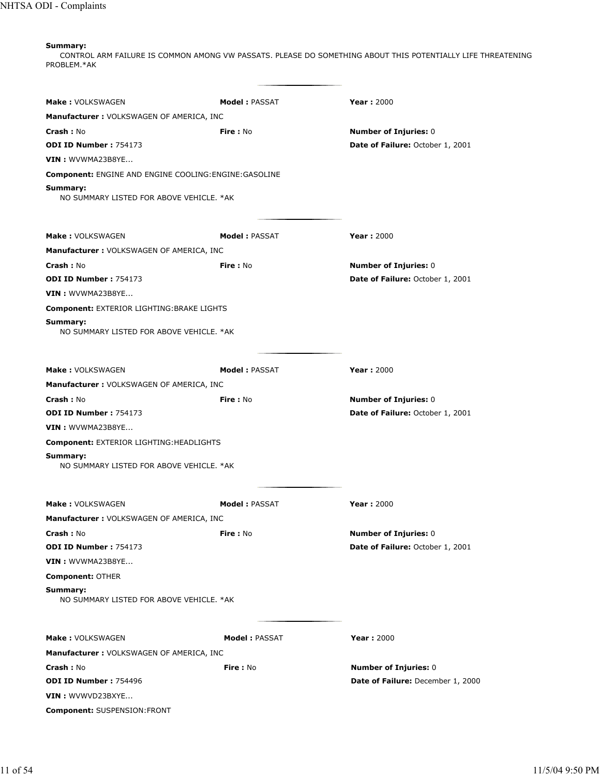CONTROL ARM FAILURE IS COMMON AMONG VW PASSATS. PLEASE DO SOMETHING ABOUT THIS POTENTIALLY LIFE THREATENING PROBLEM.\*AK

| <b>Make: VOLKSWAGEN</b>                                       | <b>Model: PASSAT</b> | <b>Year: 2000</b>                       |
|---------------------------------------------------------------|----------------------|-----------------------------------------|
| Manufacturer: VOLKSWAGEN OF AMERICA, INC                      |                      |                                         |
| <b>Crash: No</b>                                              | Fire: No             | <b>Number of Injuries: 0</b>            |
| ODI ID Number: 754173                                         |                      | Date of Failure: October 1, 2001        |
| VIN: WVWMA23B8YE                                              |                      |                                         |
| <b>Component: ENGINE AND ENGINE COOLING: ENGINE: GASOLINE</b> |                      |                                         |
| Summary:<br>NO SUMMARY LISTED FOR ABOVE VEHICLE. * AK         |                      |                                         |
| <b>Make: VOLKSWAGEN</b>                                       | <b>Model: PASSAT</b> | <b>Year: 2000</b>                       |
| <b>Manufacturer: VOLKSWAGEN OF AMERICA, INC</b>               |                      |                                         |
| <b>Crash: No</b>                                              | Fire: No             | <b>Number of Injuries: 0</b>            |
| <b>ODI ID Number: 754173</b>                                  |                      | Date of Failure: October 1, 2001        |
| VIN: WVWMA23B8YE                                              |                      |                                         |
| Component: EXTERIOR LIGHTING: BRAKE LIGHTS                    |                      |                                         |
| Summary:<br>NO SUMMARY LISTED FOR ABOVE VEHICLE. * AK         |                      |                                         |
| <b>Make: VOLKSWAGEN</b>                                       | <b>Model: PASSAT</b> | <b>Year: 2000</b>                       |
| <b>Manufacturer: VOLKSWAGEN OF AMERICA, INC</b>               |                      |                                         |
| Crash: No                                                     | Fire: No             | <b>Number of Injuries: 0</b>            |
| <b>ODI ID Number: 754173</b>                                  |                      | <b>Date of Failure: October 1, 2001</b> |
| VIN: WVWMA23B8YE                                              |                      |                                         |
| <b>Component: EXTERIOR LIGHTING: HEADLIGHTS</b>               |                      |                                         |
| Summary:<br>NO SUMMARY LISTED FOR ABOVE VEHICLE, *AK          |                      |                                         |
| <b>Make: VOLKSWAGEN</b>                                       | <b>Model: PASSAT</b> | <b>Year: 2000</b>                       |
| <b>Manufacturer: VOLKSWAGEN OF AMERICA, INC</b>               |                      |                                         |
| <b>Crash: No</b>                                              | Fire: No             | <b>Number of Injuries: 0</b>            |
| ODI ID Number: 754173                                         |                      | Date of Failure: October 1, 2001        |
| VIN: WVWMA23B8YE                                              |                      |                                         |
| <b>Component: OTHER</b>                                       |                      |                                         |
| Summary:<br>NO SUMMARY LISTED FOR ABOVE VEHICLE. *AK          |                      |                                         |
| <b>Make: VOLKSWAGEN</b>                                       | <b>Model: PASSAT</b> | <b>Year: 2000</b>                       |
| <b>Manufacturer: VOLKSWAGEN OF AMERICA, INC</b>               |                      |                                         |
| <b>Crash: No</b>                                              | Fire: No             | <b>Number of Injuries: 0</b>            |
| <b>ODI ID Number: 754496</b>                                  |                      | Date of Failure: December 1, 2000       |
| VIN : WVWVD23BXYE                                             |                      |                                         |
| Component: SUSPENSION:FRONT                                   |                      |                                         |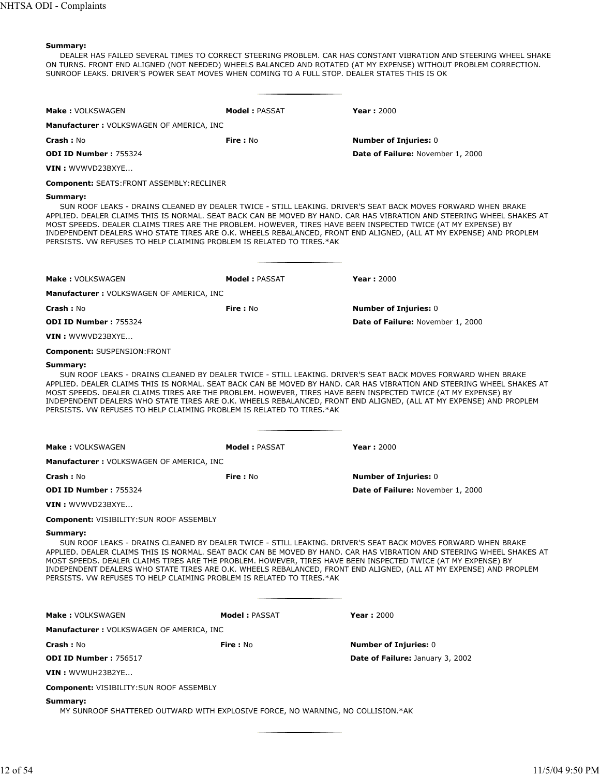DEALER HAS FAILED SEVERAL TIMES TO CORRECT STEERING PROBLEM. CAR HAS CONSTANT VIBRATION AND STEERING WHEEL SHAKE ON TURNS. FRONT END ALIGNED (NOT NEEDED) WHEELS BALANCED AND ROTATED (AT MY EXPENSE) WITHOUT PROBLEM CORRECTION. SUNROOF LEAKS. DRIVER'S POWER SEAT MOVES WHEN COMING TO A FULL STOP. DEALER STATES THIS IS OK

| <b>Make: VOLKSWAGEN</b>                                                                                                                                                                            | <b>Model: PASSAT</b> | <b>Year: 2000</b>                                                                                                                                                                                                                                                                                                                                           |
|----------------------------------------------------------------------------------------------------------------------------------------------------------------------------------------------------|----------------------|-------------------------------------------------------------------------------------------------------------------------------------------------------------------------------------------------------------------------------------------------------------------------------------------------------------------------------------------------------------|
| <b>Manufacturer: VOLKSWAGEN OF AMERICA, INC</b>                                                                                                                                                    |                      |                                                                                                                                                                                                                                                                                                                                                             |
| <b>Crash :</b> No                                                                                                                                                                                  | <b>Fire</b> : No     | <b>Number of Injuries: 0</b>                                                                                                                                                                                                                                                                                                                                |
| <b>ODI ID Number: 755324</b>                                                                                                                                                                       |                      | Date of Failure: November 1, 2000                                                                                                                                                                                                                                                                                                                           |
| VIN : WVWVD23BXYE                                                                                                                                                                                  |                      |                                                                                                                                                                                                                                                                                                                                                             |
| <b>Component: SEATS:FRONT ASSEMBLY:RECLINER</b>                                                                                                                                                    |                      |                                                                                                                                                                                                                                                                                                                                                             |
| Summary:<br>MOST SPEEDS. DEALER CLAIMS TIRES ARE THE PROBLEM. HOWEVER, TIRES HAVE BEEN INSPECTED TWICE (AT MY EXPENSE) BY<br>PERSISTS. VW REFUSES TO HELP CLAIMING PROBLEM IS RELATED TO TIRES.*AK |                      | SUN ROOF LEAKS - DRAINS CLEANED BY DEALER TWICE - STILL LEAKING. DRIVER'S SEAT BACK MOVES FORWARD WHEN BRAKE<br>APPLIED. DEALER CLAIMS THIS IS NORMAL. SEAT BACK CAN BE MOVED BY HAND. CAR HAS VIBRATION AND STEERING WHEEL SHAKES AT<br>INDEPENDENT DEALERS WHO STATE TIRES ARE O.K. WHEELS REBALANCED, FRONT END ALIGNED, (ALL AT MY EXPENSE) AND PROPLEM |
| <b>Make: VOLKSWAGEN</b>                                                                                                                                                                            | <b>Model: PASSAT</b> | <b>Year: 2000</b>                                                                                                                                                                                                                                                                                                                                           |
| <b>Manufacturer: VOLKSWAGEN OF AMERICA, INC</b>                                                                                                                                                    |                      |                                                                                                                                                                                                                                                                                                                                                             |
| <b>Crash :</b> No                                                                                                                                                                                  | Fire: No             | <b>Number of Injuries: 0</b>                                                                                                                                                                                                                                                                                                                                |
| <b>ODI ID Number: 755324</b>                                                                                                                                                                       |                      | Date of Failure: November 1, 2000                                                                                                                                                                                                                                                                                                                           |
| $\textsf{VIN}:$ WVWVD23BXYE                                                                                                                                                                        |                      |                                                                                                                                                                                                                                                                                                                                                             |
| <b>Component: SUSPENSION:FRONT</b>                                                                                                                                                                 |                      |                                                                                                                                                                                                                                                                                                                                                             |
| MOST SPEEDS. DEALER CLAIMS TIRES ARE THE PROBLEM. HOWEVER, TIRES HAVE BEEN INSPECTED TWICE (AT MY EXPENSE) BY<br>PERSISTS. VW REFUSES TO HELP CLAIMING PROBLEM IS RELATED TO TIRES.*AK             |                      | APPLIED. DEALER CLAIMS THIS IS NORMAL. SEAT BACK CAN BE MOVED BY HAND. CAR HAS VIBRATION AND STEERING WHEEL SHAKES AT<br>INDEPENDENT DEALERS WHO STATE TIRES ARE O.K. WHEELS REBALANCED, FRONT END ALIGNED, (ALL AT MY EXPENSE) AND PROPLEM                                                                                                                 |
| Make: VOLKSWAGEN                                                                                                                                                                                   | <b>Model: PASSAT</b> | <b>Year: 2000</b>                                                                                                                                                                                                                                                                                                                                           |
| <b>Manufacturer: VOLKSWAGEN OF AMERICA, INC</b>                                                                                                                                                    |                      |                                                                                                                                                                                                                                                                                                                                                             |
| <b>Crash :</b> No                                                                                                                                                                                  | Fire: No             | <b>Number of Injuries: 0</b>                                                                                                                                                                                                                                                                                                                                |
| ODI ID Number: 755324                                                                                                                                                                              |                      | Date of Failure: November 1, 2000                                                                                                                                                                                                                                                                                                                           |
| VIN : WVWVD23BXYE                                                                                                                                                                                  |                      |                                                                                                                                                                                                                                                                                                                                                             |
| <b>Component: VISIBILITY:SUN ROOF ASSEMBLY</b>                                                                                                                                                     |                      |                                                                                                                                                                                                                                                                                                                                                             |
| Summary:<br>MOST SPEEDS. DEALER CLAIMS TIRES ARE THE PROBLEM. HOWEVER, TIRES HAVE BEEN INSPECTED TWICE (AT MY EXPENSE) BY<br>PERSISTS. VW REFUSES TO HELP CLAIMING PROBLEM IS RELATED TO TIRES.*AK |                      | SUN ROOF LEAKS - DRAINS CLEANED BY DEALER TWICE - STILL LEAKING. DRIVER'S SEAT BACK MOVES FORWARD WHEN BRAKE<br>APPLIED. DEALER CLAIMS THIS IS NORMAL. SEAT BACK CAN BE MOVED BY HAND. CAR HAS VIBRATION AND STEERING WHEEL SHAKES AT<br>INDEPENDENT DEALERS WHO STATE TIRES ARE O.K. WHEELS REBALANCED, FRONT END ALIGNED, (ALL AT MY EXPENSE) AND PROPLEM |
| Make: VOLKSWAGEN                                                                                                                                                                                   | <b>Model: PASSAT</b> | <b>Year: 2000</b>                                                                                                                                                                                                                                                                                                                                           |
| Manufacturer: VOLKSWAGEN OF AMERICA, INC                                                                                                                                                           |                      |                                                                                                                                                                                                                                                                                                                                                             |
| <b>Crash: No</b>                                                                                                                                                                                   | <b>Fire: No</b>      | <b>Number of Injuries: 0</b>                                                                                                                                                                                                                                                                                                                                |
| <b>ODI ID Number: 756517</b>                                                                                                                                                                       |                      | Date of Failure: January 3, 2002                                                                                                                                                                                                                                                                                                                            |
| VIN: WVWUH23B2YE                                                                                                                                                                                   |                      |                                                                                                                                                                                                                                                                                                                                                             |
| <b>Component: VISIBILITY:SUN ROOF ASSEMBLY</b>                                                                                                                                                     |                      |                                                                                                                                                                                                                                                                                                                                                             |
| Summary:<br>MY SUNROOF SHATTERED OUTWARD WITH EXPLOSIVE FORCE, NO WARNING, NO COLLISION.*AK                                                                                                        |                      |                                                                                                                                                                                                                                                                                                                                                             |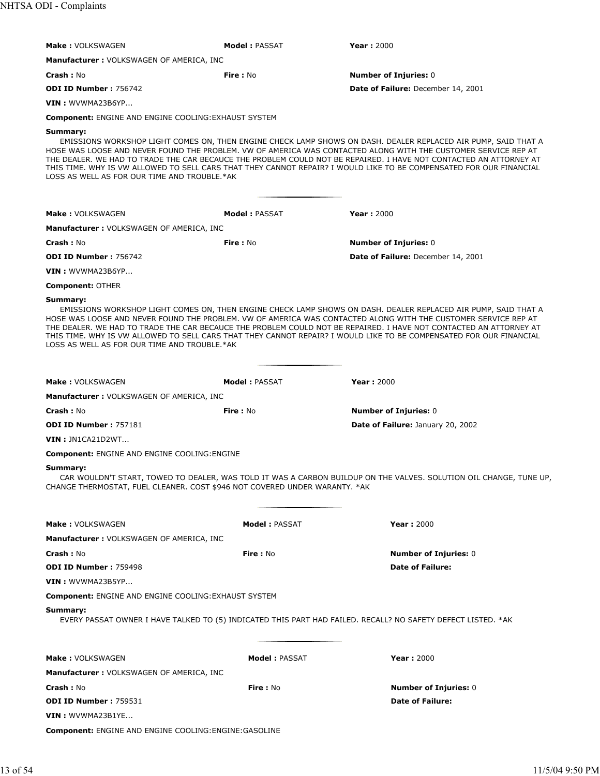| <b>Make: VOLKSWAGEN</b>                                                                | <b>Model: PASSAT</b> | <b>Year: 2000</b>                                                                                                                                                                                                                                                                                                                                                                                                                                                             |
|----------------------------------------------------------------------------------------|----------------------|-------------------------------------------------------------------------------------------------------------------------------------------------------------------------------------------------------------------------------------------------------------------------------------------------------------------------------------------------------------------------------------------------------------------------------------------------------------------------------|
| <b>Manufacturer: VOLKSWAGEN OF AMERICA, INC</b>                                        |                      |                                                                                                                                                                                                                                                                                                                                                                                                                                                                               |
|                                                                                        |                      |                                                                                                                                                                                                                                                                                                                                                                                                                                                                               |
| <b>Crash: No</b><br><b>ODI ID Number: 756742</b>                                       | <b>Fire: No</b>      | <b>Number of Injuries: 0</b><br>Date of Failure: December 14, 2001                                                                                                                                                                                                                                                                                                                                                                                                            |
| VIN: WVWMA23B6YP                                                                       |                      |                                                                                                                                                                                                                                                                                                                                                                                                                                                                               |
| <b>Component: ENGINE AND ENGINE COOLING: EXHAUST SYSTEM</b>                            |                      |                                                                                                                                                                                                                                                                                                                                                                                                                                                                               |
| Summary:                                                                               |                      |                                                                                                                                                                                                                                                                                                                                                                                                                                                                               |
| LOSS AS WELL AS FOR OUR TIME AND TROUBLE.*AK                                           |                      | EMISSIONS WORKSHOP LIGHT COMES ON, THEN ENGINE CHECK LAMP SHOWS ON DASH. DEALER REPLACED AIR PUMP, SAID THAT A<br>HOSE WAS LOOSE AND NEVER FOUND THE PROBLEM. VW OF AMERICA WAS CONTACTED ALONG WITH THE CUSTOMER SERVICE REP AT<br>THE DEALER. WE HAD TO TRADE THE CAR BECAUCE THE PROBLEM COULD NOT BE REPAIRED. I HAVE NOT CONTACTED AN ATTORNEY AT<br>THIS TIME. WHY IS VW ALLOWED TO SELL CARS THAT THEY CANNOT REPAIR? I WOULD LIKE TO BE COMPENSATED FOR OUR FINANCIAL |
|                                                                                        |                      |                                                                                                                                                                                                                                                                                                                                                                                                                                                                               |
| <b>Make: VOLKSWAGEN</b>                                                                | <b>Model: PASSAT</b> | <b>Year: 2000</b>                                                                                                                                                                                                                                                                                                                                                                                                                                                             |
| <b>Manufacturer: VOLKSWAGEN OF AMERICA, INC</b>                                        |                      |                                                                                                                                                                                                                                                                                                                                                                                                                                                                               |
| <b>Crash: No</b>                                                                       | <b>Fire: No</b>      | <b>Number of Injuries: 0</b>                                                                                                                                                                                                                                                                                                                                                                                                                                                  |
| ODI ID Number: 756742                                                                  |                      | Date of Failure: December 14, 2001                                                                                                                                                                                                                                                                                                                                                                                                                                            |
| VIN: WVWMA23B6YP                                                                       |                      |                                                                                                                                                                                                                                                                                                                                                                                                                                                                               |
| <b>Component: OTHER</b>                                                                |                      |                                                                                                                                                                                                                                                                                                                                                                                                                                                                               |
| Summary:<br>LOSS AS WELL AS FOR OUR TIME AND TROUBLE.*AK                               |                      | EMISSIONS WORKSHOP LIGHT COMES ON, THEN ENGINE CHECK LAMP SHOWS ON DASH. DEALER REPLACED AIR PUMP, SAID THAT A<br>HOSE WAS LOOSE AND NEVER FOUND THE PROBLEM. VW OF AMERICA WAS CONTACTED ALONG WITH THE CUSTOMER SERVICE REP AT<br>THE DEALER. WE HAD TO TRADE THE CAR BECAUCE THE PROBLEM COULD NOT BE REPAIRED. I HAVE NOT CONTACTED AN ATTORNEY AT<br>THIS TIME. WHY IS VW ALLOWED TO SELL CARS THAT THEY CANNOT REPAIR? I WOULD LIKE TO BE COMPENSATED FOR OUR FINANCIAL |
| <b>Make: VOLKSWAGEN</b>                                                                | Model: PASSAT        | <b>Year: 2000</b>                                                                                                                                                                                                                                                                                                                                                                                                                                                             |
| <b>Manufacturer: VOLKSWAGEN OF AMERICA, INC</b>                                        |                      |                                                                                                                                                                                                                                                                                                                                                                                                                                                                               |
| <b>Crash: No</b>                                                                       | Fire: No             | <b>Number of Injuries: 0</b>                                                                                                                                                                                                                                                                                                                                                                                                                                                  |
| <b>ODI ID Number: 757181</b>                                                           |                      | Date of Failure: January 20, 2002                                                                                                                                                                                                                                                                                                                                                                                                                                             |
| VIN: JN1CA21D2WT                                                                       |                      |                                                                                                                                                                                                                                                                                                                                                                                                                                                                               |
| <b>Component: ENGINE AND ENGINE COOLING: ENGINE</b>                                    |                      |                                                                                                                                                                                                                                                                                                                                                                                                                                                                               |
| Summary:<br>CHANGE THERMOSTAT, FUEL CLEANER. COST \$946 NOT COVERED UNDER WARANTY. *AK |                      | CAR WOULDN'T START, TOWED TO DEALER, WAS TOLD IT WAS A CARBON BUILDUP ON THE VALVES. SOLUTION OIL CHANGE, TUNE UP,                                                                                                                                                                                                                                                                                                                                                            |
| <b>Make: VOLKSWAGEN</b>                                                                | <b>Model: PASSAT</b> | <b>Year: 2000</b>                                                                                                                                                                                                                                                                                                                                                                                                                                                             |
| <b>Manufacturer: VOLKSWAGEN OF AMERICA, INC</b>                                        |                      |                                                                                                                                                                                                                                                                                                                                                                                                                                                                               |
| <b>Crash: No</b>                                                                       | Fire: No             | <b>Number of Injuries: 0</b>                                                                                                                                                                                                                                                                                                                                                                                                                                                  |
| <b>ODI ID Number: 759498</b>                                                           |                      | <b>Date of Failure:</b>                                                                                                                                                                                                                                                                                                                                                                                                                                                       |
| VIN: WVWMA23B5YP                                                                       |                      |                                                                                                                                                                                                                                                                                                                                                                                                                                                                               |
| <b>Component: ENGINE AND ENGINE COOLING: EXHAUST SYSTEM</b>                            |                      |                                                                                                                                                                                                                                                                                                                                                                                                                                                                               |
| Summary:                                                                               |                      | EVERY PASSAT OWNER I HAVE TALKED TO (5) INDICATED THIS PART HAD FAILED. RECALL? NO SAFETY DEFECT LISTED. *AK                                                                                                                                                                                                                                                                                                                                                                  |
| <b>Make: VOLKSWAGEN</b>                                                                | <b>Model: PASSAT</b> | <b>Year: 2000</b>                                                                                                                                                                                                                                                                                                                                                                                                                                                             |
| <b>Manufacturer: VOLKSWAGEN OF AMERICA, INC</b>                                        |                      |                                                                                                                                                                                                                                                                                                                                                                                                                                                                               |
| Crash: No                                                                              | <b>Fire: No</b>      | <b>Number of Injuries: 0</b>                                                                                                                                                                                                                                                                                                                                                                                                                                                  |
| <b>ODI ID Number: 759531</b>                                                           |                      | <b>Date of Failure:</b>                                                                                                                                                                                                                                                                                                                                                                                                                                                       |
| VIN : WVWMA23B1YE                                                                      |                      |                                                                                                                                                                                                                                                                                                                                                                                                                                                                               |
| Component: ENGINE AND ENGINE COOLING: ENGINE: GASOLINE                                 |                      |                                                                                                                                                                                                                                                                                                                                                                                                                                                                               |
|                                                                                        |                      |                                                                                                                                                                                                                                                                                                                                                                                                                                                                               |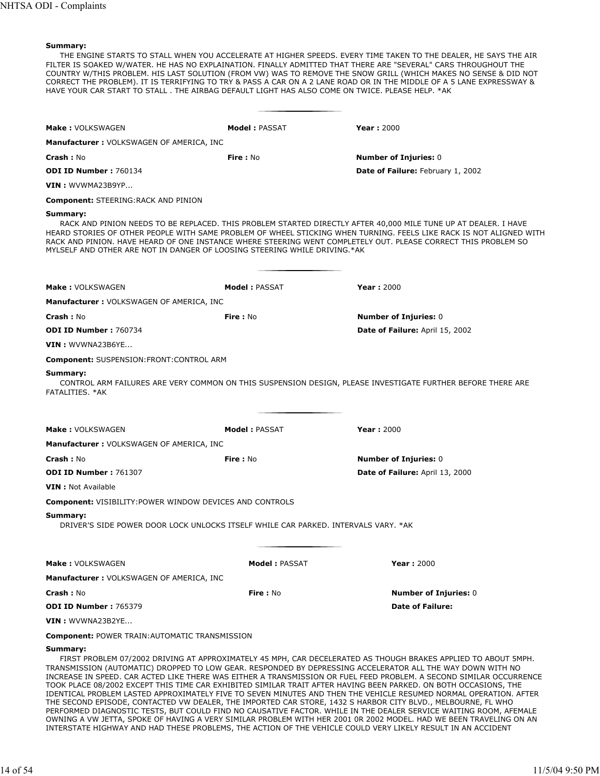THE ENGINE STARTS TO STALL WHEN YOU ACCELERATE AT HIGHER SPEEDS. EVERY TIME TAKEN TO THE DEALER, HE SAYS THE AIR FILTER IS SOAKED W/WATER. HE HAS NO EXPLAINATION. FINALLY ADMITTED THAT THERE ARE "SEVERAL" CARS THROUGHOUT THE COUNTRY W/THIS PROBLEM. HIS LAST SOLUTION (FROM VW) WAS TO REMOVE THE SNOW GRILL (WHICH MAKES NO SENSE & DID NOT CORRECT THE PROBLEM). IT IS TERRIFYING TO TRY & PASS A CAR ON A 2 LANE ROAD OR IN THE MIDDLE OF A 5 LANE EXPRESSWAY & HAVE YOUR CAR START TO STALL . THE AIRBAG DEFAULT LIGHT HAS ALSO COME ON TWICE. PLEASE HELP. \*AK

| <b>Make: VOLKSWAGEN</b>                                                                                                                                                                                                                   | <b>Model: PASSAT</b> | <b>Year: 2000</b>                                                                                                                                                                                                                      |
|-------------------------------------------------------------------------------------------------------------------------------------------------------------------------------------------------------------------------------------------|----------------------|----------------------------------------------------------------------------------------------------------------------------------------------------------------------------------------------------------------------------------------|
| <b>Manufacturer: VOLKSWAGEN OF AMERICA, INC</b>                                                                                                                                                                                           |                      |                                                                                                                                                                                                                                        |
| <b>Crash: No</b>                                                                                                                                                                                                                          | Fire: No             | <b>Number of Injuries: 0</b>                                                                                                                                                                                                           |
| <b>ODI ID Number: 760134</b>                                                                                                                                                                                                              |                      | Date of Failure: February 1, 2002                                                                                                                                                                                                      |
| VIN: WVWMA23B9YP                                                                                                                                                                                                                          |                      |                                                                                                                                                                                                                                        |
| <b>Component: STEERING:RACK AND PINION</b>                                                                                                                                                                                                |                      |                                                                                                                                                                                                                                        |
| Summary:<br>RACK AND PINION. HAVE HEARD OF ONE INSTANCE WHERE STEERING WENT COMPLETELY OUT. PLEASE CORRECT THIS PROBLEM SO<br>MYLSELF AND OTHER ARE NOT IN DANGER OF LOOSING STEERING WHILE DRIVING.*AK                                   |                      | RACK AND PINION NEEDS TO BE REPLACED. THIS PROBLEM STARTED DIRECTLY AFTER 40,000 MILE TUNE UP AT DEALER. I HAVE<br>HEARD STORIES OF OTHER PEOPLE WITH SAME PROBLEM OF WHEEL STICKING WHEN TURNING. FEELS LIKE RACK IS NOT ALIGNED WITH |
| <b>Make: VOLKSWAGEN</b>                                                                                                                                                                                                                   | <b>Model: PASSAT</b> | <b>Year: 2000</b>                                                                                                                                                                                                                      |
| <b>Manufacturer: VOLKSWAGEN OF AMERICA, INC</b>                                                                                                                                                                                           |                      |                                                                                                                                                                                                                                        |
| <b>Crash: No</b>                                                                                                                                                                                                                          | Fire: No             | <b>Number of Injuries: 0</b>                                                                                                                                                                                                           |
| <b>ODI ID Number: 760734</b>                                                                                                                                                                                                              |                      | Date of Failure: April 15, 2002                                                                                                                                                                                                        |
| VIN: WVWNA23B6YE                                                                                                                                                                                                                          |                      |                                                                                                                                                                                                                                        |
| <b>Component: SUSPENSION:FRONT:CONTROL ARM</b>                                                                                                                                                                                            |                      |                                                                                                                                                                                                                                        |
| Summary:<br>FATALITIES. *AK                                                                                                                                                                                                               |                      | CONTROL ARM FAILURES ARE VERY COMMON ON THIS SUSPENSION DESIGN, PLEASE INVESTIGATE FURTHER BEFORE THERE ARE                                                                                                                            |
| <b>Make: VOLKSWAGEN</b>                                                                                                                                                                                                                   | <b>Model: PASSAT</b> | <b>Year: 2000</b>                                                                                                                                                                                                                      |
| <b>Manufacturer: VOLKSWAGEN OF AMERICA, INC</b>                                                                                                                                                                                           |                      |                                                                                                                                                                                                                                        |
| <b>Crash: No</b>                                                                                                                                                                                                                          | Fire: No             | <b>Number of Injuries: 0</b>                                                                                                                                                                                                           |
| <b>ODI ID Number: 761307</b>                                                                                                                                                                                                              |                      | Date of Failure: April 13, 2000                                                                                                                                                                                                        |
| <b>VIN</b> : Not Available                                                                                                                                                                                                                |                      |                                                                                                                                                                                                                                        |
| <b>Component: VISIBILITY: POWER WINDOW DEVICES AND CONTROLS</b>                                                                                                                                                                           |                      |                                                                                                                                                                                                                                        |
| Summary:<br>DRIVER'S SIDE POWER DOOR LOCK UNLOCKS ITSELF WHILE CAR PARKED. INTERVALS VARY. *AK                                                                                                                                            |                      |                                                                                                                                                                                                                                        |
| Make: VOLKSWAGEN                                                                                                                                                                                                                          | <b>Model: PASSAT</b> | <b>Year: 2000</b>                                                                                                                                                                                                                      |
| Manufacturer: VOLKSWAGEN OF AMERICA, INC                                                                                                                                                                                                  |                      |                                                                                                                                                                                                                                        |
| <b>Crash: No</b>                                                                                                                                                                                                                          | Fire: No             | <b>Number of Injuries: 0</b>                                                                                                                                                                                                           |
| ODI ID Number: 765379                                                                                                                                                                                                                     |                      | <b>Date of Failure:</b>                                                                                                                                                                                                                |
| VIN: WVWNA23B2YE                                                                                                                                                                                                                          |                      |                                                                                                                                                                                                                                        |
| <b>Component: POWER TRAIN: AUTOMATIC TRANSMISSION</b>                                                                                                                                                                                     |                      |                                                                                                                                                                                                                                        |
| Summary:<br>TRANSMISSION (AUTOMATIC) DROPPED TO LOW GEAR. RESPONDED BY DEPRESSING ACCELERATOR ALL THE WAY DOWN WITH NO<br>TOOK PLACE 08/2002 EXCEPT THIS TIME CAR EXHIBITED SIMILAR TRAIT AFTER HAVING BEEN PARKED. ON BOTH OCCASIONS THE |                      | FIRST PROBLEM 07/2002 DRIVING AT APPROXIMATELY 45 MPH, CAR DECELERATED AS THOUGH BRAKES APPLIED TO ABOUT 5MPH.<br>INCREASE IN SPEED. CAR ACTED LIKE THERE WAS EITHER A TRANSMISSION OR FUEL FEED PROBLEM. A SECOND SIMILAR OCCURRENCE  |

TOOK PLACE 08/2002 EXCEPT THIS TIME CAR EXHIBITED SIMILAR TRAIT AFTER HAVING BEEN PARKED. ON BOTH OCCASIONS, THE IDENTICAL PROBLEM LASTED APPROXIMATELY FIVE TO SEVEN MINUTES AND THEN THE VEHICLE RESUMED NORMAL OPERATION. AFTER THE SECOND EPISODE, CONTACTED VW DEALER, THE IMPORTED CAR STORE, 1432 S HARBOR CITY BLVD., MELBOURNE, FL WHO PERFORMED DIAGNOSTIC TESTS, BUT COULD FIND NO CAUSATIVE FACTOR. WHILE IN THE DEALER SERVICE WAITING ROOM, AFEMALE OWNING A VW JETTA, SPOKE OF HAVING A VERY SIMILAR PROBLEM WITH HER 2001 0R 2002 MODEL. HAD WE BEEN TRAVELING ON AN INTERSTATE HIGHWAY AND HAD THESE PROBLEMS, THE ACTION OF THE VEHICLE COULD VERY LIKELY RESULT IN AN ACCIDENT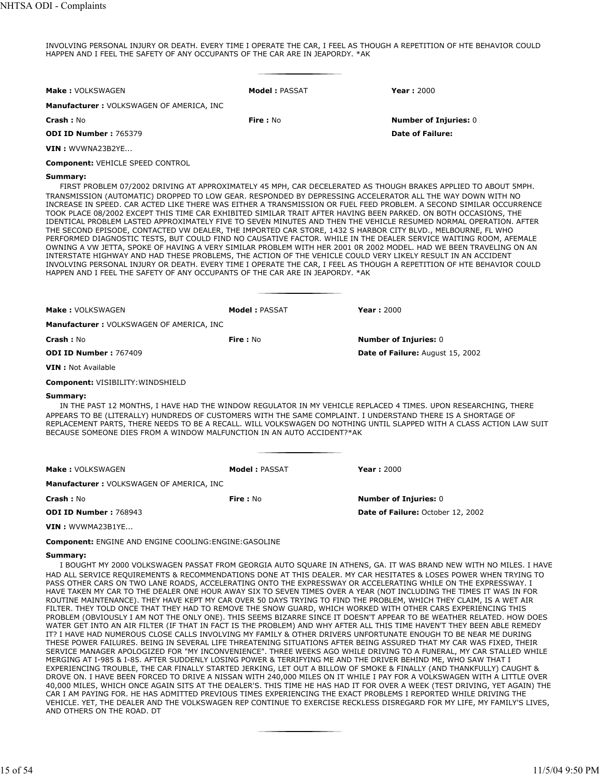INVOLVING PERSONAL INJURY OR DEATH. EVERY TIME I OPERATE THE CAR, I FEEL AS THOUGH A REPETITION OF HTE BEHAVIOR COULD HAPPEN AND I FEEL THE SAFETY OF ANY OCCUPANTS OF THE CAR ARE IN JEAPORDY. \*AK

| <b>Make: VOLKSWAGEN</b>                                                                   | <b>Model : PASSAT</b> | <b>Year: 2000</b>                                                                                                                                                                                                                                                                                                                                                                                                                                                                                                                                                                                                                                                                                                                                                                                                                                                                                                                                                                                                                                                                                                                                                                                |
|-------------------------------------------------------------------------------------------|-----------------------|--------------------------------------------------------------------------------------------------------------------------------------------------------------------------------------------------------------------------------------------------------------------------------------------------------------------------------------------------------------------------------------------------------------------------------------------------------------------------------------------------------------------------------------------------------------------------------------------------------------------------------------------------------------------------------------------------------------------------------------------------------------------------------------------------------------------------------------------------------------------------------------------------------------------------------------------------------------------------------------------------------------------------------------------------------------------------------------------------------------------------------------------------------------------------------------------------|
| <b>Manufacturer: VOLKSWAGEN OF AMERICA, INC</b>                                           |                       |                                                                                                                                                                                                                                                                                                                                                                                                                                                                                                                                                                                                                                                                                                                                                                                                                                                                                                                                                                                                                                                                                                                                                                                                  |
| <b>Crash: No</b>                                                                          | Fire: No              | <b>Number of Injuries: 0</b>                                                                                                                                                                                                                                                                                                                                                                                                                                                                                                                                                                                                                                                                                                                                                                                                                                                                                                                                                                                                                                                                                                                                                                     |
| <b>ODI ID Number: 765379</b>                                                              |                       | <b>Date of Failure:</b>                                                                                                                                                                                                                                                                                                                                                                                                                                                                                                                                                                                                                                                                                                                                                                                                                                                                                                                                                                                                                                                                                                                                                                          |
| VIN: WVWNA23B2YE                                                                          |                       |                                                                                                                                                                                                                                                                                                                                                                                                                                                                                                                                                                                                                                                                                                                                                                                                                                                                                                                                                                                                                                                                                                                                                                                                  |
| <b>Component: VEHICLE SPEED CONTROL</b>                                                   |                       |                                                                                                                                                                                                                                                                                                                                                                                                                                                                                                                                                                                                                                                                                                                                                                                                                                                                                                                                                                                                                                                                                                                                                                                                  |
| Summary:<br>HAPPEN AND I FEEL THE SAFETY OF ANY OCCUPANTS OF THE CAR ARE IN JEAPORDY. *AK |                       | FIRST PROBLEM 07/2002 DRIVING AT APPROXIMATELY 45 MPH, CAR DECELERATED AS THOUGH BRAKES APPLIED TO ABOUT 5MPH.<br>TRANSMISSION (AUTOMATIC) DROPPED TO LOW GEAR. RESPONDED BY DEPRESSING ACCELERATOR ALL THE WAY DOWN WITH NO<br>INCREASE IN SPEED. CAR ACTED LIKE THERE WAS EITHER A TRANSMISSION OR FUEL FEED PROBLEM. A SECOND SIMILAR OCCURRENCE<br>TOOK PLACE 08/2002 EXCEPT THIS TIME CAR EXHIBITED SIMILAR TRAIT AFTER HAVING BEEN PARKED. ON BOTH OCCASIONS, THE<br>IDENTICAL PROBLEM LASTED APPROXIMATELY FIVE TO SEVEN MINUTES AND THEN THE VEHICLE RESUMED NORMAL OPERATION. AFTER<br>THE SECOND EPISODE, CONTACTED VW DEALER, THE IMPORTED CAR STORE, 1432 S HARBOR CITY BLVD., MELBOURNE, FL WHO<br>PERFORMED DIAGNOSTIC TESTS, BUT COULD FIND NO CAUSATIVE FACTOR. WHILE IN THE DEALER SERVICE WAITING ROOM, AFEMALE<br>OWNING A VW JETTA, SPOKE OF HAVING A VERY SIMILAR PROBLEM WITH HER 2001 OR 2002 MODEL. HAD WE BEEN TRAVELING ON AN<br>INTERSTATE HIGHWAY AND HAD THESE PROBLEMS, THE ACTION OF THE VEHICLE COULD VERY LIKELY RESULT IN AN ACCIDENT<br>INVOLVING PERSONAL INJURY OR DEATH. EVERY TIME I OPERATE THE CAR, I FEEL AS THOUGH A REPETITION OF HTE BEHAVIOR COULD |
| <b>Make: VOLKSWAGEN</b>                                                                   | Model: PASSAT         | <b>Year: 2000</b>                                                                                                                                                                                                                                                                                                                                                                                                                                                                                                                                                                                                                                                                                                                                                                                                                                                                                                                                                                                                                                                                                                                                                                                |
| Manufacturer: VOLKSWAGEN OF AMERICA, INC                                                  |                       |                                                                                                                                                                                                                                                                                                                                                                                                                                                                                                                                                                                                                                                                                                                                                                                                                                                                                                                                                                                                                                                                                                                                                                                                  |
| <b>Crash: No</b>                                                                          | <b>Fire: No</b>       | <b>Number of Injuries: 0</b>                                                                                                                                                                                                                                                                                                                                                                                                                                                                                                                                                                                                                                                                                                                                                                                                                                                                                                                                                                                                                                                                                                                                                                     |
| ODI ID Number: 767409                                                                     |                       | Date of Failure: August 15, 2002                                                                                                                                                                                                                                                                                                                                                                                                                                                                                                                                                                                                                                                                                                                                                                                                                                                                                                                                                                                                                                                                                                                                                                 |
| <b>VIN</b> : Not Available                                                                |                       |                                                                                                                                                                                                                                                                                                                                                                                                                                                                                                                                                                                                                                                                                                                                                                                                                                                                                                                                                                                                                                                                                                                                                                                                  |
| <b>Component: VISIBILITY: WINDSHIELD</b>                                                  |                       |                                                                                                                                                                                                                                                                                                                                                                                                                                                                                                                                                                                                                                                                                                                                                                                                                                                                                                                                                                                                                                                                                                                                                                                                  |
| Summary:<br>BECAUSE SOMEONE DIES FROM A WINDOW MALFUNCTION IN AN AUTO ACCIDENT?*AK        |                       | IN THE PAST 12 MONTHS, I HAVE HAD THE WINDOW REGULATOR IN MY VEHICLE REPLACED 4 TIMES. UPON RESEARCHING, THERE<br>APPEARS TO BE (LITERALLY) HUNDREDS OF CUSTOMERS WITH THE SAME COMPLAINT. I UNDERSTAND THERE IS A SHORTAGE OF<br>REPLACEMENT PARTS, THERE NEEDS TO BE A RECALL. WILL VOLKSWAGEN DO NOTHING UNTIL SLAPPED WITH A CLASS ACTION LAW SUIT                                                                                                                                                                                                                                                                                                                                                                                                                                                                                                                                                                                                                                                                                                                                                                                                                                           |
| <b>Make: VOLKSWAGEN</b>                                                                   | <b>Model: PASSAT</b>  | <b>Year: 2000</b>                                                                                                                                                                                                                                                                                                                                                                                                                                                                                                                                                                                                                                                                                                                                                                                                                                                                                                                                                                                                                                                                                                                                                                                |
| Manufacturer: VOLKSWAGEN OF AMERICA, INC                                                  |                       |                                                                                                                                                                                                                                                                                                                                                                                                                                                                                                                                                                                                                                                                                                                                                                                                                                                                                                                                                                                                                                                                                                                                                                                                  |
| <b>Crash: No</b>                                                                          | <b>Fire</b> : No      | <b>Number of Injuries: 0</b>                                                                                                                                                                                                                                                                                                                                                                                                                                                                                                                                                                                                                                                                                                                                                                                                                                                                                                                                                                                                                                                                                                                                                                     |
| <b>ODI ID Number: 768943</b>                                                              |                       | <b>Date of Failure: October 12, 2002</b>                                                                                                                                                                                                                                                                                                                                                                                                                                                                                                                                                                                                                                                                                                                                                                                                                                                                                                                                                                                                                                                                                                                                                         |
| VIN: WVWMA23B1YE                                                                          |                       |                                                                                                                                                                                                                                                                                                                                                                                                                                                                                                                                                                                                                                                                                                                                                                                                                                                                                                                                                                                                                                                                                                                                                                                                  |
| <b>Component: ENGINE AND ENGINE COOLING: ENGINE: GASOLINE</b>                             |                       |                                                                                                                                                                                                                                                                                                                                                                                                                                                                                                                                                                                                                                                                                                                                                                                                                                                                                                                                                                                                                                                                                                                                                                                                  |
| Summary:                                                                                  |                       | I BOUGHT MY 2000 VOLKSWAGEN PASSAT FROM GEORGIA AUTO SQUARE IN ATHENS, GA. IT WAS BRAND NEW WITH NO MILES. I HAVE<br>HAD ALL SERVICE REQUIREMENTS & RECOMMENDATIONS DONE AT THIS DEALER. MY CAR HESITATES & LOSES POWER WHEN TRYING TO<br>PASS OTHER CARS ON TWO LANE ROADS, ACCELERATING ONTO THE EXPRESSWAY OR ACCELERATING WHILE ON THE EXPRESSWAY. I                                                                                                                                                                                                                                                                                                                                                                                                                                                                                                                                                                                                                                                                                                                                                                                                                                         |

HAVE TAKEN MY CAR TO THE DEALER ONE HOUR AWAY SIX TO SEVEN TIMES OVER A YEAR (NOT INCLUDING THE TIMES IT WAS IN FOR ROUTINE MAINTENANCE). THEY HAVE KEPT MY CAR OVER 50 DAYS TRYING TO FIND THE PROBLEM, WHICH THEY CLAIM, IS A WET AIR FILTER. THEY TOLD ONCE THAT THEY HAD TO REMOVE THE SNOW GUARD, WHICH WORKED WITH OTHER CARS EXPERIENCING THIS PROBLEM (OBVIOUSLY I AM NOT THE ONLY ONE). THIS SEEMS BIZARRE SINCE IT DOESN'T APPEAR TO BE WEATHER RELATED. HOW DOES WATER GET INTO AN AIR FILTER (IF THAT IN FACT IS THE PROBLEM) AND WHY AFTER ALL THIS TIME HAVEN'T THEY BEEN ABLE REMEDY IT? I HAVE HAD NUMEROUS CLOSE CALLS INVOLVING MY FAMILY & OTHER DRIVERS UNFORTUNATE ENOUGH TO BE NEAR ME DURING THESE POWER FAILURES. BEING IN SEVERAL LIFE THREATENING SITUATIONS AFTER BEING ASSURED THAT MY CAR WAS FIXED, THEIR SERVICE MANAGER APOLOGIZED FOR "MY INCONVENIENCE". THREE WEEKS AGO WHILE DRIVING TO A FUNERAL, MY CAR STALLED WHILE MERGING AT I-985 & I-85. AFTER SUDDENLY LOSING POWER & TERRIFYING ME AND THE DRIVER BEHIND ME, WHO SAW THAT I EXPERIENCING TROUBLE, THE CAR FINALLY STARTED JERKING, LET OUT A BILLOW OF SMOKE & FINALLY (AND THANKFULLY) CAUGHT & DROVE ON. I HAVE BEEN FORCED TO DRIVE A NISSAN WITH 240,000 MILES ON IT WHILE I PAY FOR A VOLKSWAGEN WITH A LITTLE OVER 40,000 MILES, WHICH ONCE AGAIN SITS AT THE DEALER'S. THIS TIME HE HAS HAD IT FOR OVER A WEEK (TEST DRIVING, YET AGAIN) THE CAR I AM PAYING FOR. HE HAS ADMITTED PREVIOUS TIMES EXPERIENCING THE EXACT PROBLEMS I REPORTED WHILE DRIVING THE VEHICLE. YET, THE DEALER AND THE VOLKSWAGEN REP CONTINUE TO EXERCISE RECKLESS DISREGARD FOR MY LIFE, MY FAMILY'S LIVES, AND OTHERS ON THE ROAD. DT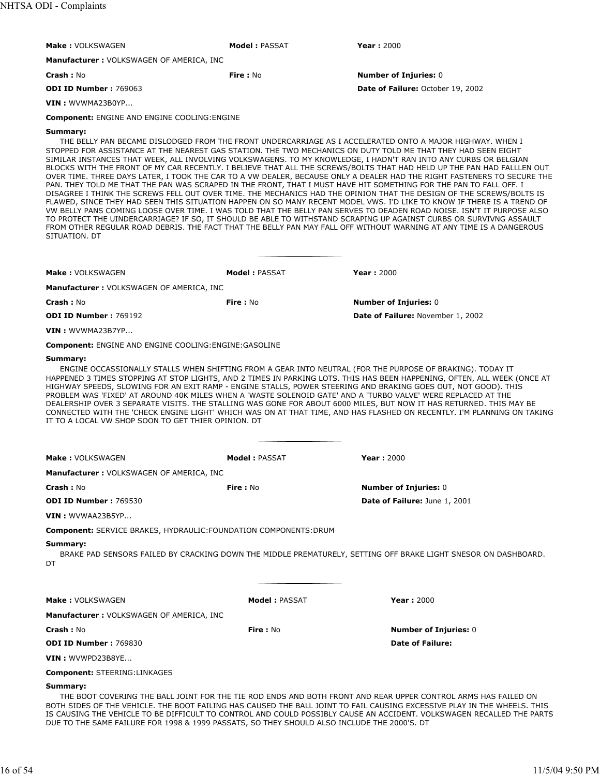| Make: VOLKSWAGEN                                                                                                                 | <b>Model: PASSAT</b> | <b>Year: 2000</b>                                                                                                                                                                                                                                                                                                                                                                                                                                                                                                                                                                                                                                                                                                                                                                                                                                                                                                                                                                                                                                                                                                                                                                                                                                                                                                                                 |
|----------------------------------------------------------------------------------------------------------------------------------|----------------------|---------------------------------------------------------------------------------------------------------------------------------------------------------------------------------------------------------------------------------------------------------------------------------------------------------------------------------------------------------------------------------------------------------------------------------------------------------------------------------------------------------------------------------------------------------------------------------------------------------------------------------------------------------------------------------------------------------------------------------------------------------------------------------------------------------------------------------------------------------------------------------------------------------------------------------------------------------------------------------------------------------------------------------------------------------------------------------------------------------------------------------------------------------------------------------------------------------------------------------------------------------------------------------------------------------------------------------------------------|
| Manufacturer: VOLKSWAGEN OF AMERICA, INC                                                                                         |                      |                                                                                                                                                                                                                                                                                                                                                                                                                                                                                                                                                                                                                                                                                                                                                                                                                                                                                                                                                                                                                                                                                                                                                                                                                                                                                                                                                   |
| Crash: No                                                                                                                        | Fire: No             | <b>Number of Injuries: 0</b>                                                                                                                                                                                                                                                                                                                                                                                                                                                                                                                                                                                                                                                                                                                                                                                                                                                                                                                                                                                                                                                                                                                                                                                                                                                                                                                      |
| <b>ODI ID Number: 769063</b>                                                                                                     |                      | Date of Failure: October 19, 2002                                                                                                                                                                                                                                                                                                                                                                                                                                                                                                                                                                                                                                                                                                                                                                                                                                                                                                                                                                                                                                                                                                                                                                                                                                                                                                                 |
| VIN: WVWMA23B0YP                                                                                                                 |                      |                                                                                                                                                                                                                                                                                                                                                                                                                                                                                                                                                                                                                                                                                                                                                                                                                                                                                                                                                                                                                                                                                                                                                                                                                                                                                                                                                   |
| <b>Component: ENGINE AND ENGINE COOLING: ENGINE</b>                                                                              |                      |                                                                                                                                                                                                                                                                                                                                                                                                                                                                                                                                                                                                                                                                                                                                                                                                                                                                                                                                                                                                                                                                                                                                                                                                                                                                                                                                                   |
| Summary:<br>SITUATION, DT                                                                                                        |                      | THE BELLY PAN BECAME DISLODGED FROM THE FRONT UNDERCARRIAGE AS I ACCELERATED ONTO A MAJOR HIGHWAY. WHEN I<br>STOPPED FOR ASSISTANCE AT THE NEAREST GAS STATION. THE TWO MECHANICS ON DUTY TOLD ME THAT THEY HAD SEEN EIGHT<br>SIMILAR INSTANCES THAT WEEK, ALL INVOLVING VOLKSWAGENS. TO MY KNOWLEDGE, I HADN'T RAN INTO ANY CURBS OR BELGIAN<br>BLOCKS WITH THE FRONT OF MY CAR RECENTLY. I BELIEVE THAT ALL THE SCREWS/BOLTS THAT HAD HELD UP THE PAN HAD FALLLEN OUT<br>OVER TIME. THREE DAYS LATER, I TOOK THE CAR TO A VW DEALER, BECAUSE ONLY A DEALER HAD THE RIGHT FASTENERS TO SECURE THE<br>PAN. THEY TOLD ME THAT THE PAN WAS SCRAPED IN THE FRONT, THAT I MUST HAVE HIT SOMETHING FOR THE PAN TO FALL OFF. I<br>DISAGREE I THINK THE SCREWS FELL OUT OVER TIME. THE MECHANICS HAD THE OPINION THAT THE DESIGN OF THE SCREWS/BOLTS IS<br>FLAWED, SINCE THEY HAD SEEN THIS SITUATION HAPPEN ON SO MANY RECENT MODEL VWS. I'D LIKE TO KNOW IF THERE IS A TREND OF<br>VW BELLY PANS COMING LOOSE OVER TIME. I WAS TOLD THAT THE BELLY PAN SERVES TO DEADEN ROAD NOISE. ISN'T IT PURPOSE ALSO<br>TO PROTECT THE UINDERCARRIAGE? IF SO, IT SHOULD BE ABLE TO WITHSTAND SCRAPING UP AGAINST CURBS OR SURVIVNG ASSAULT<br>FROM OTHER REGULAR ROAD DEBRIS. THE FACT THAT THE BELLY PAN MAY FALL OFF WITHOUT WARNING AT ANY TIME IS A DANGEROUS |
| <b>Make: VOLKSWAGEN</b>                                                                                                          | <b>Model: PASSAT</b> | <b>Year: 2000</b>                                                                                                                                                                                                                                                                                                                                                                                                                                                                                                                                                                                                                                                                                                                                                                                                                                                                                                                                                                                                                                                                                                                                                                                                                                                                                                                                 |
| Manufacturer: VOLKSWAGEN OF AMERICA, INC                                                                                         |                      |                                                                                                                                                                                                                                                                                                                                                                                                                                                                                                                                                                                                                                                                                                                                                                                                                                                                                                                                                                                                                                                                                                                                                                                                                                                                                                                                                   |
| Crash: No                                                                                                                        | Fire: No             | <b>Number of Injuries: 0</b>                                                                                                                                                                                                                                                                                                                                                                                                                                                                                                                                                                                                                                                                                                                                                                                                                                                                                                                                                                                                                                                                                                                                                                                                                                                                                                                      |
| <b>ODI ID Number: 769192</b>                                                                                                     |                      | Date of Failure: November 1, 2002                                                                                                                                                                                                                                                                                                                                                                                                                                                                                                                                                                                                                                                                                                                                                                                                                                                                                                                                                                                                                                                                                                                                                                                                                                                                                                                 |
| VIN: WVWMA23B7YP                                                                                                                 |                      |                                                                                                                                                                                                                                                                                                                                                                                                                                                                                                                                                                                                                                                                                                                                                                                                                                                                                                                                                                                                                                                                                                                                                                                                                                                                                                                                                   |
| <b>Component: ENGINE AND ENGINE COOLING: ENGINE: GASOLINE</b><br>Summary:<br>IT TO A LOCAL VW SHOP SOON TO GET THIER OPINION. DT |                      | ENGINE OCCASSIONALLY STALLS WHEN SHIFTING FROM A GEAR INTO NEUTRAL (FOR THE PURPOSE OF BRAKING). TODAY IT<br>HAPPENED 3 TIMES STOPPING AT STOP LIGHTS, AND 2 TIMES IN PARKING LOTS. THIS HAS BEEN HAPPENING, OFTEN, ALL WEEK (ONCE AT<br>HIGHWAY SPEEDS, SLOWING FOR AN EXIT RAMP - ENGINE STALLS, POWER STEERING AND BRAKING GOES OUT, NOT GOOD). THIS<br>PROBLEM WAS 'FIXED' AT AROUND 40K MILES WHEN A 'WASTE SOLENOID GATE' AND A 'TURBO VALVE' WERE REPLACED AT THE<br>DEALERSHIP OVER 3 SEPARATE VISITS. THE STALLING WAS GONE FOR ABOUT 6000 MILES, BUT NOW IT HAS RETURNED. THIS MAY BE<br>CONNECTED WITH THE 'CHECK ENGINE LIGHT' WHICH WAS ON AT THAT TIME, AND HAS FLASHED ON RECENTLY. I'M PLANNING ON TAKING                                                                                                                                                                                                                                                                                                                                                                                                                                                                                                                                                                                                                         |
| Make: VOLKSWAGEN                                                                                                                 | <b>Model: PASSAT</b> | <b>Year: 2000</b>                                                                                                                                                                                                                                                                                                                                                                                                                                                                                                                                                                                                                                                                                                                                                                                                                                                                                                                                                                                                                                                                                                                                                                                                                                                                                                                                 |
| Manufacturer : VOLKSWAGEN OF AMERICA, INC                                                                                        |                      |                                                                                                                                                                                                                                                                                                                                                                                                                                                                                                                                                                                                                                                                                                                                                                                                                                                                                                                                                                                                                                                                                                                                                                                                                                                                                                                                                   |
| Crash: No                                                                                                                        | <b>Fire: No</b>      | <b>Number of Injuries: 0</b>                                                                                                                                                                                                                                                                                                                                                                                                                                                                                                                                                                                                                                                                                                                                                                                                                                                                                                                                                                                                                                                                                                                                                                                                                                                                                                                      |
| <b>ODI ID Number: 769530</b>                                                                                                     |                      | Date of Failure: June 1, 2001                                                                                                                                                                                                                                                                                                                                                                                                                                                                                                                                                                                                                                                                                                                                                                                                                                                                                                                                                                                                                                                                                                                                                                                                                                                                                                                     |
| VIN: WVWAA23B5YP                                                                                                                 |                      |                                                                                                                                                                                                                                                                                                                                                                                                                                                                                                                                                                                                                                                                                                                                                                                                                                                                                                                                                                                                                                                                                                                                                                                                                                                                                                                                                   |
|                                                                                                                                  |                      |                                                                                                                                                                                                                                                                                                                                                                                                                                                                                                                                                                                                                                                                                                                                                                                                                                                                                                                                                                                                                                                                                                                                                                                                                                                                                                                                                   |
| <b>Component: SERVICE BRAKES, HYDRAULIC: FOUNDATION COMPONENTS: DRUM</b>                                                         |                      |                                                                                                                                                                                                                                                                                                                                                                                                                                                                                                                                                                                                                                                                                                                                                                                                                                                                                                                                                                                                                                                                                                                                                                                                                                                                                                                                                   |
| Summary:<br>DT                                                                                                                   |                      | BRAKE PAD SENSORS FAILED BY CRACKING DOWN THE MIDDLE PREMATURELY, SETTING OFF BRAKE LIGHT SNESOR ON DASHBOARD.                                                                                                                                                                                                                                                                                                                                                                                                                                                                                                                                                                                                                                                                                                                                                                                                                                                                                                                                                                                                                                                                                                                                                                                                                                    |
| Make: VOLKSWAGEN                                                                                                                 | <b>Model: PASSAT</b> | <b>Year: 2000</b>                                                                                                                                                                                                                                                                                                                                                                                                                                                                                                                                                                                                                                                                                                                                                                                                                                                                                                                                                                                                                                                                                                                                                                                                                                                                                                                                 |
| <b>Manufacturer: VOLKSWAGEN OF AMERICA, INC</b>                                                                                  |                      |                                                                                                                                                                                                                                                                                                                                                                                                                                                                                                                                                                                                                                                                                                                                                                                                                                                                                                                                                                                                                                                                                                                                                                                                                                                                                                                                                   |

**VIN :** WVWPD23B8YE...

**Component:** STEERING:LINKAGES

#### **Summary:**

THE BOOT COVERING THE BALL JOINT FOR THE TIE ROD ENDS AND BOTH FRONT AND REAR UPPER CONTROL ARMS HAS FAILED ON BOTH SIDES OF THE VEHICLE. THE BOOT FAILING HAS CAUSED THE BALL JOINT TO FAIL CAUSING EXCESSIVE PLAY IN THE WHEELS. THIS IS CAUSING THE VEHICLE TO BE DIFFICULT TO CONTROL AND COULD POSSIBLY CAUSE AN ACCIDENT. VOLKSWAGEN RECALLED THE PARTS DUE TO THE SAME FAILURE FOR 1998 & 1999 PASSATS, SO THEY SHOULD ALSO INCLUDE THE 2000'S. DT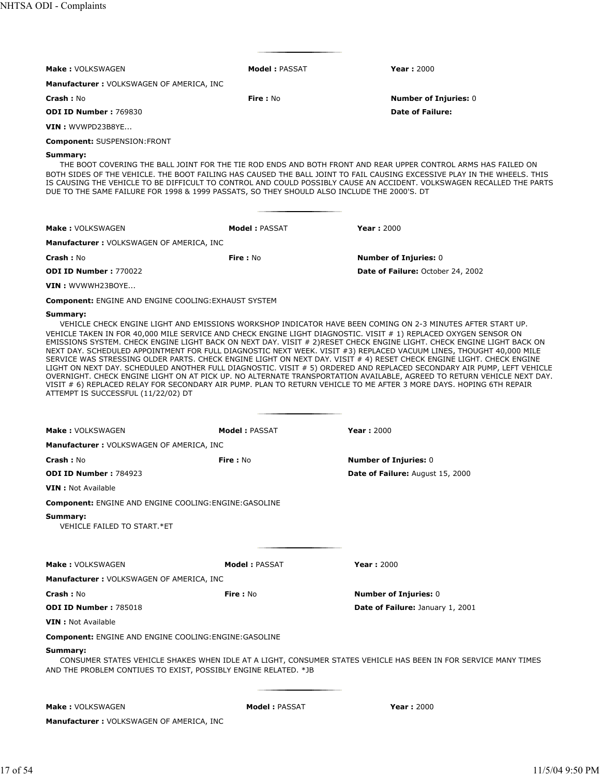| <b>Make: VOLKSWAGEN</b>                                                                                 | <b>Model: PASSAT</b>  | <b>Year: 2000</b>                                                                                                                                                                                                                                                                                                                                                                                                                                                                                                                                                                                                                                                                                                                                                                                                                                                                                                                                                                   |
|---------------------------------------------------------------------------------------------------------|-----------------------|-------------------------------------------------------------------------------------------------------------------------------------------------------------------------------------------------------------------------------------------------------------------------------------------------------------------------------------------------------------------------------------------------------------------------------------------------------------------------------------------------------------------------------------------------------------------------------------------------------------------------------------------------------------------------------------------------------------------------------------------------------------------------------------------------------------------------------------------------------------------------------------------------------------------------------------------------------------------------------------|
| <b>Manufacturer: VOLKSWAGEN OF AMERICA, INC</b>                                                         |                       |                                                                                                                                                                                                                                                                                                                                                                                                                                                                                                                                                                                                                                                                                                                                                                                                                                                                                                                                                                                     |
| <b>Crash: No</b>                                                                                        | <b>Fire: No</b>       | <b>Number of Injuries: 0</b>                                                                                                                                                                                                                                                                                                                                                                                                                                                                                                                                                                                                                                                                                                                                                                                                                                                                                                                                                        |
| <b>ODI ID Number: 769830</b>                                                                            |                       | <b>Date of Failure:</b>                                                                                                                                                                                                                                                                                                                                                                                                                                                                                                                                                                                                                                                                                                                                                                                                                                                                                                                                                             |
| VIN: WVWPD23B8YE                                                                                        |                       |                                                                                                                                                                                                                                                                                                                                                                                                                                                                                                                                                                                                                                                                                                                                                                                                                                                                                                                                                                                     |
| <b>Component: SUSPENSION:FRONT</b>                                                                      |                       |                                                                                                                                                                                                                                                                                                                                                                                                                                                                                                                                                                                                                                                                                                                                                                                                                                                                                                                                                                                     |
| Summary:<br>DUE TO THE SAME FAILURE FOR 1998 & 1999 PASSATS, SO THEY SHOULD ALSO INCLUDE THE 2000'S. DT |                       | THE BOOT COVERING THE BALL JOINT FOR THE TIE ROD ENDS AND BOTH FRONT AND REAR UPPER CONTROL ARMS HAS FAILED ON<br>BOTH SIDES OF THE VEHICLE. THE BOOT FAILING HAS CAUSED THE BALL JOINT TO FAIL CAUSING EXCESSIVE PLAY IN THE WHEELS. THIS<br>IS CAUSING THE VEHICLE TO BE DIFFICULT TO CONTROL AND COULD POSSIBLY CAUSE AN ACCIDENT. VOLKSWAGEN RECALLED THE PARTS                                                                                                                                                                                                                                                                                                                                                                                                                                                                                                                                                                                                                 |
|                                                                                                         |                       |                                                                                                                                                                                                                                                                                                                                                                                                                                                                                                                                                                                                                                                                                                                                                                                                                                                                                                                                                                                     |
| <b>Make: VOLKSWAGEN</b>                                                                                 | <b>Model: PASSAT</b>  | <b>Year: 2000</b>                                                                                                                                                                                                                                                                                                                                                                                                                                                                                                                                                                                                                                                                                                                                                                                                                                                                                                                                                                   |
| Manufacturer: VOLKSWAGEN OF AMERICA, INC                                                                |                       |                                                                                                                                                                                                                                                                                                                                                                                                                                                                                                                                                                                                                                                                                                                                                                                                                                                                                                                                                                                     |
| <b>Crash: No</b>                                                                                        | <b>Fire: No</b>       | <b>Number of Injuries: 0</b>                                                                                                                                                                                                                                                                                                                                                                                                                                                                                                                                                                                                                                                                                                                                                                                                                                                                                                                                                        |
| <b>ODI ID Number: 770022</b>                                                                            |                       | Date of Failure: October 24, 2002                                                                                                                                                                                                                                                                                                                                                                                                                                                                                                                                                                                                                                                                                                                                                                                                                                                                                                                                                   |
| VIN: WVWWH23BOYE                                                                                        |                       |                                                                                                                                                                                                                                                                                                                                                                                                                                                                                                                                                                                                                                                                                                                                                                                                                                                                                                                                                                                     |
| <b>Component: ENGINE AND ENGINE COOLING: EXHAUST SYSTEM</b>                                             |                       |                                                                                                                                                                                                                                                                                                                                                                                                                                                                                                                                                                                                                                                                                                                                                                                                                                                                                                                                                                                     |
| ATTEMPT IS SUCCESSFUL (11/22/02) DT                                                                     |                       | VEHICLE CHECK ENGINE LIGHT AND EMISSIONS WORKSHOP INDICATOR HAVE BEEN COMING ON 2-3 MINUTES AFTER START UP.<br>VEHICLE TAKEN IN FOR 40,000 MILE SERVICE AND CHECK ENGINE LIGHT DIAGNOSTIC. VISIT # 1) REPLACED OXYGEN SENSOR ON<br>EMISSIONS SYSTEM. CHECK ENGINE LIGHT BACK ON NEXT DAY. VISIT # 2) RESET CHECK ENGINE LIGHT. CHECK ENGINE LIGHT BACK ON<br>NEXT DAY. SCHEDULED APPOINTMENT FOR FULL DIAGNOSTIC NEXT WEEK. VISIT #3) REPLACED VACUUM LINES, THOUGHT 40,000 MILE<br>SERVICE WAS STRESSING OLDER PARTS. CHECK ENGINE LIGHT ON NEXT DAY. VISIT # 4) RESET CHECK ENGINE LIGHT. CHECK ENGINE<br>LIGHT ON NEXT DAY. SCHEDULED ANOTHER FULL DIAGNOSTIC. VISIT # 5) ORDERED AND REPLACED SECONDARY AIR PUMP, LEFT VEHICLE<br>OVERNIGHT. CHECK ENGINE LIGHT ON AT PICK UP. NO ALTERNATE TRANSPORTATION AVAILABLE, AGREED TO RETURN VEHICLE NEXT DAY.<br>VISIT # 6) REPLACED RELAY FOR SECONDARY AIR PUMP. PLAN TO RETURN VEHICLE TO ME AFTER 3 MORE DAYS. HOPING 6TH REPAIR |
| Make: VOLKSWAGEN                                                                                        | <b>Model: PASSAT</b>  | <b>Year: 2000</b>                                                                                                                                                                                                                                                                                                                                                                                                                                                                                                                                                                                                                                                                                                                                                                                                                                                                                                                                                                   |
| <b>Manufacturer: VOLKSWAGEN OF AMERICA, INC</b>                                                         |                       |                                                                                                                                                                                                                                                                                                                                                                                                                                                                                                                                                                                                                                                                                                                                                                                                                                                                                                                                                                                     |
| Crash: No                                                                                               | Fire: No              | <b>Number of Injuries: 0</b>                                                                                                                                                                                                                                                                                                                                                                                                                                                                                                                                                                                                                                                                                                                                                                                                                                                                                                                                                        |
| ODI ID Number: 784923                                                                                   |                       | Date of Failure: August 15, 2000                                                                                                                                                                                                                                                                                                                                                                                                                                                                                                                                                                                                                                                                                                                                                                                                                                                                                                                                                    |
| <b>VIN</b> : Not Available                                                                              |                       |                                                                                                                                                                                                                                                                                                                                                                                                                                                                                                                                                                                                                                                                                                                                                                                                                                                                                                                                                                                     |
| <b>Component: ENGINE AND ENGINE COOLING: ENGINE: GASOLINE</b>                                           |                       |                                                                                                                                                                                                                                                                                                                                                                                                                                                                                                                                                                                                                                                                                                                                                                                                                                                                                                                                                                                     |
| Summary:<br>VEHICLE FAILED TO START.*ET                                                                 |                       |                                                                                                                                                                                                                                                                                                                                                                                                                                                                                                                                                                                                                                                                                                                                                                                                                                                                                                                                                                                     |
| <b>Make: VOLKSWAGEN</b>                                                                                 | <b>Model : PASSAT</b> | <b>Year: 2000</b>                                                                                                                                                                                                                                                                                                                                                                                                                                                                                                                                                                                                                                                                                                                                                                                                                                                                                                                                                                   |
| <b>Manufacturer: VOLKSWAGEN OF AMERICA, INC</b>                                                         |                       |                                                                                                                                                                                                                                                                                                                                                                                                                                                                                                                                                                                                                                                                                                                                                                                                                                                                                                                                                                                     |
| Crash: No                                                                                               | Fire: No              | <b>Number of Injuries: 0</b>                                                                                                                                                                                                                                                                                                                                                                                                                                                                                                                                                                                                                                                                                                                                                                                                                                                                                                                                                        |
| <b>ODI ID Number: 785018</b>                                                                            |                       | Date of Failure: January 1, 2001                                                                                                                                                                                                                                                                                                                                                                                                                                                                                                                                                                                                                                                                                                                                                                                                                                                                                                                                                    |
| <b>VIN</b> : Not Available                                                                              |                       |                                                                                                                                                                                                                                                                                                                                                                                                                                                                                                                                                                                                                                                                                                                                                                                                                                                                                                                                                                                     |
| <b>Component: ENGINE AND ENGINE COOLING: ENGINE: GASOLINE</b>                                           |                       |                                                                                                                                                                                                                                                                                                                                                                                                                                                                                                                                                                                                                                                                                                                                                                                                                                                                                                                                                                                     |
| Summary:<br>AND THE PROBLEM CONTIUES TO EXIST, POSSIBLY ENGINE RELATED. *JB                             |                       | CONSUMER STATES VEHICLE SHAKES WHEN IDLE AT A LIGHT, CONSUMER STATES VEHICLE HAS BEEN IN FOR SERVICE MANY TIMES                                                                                                                                                                                                                                                                                                                                                                                                                                                                                                                                                                                                                                                                                                                                                                                                                                                                     |
| Make: VOLKSWAGEN                                                                                        | <b>Model: PASSAT</b>  | Year: 2000                                                                                                                                                                                                                                                                                                                                                                                                                                                                                                                                                                                                                                                                                                                                                                                                                                                                                                                                                                          |
| <b>Manufacturer: VOLKSWAGEN OF AMERICA, INC</b>                                                         |                       |                                                                                                                                                                                                                                                                                                                                                                                                                                                                                                                                                                                                                                                                                                                                                                                                                                                                                                                                                                                     |
|                                                                                                         |                       |                                                                                                                                                                                                                                                                                                                                                                                                                                                                                                                                                                                                                                                                                                                                                                                                                                                                                                                                                                                     |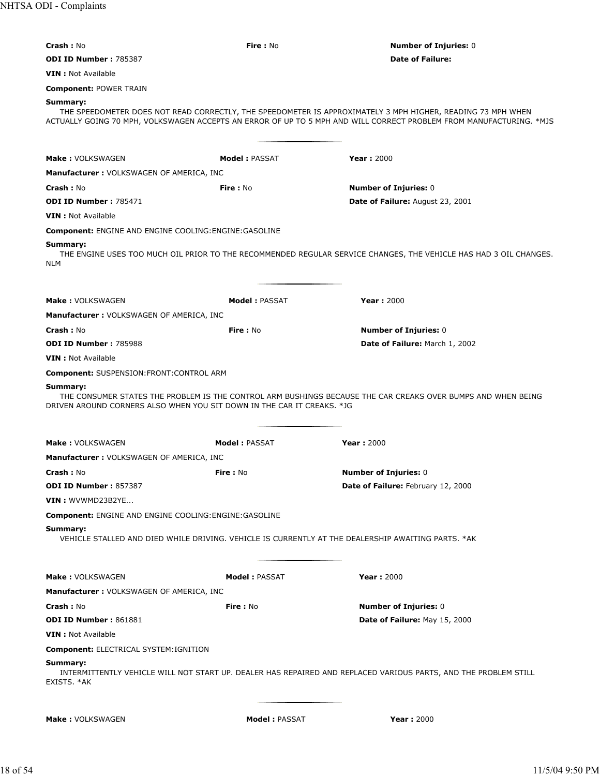NHTSA ODI - Complaints

| <b>Crash: No</b>                                                                                   | Fire: No             | <b>Number of Injuries: 0</b>                                                                                                                                                                                                       |
|----------------------------------------------------------------------------------------------------|----------------------|------------------------------------------------------------------------------------------------------------------------------------------------------------------------------------------------------------------------------------|
| <b>ODI ID Number: 785387</b>                                                                       |                      | <b>Date of Failure:</b>                                                                                                                                                                                                            |
| <b>VIN</b> : Not Available                                                                         |                      |                                                                                                                                                                                                                                    |
| <b>Component: POWER TRAIN</b>                                                                      |                      |                                                                                                                                                                                                                                    |
| Summary:                                                                                           |                      |                                                                                                                                                                                                                                    |
|                                                                                                    |                      | THE SPEEDOMETER DOES NOT READ CORRECTLY, THE SPEEDOMETER IS APPROXIMATELY 3 MPH HIGHER, READING 73 MPH WHEN<br>ACTUALLY GOING 70 MPH, VOLKSWAGEN ACCEPTS AN ERROR OF UP TO 5 MPH AND WILL CORRECT PROBLEM FROM MANUFACTURING. *MJS |
|                                                                                                    |                      |                                                                                                                                                                                                                                    |
|                                                                                                    |                      |                                                                                                                                                                                                                                    |
| Make: VOLKSWAGEN                                                                                   | <b>Model: PASSAT</b> | <b>Year: 2000</b>                                                                                                                                                                                                                  |
| <b>Manufacturer: VOLKSWAGEN OF AMERICA, INC</b>                                                    |                      |                                                                                                                                                                                                                                    |
| <b>Crash: No</b>                                                                                   | <b>Fire: No</b>      | <b>Number of Injuries: 0</b>                                                                                                                                                                                                       |
| <b>ODI ID Number: 785471</b>                                                                       |                      | Date of Failure: August 23, 2001                                                                                                                                                                                                   |
| <b>VIN</b> : Not Available                                                                         |                      |                                                                                                                                                                                                                                    |
| <b>Component: ENGINE AND ENGINE COOLING: ENGINE: GASOLINE</b>                                      |                      |                                                                                                                                                                                                                                    |
| Summary:<br>NLM                                                                                    |                      | THE ENGINE USES TOO MUCH OIL PRIOR TO THE RECOMMENDED REGULAR SERVICE CHANGES, THE VEHICLE HAS HAD 3 OIL CHANGES.                                                                                                                  |
|                                                                                                    |                      |                                                                                                                                                                                                                                    |
| Make: VOLKSWAGEN                                                                                   | <b>Model: PASSAT</b> | <b>Year: 2000</b>                                                                                                                                                                                                                  |
| <b>Manufacturer: VOLKSWAGEN OF AMERICA, INC</b>                                                    |                      |                                                                                                                                                                                                                                    |
| Crash: No                                                                                          | <b>Fire: No</b>      | <b>Number of Injuries: 0</b>                                                                                                                                                                                                       |
| <b>ODI ID Number: 785988</b>                                                                       |                      | Date of Failure: March 1, 2002                                                                                                                                                                                                     |
| <b>VIN</b> : Not Available                                                                         |                      |                                                                                                                                                                                                                                    |
| <b>Component: SUSPENSION: FRONT: CONTROL ARM</b>                                                   |                      |                                                                                                                                                                                                                                    |
| Summary:                                                                                           |                      | THE CONSUMER STATES THE PROBLEM IS THE CONTROL ARM BUSHINGS BECAUSE THE CAR CREAKS OVER BUMPS AND WHEN BEING                                                                                                                       |
| DRIVEN AROUND CORNERS ALSO WHEN YOU SIT DOWN IN THE CAR IT CREAKS. *JG                             |                      |                                                                                                                                                                                                                                    |
|                                                                                                    |                      |                                                                                                                                                                                                                                    |
| Make: VOLKSWAGEN                                                                                   | <b>Model: PASSAT</b> | <b>Year: 2000</b>                                                                                                                                                                                                                  |
| <b>Manufacturer: VOLKSWAGEN OF AMERICA, INC.</b>                                                   |                      |                                                                                                                                                                                                                                    |
| <b>Crash:</b> No                                                                                   | <b>Fire: No</b>      | <b>Number of Injuries: 0</b>                                                                                                                                                                                                       |
| <b>ODI ID Number: 857387</b>                                                                       |                      | Date of Failure: February 12, 2000                                                                                                                                                                                                 |
| VIN: WVWMD23B2YE                                                                                   |                      |                                                                                                                                                                                                                                    |
| <b>Component: ENGINE AND ENGINE COOLING: ENGINE: GASOLINE</b>                                      |                      |                                                                                                                                                                                                                                    |
| Summary:                                                                                           |                      |                                                                                                                                                                                                                                    |
| VEHICLE STALLED AND DIED WHILE DRIVING. VEHICLE IS CURRENTLY AT THE DEALERSHIP AWAITING PARTS. *AK |                      |                                                                                                                                                                                                                                    |
| Make: VOLKSWAGEN                                                                                   | Model: PASSAT        | <b>Year: 2000</b>                                                                                                                                                                                                                  |
| Manufacturer: VOLKSWAGEN OF AMERICA, INC                                                           |                      |                                                                                                                                                                                                                                    |
| Crash: No                                                                                          | Fire: No             | <b>Number of Injuries: 0</b>                                                                                                                                                                                                       |
| <b>ODI ID Number: 861881</b>                                                                       |                      | Date of Failure: May 15, 2000                                                                                                                                                                                                      |
| <b>VIN</b> : Not Available                                                                         |                      |                                                                                                                                                                                                                                    |
| Component: ELECTRICAL SYSTEM: IGNITION                                                             |                      |                                                                                                                                                                                                                                    |
| Summary:                                                                                           |                      |                                                                                                                                                                                                                                    |
| EXISTS. *AK                                                                                        |                      | INTERMITTENTLY VEHICLE WILL NOT START UP. DEALER HAS REPAIRED AND REPLACED VARIOUS PARTS, AND THE PROBLEM STILL                                                                                                                    |
| <b>Make: VOLKSWAGEN</b>                                                                            | Model : PASSAT       | <b>Year: 2000</b>                                                                                                                                                                                                                  |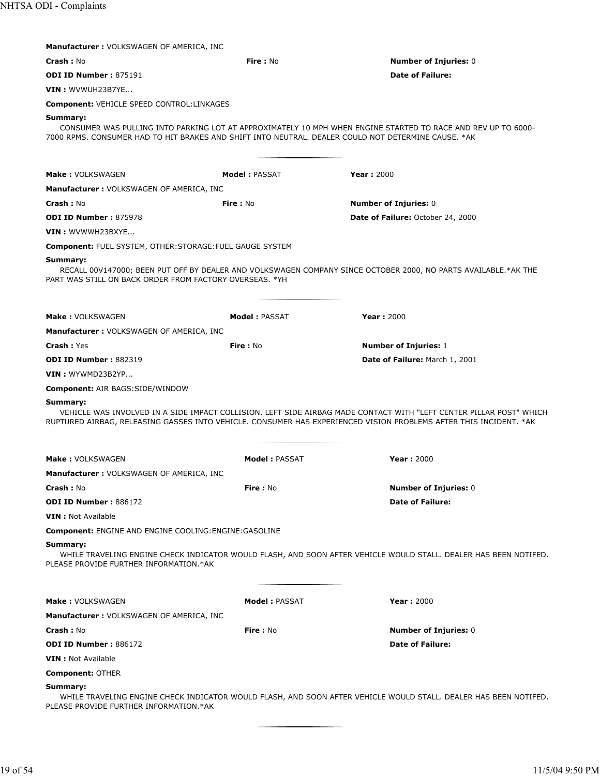| <b>Manufacturer: VOLKSWAGEN OF AMERICA, INC</b>                     |                      |                                                                                                                                                                                                                                          |
|---------------------------------------------------------------------|----------------------|------------------------------------------------------------------------------------------------------------------------------------------------------------------------------------------------------------------------------------------|
| Crash: No                                                           | Fire: No             | <b>Number of Injuries: 0</b>                                                                                                                                                                                                             |
| <b>ODI ID Number: 875191</b>                                        |                      | <b>Date of Failure:</b>                                                                                                                                                                                                                  |
| VIN: WVWUH23B7YE                                                    |                      |                                                                                                                                                                                                                                          |
| <b>Component: VEHICLE SPEED CONTROL:LINKAGES</b>                    |                      |                                                                                                                                                                                                                                          |
| Summary:                                                            |                      | CONSUMER WAS PULLING INTO PARKING LOT AT APPROXIMATELY 10 MPH WHEN ENGINE STARTED TO RACE AND REV UP TO 6000-<br>7000 RPMS. CONSUMER HAD TO HIT BRAKES AND SHIFT INTO NEUTRAL. DEALER COULD NOT DETERMINE CAUSE. *AK                     |
| Make: VOLKSWAGEN                                                    | <b>Model: PASSAT</b> | <b>Year: 2000</b>                                                                                                                                                                                                                        |
| <b>Manufacturer: VOLKSWAGEN OF AMERICA, INC</b>                     |                      |                                                                                                                                                                                                                                          |
| <b>Crash: No</b>                                                    | Fire: No             | <b>Number of Injuries: 0</b>                                                                                                                                                                                                             |
| <b>ODI ID Number: 875978</b>                                        |                      | Date of Failure: October 24, 2000                                                                                                                                                                                                        |
| VIN: WVWWH23BXYE                                                    |                      |                                                                                                                                                                                                                                          |
| <b>Component: FUEL SYSTEM, OTHER: STORAGE: FUEL GAUGE SYSTEM</b>    |                      |                                                                                                                                                                                                                                          |
| Summary:<br>PART WAS STILL ON BACK ORDER FROM FACTORY OVERSEAS. *YH |                      | RECALL 00V147000; BEEN PUT OFF BY DEALER AND VOLKSWAGEN COMPANY SINCE OCTOBER 2000, NO PARTS AVAILABLE.*AK THE                                                                                                                           |
| <b>Make: VOLKSWAGEN</b>                                             | <b>Model: PASSAT</b> | <b>Year: 2000</b>                                                                                                                                                                                                                        |
| Manufacturer : VOLKSWAGEN OF AMERICA, INC                           |                      |                                                                                                                                                                                                                                          |
| <b>Crash: Yes</b>                                                   | <b>Fire</b> : No     | <b>Number of Injuries: 1</b>                                                                                                                                                                                                             |
| <b>ODI ID Number: 882319</b>                                        |                      | Date of Failure: March 1, 2001                                                                                                                                                                                                           |
| VIN: WYWMD23B2YP                                                    |                      |                                                                                                                                                                                                                                          |
| <b>Component: AIR BAGS:SIDE/WINDOW</b>                              |                      |                                                                                                                                                                                                                                          |
| Summary:                                                            |                      | VEHICLE WAS INVOLVED IN A SIDE IMPACT COLLISION. LEFT SIDE AIRBAG MADE CONTACT WITH "LEFT CENTER PILLAR POST" WHICH<br>RUPTURED AIRBAG, RELEASING GASSES INTO VEHICLE. CONSUMER HAS EXPERIENCED VISION PROBLEMS AFTER THIS INCIDENT. *AK |
| <b>Make: VOLKSWAGEN</b>                                             | <b>Model: PASSAT</b> | <b>Year: 2000</b>                                                                                                                                                                                                                        |
| <b>Manufacturer: VOLKSWAGEN OF AMERICA, INC</b>                     |                      |                                                                                                                                                                                                                                          |
| Crash: No                                                           | Fire: No             | <b>Number of Injuries: 0</b>                                                                                                                                                                                                             |
| <b>ODI ID Number: 886172</b>                                        |                      | <b>Date of Failure:</b>                                                                                                                                                                                                                  |
| <b>VIN</b> : Not Available                                          |                      |                                                                                                                                                                                                                                          |
| <b>Component: ENGINE AND ENGINE COOLING: ENGINE: GASOLINE</b>       |                      |                                                                                                                                                                                                                                          |
| Summary:<br>PLEASE PROVIDE FURTHER INFORMATION.*AK                  |                      | WHILE TRAVELING ENGINE CHECK INDICATOR WOULD FLASH, AND SOON AFTER VEHICLE WOULD STALL. DEALER HAS BEEN NOTIFED.                                                                                                                         |
| <b>Make: VOLKSWAGEN</b>                                             | <b>Model: PASSAT</b> | <b>Year: 2000</b>                                                                                                                                                                                                                        |
| <b>Manufacturer: VOLKSWAGEN OF AMERICA, INC</b>                     |                      |                                                                                                                                                                                                                                          |
| Crash: No                                                           | Fire: No             | <b>Number of Injuries: 0</b>                                                                                                                                                                                                             |
| <b>ODI ID Number: 886172</b>                                        |                      | <b>Date of Failure:</b>                                                                                                                                                                                                                  |
| <b>VIN</b> : Not Available                                          |                      |                                                                                                                                                                                                                                          |
| <b>Component: OTHER</b>                                             |                      |                                                                                                                                                                                                                                          |
| Summary:<br>PLEASE PROVIDE FURTHER INFORMATION.*AK                  |                      | WHILE TRAVELING ENGINE CHECK INDICATOR WOULD FLASH, AND SOON AFTER VEHICLE WOULD STALL. DEALER HAS BEEN NOTIFED.                                                                                                                         |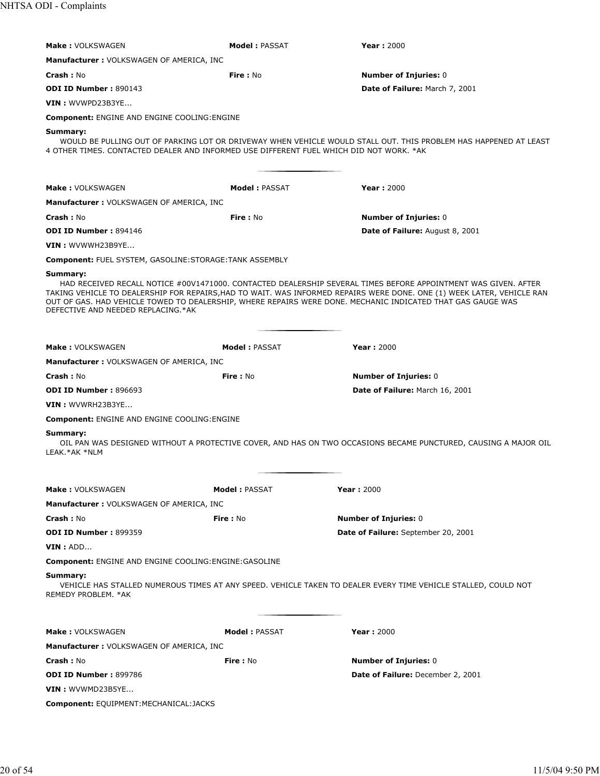| <b>Make: VOLKSWAGEN</b><br><b>Model: PASSAT</b><br><b>Year: 2000</b>                                                                                                                                                |                                                                                                                                                                                                                                                                                                                                                                    |                                                                                                                  |  |  |  |
|---------------------------------------------------------------------------------------------------------------------------------------------------------------------------------------------------------------------|--------------------------------------------------------------------------------------------------------------------------------------------------------------------------------------------------------------------------------------------------------------------------------------------------------------------------------------------------------------------|------------------------------------------------------------------------------------------------------------------|--|--|--|
| <b>Manufacturer: VOLKSWAGEN OF AMERICA, INC</b>                                                                                                                                                                     |                                                                                                                                                                                                                                                                                                                                                                    |                                                                                                                  |  |  |  |
| <b>Crash: No</b>                                                                                                                                                                                                    | <b>Fire: No</b>                                                                                                                                                                                                                                                                                                                                                    | <b>Number of Injuries: 0</b>                                                                                     |  |  |  |
| <b>ODI ID Number: 890143</b>                                                                                                                                                                                        |                                                                                                                                                                                                                                                                                                                                                                    | <b>Date of Failure: March 7, 2001</b>                                                                            |  |  |  |
| VIN : WVWPD23B3YE                                                                                                                                                                                                   |                                                                                                                                                                                                                                                                                                                                                                    |                                                                                                                  |  |  |  |
| <b>Component: ENGINE AND ENGINE COOLING: ENGINE</b>                                                                                                                                                                 |                                                                                                                                                                                                                                                                                                                                                                    |                                                                                                                  |  |  |  |
| Summary:<br>4 OTHER TIMES. CONTACTED DEALER AND INFORMED USE DIFFERENT FUEL WHICH DID NOT WORK. *AK                                                                                                                 |                                                                                                                                                                                                                                                                                                                                                                    | WOULD BE PULLING OUT OF PARKING LOT OR DRIVEWAY WHEN VEHICLE WOULD STALL OUT. THIS PROBLEM HAS HAPPENED AT LEAST |  |  |  |
| <b>Make: VOLKSWAGEN</b>                                                                                                                                                                                             | <b>Model :</b> PASSAT                                                                                                                                                                                                                                                                                                                                              | <b>Year: 2000</b>                                                                                                |  |  |  |
| <b>Manufacturer: VOLKSWAGEN OF AMERICA, INC</b>                                                                                                                                                                     |                                                                                                                                                                                                                                                                                                                                                                    |                                                                                                                  |  |  |  |
| <b>Crash: No</b>                                                                                                                                                                                                    | <b>Fire</b> : No                                                                                                                                                                                                                                                                                                                                                   | <b>Number of Injuries: 0</b>                                                                                     |  |  |  |
| ODI ID Number: 894146                                                                                                                                                                                               |                                                                                                                                                                                                                                                                                                                                                                    | <b>Date of Failure:</b> August 8, 2001                                                                           |  |  |  |
| VIN: WVWWH23B9YE                                                                                                                                                                                                    |                                                                                                                                                                                                                                                                                                                                                                    |                                                                                                                  |  |  |  |
| <b>Component: FUEL SYSTEM, GASOLINE:STORAGE:TANK ASSEMBLY</b>                                                                                                                                                       |                                                                                                                                                                                                                                                                                                                                                                    |                                                                                                                  |  |  |  |
|                                                                                                                                                                                                                     |                                                                                                                                                                                                                                                                                                                                                                    |                                                                                                                  |  |  |  |
| DEFECTIVE AND NEEDED REPLACING.*AK                                                                                                                                                                                  | Summary:<br>HAD RECEIVED RECALL NOTICE #00V1471000. CONTACTED DEALERSHIP SEVERAL TIMES BEFORE APPOINTMENT WAS GIVEN. AFTER<br>TAKING VEHICLE TO DEALERSHIP FOR REPAIRS,HAD TO WAIT. WAS INFORMED REPAIRS WERE DONE. ONE (1) WEEK LATER, VEHICLE RAN<br>OUT OF GAS. HAD VEHICLE TOWED TO DEALERSHIP, WHERE REPAIRS WERE DONE. MECHANIC INDICATED THAT GAS GAUGE WAS |                                                                                                                  |  |  |  |
| <b>Make: VOLKSWAGEN</b>                                                                                                                                                                                             | <b>Model: PASSAT</b>                                                                                                                                                                                                                                                                                                                                               | <b>Year: 2000</b>                                                                                                |  |  |  |
| <b>Manufacturer: VOLKSWAGEN OF AMERICA, INC</b>                                                                                                                                                                     |                                                                                                                                                                                                                                                                                                                                                                    |                                                                                                                  |  |  |  |
| <b>Crash: No</b>                                                                                                                                                                                                    | Fire: No                                                                                                                                                                                                                                                                                                                                                           | <b>Number of Injuries: 0</b>                                                                                     |  |  |  |
| <b>ODI ID Number: 896693</b>                                                                                                                                                                                        |                                                                                                                                                                                                                                                                                                                                                                    | Date of Failure: March 16, 2001                                                                                  |  |  |  |
| VIN: WVWRH23B3YE                                                                                                                                                                                                    |                                                                                                                                                                                                                                                                                                                                                                    |                                                                                                                  |  |  |  |
| <b>Component: ENGINE AND ENGINE COOLING: ENGINE</b>                                                                                                                                                                 |                                                                                                                                                                                                                                                                                                                                                                    |                                                                                                                  |  |  |  |
| Summary:<br>OIL PAN WAS DESIGNED WITHOUT A PROTECTIVE COVER, AND HAS ON TWO OCCASIONS BECAME PUNCTURED, CAUSING A MAJOR OIL<br>LEAK.*AK *NLM                                                                        |                                                                                                                                                                                                                                                                                                                                                                    |                                                                                                                  |  |  |  |
| <b>Make: VOLKSWAGEN</b>                                                                                                                                                                                             | <b>Model: PASSAT</b>                                                                                                                                                                                                                                                                                                                                               | <b>Year: 2000</b>                                                                                                |  |  |  |
| <b>Manufacturer: VOLKSWAGEN OF AMERICA, INC</b>                                                                                                                                                                     |                                                                                                                                                                                                                                                                                                                                                                    |                                                                                                                  |  |  |  |
|                                                                                                                                                                                                                     |                                                                                                                                                                                                                                                                                                                                                                    |                                                                                                                  |  |  |  |
| <b>Crash: No</b><br><b>ODI ID Number: 899359</b>                                                                                                                                                                    | <b>Fire:</b> No                                                                                                                                                                                                                                                                                                                                                    | <b>Number of Injuries: 0</b><br>Date of Failure: September 20, 2001                                              |  |  |  |
|                                                                                                                                                                                                                     |                                                                                                                                                                                                                                                                                                                                                                    |                                                                                                                  |  |  |  |
|                                                                                                                                                                                                                     |                                                                                                                                                                                                                                                                                                                                                                    | VIN : ADD                                                                                                        |  |  |  |
| <b>Component: ENGINE AND ENGINE COOLING: ENGINE: GASOLINE</b><br>Summary:<br>VEHICLE HAS STALLED NUMEROUS TIMES AT ANY SPEED. VEHICLE TAKEN TO DEALER EVERY TIME VEHICLE STALLED, COULD NOT<br>REMEDY PROBLEM. * AK |                                                                                                                                                                                                                                                                                                                                                                    |                                                                                                                  |  |  |  |
|                                                                                                                                                                                                                     |                                                                                                                                                                                                                                                                                                                                                                    |                                                                                                                  |  |  |  |
| <b>Make: VOLKSWAGEN</b>                                                                                                                                                                                             | <b>Model: PASSAT</b>                                                                                                                                                                                                                                                                                                                                               | Year: 2000                                                                                                       |  |  |  |
| <b>Manufacturer: VOLKSWAGEN OF AMERICA, INC</b>                                                                                                                                                                     |                                                                                                                                                                                                                                                                                                                                                                    |                                                                                                                  |  |  |  |
| <b>Crash: No</b>                                                                                                                                                                                                    | Fire: No                                                                                                                                                                                                                                                                                                                                                           | <b>Number of Injuries: 0</b>                                                                                     |  |  |  |
| <b>ODI ID Number: 899786</b>                                                                                                                                                                                        |                                                                                                                                                                                                                                                                                                                                                                    | <b>Date of Failure: December 2, 2001</b>                                                                         |  |  |  |
| VIN : WVWMD23B5YE                                                                                                                                                                                                   |                                                                                                                                                                                                                                                                                                                                                                    |                                                                                                                  |  |  |  |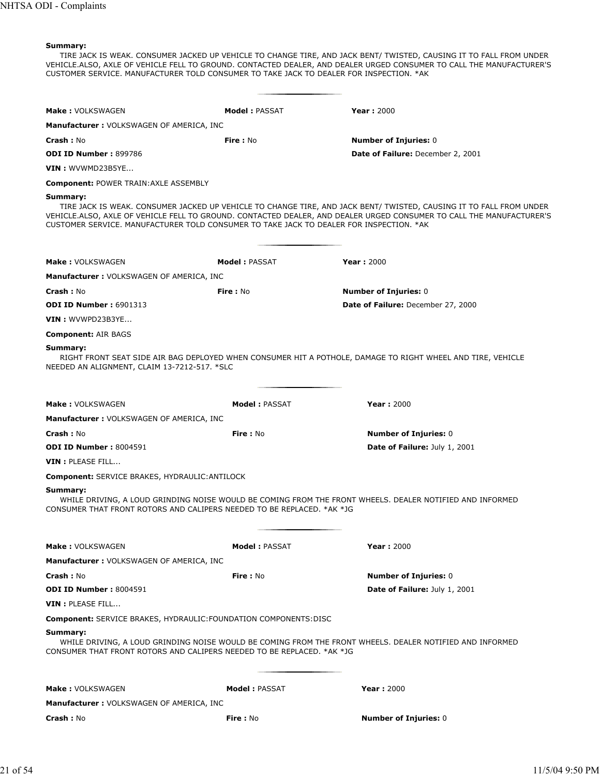TIRE JACK IS WEAK. CONSUMER JACKED UP VEHICLE TO CHANGE TIRE, AND JACK BENT/ TWISTED, CAUSING IT TO FALL FROM UNDER VEHICLE.ALSO, AXLE OF VEHICLE FELL TO GROUND. CONTACTED DEALER, AND DEALER URGED CONSUMER TO CALL THE MANUFACTURER'S CUSTOMER SERVICE. MANUFACTURER TOLD CONSUMER TO TAKE JACK TO DEALER FOR INSPECTION. \*AK

| <b>Make: VOLKSWAGEN</b>                                                                             | <b>Model: PASSAT</b>  | <b>Year: 2000</b>                                                                                                                                                                                                                           |
|-----------------------------------------------------------------------------------------------------|-----------------------|---------------------------------------------------------------------------------------------------------------------------------------------------------------------------------------------------------------------------------------------|
| <b>Manufacturer: VOLKSWAGEN OF AMERICA, INC</b>                                                     |                       |                                                                                                                                                                                                                                             |
| <b>Crash :</b> No                                                                                   | Fire: No              | <b>Number of Injuries: 0</b>                                                                                                                                                                                                                |
| <b>ODI ID Number: 899786</b>                                                                        |                       | Date of Failure: December 2, 2001                                                                                                                                                                                                           |
| <b>VIN</b> : WVWMD23B5YE                                                                            |                       |                                                                                                                                                                                                                                             |
| <b>Component: POWER TRAIN: AXLE ASSEMBLY</b>                                                        |                       |                                                                                                                                                                                                                                             |
| Summary:<br>CUSTOMER SERVICE. MANUFACTURER TOLD CONSUMER TO TAKE JACK TO DEALER FOR INSPECTION. *AK |                       | TIRE JACK IS WEAK. CONSUMER JACKED UP VEHICLE TO CHANGE TIRE, AND JACK BENT/ TWISTED, CAUSING IT TO FALL FROM UNDER<br>VEHICLE.ALSO, AXLE OF VEHICLE FELL TO GROUND. CONTACTED DEALER, AND DEALER URGED CONSUMER TO CALL THE MANUFACTURER'S |
| Make: VOLKSWAGEN                                                                                    | <b>Model: PASSAT</b>  | <b>Year: 2000</b>                                                                                                                                                                                                                           |
| <b>Manufacturer: VOLKSWAGEN OF AMERICA, INC</b>                                                     |                       |                                                                                                                                                                                                                                             |
| <b>Crash: No</b>                                                                                    | Fire: No              | <b>Number of Injuries: 0</b>                                                                                                                                                                                                                |
| <b>ODI ID Number: 6901313</b>                                                                       |                       | Date of Failure: December 27, 2000                                                                                                                                                                                                          |
| $VIN:$ WVWPD23B3YE                                                                                  |                       |                                                                                                                                                                                                                                             |
|                                                                                                     |                       |                                                                                                                                                                                                                                             |
| <b>Component: AIR BAGS</b>                                                                          |                       |                                                                                                                                                                                                                                             |
| Summary:<br>NEEDED AN ALIGNMENT, CLAIM 13-7212-517. *SLC                                            |                       | RIGHT FRONT SEAT SIDE AIR BAG DEPLOYED WHEN CONSUMER HIT A POTHOLE, DAMAGE TO RIGHT WHEEL AND TIRE, VEHICLE                                                                                                                                 |
| Make: VOLKSWAGEN                                                                                    | <b>Model: PASSAT</b>  | <b>Year: 2000</b>                                                                                                                                                                                                                           |
| <b>Manufacturer: VOLKSWAGEN OF AMERICA, INC</b>                                                     |                       |                                                                                                                                                                                                                                             |
| <b>Crash :</b> No                                                                                   | Fire: No              | <b>Number of Injuries: 0</b>                                                                                                                                                                                                                |
| <b>ODI ID Number: 8004591</b>                                                                       |                       | <b>Date of Failure: July 1, 2001</b>                                                                                                                                                                                                        |
| VIN : PLEASE FILL                                                                                   |                       |                                                                                                                                                                                                                                             |
| Component: SERVICE BRAKES, HYDRAULIC: ANTILOCK                                                      |                       |                                                                                                                                                                                                                                             |
| Summary:<br>CONSUMER THAT FRONT ROTORS AND CALIPERS NEEDED TO BE REPLACED. *AK *JG                  |                       | WHILE DRIVING, A LOUD GRINDING NOISE WOULD BE COMING FROM THE FRONT WHEELS. DEALER NOTIFIED AND INFORMED                                                                                                                                    |
| <b>Make: VOLKSWAGEN</b>                                                                             | <b>Model: PASSAT</b>  | <b>Year: 2000</b>                                                                                                                                                                                                                           |
| <b>Manufacturer: VOLKSWAGEN OF AMERICA, INC</b>                                                     |                       |                                                                                                                                                                                                                                             |
| <b>Crash: No</b>                                                                                    | Fire: No              | <b>Number of Injuries: 0</b>                                                                                                                                                                                                                |
| <b>ODI ID Number: 8004591</b>                                                                       |                       | Date of Failure: July 1, 2001                                                                                                                                                                                                               |
| VIN : PLEASE FILL                                                                                   |                       |                                                                                                                                                                                                                                             |
| <b>Component:</b> SERVICE BRAKES, HYDRAULIC: FOUNDATION COMPONENTS: DISC                            |                       |                                                                                                                                                                                                                                             |
| Summary:                                                                                            |                       |                                                                                                                                                                                                                                             |
| CONSUMER THAT FRONT ROTORS AND CALIPERS NEEDED TO BE REPLACED. *AK *JG                              |                       | WHILE DRIVING, A LOUD GRINDING NOISE WOULD BE COMING FROM THE FRONT WHEELS. DEALER NOTIFIED AND INFORMED                                                                                                                                    |
| Make: VOLKSWAGEN                                                                                    | <b>Model : PASSAT</b> | <b>Year: 2000</b>                                                                                                                                                                                                                           |
| <b>Manufacturer: VOLKSWAGEN OF AMERICA, INC</b>                                                     |                       |                                                                                                                                                                                                                                             |
| <b>Crash :</b> No                                                                                   | <b>Fire:</b> No       | <b>Number of Injuries: 0</b>                                                                                                                                                                                                                |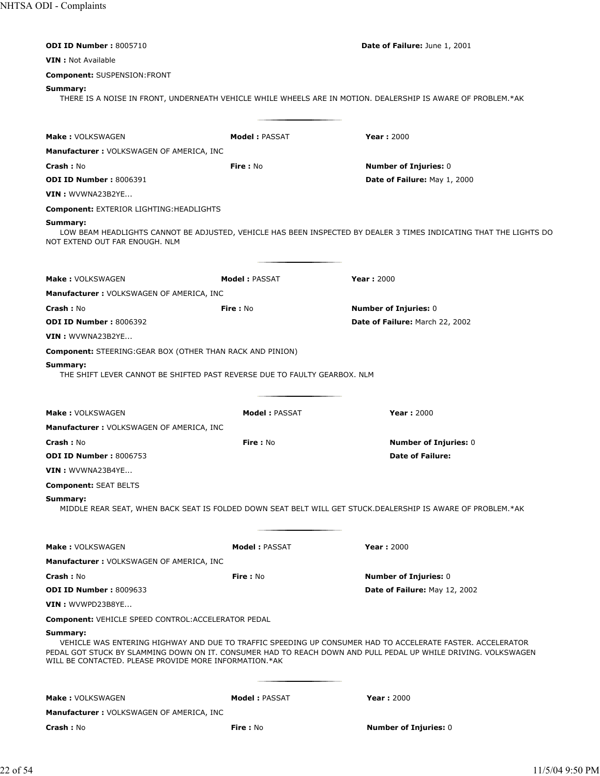| <b>ODI ID Number: 8005710</b>                                                                                                                                                        |                      | Date of Failure: June 1, 2001                                                                                      |
|--------------------------------------------------------------------------------------------------------------------------------------------------------------------------------------|----------------------|--------------------------------------------------------------------------------------------------------------------|
| <b>VIN</b> : Not Available                                                                                                                                                           |                      |                                                                                                                    |
| <b>Component: SUSPENSION:FRONT</b>                                                                                                                                                   |                      |                                                                                                                    |
| Summary:                                                                                                                                                                             |                      | THERE IS A NOISE IN FRONT, UNDERNEATH VEHICLE WHILE WHEELS ARE IN MOTION. DEALERSHIP IS AWARE OF PROBLEM.*AK       |
| Make: VOLKSWAGEN                                                                                                                                                                     | Model: PASSAT        | <b>Year: 2000</b>                                                                                                  |
| <b>Manufacturer: VOLKSWAGEN OF AMERICA, INC</b>                                                                                                                                      |                      |                                                                                                                    |
| Crash: No                                                                                                                                                                            | Fire: No             | <b>Number of Injuries: 0</b>                                                                                       |
| <b>ODI ID Number: 8006391</b>                                                                                                                                                        |                      | Date of Failure: May 1, 2000                                                                                       |
| <b>VIN</b> : WVWNA23B2YE                                                                                                                                                             |                      |                                                                                                                    |
| <b>Component: EXTERIOR LIGHTING:HEADLIGHTS</b>                                                                                                                                       |                      |                                                                                                                    |
| Summary:<br>NOT EXTEND OUT FAR ENOUGH. NLM                                                                                                                                           |                      | LOW BEAM HEADLIGHTS CANNOT BE ADJUSTED, VEHICLE HAS BEEN INSPECTED BY DEALER 3 TIMES INDICATING THAT THE LIGHTS DO |
| <b>Make: VOLKSWAGEN</b>                                                                                                                                                              | <b>Model: PASSAT</b> | <b>Year: 2000</b>                                                                                                  |
| <b>Manufacturer: VOLKSWAGEN OF AMERICA, INC</b>                                                                                                                                      |                      |                                                                                                                    |
| <b>Crash: No</b>                                                                                                                                                                     | <b>Fire: No</b>      | <b>Number of Injuries: 0</b>                                                                                       |
| <b>ODI ID Number: 8006392</b>                                                                                                                                                        |                      | Date of Failure: March 22, 2002                                                                                    |
| VIN: WVWNA23B2YE                                                                                                                                                                     |                      |                                                                                                                    |
| <b>Component:</b> STEERING: GEAR BOX (OTHER THAN RACK AND PINION)                                                                                                                    |                      |                                                                                                                    |
| Summary:<br>THE SHIFT LEVER CANNOT BE SHIFTED PAST REVERSE DUE TO FAULTY GEARBOX. NLM                                                                                                |                      |                                                                                                                    |
| <b>Make: VOLKSWAGEN</b>                                                                                                                                                              | <b>Model: PASSAT</b> | <b>Year: 2000</b>                                                                                                  |
| <b>Manufacturer: VOLKSWAGEN OF AMERICA, INC</b>                                                                                                                                      |                      |                                                                                                                    |
| Crash: No                                                                                                                                                                            | Fire: No             | <b>Number of Injuries: 0</b>                                                                                       |
| <b>ODI ID Number: 8006753</b>                                                                                                                                                        |                      | <b>Date of Failure:</b>                                                                                            |
| <b>VIN</b> : WVWNA23B4YE                                                                                                                                                             |                      |                                                                                                                    |
| <b>Component: SEAT BELTS</b>                                                                                                                                                         |                      |                                                                                                                    |
| Summary:                                                                                                                                                                             |                      | MIDDLE REAR SEAT, WHEN BACK SEAT IS FOLDED DOWN SEAT BELT WILL GET STUCK.DEALERSHIP IS AWARE OF PROBLEM.*AK        |
| <b>Make: VOLKSWAGEN</b>                                                                                                                                                              | <b>Model: PASSAT</b> | <b>Year: 2000</b>                                                                                                  |
| <b>Manufacturer: VOLKSWAGEN OF AMERICA, INC</b>                                                                                                                                      |                      |                                                                                                                    |
| <b>Crash: No</b>                                                                                                                                                                     | Fire: No             | <b>Number of Injuries: 0</b>                                                                                       |
| <b>ODI ID Number: 8009633</b>                                                                                                                                                        |                      | Date of Failure: May 12, 2002                                                                                      |
| VIN: WVWPD23B8YE                                                                                                                                                                     |                      |                                                                                                                    |
| <b>Component: VEHICLE SPEED CONTROL: ACCELERATOR PEDAL</b>                                                                                                                           |                      |                                                                                                                    |
| Summary:<br>PEDAL GOT STUCK BY SLAMMING DOWN ON IT. CONSUMER HAD TO REACH DOWN AND PULL PEDAL UP WHILE DRIVING. VOLKSWAGEN<br>WILL BE CONTACTED. PLEASE PROVIDE MORE INFORMATION.*AK |                      | VEHICLE WAS ENTERING HIGHWAY AND DUE TO TRAFFIC SPEEDING UP CONSUMER HAD TO ACCELERATE FASTER. ACCELERATOR         |
| <b>Make: VOLKSWAGEN</b>                                                                                                                                                              | <b>Model: PASSAT</b> | Year: 2000                                                                                                         |
| Manufacturer: VOLKSWAGEN OF AMERICA, INC                                                                                                                                             |                      |                                                                                                                    |
| <b>Crash: No</b>                                                                                                                                                                     | Fire: No             | <b>Number of Injuries: 0</b>                                                                                       |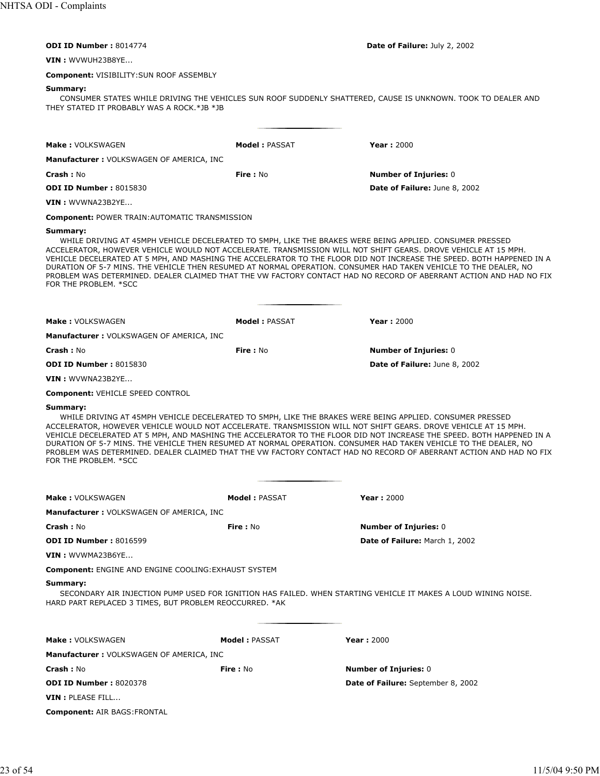| Date of Failure: July 2, 2002 |  |
|-------------------------------|--|
|                               |  |

**ODI ID Number : 8014774** 

**VIN :** WVWUH23B8YE...

**Component:** VISIBILITY:SUN ROOF ASSEMBLY

# **Summary:**

CONSUMER STATES WHILE DRIVING THE VEHICLES SUN ROOF SUDDENLY SHATTERED, CAUSE IS UNKNOWN. TOOK TO DEALER AND THEY STATED IT PROBABLY WAS A ROCK.\*JB \*JB

| Make: VOLKSWAGEN                                                    | <b>Model: PASSAT</b> | <b>Year: 2000</b>                                                                                                                                                                                                                                                                                                                                                                                                                                                                                                                                                                             |
|---------------------------------------------------------------------|----------------------|-----------------------------------------------------------------------------------------------------------------------------------------------------------------------------------------------------------------------------------------------------------------------------------------------------------------------------------------------------------------------------------------------------------------------------------------------------------------------------------------------------------------------------------------------------------------------------------------------|
| Manufacturer : VOLKSWAGEN OF AMERICA, INC                           |                      |                                                                                                                                                                                                                                                                                                                                                                                                                                                                                                                                                                                               |
| <b>Crash :</b> No                                                   | <b>Fire: No</b>      | <b>Number of Injuries: 0</b>                                                                                                                                                                                                                                                                                                                                                                                                                                                                                                                                                                  |
| <b>ODI ID Number: 8015830</b>                                       |                      | Date of Failure: June 8, 2002                                                                                                                                                                                                                                                                                                                                                                                                                                                                                                                                                                 |
| VIN : WVWNA23B2YE                                                   |                      |                                                                                                                                                                                                                                                                                                                                                                                                                                                                                                                                                                                               |
| <b>Component: POWER TRAIN: AUTOMATIC TRANSMISSION</b>               |                      |                                                                                                                                                                                                                                                                                                                                                                                                                                                                                                                                                                                               |
| Summary:<br>FOR THE PROBLEM. *SCC                                   |                      | WHILE DRIVING AT 45MPH VEHICLE DECELERATED TO 5MPH, LIKE THE BRAKES WERE BEING APPLIED. CONSUMER PRESSED<br>ACCELERATOR, HOWEVER VEHICLE WOULD NOT ACCELERATE. TRANSMISSION WILL NOT SHIFT GEARS. DROVE VEHICLE AT 15 MPH.<br>VEHICLE DECELERATED AT 5 MPH, AND MASHING THE ACCELERATOR TO THE FLOOR DID NOT INCREASE THE SPEED. BOTH HAPPENED IN A<br>DURATION OF 5-7 MINS. THE VEHICLE THEN RESUMED AT NORMAL OPERATION. CONSUMER HAD TAKEN VEHICLE TO THE DEALER, NO<br>PROBLEM WAS DETERMINED. DEALER CLAIMED THAT THE VW FACTORY CONTACT HAD NO RECORD OF ABERRANT ACTION AND HAD NO FIX |
| <b>Make: VOLKSWAGEN</b>                                             | <b>Model: PASSAT</b> | <b>Year: 2000</b>                                                                                                                                                                                                                                                                                                                                                                                                                                                                                                                                                                             |
| Manufacturer : VOLKSWAGEN OF AMERICA, INC                           |                      |                                                                                                                                                                                                                                                                                                                                                                                                                                                                                                                                                                                               |
| <b>Crash :</b> No                                                   | Fire: No             | <b>Number of Injuries: 0</b>                                                                                                                                                                                                                                                                                                                                                                                                                                                                                                                                                                  |
| <b>ODI ID Number: 8015830</b>                                       |                      | Date of Failure: June 8, 2002                                                                                                                                                                                                                                                                                                                                                                                                                                                                                                                                                                 |
| VIN : WVWNA23B2YE                                                   |                      |                                                                                                                                                                                                                                                                                                                                                                                                                                                                                                                                                                                               |
| Component: VEHICLE SPEED CONTROL                                    |                      |                                                                                                                                                                                                                                                                                                                                                                                                                                                                                                                                                                                               |
| FOR THE PROBLEM. *SCC                                               |                      | ACCELERATOR, HOWEVER VEHICLE WOULD NOT ACCELERATE. TRANSMISSION WILL NOT SHIFT GEARS. DROVE VEHICLE AT 15 MPH.<br>VEHICLE DECELERATED AT 5 MPH, AND MASHING THE ACCELERATOR TO THE FLOOR DID NOT INCREASE THE SPEED. BOTH HAPPENED IN A<br>DURATION OF 5-7 MINS. THE VEHICLE THEN RESUMED AT NORMAL OPERATION. CONSUMER HAD TAKEN VEHICLE TO THE DEALER, NO<br>PROBLEM WAS DETERMINED. DEALER CLAIMED THAT THE VW FACTORY CONTACT HAD NO RECORD OF ABERRANT ACTION AND HAD NO FIX                                                                                                             |
| <b>Make: VOLKSWAGEN</b>                                             | <b>Model: PASSAT</b> | Year: $2000$                                                                                                                                                                                                                                                                                                                                                                                                                                                                                                                                                                                  |
| Manufacturer : VOLKSWAGEN OF AMERICA, INC                           |                      |                                                                                                                                                                                                                                                                                                                                                                                                                                                                                                                                                                                               |
| <b>Crash :</b> No                                                   | <b>Fire: No</b>      | <b>Number of Injuries: 0</b>                                                                                                                                                                                                                                                                                                                                                                                                                                                                                                                                                                  |
| <b>ODI ID Number: 8016599</b>                                       |                      | Date of Failure: March 1, 2002                                                                                                                                                                                                                                                                                                                                                                                                                                                                                                                                                                |
| VIN : WVWMA23B6YE                                                   |                      |                                                                                                                                                                                                                                                                                                                                                                                                                                                                                                                                                                                               |
| Component: ENGINE AND ENGINE COOLING: EXHAUST SYSTEM                |                      |                                                                                                                                                                                                                                                                                                                                                                                                                                                                                                                                                                                               |
| Summary:<br>HARD PART REPLACED 3 TIMES, BUT PROBLEM REOCCURRED. *AK |                      | SECONDARY AIR INJECTION PUMP USED FOR IGNITION HAS FAILED. WHEN STARTING VEHICLE IT MAKES A LOUD WINING NOISE.                                                                                                                                                                                                                                                                                                                                                                                                                                                                                |
| <b>Make: VOLKSWAGEN</b>                                             | <b>Model: PASSAT</b> | <b>Year: 2000</b>                                                                                                                                                                                                                                                                                                                                                                                                                                                                                                                                                                             |
| <b>Manufacturer :</b> VOLKSWAGEN OF AMERICA, INC                    |                      |                                                                                                                                                                                                                                                                                                                                                                                                                                                                                                                                                                                               |
| <b>Crash :</b> No                                                   | Fire: No             | <b>Number of Injuries: 0</b>                                                                                                                                                                                                                                                                                                                                                                                                                                                                                                                                                                  |
| <b>ODI ID Number :</b> 8020378                                      |                      | Date of Failure: September 8, 2002                                                                                                                                                                                                                                                                                                                                                                                                                                                                                                                                                            |
| $\textsf{VIN}:\textsf{PLEASE}\textsf{ FILL}$                        |                      |                                                                                                                                                                                                                                                                                                                                                                                                                                                                                                                                                                                               |
| <b>Component:</b> AIR BAGS:FRONTAL                                  |                      |                                                                                                                                                                                                                                                                                                                                                                                                                                                                                                                                                                                               |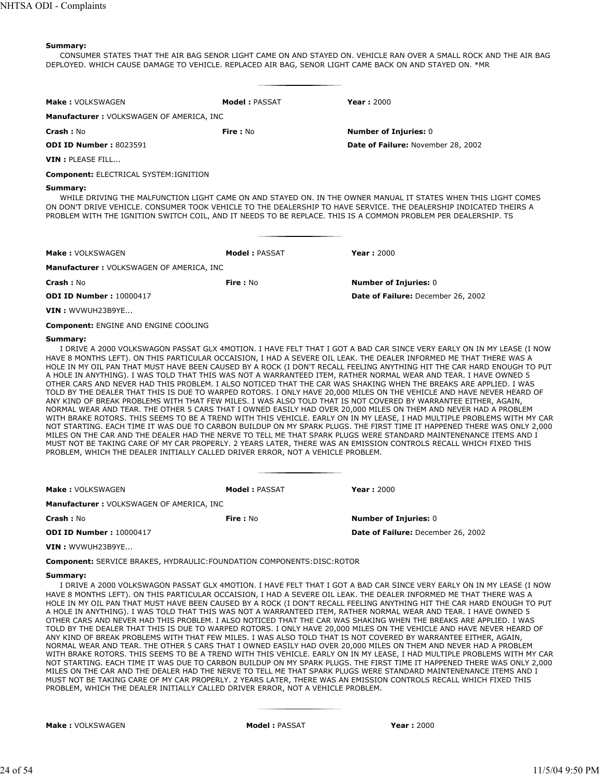CONSUMER STATES THAT THE AIR BAG SENOR LIGHT CAME ON AND STAYED ON. VEHICLE RAN OVER A SMALL ROCK AND THE AIR BAG DEPLOYED. WHICH CAUSE DAMAGE TO VEHICLE. REPLACED AIR BAG, SENOR LIGHT CAME BACK ON AND STAYED ON. \*MR

| Make: VOLKSWAGEN                                                                                                           | Model: PASSAT | <b>Year: 2000</b>                                                                                                                                                                                                                                                                                                                                                       |  |  |  |
|----------------------------------------------------------------------------------------------------------------------------|---------------|-------------------------------------------------------------------------------------------------------------------------------------------------------------------------------------------------------------------------------------------------------------------------------------------------------------------------------------------------------------------------|--|--|--|
| <b>Manufacturer: VOLKSWAGEN OF AMERICA, INC</b>                                                                            |               |                                                                                                                                                                                                                                                                                                                                                                         |  |  |  |
| Crash: No                                                                                                                  | Fire: $No$    | <b>Number of Injuries: 0</b>                                                                                                                                                                                                                                                                                                                                            |  |  |  |
| <b>ODI ID Number: 8023591</b>                                                                                              |               | Date of Failure: November 28, 2002                                                                                                                                                                                                                                                                                                                                      |  |  |  |
| VIN : PLEASE FILL                                                                                                          |               |                                                                                                                                                                                                                                                                                                                                                                         |  |  |  |
| <b>Component: ELECTRICAL SYSTEM: IGNITION</b>                                                                              |               |                                                                                                                                                                                                                                                                                                                                                                         |  |  |  |
| Summary:<br>PROBLEM WITH THE IGNITION SWITCH COIL, AND IT NEEDS TO BE REPLACE. THIS IS A COMMON PROBLEM PER DEALERSHIP. TS |               | WHILE DRIVING THE MALFUNCTION LIGHT CAME ON AND STAYED ON. IN THE OWNER MANUAL IT STATES WHEN THIS LIGHT COMES<br>ON DON'T DRIVE VEHICLE. CONSUMER TOOK VEHICLE TO THE DEALERSHIP TO HAVE SERVICE. THE DEALERSHIP INDICATED THEIRS A                                                                                                                                    |  |  |  |
| Make: VOLKSWAGEN                                                                                                           | Model: PASSAT | <b>Year: 2000</b>                                                                                                                                                                                                                                                                                                                                                       |  |  |  |
| <b>Manufacturer: VOLKSWAGEN OF AMERICA, INC</b>                                                                            |               |                                                                                                                                                                                                                                                                                                                                                                         |  |  |  |
| Crash: No                                                                                                                  | Fire: No      | <b>Number of Injuries: 0</b>                                                                                                                                                                                                                                                                                                                                            |  |  |  |
| <b>ODI ID Number: 10000417</b>                                                                                             |               | Date of Failure: December 26, 2002                                                                                                                                                                                                                                                                                                                                      |  |  |  |
| VIN: WVWUH23B9YE                                                                                                           |               |                                                                                                                                                                                                                                                                                                                                                                         |  |  |  |
| <b>Component: ENGINE AND ENGINE COOLING</b>                                                                                |               |                                                                                                                                                                                                                                                                                                                                                                         |  |  |  |
| Summary:                                                                                                                   |               | I DRIVE A 2000 VOLKSWAGON PASSAT GLX 4MOTION. I HAVE FELT THAT I GOT A BAD CAR SINCE VERY EARLY ON IN MY LEASE (I NOW<br>HAVE 8 MONTHS LEFT). ON THIS PARTICULAR OCCAISION, I HAD A SEVERE OIL LEAK. THE DEALER INFORMED ME THAT THERE WAS A<br>HOLE IN MY OIL PAN THAT MUST HAVE BEEN CAUSED BY A ROCK (I DON'T RECALL FEELING ANYTHING HIT THE CAR HARD ENOUGH TO PUT |  |  |  |

HOLE IN MY OIL PAN THAT MUST HAVE BEEN CAUSED BY A ROCK (I DON'T RECALL FEELING ANYTHING HIT THE CAR HARD ENOUGH TO PUT A HOLE IN ANYTHING). I WAS TOLD THAT THIS WAS NOT A WARRANTEED ITEM, RATHER NORMAL WEAR AND TEAR. I HAVE OWNED 5 OTHER CARS AND NEVER HAD THIS PROBLEM. I ALSO NOTICED THAT THE CAR WAS SHAKING WHEN THE BREAKS ARE APPLIED. I WAS TOLD BY THE DEALER THAT THIS IS DUE TO WARPED ROTORS. I ONLY HAVE 20,000 MILES ON THE VEHICLE AND HAVE NEVER HEARD OF ANY KIND OF BREAK PROBLEMS WITH THAT FEW MILES. I WAS ALSO TOLD THAT IS NOT COVERED BY WARRANTEE EITHER, AGAIN, NORMAL WEAR AND TEAR. THE OTHER 5 CARS THAT I OWNED EASILY HAD OVER 20,000 MILES ON THEM AND NEVER HAD A PROBLEM WITH BRAKE ROTORS. THIS SEEMS TO BE A TREND WITH THIS VEHICLE. EARLY ON IN MY LEASE, I HAD MULTIPLE PROBLEMS WITH MY CAR NOT STARTING. EACH TIME IT WAS DUE TO CARBON BUILDUP ON MY SPARK PLUGS. THE FIRST TIME IT HAPPENED THERE WAS ONLY 2,000 MILES ON THE CAR AND THE DEALER HAD THE NERVE TO TELL ME THAT SPARK PLUGS WERE STANDARD MAINTENENANCE ITEMS AND I MUST NOT BE TAKING CARE OF MY CAR PROPERLY. 2 YEARS LATER, THERE WAS AN EMISSION CONTROLS RECALL WHICH FIXED THIS PROBLEM, WHICH THE DEALER INITIALLY CALLED DRIVER ERROR, NOT A VEHICLE PROBLEM.

| <b>Make: VOLKSWAGEN</b>                  | Model: PASSAT | Year: $2000$                       |
|------------------------------------------|---------------|------------------------------------|
| Manufacturer: VOLKSWAGEN OF AMERICA, INC |               |                                    |
| <b>Crash: No</b>                         | Fire : No     | <b>Number of Injuries: 0</b>       |
| <b>ODI ID Number: 10000417</b>           |               | Date of Failure: December 26, 2002 |
| $VIN:$ WVWUH23B9YE                       |               |                                    |

**Component:** SERVICE BRAKES, HYDRAULIC:FOUNDATION COMPONENTS:DISC:ROTOR

# **Summary:**

I DRIVE A 2000 VOLKSWAGON PASSAT GLX 4MOTION. I HAVE FELT THAT I GOT A BAD CAR SINCE VERY EARLY ON IN MY LEASE (I NOW HAVE 8 MONTHS LEFT). ON THIS PARTICULAR OCCAISION, I HAD A SEVERE OIL LEAK. THE DEALER INFORMED ME THAT THERE WAS A HOLE IN MY OIL PAN THAT MUST HAVE BEEN CAUSED BY A ROCK (I DON'T RECALL FEELING ANYTHING HIT THE CAR HARD ENOUGH TO PUT A HOLE IN ANYTHING). I WAS TOLD THAT THIS WAS NOT A WARRANTEED ITEM, RATHER NORMAL WEAR AND TEAR. I HAVE OWNED 5 OTHER CARS AND NEVER HAD THIS PROBLEM. I ALSO NOTICED THAT THE CAR WAS SHAKING WHEN THE BREAKS ARE APPLIED. I WAS TOLD BY THE DEALER THAT THIS IS DUE TO WARPED ROTORS. I ONLY HAVE 20,000 MILES ON THE VEHICLE AND HAVE NEVER HEARD OF ANY KIND OF BREAK PROBLEMS WITH THAT FEW MILES. I WAS ALSO TOLD THAT IS NOT COVERED BY WARRANTEE EITHER, AGAIN, NORMAL WEAR AND TEAR. THE OTHER 5 CARS THAT I OWNED EASILY HAD OVER 20,000 MILES ON THEM AND NEVER HAD A PROBLEM WITH BRAKE ROTORS. THIS SEEMS TO BE A TREND WITH THIS VEHICLE. EARLY ON IN MY LEASE, I HAD MULTIPLE PROBLEMS WITH MY CAR NOT STARTING. EACH TIME IT WAS DUE TO CARBON BUILDUP ON MY SPARK PLUGS. THE FIRST TIME IT HAPPENED THERE WAS ONLY 2,000 MILES ON THE CAR AND THE DEALER HAD THE NERVE TO TELL ME THAT SPARK PLUGS WERE STANDARD MAINTENENANCE ITEMS AND I MUST NOT BE TAKING CARE OF MY CAR PROPERLY. 2 YEARS LATER, THERE WAS AN EMISSION CONTROLS RECALL WHICH FIXED THIS PROBLEM, WHICH THE DEALER INITIALLY CALLED DRIVER ERROR, NOT A VEHICLE PROBLEM.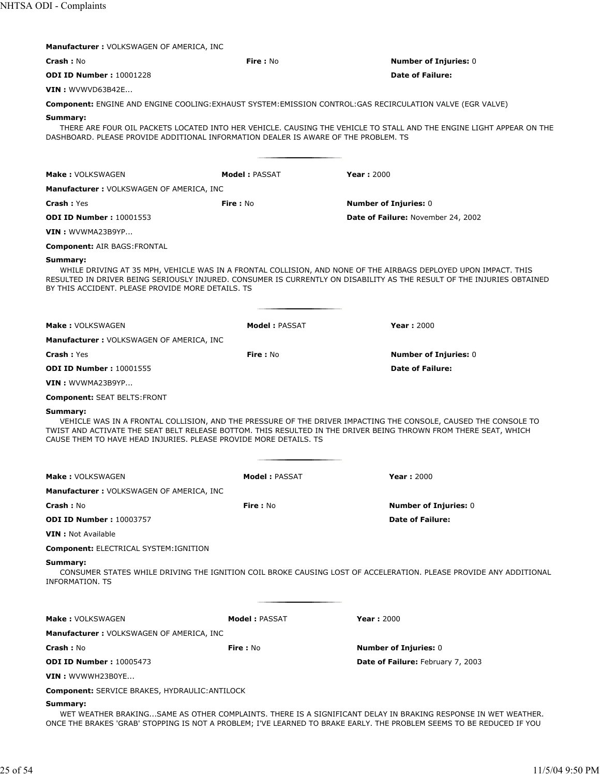| <b>Manufacturer: VOLKSWAGEN OF AMERICA, INC</b>                                                                                                                                                                                                                                                                      |                      |                                                                                                                                                                                                                                           |  |
|----------------------------------------------------------------------------------------------------------------------------------------------------------------------------------------------------------------------------------------------------------------------------------------------------------------------|----------------------|-------------------------------------------------------------------------------------------------------------------------------------------------------------------------------------------------------------------------------------------|--|
| <b>Crash: No</b>                                                                                                                                                                                                                                                                                                     | Fire: No             | <b>Number of Injuries: 0</b>                                                                                                                                                                                                              |  |
| <b>ODI ID Number: 10001228</b>                                                                                                                                                                                                                                                                                       |                      | <b>Date of Failure:</b>                                                                                                                                                                                                                   |  |
| <b>VIN: WVWVD63B42E</b>                                                                                                                                                                                                                                                                                              |                      |                                                                                                                                                                                                                                           |  |
|                                                                                                                                                                                                                                                                                                                      |                      | Component: ENGINE AND ENGINE COOLING: EXHAUST SYSTEM: EMISSION CONTROL: GAS RECIRCULATION VALVE (EGR VALVE)                                                                                                                               |  |
| Summary:<br>DASHBOARD. PLEASE PROVIDE ADDITIONAL INFORMATION DEALER IS AWARE OF THE PROBLEM. TS                                                                                                                                                                                                                      |                      | THERE ARE FOUR OIL PACKETS LOCATED INTO HER VEHICLE. CAUSING THE VEHICLE TO STALL AND THE ENGINE LIGHT APPEAR ON THE                                                                                                                      |  |
| Make: VOLKSWAGEN                                                                                                                                                                                                                                                                                                     | <b>Model: PASSAT</b> | <b>Year: 2000</b>                                                                                                                                                                                                                         |  |
| Manufacturer: VOLKSWAGEN OF AMERICA, INC                                                                                                                                                                                                                                                                             |                      |                                                                                                                                                                                                                                           |  |
| <b>Crash: Yes</b>                                                                                                                                                                                                                                                                                                    | <b>Fire: No</b>      | <b>Number of Injuries: 0</b>                                                                                                                                                                                                              |  |
| <b>ODI ID Number: 10001553</b>                                                                                                                                                                                                                                                                                       |                      | Date of Failure: November 24, 2002                                                                                                                                                                                                        |  |
| VIN: WVWMA23B9YP                                                                                                                                                                                                                                                                                                     |                      |                                                                                                                                                                                                                                           |  |
| <b>Component: AIR BAGS:FRONTAL</b>                                                                                                                                                                                                                                                                                   |                      |                                                                                                                                                                                                                                           |  |
| Summary:                                                                                                                                                                                                                                                                                                             |                      |                                                                                                                                                                                                                                           |  |
| BY THIS ACCIDENT. PLEASE PROVIDE MORE DETAILS. TS                                                                                                                                                                                                                                                                    |                      | WHILE DRIVING AT 35 MPH, VEHICLE WAS IN A FRONTAL COLLISION, AND NONE OF THE AIRBAGS DEPLOYED UPON IMPACT. THIS<br>RESULTED IN DRIVER BEING SERIOUSLY INJURED. CONSUMER IS CURRENTLY ON DISABILITY AS THE RESULT OF THE INJURIES OBTAINED |  |
| Make: VOLKSWAGEN                                                                                                                                                                                                                                                                                                     | <b>Model: PASSAT</b> | <b>Year: 2000</b>                                                                                                                                                                                                                         |  |
| <b>Manufacturer: VOLKSWAGEN OF AMERICA, INC</b>                                                                                                                                                                                                                                                                      |                      |                                                                                                                                                                                                                                           |  |
| <b>Crash: Yes</b>                                                                                                                                                                                                                                                                                                    | Fire: No             | <b>Number of Injuries: 0</b>                                                                                                                                                                                                              |  |
| <b>ODI ID Number: 10001555</b>                                                                                                                                                                                                                                                                                       |                      | <b>Date of Failure:</b>                                                                                                                                                                                                                   |  |
| VIN: WVWMA23B9YP                                                                                                                                                                                                                                                                                                     |                      |                                                                                                                                                                                                                                           |  |
| <b>Component: SEAT BELTS: FRONT</b>                                                                                                                                                                                                                                                                                  |                      |                                                                                                                                                                                                                                           |  |
| Summary:<br>VEHICLE WAS IN A FRONTAL COLLISION, AND THE PRESSURE OF THE DRIVER IMPACTING THE CONSOLE, CAUSED THE CONSOLE TO<br>TWIST AND ACTIVATE THE SEAT BELT RELEASE BOTTOM. THIS RESULTED IN THE DRIVER BEING THROWN FROM THERE SEAT, WHICH<br>CAUSE THEM TO HAVE HEAD INJURIES. PLEASE PROVIDE MORE DETAILS. TS |                      |                                                                                                                                                                                                                                           |  |
| <b>Make: VOLKSWAGEN</b>                                                                                                                                                                                                                                                                                              | <b>Model: PASSAT</b> | <b>Year: 2000</b>                                                                                                                                                                                                                         |  |
| <b>Manufacturer: VOLKSWAGEN OF AMERICA, INC</b>                                                                                                                                                                                                                                                                      |                      |                                                                                                                                                                                                                                           |  |
| Crash: No                                                                                                                                                                                                                                                                                                            | <b>Fire: No</b>      | <b>Number of Injuries: 0</b>                                                                                                                                                                                                              |  |
| <b>ODI ID Number: 10003757</b>                                                                                                                                                                                                                                                                                       |                      | <b>Date of Failure:</b>                                                                                                                                                                                                                   |  |
| <b>VIN</b> : Not Available                                                                                                                                                                                                                                                                                           |                      |                                                                                                                                                                                                                                           |  |
| <b>Component: ELECTRICAL SYSTEM: IGNITION</b>                                                                                                                                                                                                                                                                        |                      |                                                                                                                                                                                                                                           |  |
| Summary:<br>CONSUMER STATES WHILE DRIVING THE IGNITION COIL BROKE CAUSING LOST OF ACCELERATION. PLEASE PROVIDE ANY ADDITIONAL<br><b>INFORMATION, TS</b>                                                                                                                                                              |                      |                                                                                                                                                                                                                                           |  |
| <b>Make: VOLKSWAGEN</b>                                                                                                                                                                                                                                                                                              | <b>Model: PASSAT</b> | <b>Year: 2000</b>                                                                                                                                                                                                                         |  |
| <b>Manufacturer: VOLKSWAGEN OF AMERICA, INC</b>                                                                                                                                                                                                                                                                      |                      |                                                                                                                                                                                                                                           |  |
| <b>Crash: No</b>                                                                                                                                                                                                                                                                                                     | Fire: No             | <b>Number of Injuries: 0</b>                                                                                                                                                                                                              |  |
| <b>ODI ID Number: 10005473</b>                                                                                                                                                                                                                                                                                       |                      | <b>Date of Failure: February 7, 2003</b>                                                                                                                                                                                                  |  |
| VIN: WVWWH23B0YE                                                                                                                                                                                                                                                                                                     |                      |                                                                                                                                                                                                                                           |  |
| Component: SERVICE BRAKES, HYDRAULIC: ANTILOCK                                                                                                                                                                                                                                                                       |                      |                                                                                                                                                                                                                                           |  |
| Summary:                                                                                                                                                                                                                                                                                                             |                      |                                                                                                                                                                                                                                           |  |

WET WEATHER BRAKING...SAME AS OTHER COMPLAINTS. THERE IS A SIGNIFICANT DELAY IN BRAKING RESPONSE IN WET WEATHER. ONCE THE BRAKES 'GRAB' STOPPING IS NOT A PROBLEM; I'VE LEARNED TO BRAKE EARLY. THE PROBLEM SEEMS TO BE REDUCED IF YOU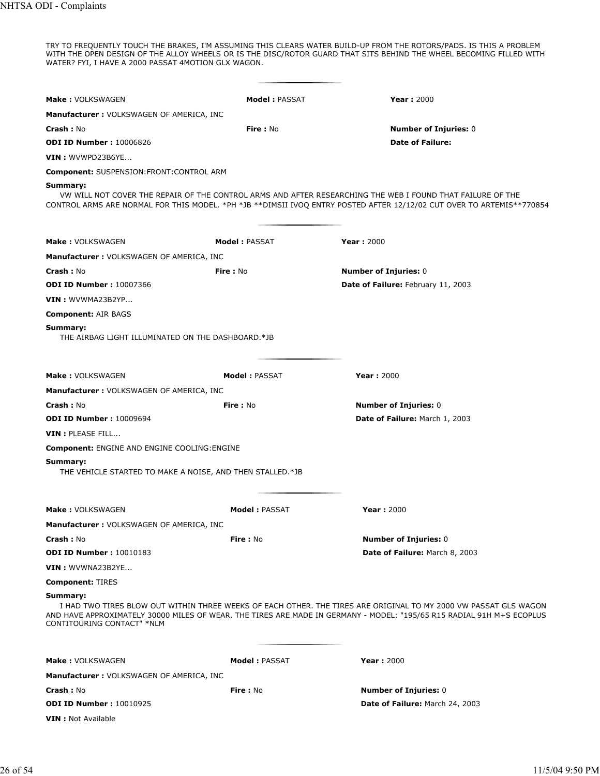TRY TO FREQUENTLY TOUCH THE BRAKES, I'M ASSUMING THIS CLEARS WATER BUILD-UP FROM THE ROTORS/PADS. IS THIS A PROBLEM WITH THE OPEN DESIGN OF THE ALLOY WHEELS OR IS THE DISC/ROTOR GUARD THAT SITS BEHIND THE WHEEL BECOMING FILLED WITH WATER? FYI, I HAVE A 2000 PASSAT 4MOTION GLX WAGON.

| <b>Make: VOLKSWAGEN</b>                                                                                                                                                                                                                                                             | <b>Model: PASSAT</b> | <b>Year: 2000</b>                                                                                                                                                                                                                   |  |
|-------------------------------------------------------------------------------------------------------------------------------------------------------------------------------------------------------------------------------------------------------------------------------------|----------------------|-------------------------------------------------------------------------------------------------------------------------------------------------------------------------------------------------------------------------------------|--|
| <b>Manufacturer: VOLKSWAGEN OF AMERICA, INC</b>                                                                                                                                                                                                                                     |                      |                                                                                                                                                                                                                                     |  |
| Crash: No                                                                                                                                                                                                                                                                           | Fire: No             | <b>Number of Injuries: 0</b>                                                                                                                                                                                                        |  |
| <b>ODI ID Number: 10006826</b>                                                                                                                                                                                                                                                      |                      | <b>Date of Failure:</b>                                                                                                                                                                                                             |  |
| VIN : WVWPD23B6YE                                                                                                                                                                                                                                                                   |                      |                                                                                                                                                                                                                                     |  |
| <b>Component: SUSPENSION:FRONT:CONTROL ARM</b>                                                                                                                                                                                                                                      |                      |                                                                                                                                                                                                                                     |  |
| Summary:                                                                                                                                                                                                                                                                            |                      | VW WILL NOT COVER THE REPAIR OF THE CONTROL ARMS AND AFTER RESEARCHING THE WEB I FOUND THAT FAILURE OF THE<br>CONTROL ARMS ARE NORMAL FOR THIS MODEL. *PH *JB **DIMSII IVOQ ENTRY POSTED AFTER 12/12/02 CUT OVER TO ARTEMIS**770854 |  |
| <b>Make: VOLKSWAGEN</b>                                                                                                                                                                                                                                                             | <b>Model: PASSAT</b> | <b>Year: 2000</b>                                                                                                                                                                                                                   |  |
| <b>Manufacturer: VOLKSWAGEN OF AMERICA, INC</b>                                                                                                                                                                                                                                     |                      |                                                                                                                                                                                                                                     |  |
| Crash: No                                                                                                                                                                                                                                                                           | <b>Fire: No</b>      | <b>Number of Injuries: 0</b>                                                                                                                                                                                                        |  |
| <b>ODI ID Number: 10007366</b>                                                                                                                                                                                                                                                      |                      | Date of Failure: February 11, 2003                                                                                                                                                                                                  |  |
| VIN: WVWMA23B2YP                                                                                                                                                                                                                                                                    |                      |                                                                                                                                                                                                                                     |  |
| <b>Component: AIR BAGS</b>                                                                                                                                                                                                                                                          |                      |                                                                                                                                                                                                                                     |  |
| Summary:<br>THE AIRBAG LIGHT ILLUMINATED ON THE DASHBOARD.*JB                                                                                                                                                                                                                       |                      |                                                                                                                                                                                                                                     |  |
| <b>Make: VOLKSWAGEN</b>                                                                                                                                                                                                                                                             | <b>Model: PASSAT</b> | <b>Year: 2000</b>                                                                                                                                                                                                                   |  |
| <b>Manufacturer: VOLKSWAGEN OF AMERICA, INC</b>                                                                                                                                                                                                                                     |                      |                                                                                                                                                                                                                                     |  |
| <b>Crash: No</b>                                                                                                                                                                                                                                                                    | Fire: No             | <b>Number of Injuries: 0</b>                                                                                                                                                                                                        |  |
| <b>ODI ID Number: 10009694</b>                                                                                                                                                                                                                                                      |                      | Date of Failure: March 1, 2003                                                                                                                                                                                                      |  |
| VIN : PLEASE FILL                                                                                                                                                                                                                                                                   |                      |                                                                                                                                                                                                                                     |  |
| <b>Component: ENGINE AND ENGINE COOLING: ENGINE</b>                                                                                                                                                                                                                                 |                      |                                                                                                                                                                                                                                     |  |
| Summary:<br>THE VEHICLE STARTED TO MAKE A NOISE, AND THEN STALLED.*JB                                                                                                                                                                                                               |                      |                                                                                                                                                                                                                                     |  |
| <b>Make: VOLKSWAGEN</b>                                                                                                                                                                                                                                                             | <b>Model: PASSAT</b> | <b>Year: 2000</b>                                                                                                                                                                                                                   |  |
| <b>Manufacturer: VOLKSWAGEN OF AMERICA, INC</b>                                                                                                                                                                                                                                     |                      |                                                                                                                                                                                                                                     |  |
| Crash: No                                                                                                                                                                                                                                                                           | Fire: No             | <b>Number of Injuries: 0</b>                                                                                                                                                                                                        |  |
| <b>ODI ID Number: 10010183</b>                                                                                                                                                                                                                                                      |                      | Date of Failure: March 8, 2003                                                                                                                                                                                                      |  |
| VIN: WVWNA23B2YE                                                                                                                                                                                                                                                                    |                      |                                                                                                                                                                                                                                     |  |
| <b>Component: TIRES</b>                                                                                                                                                                                                                                                             |                      |                                                                                                                                                                                                                                     |  |
| Summary:<br>I HAD TWO TIRES BLOW OUT WITHIN THREE WEEKS OF EACH OTHER. THE TIRES ARE ORIGINAL TO MY 2000 VW PASSAT GLS WAGON<br>AND HAVE APPROXIMATELY 30000 MILES OF WEAR. THE TIRES ARE MADE IN GERMANY - MODEL: "195/65 R15 RADIAL 91H M+S ECOPLUS<br>CONTITOURING CONTACT" *NLM |                      |                                                                                                                                                                                                                                     |  |
| <b>Make: VOLKSWAGEN</b>                                                                                                                                                                                                                                                             | <b>Model: PASSAT</b> | <b>Year: 2000</b>                                                                                                                                                                                                                   |  |
| <b>Manufacturer: VOLKSWAGEN OF AMERICA, INC</b>                                                                                                                                                                                                                                     |                      |                                                                                                                                                                                                                                     |  |
| Crash: No                                                                                                                                                                                                                                                                           | Fire: No             | <b>Number of Injuries: 0</b>                                                                                                                                                                                                        |  |
| <b>ODI ID Number: 10010925</b>                                                                                                                                                                                                                                                      |                      | Date of Failure: March 24, 2003                                                                                                                                                                                                     |  |
| <b>VIN</b> : Not Available                                                                                                                                                                                                                                                          |                      |                                                                                                                                                                                                                                     |  |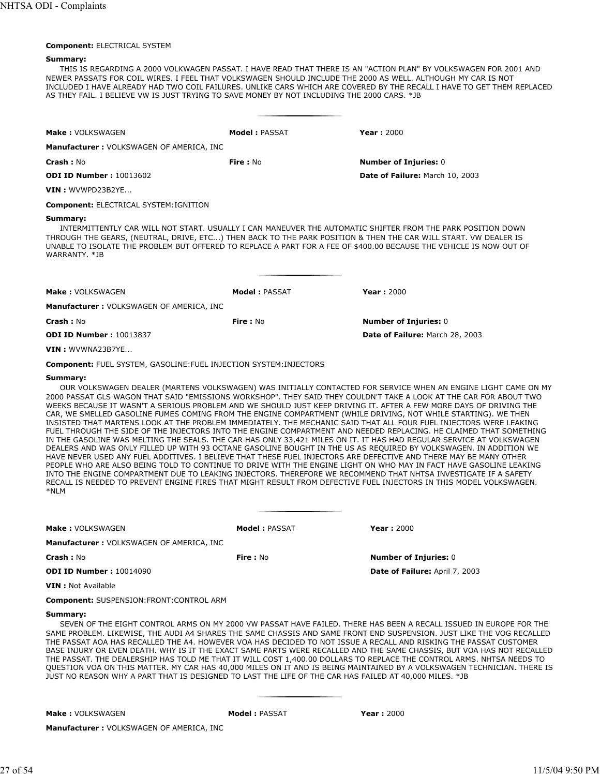#### **Component:** ELECTRICAL SYSTEM

#### **Summary:**

THIS IS REGARDING A 2000 VOLKWAGEN PASSAT. I HAVE READ THAT THERE IS AN "ACTION PLAN" BY VOLKSWAGEN FOR 2001 AND NEWER PASSATS FOR COIL WIRES. I FEEL THAT VOLKSWAGEN SHOULD INCLUDE THE 2000 AS WELL. ALTHOUGH MY CAR IS NOT INCLUDED I HAVE ALREADY HAD TWO COIL FAILURES. UNLIKE CARS WHICH ARE COVERED BY THE RECALL I HAVE TO GET THEM REPLACED AS THEY FAIL. I BELIEVE VW IS JUST TRYING TO SAVE MONEY BY NOT INCLUDING THE 2000 CARS. \*JB

| Make: VOLKSWAGEN                                                                                                                                                                                                                                                    | Model: PASSAT   | Year: $2000$                                                                                                |
|---------------------------------------------------------------------------------------------------------------------------------------------------------------------------------------------------------------------------------------------------------------------|-----------------|-------------------------------------------------------------------------------------------------------------|
| Manufacturer: VOLKSWAGEN OF AMERICA, INC                                                                                                                                                                                                                            |                 |                                                                                                             |
| Crash: No                                                                                                                                                                                                                                                           | Fire: $No$      | <b>Number of Injuries: 0</b>                                                                                |
| <b>ODI ID Number: 10013602</b>                                                                                                                                                                                                                                      |                 | Date of Failure: March 10, 2003                                                                             |
| $VIN:$ WVWPD23B2YE                                                                                                                                                                                                                                                  |                 |                                                                                                             |
| <b>Component: ELECTRICAL SYSTEM: IGNITION</b>                                                                                                                                                                                                                       |                 |                                                                                                             |
| Summary:<br>THROUGH THE GEARS, (NEUTRAL, DRIVE, ETC) THEN BACK TO THE PARK POSITION & THEN THE CAR WILL START. VW DEALER IS<br>UNABLE TO ISOLATE THE PROBLEM BUT OFFERED TO REPLACE A PART FOR A FEE OF \$400.00 BECAUSE THE VEHICLE IS NOW OUT OF<br>WARRANTY, *JB |                 | INTERMITTENTLY CAR WILL NOT START. USUALLY I CAN MANEUVER THE AUTOMATIC SHIFTER FROM THE PARK POSITION DOWN |
| Make: VOLKSWAGEN                                                                                                                                                                                                                                                    | Model: PASSAT   | <b>Year: 2000</b>                                                                                           |
| Manufacturer: VOLKSWAGEN OF AMERICA, INC                                                                                                                                                                                                                            |                 |                                                                                                             |
| <b>Crash: No</b>                                                                                                                                                                                                                                                    | <b>Fire: No</b> | <b>Number of Injuries: 0</b>                                                                                |
| <b>ODI ID Number: 10013837</b>                                                                                                                                                                                                                                      |                 | Date of Failure: March 28, 2003                                                                             |

**VIN :** WVWNA23B7YE...

**Component:** FUEL SYSTEM, GASOLINE:FUEL INJECTION SYSTEM:INJECTORS

#### **Summary:**

OUR VOLKSWAGEN DEALER (MARTENS VOLKSWAGEN) WAS INITIALLY CONTACTED FOR SERVICE WHEN AN ENGINE LIGHT CAME ON MY 2000 PASSAT GLS WAGON THAT SAID "EMISSIONS WORKSHOP". THEY SAID THEY COULDN'T TAKE A LOOK AT THE CAR FOR ABOUT TWO WEEKS BECAUSE IT WASN'T A SERIOUS PROBLEM AND WE SHOULD JUST KEEP DRIVING IT. AFTER A FEW MORE DAYS OF DRIVING THE CAR, WE SMELLED GASOLINE FUMES COMING FROM THE ENGINE COMPARTMENT (WHILE DRIVING, NOT WHILE STARTING). WE THEN INSISTED THAT MARTENS LOOK AT THE PROBLEM IMMEDIATELY. THE MECHANIC SAID THAT ALL FOUR FUEL INJECTORS WERE LEAKING FUEL THROUGH THE SIDE OF THE INJECTORS INTO THE ENGINE COMPARTMENT AND NEEDED REPLACING. HE CLAIMED THAT SOMETHING IN THE GASOLINE WAS MELTING THE SEALS. THE CAR HAS ONLY 33,421 MILES ON IT. IT HAS HAD REGULAR SERVICE AT VOLKSWAGEN DEALERS AND WAS ONLY FILLED UP WITH 93 OCTANE GASOLINE BOUGHT IN THE US AS REQUIRED BY VOLKSWAGEN. IN ADDITION WE HAVE NEVER USED ANY FUEL ADDITIVES. I BELIEVE THAT THESE FUEL INJECTORS ARE DEFECTIVE AND THERE MAY BE MANY OTHER PEOPLE WHO ARE ALSO BEING TOLD TO CONTINUE TO DRIVE WITH THE ENGINE LIGHT ON WHO MAY IN FACT HAVE GASOLINE LEAKING INTO THE ENGINE COMPARTMENT DUE TO LEAKING INJECTORS. THEREFORE WE RECOMMEND THAT NHTSA INVESTIGATE IF A SAFETY RECALL IS NEEDED TO PREVENT ENGINE FIRES THAT MIGHT RESULT FROM DEFECTIVE FUEL INJECTORS IN THIS MODEL VOLKSWAGEN. \*NLM

| <b>Make: VOLKSWAGEN</b>                          | Model: PASSAT | Year: $2000$                                                                                                       |
|--------------------------------------------------|---------------|--------------------------------------------------------------------------------------------------------------------|
| Manufacturer: VOLKSWAGEN OF AMERICA, INC         |               |                                                                                                                    |
| Crash: No                                        | Fire: $No$    | <b>Number of Injuries: 0</b>                                                                                       |
| <b>ODI ID Number: 10014090</b>                   |               | <b>Date of Failure: April 7, 2003</b>                                                                              |
| <b>VIN</b> : Not Available                       |               |                                                                                                                    |
| <b>Component: SUSPENSION: FRONT: CONTROL ARM</b> |               |                                                                                                                    |
| Summary:                                         |               | SEVEN OF THE EIGHT CONTROL ARMS ON MY 2000 VW PASSAT HAVE FAILED. THERE HAS BEEN A RECALL ISSUED IN EUROPE FOR THE |

SAME PROBLEM. LIKEWISE, THE AUDI A4 SHARES THE SAME CHASSIS AND SAME FRONT END SUSPENSION. JUST LIKE THE VOG RECALLED THE PASSAT AOA HAS RECALLED THE A4. HOWEVER VOA HAS DECIDED TO NOT ISSUE A RECALL AND RISKING THE PASSAT CUSTOMER BASE INJURY OR EVEN DEATH. WHY IS IT THE EXACT SAME PARTS WERE RECALLED AND THE SAME CHASSIS, BUT VOA HAS NOT RECALLED THE PASSAT. THE DEALERSHIP HAS TOLD ME THAT IT WILL COST 1,400.00 DOLLARS TO REPLACE THE CONTROL ARMS. NHTSA NEEDS TO QUESTION VOA ON THIS MATTER. MY CAR HAS 40,000 MILES ON IT AND IS BEING MAINTAINED BY A VOLKSWAGEN TECHNICIAN. THERE IS JUST NO REASON WHY A PART THAT IS DESIGNED TO LAST THE LIFE OF THE CAR HAS FAILED AT 40,000 MILES. \*JB

**Make :** VOLKSWAGEN **Model :** PASSAT **Year :** 2000

**Manufacturer :** VOLKSWAGEN OF AMERICA, INC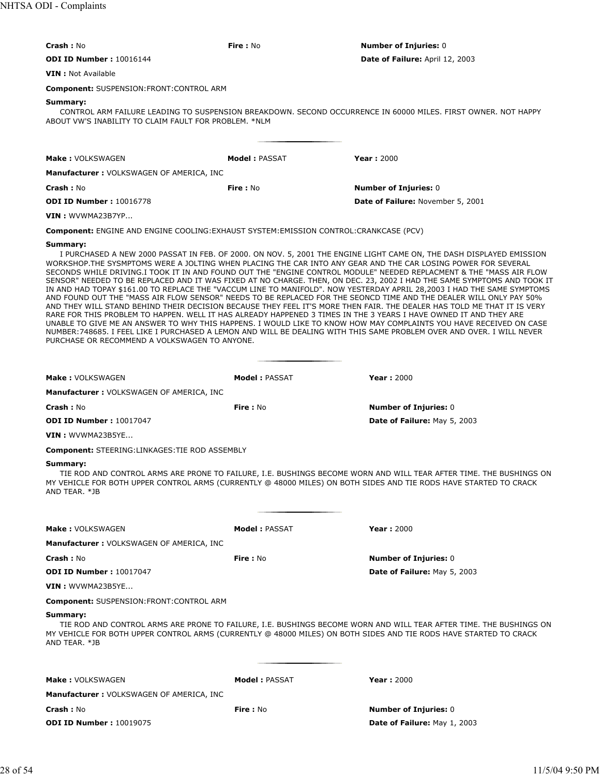| <b>Crash: No</b>                                                                                                                                                                                                                                                                                                                                                                                                                                                                                                                                                                                                                                                                                                                                                                                                                                                                                                                                                                                                                                                                                                                                                                                                                                                                                     | Fire: No             | <b>Number of Injuries: 0</b>      |  |  |
|------------------------------------------------------------------------------------------------------------------------------------------------------------------------------------------------------------------------------------------------------------------------------------------------------------------------------------------------------------------------------------------------------------------------------------------------------------------------------------------------------------------------------------------------------------------------------------------------------------------------------------------------------------------------------------------------------------------------------------------------------------------------------------------------------------------------------------------------------------------------------------------------------------------------------------------------------------------------------------------------------------------------------------------------------------------------------------------------------------------------------------------------------------------------------------------------------------------------------------------------------------------------------------------------------|----------------------|-----------------------------------|--|--|
| <b>ODI ID Number: 10016144</b>                                                                                                                                                                                                                                                                                                                                                                                                                                                                                                                                                                                                                                                                                                                                                                                                                                                                                                                                                                                                                                                                                                                                                                                                                                                                       |                      | Date of Failure: April 12, 2003   |  |  |
| <b>VIN</b> : Not Available                                                                                                                                                                                                                                                                                                                                                                                                                                                                                                                                                                                                                                                                                                                                                                                                                                                                                                                                                                                                                                                                                                                                                                                                                                                                           |                      |                                   |  |  |
| <b>Component: SUSPENSION:FRONT:CONTROL ARM</b>                                                                                                                                                                                                                                                                                                                                                                                                                                                                                                                                                                                                                                                                                                                                                                                                                                                                                                                                                                                                                                                                                                                                                                                                                                                       |                      |                                   |  |  |
| Summary:<br>CONTROL ARM FAILURE LEADING TO SUSPENSION BREAKDOWN. SECOND OCCURRENCE IN 60000 MILES. FIRST OWNER. NOT HAPPY<br>ABOUT VW'S INABILITY TO CLAIM FAULT FOR PROBLEM. *NLM                                                                                                                                                                                                                                                                                                                                                                                                                                                                                                                                                                                                                                                                                                                                                                                                                                                                                                                                                                                                                                                                                                                   |                      |                                   |  |  |
| <b>Make: VOLKSWAGEN</b>                                                                                                                                                                                                                                                                                                                                                                                                                                                                                                                                                                                                                                                                                                                                                                                                                                                                                                                                                                                                                                                                                                                                                                                                                                                                              | <b>Model: PASSAT</b> | <b>Year: 2000</b>                 |  |  |
| <b>Manufacturer: VOLKSWAGEN OF AMERICA, INC</b>                                                                                                                                                                                                                                                                                                                                                                                                                                                                                                                                                                                                                                                                                                                                                                                                                                                                                                                                                                                                                                                                                                                                                                                                                                                      |                      |                                   |  |  |
| Crash: No                                                                                                                                                                                                                                                                                                                                                                                                                                                                                                                                                                                                                                                                                                                                                                                                                                                                                                                                                                                                                                                                                                                                                                                                                                                                                            | <b>Fire: No</b>      | <b>Number of Injuries: 0</b>      |  |  |
| <b>ODI ID Number: 10016778</b>                                                                                                                                                                                                                                                                                                                                                                                                                                                                                                                                                                                                                                                                                                                                                                                                                                                                                                                                                                                                                                                                                                                                                                                                                                                                       |                      | Date of Failure: November 5, 2001 |  |  |
| VIN: WVWMA23B7YP                                                                                                                                                                                                                                                                                                                                                                                                                                                                                                                                                                                                                                                                                                                                                                                                                                                                                                                                                                                                                                                                                                                                                                                                                                                                                     |                      |                                   |  |  |
| <b>Component:</b> ENGINE AND ENGINE COOLING: EXHAUST SYSTEM: EMISSION CONTROL: CRANKCASE (PCV)                                                                                                                                                                                                                                                                                                                                                                                                                                                                                                                                                                                                                                                                                                                                                                                                                                                                                                                                                                                                                                                                                                                                                                                                       |                      |                                   |  |  |
| Summary:<br>I PURCHASED A NEW 2000 PASSAT IN FEB. OF 2000. ON NOV. 5, 2001 THE ENGINE LIGHT CAME ON, THE DASH DISPLAYED EMISSION<br>WORKSHOP.THE SYSMPTOMS WERE A JOLTING WHEN PLACING THE CAR INTO ANY GEAR AND THE CAR LOSING POWER FOR SEVERAL<br>SECONDS WHILE DRIVING.I TOOK IT IN AND FOUND OUT THE "ENGINE CONTROL MODULE" NEEDED REPLACMENT & THE "MASS AIR FLOW<br>SENSOR" NEEDED TO BE REPLACED AND IT WAS FIXED AT NO CHARGE. THEN, ON DEC. 23, 2002 I HAD THE SAME SYMPTOMS AND TOOK IT<br>IN AND HAD TOPAY \$161.00 TO REPLACE THE "VACCUM LINE TO MANIFOLD". NOW YESTERDAY APRIL 28,2003 I HAD THE SAME SYMPTOMS<br>AND FOUND OUT THE "MASS AIR FLOW SENSOR" NEEDS TO BE REPLACED FOR THE SEONCD TIME AND THE DEALER WILL ONLY PAY 50%<br>AND THEY WILL STAND BEHIND THEIR DECISION BECAUSE THEY FEEL IT'S MORE THEN FAIR. THE DEALER HAS TOLD ME THAT IT IS VERY<br>RARE FOR THIS PROBLEM TO HAPPEN. WELL IT HAS ALREADY HAPPENED 3 TIMES IN THE 3 YEARS I HAVE OWNED IT AND THEY ARE<br>UNABLE TO GIVE ME AN ANSWER TO WHY THIS HAPPENS. I WOULD LIKE TO KNOW HOW MAY COMPLAINTS YOU HAVE RECEIVED ON CASE<br>NUMBER:748685. I FEEL LIKE I PURCHASED A LEMON AND WILL BE DEALING WITH THIS SAME PROBLEM OVER AND OVER. I WILL NEVER<br>PURCHASE OR RECOMMEND A VOLKSWAGEN TO ANYONE. |                      |                                   |  |  |
| Make: VOLKSWAGEN                                                                                                                                                                                                                                                                                                                                                                                                                                                                                                                                                                                                                                                                                                                                                                                                                                                                                                                                                                                                                                                                                                                                                                                                                                                                                     | Model: PASSAT        | <b>Year: 2000</b>                 |  |  |
| <b>Manufacturer: VOLKSWAGEN OF AMERICA, INC</b>                                                                                                                                                                                                                                                                                                                                                                                                                                                                                                                                                                                                                                                                                                                                                                                                                                                                                                                                                                                                                                                                                                                                                                                                                                                      |                      |                                   |  |  |
| Crash: No                                                                                                                                                                                                                                                                                                                                                                                                                                                                                                                                                                                                                                                                                                                                                                                                                                                                                                                                                                                                                                                                                                                                                                                                                                                                                            | Fire: No             | <b>Number of Injuries: 0</b>      |  |  |
| <b>ODI ID Number: 10017047</b>                                                                                                                                                                                                                                                                                                                                                                                                                                                                                                                                                                                                                                                                                                                                                                                                                                                                                                                                                                                                                                                                                                                                                                                                                                                                       |                      | Date of Failure: May 5, 2003      |  |  |
| VIN: WVWMA23B5YE                                                                                                                                                                                                                                                                                                                                                                                                                                                                                                                                                                                                                                                                                                                                                                                                                                                                                                                                                                                                                                                                                                                                                                                                                                                                                     |                      |                                   |  |  |
| <b>Component: STEERING:LINKAGES: TIE ROD ASSEMBLY</b>                                                                                                                                                                                                                                                                                                                                                                                                                                                                                                                                                                                                                                                                                                                                                                                                                                                                                                                                                                                                                                                                                                                                                                                                                                                |                      |                                   |  |  |
| Summary:<br>TIE ROD AND CONTROL ARMS ARE PRONE TO FAILURE, I.E. BUSHINGS BECOME WORN AND WILL TEAR AFTER TIME. THE BUSHINGS ON<br>MY VEHICLE FOR BOTH UPPER CONTROL ARMS (CURRENTLY @ 48000 MILES) ON BOTH SIDES AND TIE RODS HAVE STARTED TO CRACK<br>AND TEAR. *JB                                                                                                                                                                                                                                                                                                                                                                                                                                                                                                                                                                                                                                                                                                                                                                                                                                                                                                                                                                                                                                 |                      |                                   |  |  |
|                                                                                                                                                                                                                                                                                                                                                                                                                                                                                                                                                                                                                                                                                                                                                                                                                                                                                                                                                                                                                                                                                                                                                                                                                                                                                                      |                      | <b>Year: 2000</b>                 |  |  |
| <b>Make: VOLKSWAGEN</b><br><b>Manufacturer: VOLKSWAGEN OF AMERICA, INC</b>                                                                                                                                                                                                                                                                                                                                                                                                                                                                                                                                                                                                                                                                                                                                                                                                                                                                                                                                                                                                                                                                                                                                                                                                                           | <b>Model: PASSAT</b> |                                   |  |  |
| Crash: No                                                                                                                                                                                                                                                                                                                                                                                                                                                                                                                                                                                                                                                                                                                                                                                                                                                                                                                                                                                                                                                                                                                                                                                                                                                                                            | Fire: No             | <b>Number of Injuries: 0</b>      |  |  |
| <b>ODI ID Number: 10017047</b>                                                                                                                                                                                                                                                                                                                                                                                                                                                                                                                                                                                                                                                                                                                                                                                                                                                                                                                                                                                                                                                                                                                                                                                                                                                                       |                      | Date of Failure: May 5, 2003      |  |  |
| <b>VIN</b> : WVWMA23B5YE                                                                                                                                                                                                                                                                                                                                                                                                                                                                                                                                                                                                                                                                                                                                                                                                                                                                                                                                                                                                                                                                                                                                                                                                                                                                             |                      |                                   |  |  |
| <b>Component: SUSPENSION: FRONT: CONTROL ARM</b>                                                                                                                                                                                                                                                                                                                                                                                                                                                                                                                                                                                                                                                                                                                                                                                                                                                                                                                                                                                                                                                                                                                                                                                                                                                     |                      |                                   |  |  |
| Summary:<br>TIE ROD AND CONTROL ARMS ARE PRONE TO FAILURE, I.E. BUSHINGS BECOME WORN AND WILL TEAR AFTER TIME. THE BUSHINGS ON<br>MY VEHICLE FOR BOTH UPPER CONTROL ARMS (CURRENTLY @ 48000 MILES) ON BOTH SIDES AND TIE RODS HAVE STARTED TO CRACK<br>AND TEAR. *JB                                                                                                                                                                                                                                                                                                                                                                                                                                                                                                                                                                                                                                                                                                                                                                                                                                                                                                                                                                                                                                 |                      |                                   |  |  |
| <b>Make: VOLKSWAGEN</b>                                                                                                                                                                                                                                                                                                                                                                                                                                                                                                                                                                                                                                                                                                                                                                                                                                                                                                                                                                                                                                                                                                                                                                                                                                                                              | <b>Model: PASSAT</b> | <b>Year: 2000</b>                 |  |  |
| <b>Manufacturer: VOLKSWAGEN OF AMERICA, INC</b>                                                                                                                                                                                                                                                                                                                                                                                                                                                                                                                                                                                                                                                                                                                                                                                                                                                                                                                                                                                                                                                                                                                                                                                                                                                      |                      |                                   |  |  |
| Crash: No                                                                                                                                                                                                                                                                                                                                                                                                                                                                                                                                                                                                                                                                                                                                                                                                                                                                                                                                                                                                                                                                                                                                                                                                                                                                                            | Fire: No             | <b>Number of Injuries: 0</b>      |  |  |
| <b>ODI ID Number: 10019075</b>                                                                                                                                                                                                                                                                                                                                                                                                                                                                                                                                                                                                                                                                                                                                                                                                                                                                                                                                                                                                                                                                                                                                                                                                                                                                       |                      | Date of Failure: May 1, 2003      |  |  |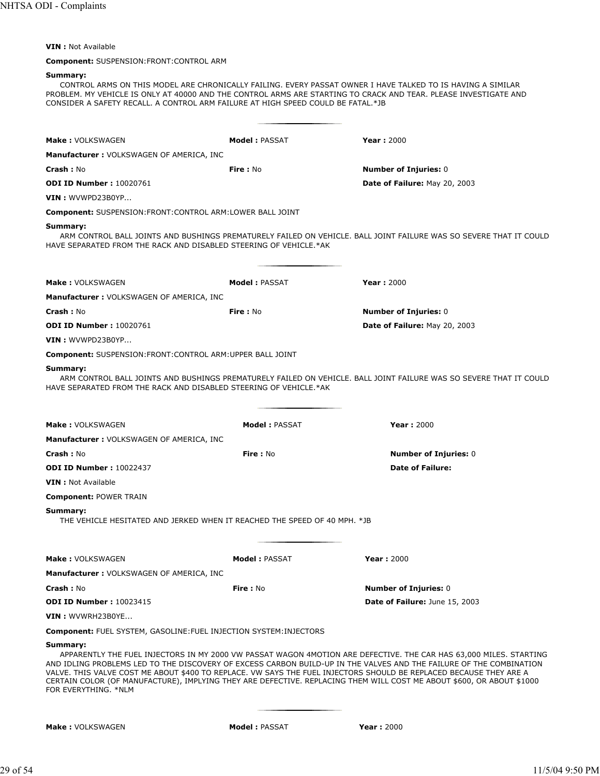# **VIN :** Not Available

# **Component:** SUSPENSION:FRONT:CONTROL ARM

# **Summary:**

CONTROL ARMS ON THIS MODEL ARE CHRONICALLY FAILING. EVERY PASSAT OWNER I HAVE TALKED TO IS HAVING A SIMILAR PROBLEM. MY VEHICLE IS ONLY AT 40000 AND THE CONTROL ARMS ARE STARTING TO CRACK AND TEAR. PLEASE INVESTIGATE AND CONSIDER A SAFETY RECALL. A CONTROL ARM FAILURE AT HIGH SPEED COULD BE FATAL.\*JB

| <b>Make: VOLKSWAGEN</b>                                                               | <b>Model: PASSAT</b> | <b>Year: 2000</b>                                                                                                                                                                                                                                                                                                                                                                                                                                                                        |
|---------------------------------------------------------------------------------------|----------------------|------------------------------------------------------------------------------------------------------------------------------------------------------------------------------------------------------------------------------------------------------------------------------------------------------------------------------------------------------------------------------------------------------------------------------------------------------------------------------------------|
| <b>Manufacturer: VOLKSWAGEN OF AMERICA, INC</b>                                       |                      |                                                                                                                                                                                                                                                                                                                                                                                                                                                                                          |
| <b>Crash: No</b>                                                                      | <b>Fire: No</b>      | <b>Number of Injuries: 0</b>                                                                                                                                                                                                                                                                                                                                                                                                                                                             |
| <b>ODI ID Number: 10020761</b>                                                        |                      | <b>Date of Failure: May 20, 2003</b>                                                                                                                                                                                                                                                                                                                                                                                                                                                     |
| VIN: WVWPD23B0YP                                                                      |                      |                                                                                                                                                                                                                                                                                                                                                                                                                                                                                          |
| <b>Component: SUSPENSION:FRONT:CONTROL ARM:LOWER BALL JOINT</b>                       |                      |                                                                                                                                                                                                                                                                                                                                                                                                                                                                                          |
| Summary:<br>HAVE SEPARATED FROM THE RACK AND DISABLED STEERING OF VEHICLE.*AK         |                      | ARM CONTROL BALL JOINTS AND BUSHINGS PREMATURELY FAILED ON VEHICLE. BALL JOINT FAILURE WAS SO SEVERE THAT IT COULD                                                                                                                                                                                                                                                                                                                                                                       |
| Make: VOLKSWAGEN                                                                      | <b>Model: PASSAT</b> | <b>Year: 2000</b>                                                                                                                                                                                                                                                                                                                                                                                                                                                                        |
| <b>Manufacturer:</b> VOLKSWAGEN OF AMERICA, INC                                       |                      |                                                                                                                                                                                                                                                                                                                                                                                                                                                                                          |
| <b>Crash: No</b>                                                                      | <b>Fire</b> : No     | <b>Number of Injuries: 0</b>                                                                                                                                                                                                                                                                                                                                                                                                                                                             |
| <b>ODI ID Number: 10020761</b>                                                        |                      | Date of Failure: May 20, 2003                                                                                                                                                                                                                                                                                                                                                                                                                                                            |
| VIN: WVWPD23B0YP                                                                      |                      |                                                                                                                                                                                                                                                                                                                                                                                                                                                                                          |
| <b>Component: SUSPENSION:FRONT:CONTROL ARM:UPPER BALL JOINT</b>                       |                      |                                                                                                                                                                                                                                                                                                                                                                                                                                                                                          |
| Summary:<br>HAVE SEPARATED FROM THE RACK AND DISABLED STEERING OF VEHICLE.*AK         |                      | ARM CONTROL BALL JOINTS AND BUSHINGS PREMATURELY FAILED ON VEHICLE. BALL JOINT FAILURE WAS SO SEVERE THAT IT COULD                                                                                                                                                                                                                                                                                                                                                                       |
| <b>Make: VOLKSWAGEN</b>                                                               | <b>Model: PASSAT</b> | <b>Year: 2000</b>                                                                                                                                                                                                                                                                                                                                                                                                                                                                        |
| <b>Manufacturer: VOLKSWAGEN OF AMERICA, INC</b>                                       |                      |                                                                                                                                                                                                                                                                                                                                                                                                                                                                                          |
| <b>Crash: No</b>                                                                      | <b>Fire</b> : No     | <b>Number of Injuries: 0</b>                                                                                                                                                                                                                                                                                                                                                                                                                                                             |
| <b>ODI ID Number: 10022437</b>                                                        |                      | <b>Date of Failure:</b>                                                                                                                                                                                                                                                                                                                                                                                                                                                                  |
| <b>VIN</b> : Not Available                                                            |                      |                                                                                                                                                                                                                                                                                                                                                                                                                                                                                          |
| <b>Component: POWER TRAIN</b>                                                         |                      |                                                                                                                                                                                                                                                                                                                                                                                                                                                                                          |
| Summary:<br>THE VEHICLE HESITATED AND JERKED WHEN IT REACHED THE SPEED OF 40 MPH. *JB |                      |                                                                                                                                                                                                                                                                                                                                                                                                                                                                                          |
| <b>Make: VOLKSWAGEN</b>                                                               | <b>Model: PASSAT</b> | <b>Year: 2000</b>                                                                                                                                                                                                                                                                                                                                                                                                                                                                        |
| Manufacturer: VOLKSWAGEN OF AMERICA, INC                                              |                      |                                                                                                                                                                                                                                                                                                                                                                                                                                                                                          |
| Crash: No                                                                             | Fire: No             | <b>Number of Injuries: 0</b>                                                                                                                                                                                                                                                                                                                                                                                                                                                             |
| <b>ODI ID Number: 10023415</b>                                                        |                      | Date of Failure: June 15, 2003                                                                                                                                                                                                                                                                                                                                                                                                                                                           |
| VIN: WVWRH23B0YE                                                                      |                      |                                                                                                                                                                                                                                                                                                                                                                                                                                                                                          |
| <b>Component:</b> FUEL SYSTEM, GASOLINE: FUEL INJECTION SYSTEM: INJECTORS             |                      |                                                                                                                                                                                                                                                                                                                                                                                                                                                                                          |
| Summary:<br>FOR EVERYTHING. *NLM                                                      |                      | APPARENTLY THE FUEL INJECTORS IN MY 2000 VW PASSAT WAGON 4MOTION ARE DEFECTIVE. THE CAR HAS 63,000 MILES. STARTING<br>AND IDLING PROBLEMS LED TO THE DISCOVERY OF EXCESS CARBON BUILD-UP IN THE VALVES AND THE FAILURE OF THE COMBINATION<br>VALVE. THIS VALVE COST ME ABOUT \$400 TO REPLACE. VW SAYS THE FUEL INJECTORS SHOULD BE REPLACED BECAUSE THEY ARE A<br>CERTAIN COLOR (OF MANUFACTURE), IMPLYING THEY ARE DEFECTIVE. REPLACING THEM WILL COST ME ABOUT \$600, OR ABOUT \$1000 |
| <b>Make: VOLKSWAGEN</b>                                                               | <b>Model: PASSAT</b> | <b>Year: 2000</b>                                                                                                                                                                                                                                                                                                                                                                                                                                                                        |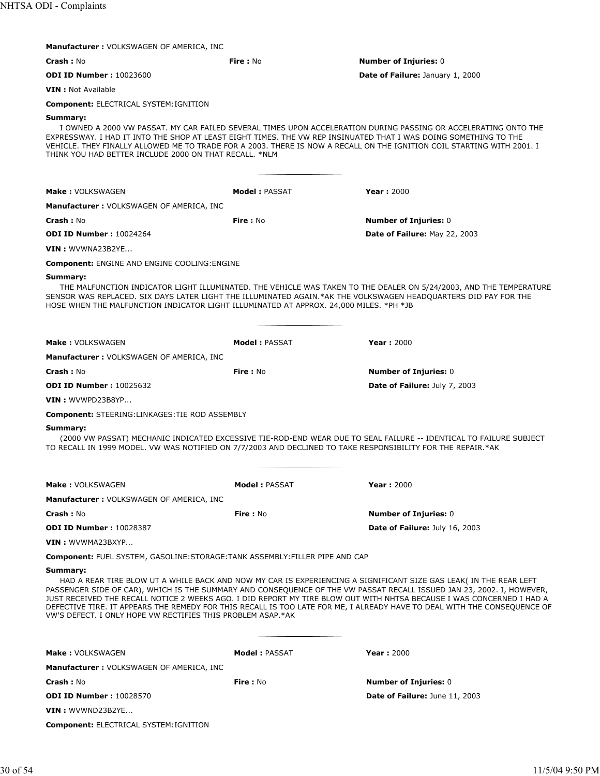| <b>Manufacturer: VOLKSWAGEN OF AMERICA, INC.</b>                                                                                                                                                                      |                      |                                                                                                                                                                                                                                                                                                                                                                                                                                                                                                 |
|-----------------------------------------------------------------------------------------------------------------------------------------------------------------------------------------------------------------------|----------------------|-------------------------------------------------------------------------------------------------------------------------------------------------------------------------------------------------------------------------------------------------------------------------------------------------------------------------------------------------------------------------------------------------------------------------------------------------------------------------------------------------|
| <b>Crash: No</b>                                                                                                                                                                                                      | <b>Fire: No</b>      | <b>Number of Injuries: 0</b>                                                                                                                                                                                                                                                                                                                                                                                                                                                                    |
| <b>ODI ID Number: 10023600</b>                                                                                                                                                                                        |                      | Date of Failure: January 1, 2000                                                                                                                                                                                                                                                                                                                                                                                                                                                                |
| <b>VIN</b> : Not Available                                                                                                                                                                                            |                      |                                                                                                                                                                                                                                                                                                                                                                                                                                                                                                 |
| <b>Component: ELECTRICAL SYSTEM: IGNITION</b>                                                                                                                                                                         |                      |                                                                                                                                                                                                                                                                                                                                                                                                                                                                                                 |
| Summary:<br>EXPRESSWAY. I HAD IT INTO THE SHOP AT LEAST EIGHT TIMES. THE VW REP INSINUATED THAT I WAS DOING SOMETHING TO THE<br>THINK YOU HAD BETTER INCLUDE 2000 ON THAT RECALL. *NLM                                |                      | I OWNED A 2000 VW PASSAT. MY CAR FAILED SEVERAL TIMES UPON ACCELERATION DURING PASSING OR ACCELERATING ONTO THE<br>VEHICLE. THEY FINALLY ALLOWED ME TO TRADE FOR A 2003. THERE IS NOW A RECALL ON THE IGNITION COIL STARTING WITH 2001. I                                                                                                                                                                                                                                                       |
| Make: VOLKSWAGEN                                                                                                                                                                                                      | <b>Model: PASSAT</b> | <b>Year: 2000</b>                                                                                                                                                                                                                                                                                                                                                                                                                                                                               |
|                                                                                                                                                                                                                       |                      |                                                                                                                                                                                                                                                                                                                                                                                                                                                                                                 |
| <b>Manufacturer: VOLKSWAGEN OF AMERICA, INC.</b>                                                                                                                                                                      |                      |                                                                                                                                                                                                                                                                                                                                                                                                                                                                                                 |
| <b>Crash: No</b><br><b>ODI ID Number: 10024264</b>                                                                                                                                                                    | <b>Fire: No</b>      | <b>Number of Injuries: 0</b><br>Date of Failure: May 22, 2003                                                                                                                                                                                                                                                                                                                                                                                                                                   |
|                                                                                                                                                                                                                       |                      |                                                                                                                                                                                                                                                                                                                                                                                                                                                                                                 |
| VIN: WVWNA23B2YE                                                                                                                                                                                                      |                      |                                                                                                                                                                                                                                                                                                                                                                                                                                                                                                 |
| <b>Component: ENGINE AND ENGINE COOLING: ENGINE</b>                                                                                                                                                                   |                      |                                                                                                                                                                                                                                                                                                                                                                                                                                                                                                 |
| Summary:<br>SENSOR WAS REPLACED. SIX DAYS LATER LIGHT THE ILLUMINATED AGAIN.*AK THE VOLKSWAGEN HEADQUARTERS DID PAY FOR THE<br>HOSE WHEN THE MALFUNCTION INDICATOR LIGHT ILLUMINATED AT APPROX. 24,000 MILES. *PH *JB |                      | THE MALFUNCTION INDICATOR LIGHT ILLUMINATED. THE VEHICLE WAS TAKEN TO THE DEALER ON 5/24/2003, AND THE TEMPERATURE                                                                                                                                                                                                                                                                                                                                                                              |
| <b>Make: VOLKSWAGEN</b>                                                                                                                                                                                               | <b>Model: PASSAT</b> | <b>Year: 2000</b>                                                                                                                                                                                                                                                                                                                                                                                                                                                                               |
| <b>Manufacturer: VOLKSWAGEN OF AMERICA, INC</b>                                                                                                                                                                       |                      |                                                                                                                                                                                                                                                                                                                                                                                                                                                                                                 |
| <b>Crash: No</b>                                                                                                                                                                                                      | Fire: No             | <b>Number of Injuries: 0</b>                                                                                                                                                                                                                                                                                                                                                                                                                                                                    |
| <b>ODI ID Number: 10025632</b>                                                                                                                                                                                        |                      | Date of Failure: July 7, 2003                                                                                                                                                                                                                                                                                                                                                                                                                                                                   |
| VIN: WVWPD23B8YP                                                                                                                                                                                                      |                      |                                                                                                                                                                                                                                                                                                                                                                                                                                                                                                 |
| <b>Component: STEERING:LINKAGES:TIE ROD ASSEMBLY</b>                                                                                                                                                                  |                      |                                                                                                                                                                                                                                                                                                                                                                                                                                                                                                 |
| Summary:                                                                                                                                                                                                              |                      |                                                                                                                                                                                                                                                                                                                                                                                                                                                                                                 |
| TO RECALL IN 1999 MODEL. VW WAS NOTIFIED ON 7/7/2003 AND DECLINED TO TAKE RESPONSIBILITY FOR THE REPAIR.*AK                                                                                                           |                      | (2000 VW PASSAT) MECHANIC INDICATED EXCESSIVE TIE-ROD-END WEAR DUE TO SEAL FAILURE -- IDENTICAL TO FAILURE SUBJECT                                                                                                                                                                                                                                                                                                                                                                              |
| <b>Make: VOLKSWAGEN</b>                                                                                                                                                                                               | <b>Model: PASSAT</b> | <b>Year: 2000</b>                                                                                                                                                                                                                                                                                                                                                                                                                                                                               |
| Manufacturer: VOLKSWAGEN OF AMERICA, INC                                                                                                                                                                              |                      |                                                                                                                                                                                                                                                                                                                                                                                                                                                                                                 |
| <b>Crash: No</b>                                                                                                                                                                                                      | <b>Fire: No</b>      | <b>Number of Injuries: 0</b>                                                                                                                                                                                                                                                                                                                                                                                                                                                                    |
| <b>ODI ID Number: 10028387</b>                                                                                                                                                                                        |                      | Date of Failure: July 16, 2003                                                                                                                                                                                                                                                                                                                                                                                                                                                                  |
| VIN : WVWMA23BXYP                                                                                                                                                                                                     |                      |                                                                                                                                                                                                                                                                                                                                                                                                                                                                                                 |
| <b>Component: FUEL SYSTEM, GASOLINE:STORAGE:TANK ASSEMBLY:FILLER PIPE AND CAP</b>                                                                                                                                     |                      |                                                                                                                                                                                                                                                                                                                                                                                                                                                                                                 |
| Summary:                                                                                                                                                                                                              |                      |                                                                                                                                                                                                                                                                                                                                                                                                                                                                                                 |
| VW'S DEFECT. I ONLY HOPE VW RECTIFIES THIS PROBLEM ASAP.*AK                                                                                                                                                           |                      | HAD A REAR TIRE BLOW UT A WHILE BACK AND NOW MY CAR IS EXPERIENCING A SIGNIFICANT SIZE GAS LEAK( IN THE REAR LEFT<br>PASSENGER SIDE OF CAR), WHICH IS THE SUMMARY AND CONSEQUENCE OF THE VW PASSAT RECALL ISSUED JAN 23, 2002. I, HOWEVER,<br>JUST RECEIVED THE RECALL NOTICE 2 WEEKS AGO. I DID REPORT MY TIRE BLOW OUT WITH NHTSA BECAUSE I WAS CONCERNED I HAD A<br>DEFECTIVE TIRE. IT APPEARS THE REMEDY FOR THIS RECALL IS TOO LATE FOR ME, I ALREADY HAVE TO DEAL WITH THE CONSEQUENCE OF |
| Make: VOLKSWAGEN                                                                                                                                                                                                      | <b>Model: PASSAT</b> | <b>Year: 2000</b>                                                                                                                                                                                                                                                                                                                                                                                                                                                                               |
| <b>Manufacturer: VOLKSWAGEN OF AMERICA, INC</b>                                                                                                                                                                       |                      |                                                                                                                                                                                                                                                                                                                                                                                                                                                                                                 |
| <b>Crash: No</b>                                                                                                                                                                                                      | Fire: No             | <b>Number of Injuries: 0</b>                                                                                                                                                                                                                                                                                                                                                                                                                                                                    |
| <b>ODI ID Number: 10028570</b>                                                                                                                                                                                        |                      | Date of Failure: June 11, 2003                                                                                                                                                                                                                                                                                                                                                                                                                                                                  |
| VIN: WVWND23B2YE                                                                                                                                                                                                      |                      |                                                                                                                                                                                                                                                                                                                                                                                                                                                                                                 |
|                                                                                                                                                                                                                       |                      |                                                                                                                                                                                                                                                                                                                                                                                                                                                                                                 |
| <b>Component: ELECTRICAL SYSTEM: IGNITION</b>                                                                                                                                                                         |                      |                                                                                                                                                                                                                                                                                                                                                                                                                                                                                                 |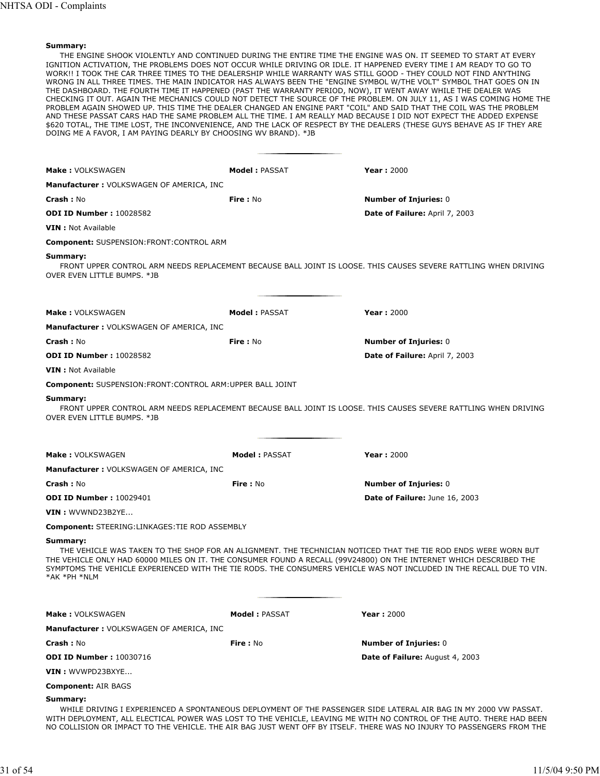THE ENGINE SHOOK VIOLENTLY AND CONTINUED DURING THE ENTIRE TIME THE ENGINE WAS ON. IT SEEMED TO START AT EVERY IGNITION ACTIVATION, THE PROBLEMS DOES NOT OCCUR WHILE DRIVING OR IDLE. IT HAPPENED EVERY TIME I AM READY TO GO TO WORK!! I TOOK THE CAR THREE TIMES TO THE DEALERSHIP WHILE WARRANTY WAS STILL GOOD - THEY COULD NOT FIND ANYTHING WRONG IN ALL THREE TIMES. THE MAIN INDICATOR HAS ALWAYS BEEN THE "ENGINE SYMBOL W/THE VOLT" SYMBOL THAT GOES ON IN THE DASHBOARD. THE FOURTH TIME IT HAPPENED (PAST THE WARRANTY PERIOD, NOW), IT WENT AWAY WHILE THE DEALER WAS CHECKING IT OUT. AGAIN THE MECHANICS COULD NOT DETECT THE SOURCE OF THE PROBLEM. ON JULY 11, AS I WAS COMING HOME THE PROBLEM AGAIN SHOWED UP. THIS TIME THE DEALER CHANGED AN ENGINE PART "COIL" AND SAID THAT THE COIL WAS THE PROBLEM AND THESE PASSAT CARS HAD THE SAME PROBLEM ALL THE TIME. I AM REALLY MAD BECAUSE I DID NOT EXPECT THE ADDED EXPENSE \$620 TOTAL, THE TIME LOST, THE INCONVENIENCE, AND THE LACK OF RESPECT BY THE DEALERS (THESE GUYS BEHAVE AS IF THEY ARE DOING ME A FAVOR, I AM PAYING DEARLY BY CHOOSING WV BRAND). \*JB

| <b>Make: VOLKSWAGEN</b>                                         | <b>Model: PASSAT</b> | <b>Year: 2000</b>                                                                                                                                                                                                                                                                                                                                                  |
|-----------------------------------------------------------------|----------------------|--------------------------------------------------------------------------------------------------------------------------------------------------------------------------------------------------------------------------------------------------------------------------------------------------------------------------------------------------------------------|
| <b>Manufacturer: VOLKSWAGEN OF AMERICA, INC</b>                 |                      |                                                                                                                                                                                                                                                                                                                                                                    |
| <b>Crash: No</b>                                                | <b>Fire: No</b>      | <b>Number of Injuries: 0</b>                                                                                                                                                                                                                                                                                                                                       |
| <b>ODI ID Number: 10028582</b>                                  |                      | <b>Date of Failure: April 7, 2003</b>                                                                                                                                                                                                                                                                                                                              |
| <b>VIN</b> : Not Available                                      |                      |                                                                                                                                                                                                                                                                                                                                                                    |
| <b>Component:</b> SUSPENSION:FRONT:CONTROL ARM                  |                      |                                                                                                                                                                                                                                                                                                                                                                    |
| Summary:<br>OVER EVEN LITTLE BUMPS. *JB                         |                      | FRONT UPPER CONTROL ARM NEEDS REPLACEMENT BECAUSE BALL JOINT IS LOOSE. THIS CAUSES SEVERE RATTLING WHEN DRIVING                                                                                                                                                                                                                                                    |
| <b>Make: VOLKSWAGEN</b>                                         | <b>Model: PASSAT</b> | <b>Year: 2000</b>                                                                                                                                                                                                                                                                                                                                                  |
| <b>Manufacturer: VOLKSWAGEN OF AMERICA, INC</b>                 |                      |                                                                                                                                                                                                                                                                                                                                                                    |
| <b>Crash: No</b>                                                | <b>Fire</b> : No     | <b>Number of Injuries: 0</b>                                                                                                                                                                                                                                                                                                                                       |
| <b>ODI ID Number: 10028582</b>                                  |                      | Date of Failure: April 7, 2003                                                                                                                                                                                                                                                                                                                                     |
| <b>VIN</b> : Not Available                                      |                      |                                                                                                                                                                                                                                                                                                                                                                    |
| <b>Component: SUSPENSION:FRONT:CONTROL ARM:UPPER BALL JOINT</b> |                      |                                                                                                                                                                                                                                                                                                                                                                    |
| Summary:<br>OVER EVEN LITTLE BUMPS. *JB                         |                      | FRONT UPPER CONTROL ARM NEEDS REPLACEMENT BECAUSE BALL JOINT IS LOOSE. THIS CAUSES SEVERE RATTLING WHEN DRIVING                                                                                                                                                                                                                                                    |
| <b>Make: VOLKSWAGEN</b>                                         | <b>Model: PASSAT</b> | <b>Year: 2000</b>                                                                                                                                                                                                                                                                                                                                                  |
| <b>Manufacturer: VOLKSWAGEN OF AMERICA, INC</b>                 |                      |                                                                                                                                                                                                                                                                                                                                                                    |
| Crash: No                                                       | Fire: No             | <b>Number of Injuries: 0</b>                                                                                                                                                                                                                                                                                                                                       |
| <b>ODI ID Number: 10029401</b>                                  |                      | Date of Failure: June 16, 2003                                                                                                                                                                                                                                                                                                                                     |
| $VIN:$ WVWND23B2YE                                              |                      |                                                                                                                                                                                                                                                                                                                                                                    |
| <b>Component:</b> STEERING:LINKAGES:TIE ROD ASSEMBLY            |                      |                                                                                                                                                                                                                                                                                                                                                                    |
| Summary:<br>*AK *PH *NLM                                        |                      | THE VEHICLE WAS TAKEN TO THE SHOP FOR AN ALIGNMENT. THE TECHNICIAN NOTICED THAT THE TIE ROD ENDS WERE WORN BUT<br>THE VEHICLE ONLY HAD 60000 MILES ON IT. THE CONSUMER FOUND A RECALL (99V24800) ON THE INTERNET WHICH DESCRIBED THE<br>SYMPTOMS THE VEHICLE EXPERIENCED WITH THE TIE RODS. THE CONSUMERS VEHICLE WAS NOT INCLUDED IN THE RECALL DUE TO VIN.       |
| Make: VOLKSWAGEN                                                | <b>Model: PASSAT</b> | <b>Year: 2000</b>                                                                                                                                                                                                                                                                                                                                                  |
| <b>Manufacturer: VOLKSWAGEN OF AMERICA, INC</b>                 |                      |                                                                                                                                                                                                                                                                                                                                                                    |
| <b>Crash: No</b>                                                | Fire: No             | <b>Number of Injuries: 0</b>                                                                                                                                                                                                                                                                                                                                       |
| <b>ODI ID Number: 10030716</b>                                  |                      | Date of Failure: August 4, 2003                                                                                                                                                                                                                                                                                                                                    |
| VIN : WVWPD23BXYE                                               |                      |                                                                                                                                                                                                                                                                                                                                                                    |
| <b>Component: AIR BAGS</b>                                      |                      |                                                                                                                                                                                                                                                                                                                                                                    |
| Summary:                                                        |                      | WHILE DRIVING I EXPERIENCED A SPONTANEOUS DEPLOYMENT OF THE PASSENGER SIDE LATERAL AIR BAG IN MY 2000 VW PASSAT.<br>WITH DEPLOYMENT, ALL ELECTICAL POWER WAS LOST TO THE VEHICLE, LEAVING ME WITH NO CONTROL OF THE AUTO. THERE HAD BEEN<br>NO COLLISION OR IMPACT TO THE VEHICLE. THE AIR BAG JUST WENT OFF BY ITSELF. THERE WAS NO INJURY TO PASSENGERS FROM THE |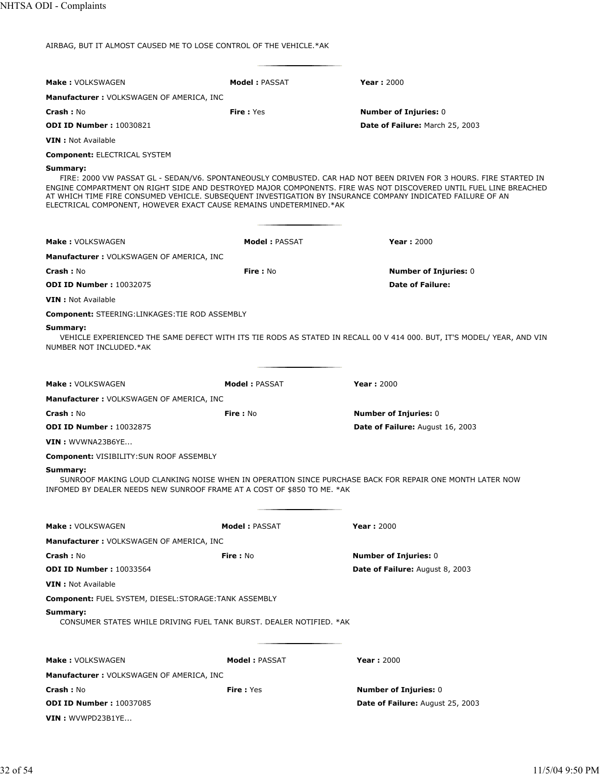AIRBAG, BUT IT ALMOST CAUSED ME TO LOSE CONTROL OF THE VEHICLE.\*AK

| <b>Make: VOLKSWAGEN</b>                                                             | Model: PASSAT        | <b>Year: 2000</b>                                                                                                                                                                                                                                                                                                                                    |
|-------------------------------------------------------------------------------------|----------------------|------------------------------------------------------------------------------------------------------------------------------------------------------------------------------------------------------------------------------------------------------------------------------------------------------------------------------------------------------|
| <b>Manufacturer: VOLKSWAGEN OF AMERICA, INC</b>                                     |                      |                                                                                                                                                                                                                                                                                                                                                      |
| <b>Crash: No</b>                                                                    | <b>Fire: Yes</b>     | <b>Number of Injuries: 0</b>                                                                                                                                                                                                                                                                                                                         |
| <b>ODI ID Number: 10030821</b>                                                      |                      | Date of Failure: March 25, 2003                                                                                                                                                                                                                                                                                                                      |
| <b>VIN</b> : Not Available                                                          |                      |                                                                                                                                                                                                                                                                                                                                                      |
| <b>Component: ELECTRICAL SYSTEM</b>                                                 |                      |                                                                                                                                                                                                                                                                                                                                                      |
| Summary:<br>ELECTRICAL COMPONENT, HOWEVER EXACT CAUSE REMAINS UNDETERMINED.*AK      |                      | FIRE: 2000 VW PASSAT GL - SEDAN/V6. SPONTANEOUSLY COMBUSTED. CAR HAD NOT BEEN DRIVEN FOR 3 HOURS. FIRE STARTED IN<br>ENGINE COMPARTMENT ON RIGHT SIDE AND DESTROYED MAJOR COMPONENTS. FIRE WAS NOT DISCOVERED UNTIL FUEL LINE BREACHED<br>AT WHICH TIME FIRE CONSUMED VEHICLE. SUBSEQUENT INVESTIGATION BY INSURANCE COMPANY INDICATED FAILURE OF AN |
| Make: VOLKSWAGEN                                                                    | <b>Model: PASSAT</b> | <b>Year: 2000</b>                                                                                                                                                                                                                                                                                                                                    |
| <b>Manufacturer: VOLKSWAGEN OF AMERICA, INC</b>                                     |                      |                                                                                                                                                                                                                                                                                                                                                      |
|                                                                                     | Fire: No             |                                                                                                                                                                                                                                                                                                                                                      |
| <b>Crash: No</b><br><b>ODI ID Number: 10032075</b>                                  |                      | <b>Number of Injuries: 0</b><br><b>Date of Failure:</b>                                                                                                                                                                                                                                                                                              |
| <b>VIN</b> : Not Available                                                          |                      |                                                                                                                                                                                                                                                                                                                                                      |
| <b>Component: STEERING:LINKAGES:TIE ROD ASSEMBLY</b>                                |                      |                                                                                                                                                                                                                                                                                                                                                      |
| Summary:<br>NUMBER NOT INCLUDED.*AK                                                 |                      | VEHICLE EXPERIENCED THE SAME DEFECT WITH ITS TIE RODS AS STATED IN RECALL 00 V 414 000. BUT, IT'S MODEL/ YEAR, AND VIN                                                                                                                                                                                                                               |
| <b>Make: VOLKSWAGEN</b>                                                             | <b>Model: PASSAT</b> | <b>Year: 2000</b>                                                                                                                                                                                                                                                                                                                                    |
| <b>Manufacturer: VOLKSWAGEN OF AMERICA, INC</b>                                     |                      |                                                                                                                                                                                                                                                                                                                                                      |
| <b>Crash: No</b>                                                                    | Fire : No            | <b>Number of Injuries: 0</b>                                                                                                                                                                                                                                                                                                                         |
| <b>ODI ID Number: 10032875</b>                                                      |                      | <b>Date of Failure: August 16, 2003</b>                                                                                                                                                                                                                                                                                                              |
| VIN: WVWNA23B6YE                                                                    |                      |                                                                                                                                                                                                                                                                                                                                                      |
| <b>Component: VISIBILITY: SUN ROOF ASSEMBLY</b>                                     |                      |                                                                                                                                                                                                                                                                                                                                                      |
| Summary:<br>INFOMED BY DEALER NEEDS NEW SUNROOF FRAME AT A COST OF \$850 TO ME. *AK |                      | SUNROOF MAKING LOUD CLANKING NOISE WHEN IN OPERATION SINCE PURCHASE BACK FOR REPAIR ONE MONTH LATER NOW                                                                                                                                                                                                                                              |
| <b>Make: VOLKSWAGEN</b>                                                             | Model: PASSAT        | <b>Year: 2000</b>                                                                                                                                                                                                                                                                                                                                    |
| Manufacturer: VOLKSWAGEN OF AMERICA, INC                                            |                      |                                                                                                                                                                                                                                                                                                                                                      |
| <b>Crash: No</b>                                                                    | Fire: No             | <b>Number of Injuries: 0</b>                                                                                                                                                                                                                                                                                                                         |
| <b>ODI ID Number: 10033564</b>                                                      |                      | Date of Failure: August 8, 2003                                                                                                                                                                                                                                                                                                                      |
| <b>VIN</b> : Not Available                                                          |                      |                                                                                                                                                                                                                                                                                                                                                      |
| <b>Component: FUEL SYSTEM, DIESEL: STORAGE: TANK ASSEMBLY</b>                       |                      |                                                                                                                                                                                                                                                                                                                                                      |
| Summary:<br>CONSUMER STATES WHILE DRIVING FUEL TANK BURST, DEALER NOTIFIED, *AK     |                      |                                                                                                                                                                                                                                                                                                                                                      |
| <b>Make: VOLKSWAGEN</b>                                                             | <b>Model: PASSAT</b> | <b>Year: 2000</b>                                                                                                                                                                                                                                                                                                                                    |
| <b>Manufacturer: VOLKSWAGEN OF AMERICA, INC</b>                                     |                      |                                                                                                                                                                                                                                                                                                                                                      |
| <b>Crash: No</b>                                                                    | <b>Fire: Yes</b>     | <b>Number of Injuries: 0</b>                                                                                                                                                                                                                                                                                                                         |
| <b>ODI ID Number: 10037085</b>                                                      |                      | <b>Date of Failure:</b> August 25, 2003                                                                                                                                                                                                                                                                                                              |
| $VIN:$ WVWPD23B1YE                                                                  |                      |                                                                                                                                                                                                                                                                                                                                                      |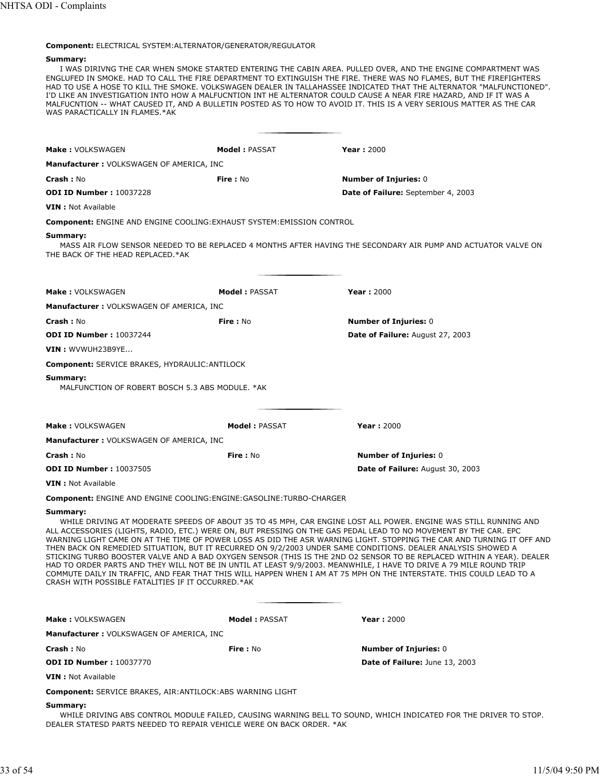# **Component:** ELECTRICAL SYSTEM:ALTERNATOR/GENERATOR/REGULATOR

### **Summary:**

I WAS DIRIVNG THE CAR WHEN SMOKE STARTED ENTERING THE CABIN AREA. PULLED OVER, AND THE ENGINE COMPARTMENT WAS ENGLUFED IN SMOKE. HAD TO CALL THE FIRE DEPARTMENT TO EXTINGUISH THE FIRE. THERE WAS NO FLAMES, BUT THE FIREFIGHTERS HAD TO USE A HOSE TO KILL THE SMOKE. VOLKSWAGEN DEALER IN TALLAHASSEE INDICATED THAT THE ALTERNATOR "MALFUNCTIONED". I'D LIKE AN INVESTIGATION INTO HOW A MALFUCNTION INT HE ALTERNATOR COULD CAUSE A NEAR FIRE HAZARD, AND IF IT WAS A MALFUCNTION -- WHAT CAUSED IT, AND A BULLETIN POSTED AS TO HOW TO AVOID IT. THIS IS A VERY SERIOUS MATTER AS THE CAR WAS PARACTICALLY IN FLAMES.\*AK

| <b>Make: VOLKSWAGEN</b>                                                            | <b>Model: PASSAT</b>  | <b>Year: 2000</b>                                                                                                                                                                                                                                                                                                                                                                                                                                                                                                                                                                                                                                                                                                                                                                                                                                    |
|------------------------------------------------------------------------------------|-----------------------|------------------------------------------------------------------------------------------------------------------------------------------------------------------------------------------------------------------------------------------------------------------------------------------------------------------------------------------------------------------------------------------------------------------------------------------------------------------------------------------------------------------------------------------------------------------------------------------------------------------------------------------------------------------------------------------------------------------------------------------------------------------------------------------------------------------------------------------------------|
| <b>Manufacturer: VOLKSWAGEN OF AMERICA, INC</b>                                    |                       |                                                                                                                                                                                                                                                                                                                                                                                                                                                                                                                                                                                                                                                                                                                                                                                                                                                      |
| <b>Crash: No</b>                                                                   | <b>Fire: No</b>       | <b>Number of Injuries: 0</b>                                                                                                                                                                                                                                                                                                                                                                                                                                                                                                                                                                                                                                                                                                                                                                                                                         |
| <b>ODI ID Number: 10037228</b>                                                     |                       | Date of Failure: September 4, 2003                                                                                                                                                                                                                                                                                                                                                                                                                                                                                                                                                                                                                                                                                                                                                                                                                   |
| <b>VIN</b> : Not Available                                                         |                       |                                                                                                                                                                                                                                                                                                                                                                                                                                                                                                                                                                                                                                                                                                                                                                                                                                                      |
| <b>Component: ENGINE AND ENGINE COOLING: EXHAUST SYSTEM: EMISSION CONTROL</b>      |                       |                                                                                                                                                                                                                                                                                                                                                                                                                                                                                                                                                                                                                                                                                                                                                                                                                                                      |
| Summary:<br>THE BACK OF THE HEAD REPLACED.*AK                                      |                       | MASS AIR FLOW SENSOR NEEDED TO BE REPLACED 4 MONTHS AFTER HAVING THE SECONDARY AIR PUMP AND ACTUATOR VALVE ON                                                                                                                                                                                                                                                                                                                                                                                                                                                                                                                                                                                                                                                                                                                                        |
| Make: VOLKSWAGEN                                                                   | <b>Model : PASSAT</b> | <b>Year: 2000</b>                                                                                                                                                                                                                                                                                                                                                                                                                                                                                                                                                                                                                                                                                                                                                                                                                                    |
| <b>Manufacturer: VOLKSWAGEN OF AMERICA, INC</b>                                    |                       |                                                                                                                                                                                                                                                                                                                                                                                                                                                                                                                                                                                                                                                                                                                                                                                                                                                      |
| <b>Crash: No</b>                                                                   | Fire: No              | <b>Number of Injuries: 0</b>                                                                                                                                                                                                                                                                                                                                                                                                                                                                                                                                                                                                                                                                                                                                                                                                                         |
| <b>ODI ID Number: 10037244</b>                                                     |                       | Date of Failure: August 27, 2003                                                                                                                                                                                                                                                                                                                                                                                                                                                                                                                                                                                                                                                                                                                                                                                                                     |
| VIN : WVWUH23B9YE                                                                  |                       |                                                                                                                                                                                                                                                                                                                                                                                                                                                                                                                                                                                                                                                                                                                                                                                                                                                      |
| Component: SERVICE BRAKES, HYDRAULIC: ANTILOCK                                     |                       |                                                                                                                                                                                                                                                                                                                                                                                                                                                                                                                                                                                                                                                                                                                                                                                                                                                      |
| Summary:<br>MALFUNCTION OF ROBERT BOSCH 5.3 ABS MODULE, *AK                        |                       |                                                                                                                                                                                                                                                                                                                                                                                                                                                                                                                                                                                                                                                                                                                                                                                                                                                      |
| <b>Make: VOLKSWAGEN</b>                                                            | <b>Model: PASSAT</b>  | <b>Year: 2000</b>                                                                                                                                                                                                                                                                                                                                                                                                                                                                                                                                                                                                                                                                                                                                                                                                                                    |
| <b>Manufacturer: VOLKSWAGEN OF AMERICA, INC</b>                                    |                       |                                                                                                                                                                                                                                                                                                                                                                                                                                                                                                                                                                                                                                                                                                                                                                                                                                                      |
| <b>Crash: No</b>                                                                   | Fire: No              | <b>Number of Injuries: 0</b>                                                                                                                                                                                                                                                                                                                                                                                                                                                                                                                                                                                                                                                                                                                                                                                                                         |
| <b>ODI ID Number: 10037505</b>                                                     |                       | Date of Failure: August 30, 2003                                                                                                                                                                                                                                                                                                                                                                                                                                                                                                                                                                                                                                                                                                                                                                                                                     |
| <b>VIN</b> : Not Available                                                         |                       |                                                                                                                                                                                                                                                                                                                                                                                                                                                                                                                                                                                                                                                                                                                                                                                                                                                      |
| <b>Component: ENGINE AND ENGINE COOLING: ENGINE: GASOLINE: TURBO-CHARGER</b>       |                       |                                                                                                                                                                                                                                                                                                                                                                                                                                                                                                                                                                                                                                                                                                                                                                                                                                                      |
| Summary:<br>CRASH WITH POSSIBLE FATALITIES IF IT OCCURRED.*AK                      |                       | WHILE DRIVING AT MODERATE SPEEDS OF ABOUT 35 TO 45 MPH, CAR ENGINE LOST ALL POWER. ENGINE WAS STILL RUNNING AND<br>ALL ACCESSORIES (LIGHTS, RADIO, ETC.) WERE ON, BUT PRESSING ON THE GAS PEDAL LEAD TO NO MOVEMENT BY THE CAR. EPC<br>WARNING LIGHT CAME ON AT THE TIME OF POWER LOSS AS DID THE ASR WARNING LIGHT. STOPPING THE CAR AND TURNING IT OFF AND<br>THEN BACK ON REMEDIED SITUATION, BUT IT RECURRED ON 9/2/2003 UNDER SAME CONDITIONS. DEALER ANALYSIS SHOWED A<br>STICKING TURBO BOOSTER VALVE AND A BAD OXYGEN SENSOR (THIS IS THE 2ND O2 SENSOR TO BE REPLACED WITHIN A YEAR). DEALER<br>HAD TO ORDER PARTS AND THEY WILL NOT BE IN UNTIL AT LEAST 9/9/2003. MEANWHILE, I HAVE TO DRIVE A 79 MILE ROUND TRIP<br>COMMUTE DAILY IN TRAFFIC, AND FEAR THAT THIS WILL HAPPEN WHEN I AM AT 75 MPH ON THE INTERSTATE. THIS COULD LEAD TO A |
| <b>Make: VOLKSWAGEN</b>                                                            | <b>Model: PASSAT</b>  | <b>Year: 2000</b>                                                                                                                                                                                                                                                                                                                                                                                                                                                                                                                                                                                                                                                                                                                                                                                                                                    |
| <b>Manufacturer: VOLKSWAGEN OF AMERICA, INC</b>                                    |                       |                                                                                                                                                                                                                                                                                                                                                                                                                                                                                                                                                                                                                                                                                                                                                                                                                                                      |
| <b>Crash :</b> No                                                                  | <b>Fire</b> : No      | <b>Number of Injuries: 0</b>                                                                                                                                                                                                                                                                                                                                                                                                                                                                                                                                                                                                                                                                                                                                                                                                                         |
| <b>ODI ID Number: 10037770</b>                                                     |                       | Date of Failure: June 13, 2003                                                                                                                                                                                                                                                                                                                                                                                                                                                                                                                                                                                                                                                                                                                                                                                                                       |
| <b>VIN</b> : Not Available                                                         |                       |                                                                                                                                                                                                                                                                                                                                                                                                                                                                                                                                                                                                                                                                                                                                                                                                                                                      |
| <b>Component:</b> SERVICE BRAKES, AIR: ANTILOCK: ABS WARNING LIGHT                 |                       |                                                                                                                                                                                                                                                                                                                                                                                                                                                                                                                                                                                                                                                                                                                                                                                                                                                      |
| Summary:<br>DEALER STATESD PARTS NEEDED TO REPAIR VEHICLE WERE ON BACK ORDER. * AK |                       | WHILE DRIVING ABS CONTROL MODULE FAILED, CAUSING WARNING BELL TO SOUND, WHICH INDICATED FOR THE DRIVER TO STOP.                                                                                                                                                                                                                                                                                                                                                                                                                                                                                                                                                                                                                                                                                                                                      |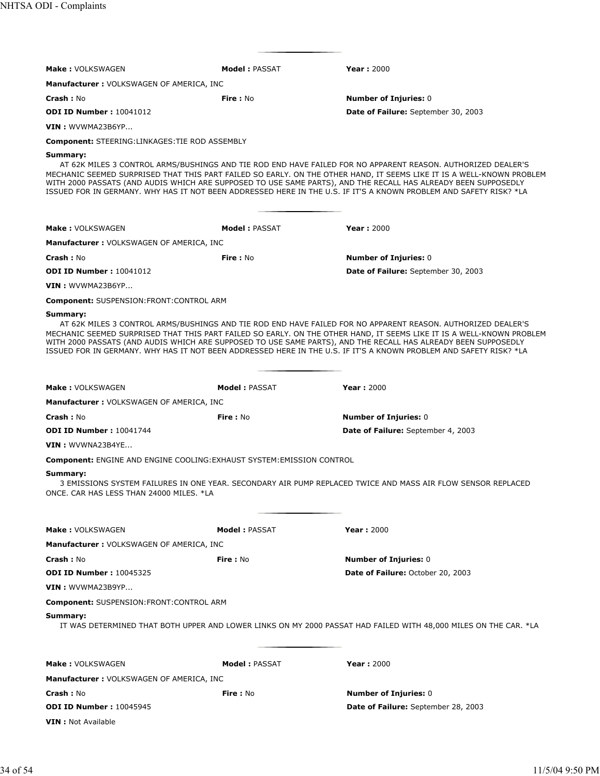| Make: VOLKSWAGEN                                                              | <b>Model: PASSAT</b> | <b>Year: 2000</b>                                                                                                                                                                                                                                                                                                                                                                                                                                                             |
|-------------------------------------------------------------------------------|----------------------|-------------------------------------------------------------------------------------------------------------------------------------------------------------------------------------------------------------------------------------------------------------------------------------------------------------------------------------------------------------------------------------------------------------------------------------------------------------------------------|
| <b>Manufacturer: VOLKSWAGEN OF AMERICA, INC</b>                               |                      |                                                                                                                                                                                                                                                                                                                                                                                                                                                                               |
| <b>Crash: No</b>                                                              | Fire: No             | <b>Number of Injuries: 0</b>                                                                                                                                                                                                                                                                                                                                                                                                                                                  |
| <b>ODI ID Number: 10041012</b>                                                |                      | Date of Failure: September 30, 2003                                                                                                                                                                                                                                                                                                                                                                                                                                           |
| VIN : WVWMA23B6YP                                                             |                      |                                                                                                                                                                                                                                                                                                                                                                                                                                                                               |
|                                                                               |                      |                                                                                                                                                                                                                                                                                                                                                                                                                                                                               |
| <b>Component: STEERING:LINKAGES:TIE ROD ASSEMBLY</b><br>Summary:              |                      |                                                                                                                                                                                                                                                                                                                                                                                                                                                                               |
|                                                                               |                      | AT 62K MILES 3 CONTROL ARMS/BUSHINGS AND TIE ROD END HAVE FAILED FOR NO APPARENT REASON. AUTHORIZED DEALER'S<br>MECHANIC SEEMED SURPRISED THAT THIS PART FAILED SO EARLY. ON THE OTHER HAND, IT SEEMS LIKE IT IS A WELL-KNOWN PROBLEM<br>WITH 2000 PASSATS (AND AUDIS WHICH ARE SUPPOSED TO USE SAME PARTS), AND THE RECALL HAS ALREADY BEEN SUPPOSEDLY<br>ISSUED FOR IN GERMANY. WHY HAS IT NOT BEEN ADDRESSED HERE IN THE U.S. IF IT'S A KNOWN PROBLEM AND SAFETY RISK? *LA |
| <b>Make: VOLKSWAGEN</b>                                                       | <b>Model: PASSAT</b> | <b>Year: 2000</b>                                                                                                                                                                                                                                                                                                                                                                                                                                                             |
| <b>Manufacturer: VOLKSWAGEN OF AMERICA, INC</b>                               |                      |                                                                                                                                                                                                                                                                                                                                                                                                                                                                               |
| Crash: No                                                                     | Fire: No             | <b>Number of Injuries: 0</b>                                                                                                                                                                                                                                                                                                                                                                                                                                                  |
| <b>ODI ID Number: 10041012</b>                                                |                      | Date of Failure: September 30, 2003                                                                                                                                                                                                                                                                                                                                                                                                                                           |
| VIN: WVWMA23B6YP                                                              |                      |                                                                                                                                                                                                                                                                                                                                                                                                                                                                               |
| Component: SUSPENSION:FRONT:CONTROL ARM                                       |                      |                                                                                                                                                                                                                                                                                                                                                                                                                                                                               |
| Summary:                                                                      |                      | AT 62K MILES 3 CONTROL ARMS/BUSHINGS AND TIE ROD END HAVE FAILED FOR NO APPARENT REASON. AUTHORIZED DEALER'S<br>MECHANIC SEEMED SURPRISED THAT THIS PART FAILED SO EARLY. ON THE OTHER HAND, IT SEEMS LIKE IT IS A WELL-KNOWN PROBLEM<br>WITH 2000 PASSATS (AND AUDIS WHICH ARE SUPPOSED TO USE SAME PARTS), AND THE RECALL HAS ALREADY BEEN SUPPOSEDLY<br>ISSUED FOR IN GERMANY. WHY HAS IT NOT BEEN ADDRESSED HERE IN THE U.S. IF IT'S A KNOWN PROBLEM AND SAFETY RISK? *LA |
| <b>Make: VOLKSWAGEN</b>                                                       | Model: PASSAT        | <b>Year: 2000</b>                                                                                                                                                                                                                                                                                                                                                                                                                                                             |
| <b>Manufacturer: VOLKSWAGEN OF AMERICA, INC</b>                               |                      |                                                                                                                                                                                                                                                                                                                                                                                                                                                                               |
| Crash: No                                                                     | <b>Fire: No</b>      | <b>Number of Injuries: 0</b>                                                                                                                                                                                                                                                                                                                                                                                                                                                  |
| <b>ODI ID Number: 10041744</b>                                                |                      | Date of Failure: September 4, 2003                                                                                                                                                                                                                                                                                                                                                                                                                                            |
| VIN: WVWNA23B4YE                                                              |                      |                                                                                                                                                                                                                                                                                                                                                                                                                                                                               |
|                                                                               |                      |                                                                                                                                                                                                                                                                                                                                                                                                                                                                               |
| <b>Component: ENGINE AND ENGINE COOLING: EXHAUST SYSTEM: EMISSION CONTROL</b> |                      |                                                                                                                                                                                                                                                                                                                                                                                                                                                                               |
| Summary:<br>ONCE. CAR HAS LESS THAN 24000 MILES. *LA                          |                      | 3 EMISSIONS SYSTEM FAILURES IN ONE YEAR. SECONDARY AIR PUMP REPLACED TWICE AND MASS AIR FLOW SENSOR REPLACED                                                                                                                                                                                                                                                                                                                                                                  |
| <b>Make: VOLKSWAGEN</b>                                                       | <b>Model: PASSAT</b> | <b>Year: 2000</b>                                                                                                                                                                                                                                                                                                                                                                                                                                                             |
| <b>Manufacturer: VOLKSWAGEN OF AMERICA, INC</b>                               |                      |                                                                                                                                                                                                                                                                                                                                                                                                                                                                               |
| <b>Crash: No</b>                                                              | Fire: No             | <b>Number of Injuries: 0</b>                                                                                                                                                                                                                                                                                                                                                                                                                                                  |
| <b>ODI ID Number: 10045325</b>                                                |                      | Date of Failure: October 20, 2003                                                                                                                                                                                                                                                                                                                                                                                                                                             |
| VIN: WVWMA23B9YP                                                              |                      |                                                                                                                                                                                                                                                                                                                                                                                                                                                                               |
| <b>Component: SUSPENSION:FRONT:CONTROL ARM</b>                                |                      |                                                                                                                                                                                                                                                                                                                                                                                                                                                                               |
| Summary:                                                                      |                      | IT WAS DETERMINED THAT BOTH UPPER AND LOWER LINKS ON MY 2000 PASSAT HAD FAILED WITH 48,000 MILES ON THE CAR. *LA                                                                                                                                                                                                                                                                                                                                                              |
| <b>Make: VOLKSWAGEN</b>                                                       | <b>Model: PASSAT</b> | <b>Year: 2000</b>                                                                                                                                                                                                                                                                                                                                                                                                                                                             |
| <b>Manufacturer: VOLKSWAGEN OF AMERICA, INC</b>                               |                      |                                                                                                                                                                                                                                                                                                                                                                                                                                                                               |
| <b>Crash :</b> No                                                             | <b>Fire</b> : No     |                                                                                                                                                                                                                                                                                                                                                                                                                                                                               |
| <b>ODI ID Number: 10045945</b>                                                |                      | <b>Number of Injuries: 0</b><br><b>Date of Failure:</b> September 28, 2003                                                                                                                                                                                                                                                                                                                                                                                                    |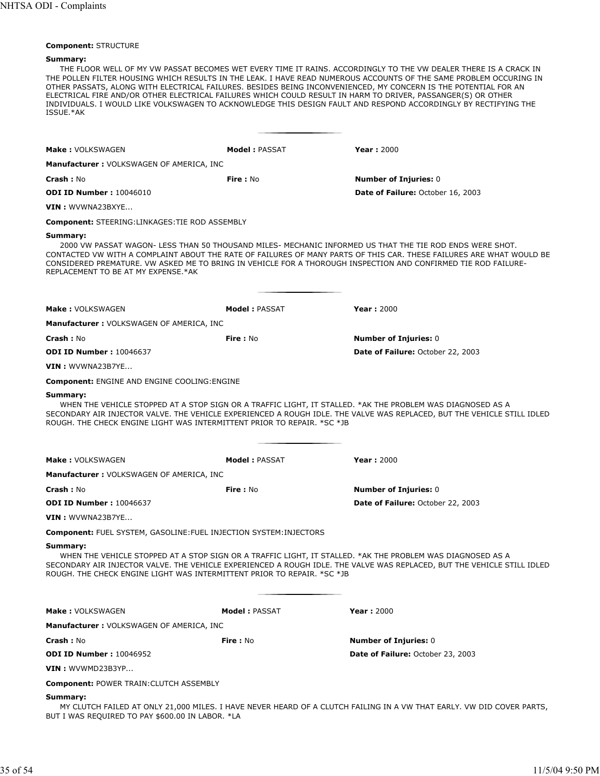#### **Component:** STRUCTURE

#### **Summary:**

THE FLOOR WELL OF MY VW PASSAT BECOMES WET EVERY TIME IT RAINS. ACCORDINGLY TO THE VW DEALER THERE IS A CRACK IN THE POLLEN FILTER HOUSING WHICH RESULTS IN THE LEAK. I HAVE READ NUMEROUS ACCOUNTS OF THE SAME PROBLEM OCCURING IN OTHER PASSATS, ALONG WITH ELECTRICAL FAILURES. BESIDES BEING INCONVENIENCED, MY CONCERN IS THE POTENTIAL FOR AN ELECTRICAL FIRE AND/OR OTHER ELECTRICAL FAILURES WHICH COULD RESULT IN HARM TO DRIVER, PASSANGER(S) OR OTHER INDIVIDUALS. I WOULD LIKE VOLKSWAGEN TO ACKNOWLEDGE THIS DESIGN FAULT AND RESPOND ACCORDINGLY BY RECTIFYING THE ISSUE.\*AK

| <b>Make: VOLKSWAGEN</b>                                                                                                                                                                           | <b>Model: PASSAT</b> | <b>Year: 2000</b>                                                                                                                                                                                                                |
|---------------------------------------------------------------------------------------------------------------------------------------------------------------------------------------------------|----------------------|----------------------------------------------------------------------------------------------------------------------------------------------------------------------------------------------------------------------------------|
| <b>Manufacturer: VOLKSWAGEN OF AMERICA, INC</b>                                                                                                                                                   |                      |                                                                                                                                                                                                                                  |
| <b>Crash: No</b>                                                                                                                                                                                  | <b>Fire: No</b>      | <b>Number of Injuries: 0</b>                                                                                                                                                                                                     |
| <b>ODI ID Number: 10046010</b>                                                                                                                                                                    |                      | Date of Failure: October 16, 2003                                                                                                                                                                                                |
| VIN: WVWNA23BXYE                                                                                                                                                                                  |                      |                                                                                                                                                                                                                                  |
| <b>Component: STEERING:LINKAGES: TIE ROD ASSEMBLY</b>                                                                                                                                             |                      |                                                                                                                                                                                                                                  |
| Summary:<br>CONSIDERED PREMATURE. VW ASKED ME TO BRING IN VEHICLE FOR A THOROUGH INSPECTION AND CONFIRMED TIE ROD FAILURE-<br>REPLACEMENT TO BE AT MY EXPENSE.*AK                                 |                      | 2000 VW PASSAT WAGON- LESS THAN 50 THOUSAND MILES- MECHANIC INFORMED US THAT THE TIE ROD ENDS WERE SHOT.<br>CONTACTED VW WITH A COMPLAINT ABOUT THE RATE OF FAILURES OF MANY PARTS OF THIS CAR. THESE FAILURES ARE WHAT WOULD BE |
| Make: VOLKSWAGEN                                                                                                                                                                                  | <b>Model: PASSAT</b> | <b>Year: 2000</b>                                                                                                                                                                                                                |
| <b>Manufacturer: VOLKSWAGEN OF AMERICA, INC</b>                                                                                                                                                   |                      |                                                                                                                                                                                                                                  |
| <b>Crash: No</b>                                                                                                                                                                                  | Fire: No             | <b>Number of Injuries: 0</b>                                                                                                                                                                                                     |
| <b>ODI ID Number: 10046637</b>                                                                                                                                                                    |                      | Date of Failure: October 22, 2003                                                                                                                                                                                                |
| VIN: WVWNA23B7YE                                                                                                                                                                                  |                      |                                                                                                                                                                                                                                  |
| <b>Component: ENGINE AND ENGINE COOLING: ENGINE</b>                                                                                                                                               |                      |                                                                                                                                                                                                                                  |
| ROUGH. THE CHECK ENGINE LIGHT WAS INTERMITTENT PRIOR TO REPAIR. *SC *JB                                                                                                                           |                      | SECONDARY AIR INJECTOR VALVE. THE VEHICLE EXPERIENCED A ROUGH IDLE. THE VALVE WAS REPLACED, BUT THE VEHICLE STILL IDLED                                                                                                          |
| <b>Make: VOLKSWAGEN</b>                                                                                                                                                                           | <b>Model: PASSAT</b> | <b>Year: 2000</b>                                                                                                                                                                                                                |
| <b>Manufacturer: VOLKSWAGEN OF AMERICA, INC</b>                                                                                                                                                   |                      |                                                                                                                                                                                                                                  |
| <b>Crash: No</b>                                                                                                                                                                                  | Fire: No             | <b>Number of Injuries: 0</b>                                                                                                                                                                                                     |
| <b>ODI ID Number: 10046637</b>                                                                                                                                                                    |                      | Date of Failure: October 22, 2003                                                                                                                                                                                                |
| VIN: WVWNA23B7YE                                                                                                                                                                                  |                      |                                                                                                                                                                                                                                  |
| <b>Component: FUEL SYSTEM, GASOLINE: FUEL INJECTION SYSTEM: INJECTORS</b>                                                                                                                         |                      |                                                                                                                                                                                                                                  |
| Summary:<br>WHEN THE VEHICLE STOPPED AT A STOP SIGN OR A TRAFFIC LIGHT, IT STALLED. *AK THE PROBLEM WAS DIAGNOSED AS A<br>ROUGH. THE CHECK ENGINE LIGHT WAS INTERMITTENT PRIOR TO REPAIR. *SC *JB |                      | SECONDARY AIR INJECTOR VALVE. THE VEHICLE EXPERIENCED A ROUGH IDLE. THE VALVE WAS REPLACED, BUT THE VEHICLE STILL IDLED                                                                                                          |
| <b>Make: VOLKSWAGEN</b>                                                                                                                                                                           | <b>Model: PASSAT</b> | <b>Year: 2000</b>                                                                                                                                                                                                                |
| <b>Manufacturer: VOLKSWAGEN OF AMERICA, INC</b>                                                                                                                                                   |                      |                                                                                                                                                                                                                                  |
| <b>Crash: No</b>                                                                                                                                                                                  | Fire: No             | <b>Number of Injuries: 0</b>                                                                                                                                                                                                     |
| <b>ODI ID Number: 10046952</b>                                                                                                                                                                    |                      | <b>Date of Failure: October 23, 2003</b>                                                                                                                                                                                         |
| VIN : WVWMD23B3YP                                                                                                                                                                                 |                      |                                                                                                                                                                                                                                  |
| <b>Component: POWER TRAIN: CLUTCH ASSEMBLY</b>                                                                                                                                                    |                      |                                                                                                                                                                                                                                  |
| Summary:<br>BUT I WAS REQUIRED TO PAY \$600.00 IN LABOR. *LA                                                                                                                                      |                      | MY CLUTCH FAILED AT ONLY 21,000 MILES. I HAVE NEVER HEARD OF A CLUTCH FAILING IN A VW THAT EARLY. VW DID COVER PARTS,                                                                                                            |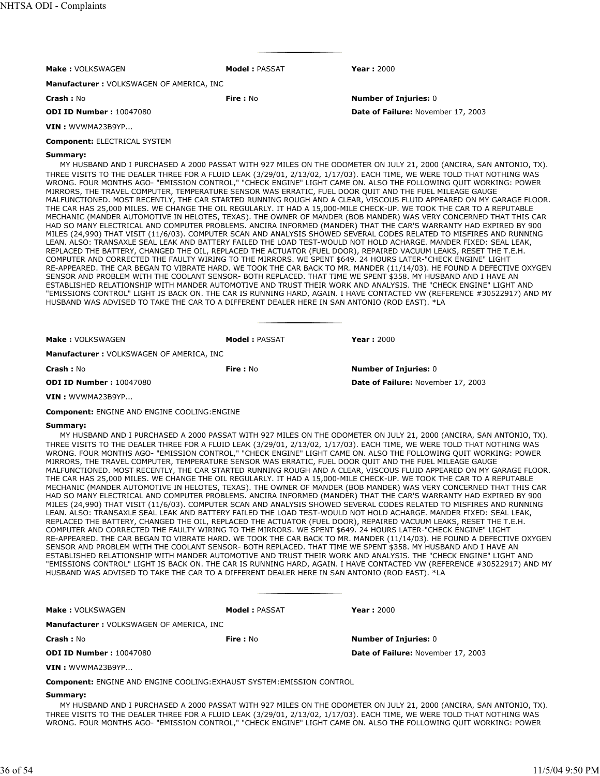| <b>Make: VOLKSWAGEN</b>                  | Model: PASSAT | Year: $2000$                       |
|------------------------------------------|---------------|------------------------------------|
| Manufacturer: VOLKSWAGEN OF AMERICA, INC |               |                                    |
| Crash: No                                | Fire: No      | <b>Number of Injuries: 0</b>       |
| <b>ODI ID Number: 10047080</b>           |               | Date of Failure: November 17, 2003 |
| $VIN:$ WVWMA23B9YP                       |               |                                    |
| <b>Component: ELECTRICAL SYSTEM</b>      |               |                                    |

MY HUSBAND AND I PURCHASED A 2000 PASSAT WITH 927 MILES ON THE ODOMETER ON JULY 21, 2000 (ANCIRA, SAN ANTONIO, TX). THREE VISITS TO THE DEALER THREE FOR A FLUID LEAK (3/29/01, 2/13/02, 1/17/03). EACH TIME, WE WERE TOLD THAT NOTHING WAS WRONG. FOUR MONTHS AGO- "EMISSION CONTROL," "CHECK ENGINE" LIGHT CAME ON. ALSO THE FOLLOWING QUIT WORKING: POWER MIRRORS, THE TRAVEL COMPUTER, TEMPERATURE SENSOR WAS ERRATIC, FUEL DOOR QUIT AND THE FUEL MILEAGE GAUGE MALFUNCTIONED. MOST RECENTLY, THE CAR STARTED RUNNING ROUGH AND A CLEAR, VISCOUS FLUID APPEARED ON MY GARAGE FLOOR. THE CAR HAS 25,000 MILES. WE CHANGE THE OIL REGULARLY. IT HAD A 15,000-MILE CHECK-UP. WE TOOK THE CAR TO A REPUTABLE MECHANIC (MANDER AUTOMOTIVE IN HELOTES, TEXAS). THE OWNER OF MANDER (BOB MANDER) WAS VERY CONCERNED THAT THIS CAR HAD SO MANY ELECTRICAL AND COMPUTER PROBLEMS. ANCIRA INFORMED (MANDER) THAT THE CAR'S WARRANTY HAD EXPIRED BY 900 MILES (24,990) THAT VISIT (11/6/03). COMPUTER SCAN AND ANALYSIS SHOWED SEVERAL CODES RELATED TO MISFIRES AND RUNNING LEAN. ALSO: TRANSAXLE SEAL LEAK AND BATTERY FAILED THE LOAD TEST-WOULD NOT HOLD ACHARGE. MANDER FIXED: SEAL LEAK, REPLACED THE BATTERY, CHANGED THE OIL, REPLACED THE ACTUATOR (FUEL DOOR), REPAIRED VACUUM LEAKS, RESET THE T.E.H. COMPUTER AND CORRECTED THE FAULTY WIRING TO THE MIRRORS. WE SPENT \$649. 24 HOURS LATER-"CHECK ENGINE" LIGHT RE-APPEARED. THE CAR BEGAN TO VIBRATE HARD. WE TOOK THE CAR BACK TO MR. MANDER (11/14/03). HE FOUND A DEFECTIVE OXYGEN SENSOR AND PROBLEM WITH THE COOLANT SENSOR- BOTH REPLACED. THAT TIME WE SPENT \$358. MY HUSBAND AND I HAVE AN ESTABLISHED RELATIONSHIP WITH MANDER AUTOMOTIVE AND TRUST THEIR WORK AND ANALYSIS. THE "CHECK ENGINE" LIGHT AND "EMISSIONS CONTROL" LIGHT IS BACK ON. THE CAR IS RUNNING HARD, AGAIN. I HAVE CONTACTED VW (REFERENCE #30522917) AND MY HUSBAND WAS ADVISED TO TAKE THE CAR TO A DIFFERENT DEALER HERE IN SAN ANTONIO (ROD EAST). \*LA

| <b>Make: VOLKSWAGEN</b>                  | <b>Model: PASSAT</b> | Year: $2000$                       |
|------------------------------------------|----------------------|------------------------------------|
| Manufacturer: VOLKSWAGEN OF AMERICA, INC |                      |                                    |
| <b>Crash: No</b>                         | Fire: No             | <b>Number of Injuries: 0</b>       |
| <b>ODI ID Number: 10047080</b>           |                      | Date of Failure: November 17, 2003 |
| VIN : WVWMA23B9YP                        |                      |                                    |

**Component:** ENGINE AND ENGINE COOLING:ENGINE

# **Summary:**

MY HUSBAND AND I PURCHASED A 2000 PASSAT WITH 927 MILES ON THE ODOMETER ON JULY 21, 2000 (ANCIRA, SAN ANTONIO, TX). THREE VISITS TO THE DEALER THREE FOR A FLUID LEAK (3/29/01, 2/13/02, 1/17/03). EACH TIME, WE WERE TOLD THAT NOTHING WAS WRONG. FOUR MONTHS AGO- "EMISSION CONTROL," "CHECK ENGINE" LIGHT CAME ON. ALSO THE FOLLOWING QUIT WORKING: POWER MIRRORS, THE TRAVEL COMPUTER, TEMPERATURE SENSOR WAS ERRATIC, FUEL DOOR QUIT AND THE FUEL MILEAGE GAUGE MALFUNCTIONED. MOST RECENTLY, THE CAR STARTED RUNNING ROUGH AND A CLEAR, VISCOUS FLUID APPEARED ON MY GARAGE FLOOR. THE CAR HAS 25,000 MILES. WE CHANGE THE OIL REGULARLY. IT HAD A 15,000-MILE CHECK-UP. WE TOOK THE CAR TO A REPUTABLE MECHANIC (MANDER AUTOMOTIVE IN HELOTES, TEXAS). THE OWNER OF MANDER (BOB MANDER) WAS VERY CONCERNED THAT THIS CAR HAD SO MANY ELECTRICAL AND COMPUTER PROBLEMS. ANCIRA INFORMED (MANDER) THAT THE CAR'S WARRANTY HAD EXPIRED BY 900 MILES (24,990) THAT VISIT (11/6/03). COMPUTER SCAN AND ANALYSIS SHOWED SEVERAL CODES RELATED TO MISFIRES AND RUNNING LEAN. ALSO: TRANSAXLE SEAL LEAK AND BATTERY FAILED THE LOAD TEST-WOULD NOT HOLD ACHARGE. MANDER FIXED: SEAL LEAK, REPLACED THE BATTERY, CHANGED THE OIL, REPLACED THE ACTUATOR (FUEL DOOR), REPAIRED VACUUM LEAKS, RESET THE T.E.H. COMPUTER AND CORRECTED THE FAULTY WIRING TO THE MIRRORS. WE SPENT \$649. 24 HOURS LATER-"CHECK ENGINE" LIGHT RE-APPEARED. THE CAR BEGAN TO VIBRATE HARD. WE TOOK THE CAR BACK TO MR. MANDER (11/14/03). HE FOUND A DEFECTIVE OXYGEN SENSOR AND PROBLEM WITH THE COOLANT SENSOR- BOTH REPLACED. THAT TIME WE SPENT \$358. MY HUSBAND AND I HAVE AN ESTABLISHED RELATIONSHIP WITH MANDER AUTOMOTIVE AND TRUST THEIR WORK AND ANALYSIS. THE "CHECK ENGINE" LIGHT AND "EMISSIONS CONTROL" LIGHT IS BACK ON. THE CAR IS RUNNING HARD, AGAIN. I HAVE CONTACTED VW (REFERENCE #30522917) AND MY HUSBAND WAS ADVISED TO TAKE THE CAR TO A DIFFERENT DEALER HERE IN SAN ANTONIO (ROD EAST). \*LA

| Make: VOLKSWAGEN                                                              | <b>Model: PASSAT</b> | <b>Year: 2000</b>                  |
|-------------------------------------------------------------------------------|----------------------|------------------------------------|
| <b>Manufacturer: VOLKSWAGEN OF AMERICA, INC.</b>                              |                      |                                    |
| <b>Crash: No</b>                                                              | Fire: No             | <b>Number of Injuries: 0</b>       |
| <b>ODI ID Number: 10047080</b>                                                |                      | Date of Failure: November 17, 2003 |
| VIN: WVWMA23B9YP                                                              |                      |                                    |
| <b>Component: ENGINE AND ENGINE COOLING: EXHAUST SYSTEM: EMISSION CONTROL</b> |                      |                                    |

#### **Summary:**

MY HUSBAND AND I PURCHASED A 2000 PASSAT WITH 927 MILES ON THE ODOMETER ON JULY 21, 2000 (ANCIRA, SAN ANTONIO, TX). THREE VISITS TO THE DEALER THREE FOR A FLUID LEAK (3/29/01, 2/13/02, 1/17/03). EACH TIME, WE WERE TOLD THAT NOTHING WAS WRONG. FOUR MONTHS AGO- "EMISSION CONTROL," "CHECK ENGINE" LIGHT CAME ON. ALSO THE FOLLOWING QUIT WORKING: POWER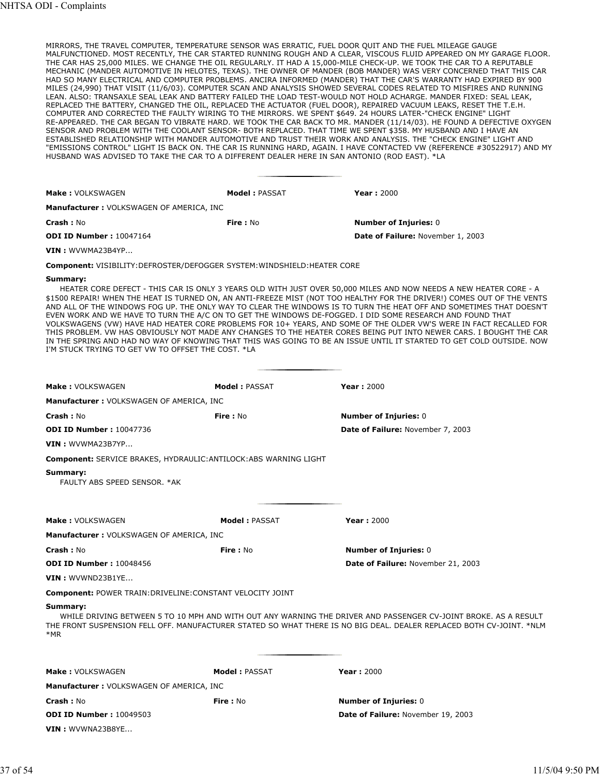MIRRORS, THE TRAVEL COMPUTER, TEMPERATURE SENSOR WAS ERRATIC, FUEL DOOR QUIT AND THE FUEL MILEAGE GAUGE MALFUNCTIONED. MOST RECENTLY, THE CAR STARTED RUNNING ROUGH AND A CLEAR, VISCOUS FLUID APPEARED ON MY GARAGE FLOOR. THE CAR HAS 25,000 MILES. WE CHANGE THE OIL REGULARLY. IT HAD A 15,000-MILE CHECK-UP. WE TOOK THE CAR TO A REPUTABLE MECHANIC (MANDER AUTOMOTIVE IN HELOTES, TEXAS). THE OWNER OF MANDER (BOB MANDER) WAS VERY CONCERNED THAT THIS CAR HAD SO MANY ELECTRICAL AND COMPUTER PROBLEMS. ANCIRA INFORMED (MANDER) THAT THE CAR'S WARRANTY HAD EXPIRED BY 900 MILES (24,990) THAT VISIT (11/6/03). COMPUTER SCAN AND ANALYSIS SHOWED SEVERAL CODES RELATED TO MISFIRES AND RUNNING LEAN. ALSO: TRANSAXLE SEAL LEAK AND BATTERY FAILED THE LOAD TEST-WOULD NOT HOLD ACHARGE. MANDER FIXED: SEAL LEAK, REPLACED THE BATTERY, CHANGED THE OIL, REPLACED THE ACTUATOR (FUEL DOOR), REPAIRED VACUUM LEAKS, RESET THE T.E.H. COMPUTER AND CORRECTED THE FAULTY WIRING TO THE MIRRORS. WE SPENT \$649. 24 HOURS LATER-"CHECK ENGINE" LIGHT RE-APPEARED. THE CAR BEGAN TO VIBRATE HARD. WE TOOK THE CAR BACK TO MR. MANDER (11/14/03). HE FOUND A DEFECTIVE OXYGEN SENSOR AND PROBLEM WITH THE COOLANT SENSOR- BOTH REPLACED. THAT TIME WE SPENT \$358. MY HUSBAND AND I HAVE AN ESTABLISHED RELATIONSHIP WITH MANDER AUTOMOTIVE AND TRUST THEIR WORK AND ANALYSIS. THE "CHECK ENGINE" LIGHT AND "EMISSIONS CONTROL" LIGHT IS BACK ON. THE CAR IS RUNNING HARD, AGAIN. I HAVE CONTACTED VW (REFERENCE #30522917) AND MY HUSBAND WAS ADVISED TO TAKE THE CAR TO A DIFFERENT DEALER HERE IN SAN ANTONIO (ROD EAST). \*LA

| Make: VOLKSWAGEN                                                                                                                                                            | Model: PASSAT | <b>Year: 2000</b>                                                                                                                                                                                                                                                                                                                                                                                                                                                                                                                                                                                                                                                                                                                        |  |
|-----------------------------------------------------------------------------------------------------------------------------------------------------------------------------|---------------|------------------------------------------------------------------------------------------------------------------------------------------------------------------------------------------------------------------------------------------------------------------------------------------------------------------------------------------------------------------------------------------------------------------------------------------------------------------------------------------------------------------------------------------------------------------------------------------------------------------------------------------------------------------------------------------------------------------------------------------|--|
| Manufacturer: VOLKSWAGEN OF AMERICA, INC                                                                                                                                    |               |                                                                                                                                                                                                                                                                                                                                                                                                                                                                                                                                                                                                                                                                                                                                          |  |
| Crash: No                                                                                                                                                                   | Fire: No      | <b>Number of Injuries: 0</b>                                                                                                                                                                                                                                                                                                                                                                                                                                                                                                                                                                                                                                                                                                             |  |
| <b>ODI ID Number: 10047164</b>                                                                                                                                              |               | Date of Failure: November 1, 2003                                                                                                                                                                                                                                                                                                                                                                                                                                                                                                                                                                                                                                                                                                        |  |
| VIN: WVWMA23B4YP                                                                                                                                                            |               |                                                                                                                                                                                                                                                                                                                                                                                                                                                                                                                                                                                                                                                                                                                                          |  |
| <b>Component: VISIBILITY:DEFROSTER/DEFOGGER SYSTEM:WINDSHIELD:HEATER CORE</b>                                                                                               |               |                                                                                                                                                                                                                                                                                                                                                                                                                                                                                                                                                                                                                                                                                                                                          |  |
| Summary:<br>EVEN WORK AND WE HAVE TO TURN THE A/C ON TO GET THE WINDOWS DE-FOGGED. I DID SOME RESEARCH AND FOUND THAT<br>I'M STUCK TRYING TO GET VW TO OFFSET THE COST. *LA |               | HEATER CORE DEFECT - THIS CAR IS ONLY 3 YEARS OLD WITH JUST OVER 50,000 MILES AND NOW NEEDS A NEW HEATER CORE - A<br>\$1500 REPAIR! WHEN THE HEAT IS TURNED ON, AN ANTI-FREEZE MIST (NOT TOO HEALTHY FOR THE DRIVER!) COMES OUT OF THE VENTS<br>AND ALL OF THE WINDOWS FOG UP. THE ONLY WAY TO CLEAR THE WINDOWS IS TO TURN THE HEAT OFF AND SOMETIMES THAT DOESN'T<br>VOLKSWAGENS (VW) HAVE HAD HEATER CORE PROBLEMS FOR 10+ YEARS, AND SOME OF THE OLDER VW'S WERE IN FACT RECALLED FOR<br>THIS PROBLEM. VW HAS OBVIOUSLY NOT MADE ANY CHANGES TO THE HEATER CORES BEING PUT INTO NEWER CARS. I BOUGHT THE CAR<br>IN THE SPRING AND HAD NO WAY OF KNOWING THAT THIS WAS GOING TO BE AN ISSUE UNTIL IT STARTED TO GET COLD OUTSIDE. NOW |  |
| Make: VOLKSWAGEN                                                                                                                                                            | Model: PASSAT | <b>Year: 2000</b>                                                                                                                                                                                                                                                                                                                                                                                                                                                                                                                                                                                                                                                                                                                        |  |
| Manufacturer: VOLKSWAGEN OF AMERICA, INC                                                                                                                                    |               |                                                                                                                                                                                                                                                                                                                                                                                                                                                                                                                                                                                                                                                                                                                                          |  |
| Crash: No                                                                                                                                                                   | Fire: No      | <b>Number of Injuries: 0</b>                                                                                                                                                                                                                                                                                                                                                                                                                                                                                                                                                                                                                                                                                                             |  |
| <b>ODI ID Number: 10047736</b>                                                                                                                                              |               | Date of Failure: November 7, 2003                                                                                                                                                                                                                                                                                                                                                                                                                                                                                                                                                                                                                                                                                                        |  |
| $VIN:$ WVWMA23B7YP                                                                                                                                                          |               |                                                                                                                                                                                                                                                                                                                                                                                                                                                                                                                                                                                                                                                                                                                                          |  |

**Component:** SERVICE BRAKES, HYDRAULIC:ANTILOCK:ABS WARNING LIGHT

#### **Summary:**

FAULTY ABS SPEED SENSOR. \*AK

| Make: VOLKSWAGEN                                           | Model: PASSAT | Year: $2000$                                                                                                                                                                                                                            |
|------------------------------------------------------------|---------------|-----------------------------------------------------------------------------------------------------------------------------------------------------------------------------------------------------------------------------------------|
| Manufacturer: VOLKSWAGEN OF AMERICA, INC                   |               |                                                                                                                                                                                                                                         |
| Crash: No                                                  | Fire: No      | <b>Number of Injuries: 0</b>                                                                                                                                                                                                            |
| <b>ODI ID Number: 10048456</b>                             |               | Date of Failure: November 21, 2003                                                                                                                                                                                                      |
| <b>VIN</b> : WVWND23B1YE                                   |               |                                                                                                                                                                                                                                         |
| Component: POWER TRAIN: DRIVELINE: CONSTANT VELOCITY JOINT |               |                                                                                                                                                                                                                                         |
| Summary:<br>*MR                                            |               | WHILE DRIVING BETWEEN 5 TO 10 MPH AND WITH OUT ANY WARNING THE DRIVER AND PASSENGER CV-JOINT BROKE. AS A RESULT<br>THE FRONT SUSPENSION FELL OFF. MANUFACTURER STATED SO WHAT THERE IS NO BIG DEAL. DEALER REPLACED BOTH CV-JOINT. *NLM |

| <b>Make: VOLKSWAGEN</b>                  | <b>Model: PASSAT</b> |
|------------------------------------------|----------------------|
| Manufacturer: VOLKSWAGEN OF AMERICA, INC |                      |
| <b>Crash: No</b>                         | Fire : No            |
| <b>ODI ID Number: 10049503</b>           |                      |
| <b>VIN</b> : WVWNA23B8YE                 |                      |

**Number of Injuries: 0** Date of Failure: November 19, 2003

**Year: 2000**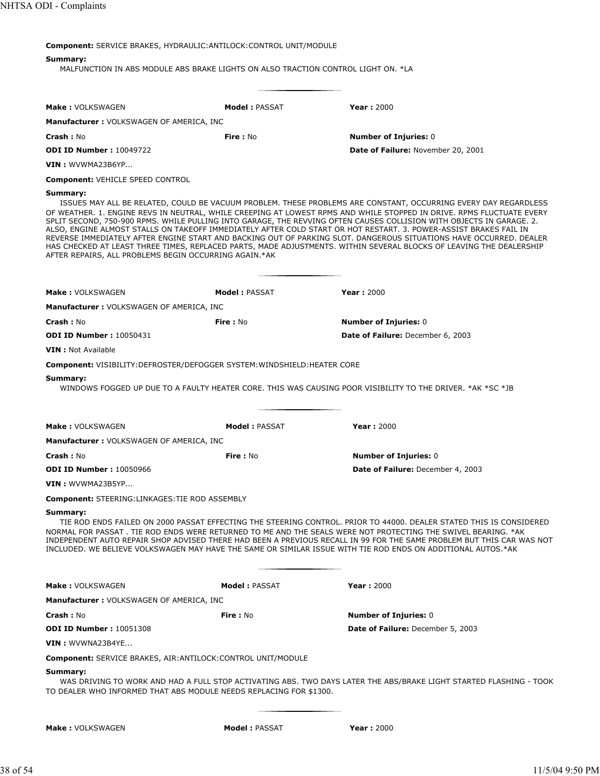**Component:** SERVICE BRAKES, HYDRAULIC:ANTILOCK:CONTROL UNIT/MODULE

# **Summary:**

MALFUNCTION IN ABS MODULE ABS BRAKE LIGHTS ON ALSO TRACTION CONTROL LIGHT ON. \*LA

| <b>Make: VOLKSWAGEN</b>                                                        | <b>Model: PASSAT</b> | <b>Year: 2000</b>                                                                                                                                                                                                                                                                                                                                                                                                                                                                                                                                                                                                                                                                                                                  |
|--------------------------------------------------------------------------------|----------------------|------------------------------------------------------------------------------------------------------------------------------------------------------------------------------------------------------------------------------------------------------------------------------------------------------------------------------------------------------------------------------------------------------------------------------------------------------------------------------------------------------------------------------------------------------------------------------------------------------------------------------------------------------------------------------------------------------------------------------------|
| Manufacturer: VOLKSWAGEN OF AMERICA, INC                                       |                      |                                                                                                                                                                                                                                                                                                                                                                                                                                                                                                                                                                                                                                                                                                                                    |
| <b>Crash: No</b>                                                               | <b>Fire: No</b>      | <b>Number of Injuries: 0</b>                                                                                                                                                                                                                                                                                                                                                                                                                                                                                                                                                                                                                                                                                                       |
| <b>ODI ID Number: 10049722</b>                                                 |                      | Date of Failure: November 20, 2001                                                                                                                                                                                                                                                                                                                                                                                                                                                                                                                                                                                                                                                                                                 |
| $VIN:$ WVWMA23B6YP                                                             |                      |                                                                                                                                                                                                                                                                                                                                                                                                                                                                                                                                                                                                                                                                                                                                    |
| <b>Component: VEHICLE SPEED CONTROL</b>                                        |                      |                                                                                                                                                                                                                                                                                                                                                                                                                                                                                                                                                                                                                                                                                                                                    |
| Summary:<br>AFTER REPAIRS, ALL PROBLEMS BEGIN OCCURRING AGAIN.*AK              |                      | ISSUES MAY ALL BE RELATED, COULD BE VACUUM PROBLEM. THESE PROBLEMS ARE CONSTANT, OCCURRING EVERY DAY REGARDLESS<br>OF WEATHER. 1. ENGINE REVS IN NEUTRAL, WHILE CREEPING AT LOWEST RPMS AND WHILE STOPPED IN DRIVE. RPMS FLUCTUATE EVERY<br>SPLIT SECOND, 750-900 RPMS. WHILE PULLING INTO GARAGE, THE REVVING OFTEN CAUSES COLLISION WITH OBJECTS IN GARAGE. 2.<br>ALSO, ENGINE ALMOST STALLS ON TAKEOFF IMMEDIATELY AFTER COLD START OR HOT RESTART. 3. POWER-ASSIST BRAKES FAIL IN<br>REVERSE IMMEDIATELY AFTER ENGINE START AND BACKING OUT OF PARKING SLOT. DANGEROUS SITUATIONS HAVE OCCURRED. DEALER<br>HAS CHECKED AT LEAST THREE TIMES, REPLACED PARTS, MADE ADJUSTMENTS. WITHIN SEVERAL BLOCKS OF LEAVING THE DEALERSHIP |
| Make: VOLKSWAGEN                                                               | <b>Model: PASSAT</b> | <b>Year: 2000</b>                                                                                                                                                                                                                                                                                                                                                                                                                                                                                                                                                                                                                                                                                                                  |
| <b>Manufacturer: VOLKSWAGEN OF AMERICA, INC</b>                                |                      |                                                                                                                                                                                                                                                                                                                                                                                                                                                                                                                                                                                                                                                                                                                                    |
| Crash: No                                                                      | <b>Fire: No</b>      | <b>Number of Injuries: 0</b>                                                                                                                                                                                                                                                                                                                                                                                                                                                                                                                                                                                                                                                                                                       |
| <b>ODI ID Number: 10050431</b>                                                 |                      | Date of Failure: December 6, 2003                                                                                                                                                                                                                                                                                                                                                                                                                                                                                                                                                                                                                                                                                                  |
| <b>VIN</b> : Not Available                                                     |                      |                                                                                                                                                                                                                                                                                                                                                                                                                                                                                                                                                                                                                                                                                                                                    |
| <b>Component:</b> VISIBILITY:DEFROSTER/DEFOGGER SYSTEM:WINDSHIELD:HEATER CORE  |                      |                                                                                                                                                                                                                                                                                                                                                                                                                                                                                                                                                                                                                                                                                                                                    |
| Summary:                                                                       |                      | WINDOWS FOGGED UP DUE TO A FAULTY HEATER CORE. THIS WAS CAUSING POOR VISIBILITY TO THE DRIVER. *AK *SC *JB                                                                                                                                                                                                                                                                                                                                                                                                                                                                                                                                                                                                                         |
| <b>Make: VOLKSWAGEN</b>                                                        | <b>Model: PASSAT</b> | <b>Year: 2000</b>                                                                                                                                                                                                                                                                                                                                                                                                                                                                                                                                                                                                                                                                                                                  |
| <b>Manufacturer: VOLKSWAGEN OF AMERICA, INC</b>                                |                      |                                                                                                                                                                                                                                                                                                                                                                                                                                                                                                                                                                                                                                                                                                                                    |
| <b>Crash: No</b>                                                               | <b>Fire: No</b>      | <b>Number of Injuries: 0</b>                                                                                                                                                                                                                                                                                                                                                                                                                                                                                                                                                                                                                                                                                                       |
| <b>ODI ID Number: 10050966</b>                                                 |                      | Date of Failure: December 4, 2003                                                                                                                                                                                                                                                                                                                                                                                                                                                                                                                                                                                                                                                                                                  |
| VIN: WVWMA23B5YP                                                               |                      |                                                                                                                                                                                                                                                                                                                                                                                                                                                                                                                                                                                                                                                                                                                                    |
| <b>Component: STEERING:LINKAGES:TIE ROD ASSEMBLY</b>                           |                      |                                                                                                                                                                                                                                                                                                                                                                                                                                                                                                                                                                                                                                                                                                                                    |
| Summary:                                                                       |                      | TIE ROD ENDS FAILED ON 2000 PASSAT EFFECTING THE STEERING CONTROL. PRIOR TO 44000. DEALER STATED THIS IS CONSIDERED<br>NORMAL FOR PASSAT . TIE ROD ENDS WERE RETURNED TO ME AND THE SEALS WERE NOT PROTECTING THE SWIVEL BEARING. *AK<br>INDEPENDENT AUTO REPAIR SHOP ADVISED THERE HAD BEEN A PREVIOUS RECALL IN 99 FOR THE SAME PROBLEM BUT THIS CAR WAS NOT<br>INCLUDED. WE BELIEVE VOLKSWAGEN MAY HAVE THE SAME OR SIMILAR ISSUE WITH TIE ROD ENDS ON ADDITIONAL AUTOS.*AK                                                                                                                                                                                                                                                     |
| <b>Make: VOLKSWAGEN</b>                                                        | <b>Model: PASSAT</b> | <b>Year: 2000</b>                                                                                                                                                                                                                                                                                                                                                                                                                                                                                                                                                                                                                                                                                                                  |
| <b>Manufacturer: VOLKSWAGEN OF AMERICA, INC</b>                                |                      |                                                                                                                                                                                                                                                                                                                                                                                                                                                                                                                                                                                                                                                                                                                                    |
| Crash: No                                                                      | Fire: No             | <b>Number of Injuries: 0</b>                                                                                                                                                                                                                                                                                                                                                                                                                                                                                                                                                                                                                                                                                                       |
| <b>ODI ID Number: 10051308</b>                                                 |                      | Date of Failure: December 5, 2003                                                                                                                                                                                                                                                                                                                                                                                                                                                                                                                                                                                                                                                                                                  |
| VIN: WVWNA23B4YE                                                               |                      |                                                                                                                                                                                                                                                                                                                                                                                                                                                                                                                                                                                                                                                                                                                                    |
| <b>Component: SERVICE BRAKES, AIR: ANTILOCK: CONTROL UNIT/MODULE</b>           |                      |                                                                                                                                                                                                                                                                                                                                                                                                                                                                                                                                                                                                                                                                                                                                    |
| Summary:<br>TO DEALER WHO INFORMED THAT ABS MODULE NEEDS REPLACING FOR \$1300. |                      | WAS DRIVING TO WORK AND HAD A FULL STOP ACTIVATING ABS. TWO DAYS LATER THE ABS/BRAKE LIGHT STARTED FLASHING - TOOK                                                                                                                                                                                                                                                                                                                                                                                                                                                                                                                                                                                                                 |

| <b>Make: VOLKSWAGEN</b> | <b>Model: PASSAT</b> | Year: $2000$ |
|-------------------------|----------------------|--------------|
|                         |                      |              |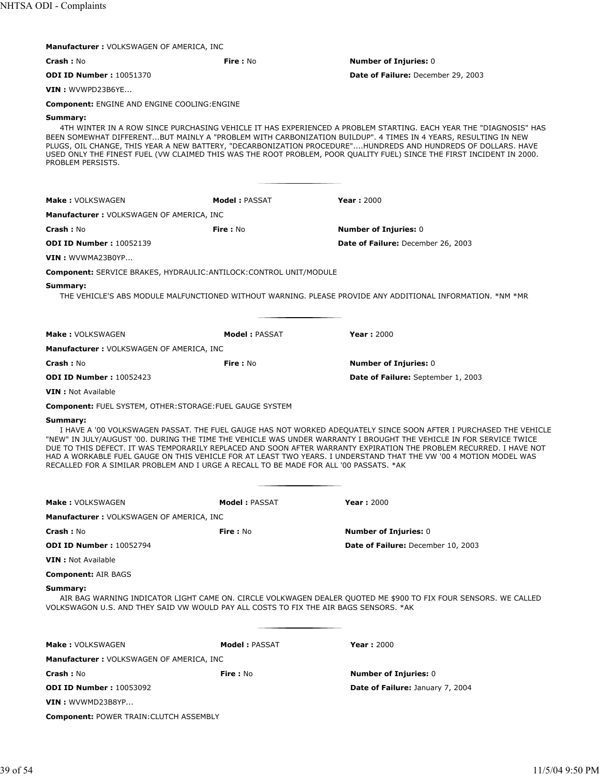| <b>Manufacturer: VOLKSWAGEN OF AMERICA, INC</b>                                                                                                                                                                                                                                                                                                                                                                                                                                                                                                                                            |                      |                                                                                                                                                                                                                                                                                                                                                                                                                                                                               |  |
|--------------------------------------------------------------------------------------------------------------------------------------------------------------------------------------------------------------------------------------------------------------------------------------------------------------------------------------------------------------------------------------------------------------------------------------------------------------------------------------------------------------------------------------------------------------------------------------------|----------------------|-------------------------------------------------------------------------------------------------------------------------------------------------------------------------------------------------------------------------------------------------------------------------------------------------------------------------------------------------------------------------------------------------------------------------------------------------------------------------------|--|
| Crash: No                                                                                                                                                                                                                                                                                                                                                                                                                                                                                                                                                                                  | Fire: No             | <b>Number of Injuries: 0</b>                                                                                                                                                                                                                                                                                                                                                                                                                                                  |  |
| <b>ODI ID Number: 10051370</b>                                                                                                                                                                                                                                                                                                                                                                                                                                                                                                                                                             |                      | Date of Failure: December 29, 2003                                                                                                                                                                                                                                                                                                                                                                                                                                            |  |
| VIN: WVWPD23B6YE                                                                                                                                                                                                                                                                                                                                                                                                                                                                                                                                                                           |                      |                                                                                                                                                                                                                                                                                                                                                                                                                                                                               |  |
| <b>Component: ENGINE AND ENGINE COOLING: ENGINE</b>                                                                                                                                                                                                                                                                                                                                                                                                                                                                                                                                        |                      |                                                                                                                                                                                                                                                                                                                                                                                                                                                                               |  |
| Summary:<br>PROBLEM PERSISTS.                                                                                                                                                                                                                                                                                                                                                                                                                                                                                                                                                              |                      | 4TH WINTER IN A ROW SINCE PURCHASING VEHICLE IT HAS EXPERIENCED A PROBLEM STARTING. EACH YEAR THE "DIAGNOSIS" HAS<br>BEEN SOMEWHAT DIFFERENTBUT MAINLY A "PROBLEM WITH CARBONIZATION BUILDUP". 4 TIMES IN 4 YEARS, RESULTING IN NEW<br>PLUGS, OIL CHANGE, THIS YEAR A NEW BATTERY, "DECARBONIZATION PROCEDURE"HUNDREDS AND HUNDREDS OF DOLLARS. HAVE<br>USED ONLY THE FINEST FUEL (VW CLAIMED THIS WAS THE ROOT PROBLEM, POOR QUALITY FUEL) SINCE THE FIRST INCIDENT IN 2000. |  |
| <b>Make: VOLKSWAGEN</b>                                                                                                                                                                                                                                                                                                                                                                                                                                                                                                                                                                    | <b>Model: PASSAT</b> | <b>Year: 2000</b>                                                                                                                                                                                                                                                                                                                                                                                                                                                             |  |
| <b>Manufacturer: VOLKSWAGEN OF AMERICA, INC</b>                                                                                                                                                                                                                                                                                                                                                                                                                                                                                                                                            |                      |                                                                                                                                                                                                                                                                                                                                                                                                                                                                               |  |
| <b>Crash: No</b>                                                                                                                                                                                                                                                                                                                                                                                                                                                                                                                                                                           | <b>Fire: No</b>      | <b>Number of Injuries: 0</b>                                                                                                                                                                                                                                                                                                                                                                                                                                                  |  |
| <b>ODI ID Number: 10052139</b>                                                                                                                                                                                                                                                                                                                                                                                                                                                                                                                                                             |                      | Date of Failure: December 26, 2003                                                                                                                                                                                                                                                                                                                                                                                                                                            |  |
| VIN: WVWMA23B0YP                                                                                                                                                                                                                                                                                                                                                                                                                                                                                                                                                                           |                      |                                                                                                                                                                                                                                                                                                                                                                                                                                                                               |  |
| <b>Component: SERVICE BRAKES, HYDRAULIC: ANTILOCK: CONTROL UNIT/MODULE</b>                                                                                                                                                                                                                                                                                                                                                                                                                                                                                                                 |                      |                                                                                                                                                                                                                                                                                                                                                                                                                                                                               |  |
| Summary:                                                                                                                                                                                                                                                                                                                                                                                                                                                                                                                                                                                   |                      | THE VEHICLE'S ABS MODULE MALFUNCTIONED WITHOUT WARNING. PLEASE PROVIDE ANY ADDITIONAL INFORMATION. *NM *MR                                                                                                                                                                                                                                                                                                                                                                    |  |
| <b>Make: VOLKSWAGEN</b>                                                                                                                                                                                                                                                                                                                                                                                                                                                                                                                                                                    | <b>Model: PASSAT</b> | <b>Year: 2000</b>                                                                                                                                                                                                                                                                                                                                                                                                                                                             |  |
| Manufacturer : VOLKSWAGEN OF AMERICA, INC                                                                                                                                                                                                                                                                                                                                                                                                                                                                                                                                                  |                      |                                                                                                                                                                                                                                                                                                                                                                                                                                                                               |  |
| <b>Crash: No</b>                                                                                                                                                                                                                                                                                                                                                                                                                                                                                                                                                                           | Fire: No             | <b>Number of Injuries: 0</b>                                                                                                                                                                                                                                                                                                                                                                                                                                                  |  |
| <b>ODI ID Number: 10052423</b>                                                                                                                                                                                                                                                                                                                                                                                                                                                                                                                                                             |                      | Date of Failure: September 1, 2003                                                                                                                                                                                                                                                                                                                                                                                                                                            |  |
| <b>VIN</b> : Not Available                                                                                                                                                                                                                                                                                                                                                                                                                                                                                                                                                                 |                      |                                                                                                                                                                                                                                                                                                                                                                                                                                                                               |  |
| <b>Component: FUEL SYSTEM, OTHER: STORAGE: FUEL GAUGE SYSTEM</b>                                                                                                                                                                                                                                                                                                                                                                                                                                                                                                                           |                      |                                                                                                                                                                                                                                                                                                                                                                                                                                                                               |  |
| Summary:<br>I HAVE A '00 VOLKSWAGEN PASSAT. THE FUEL GAUGE HAS NOT WORKED ADEQUATELY SINCE SOON AFTER I PURCHASED THE VEHICLE<br>"NEW" IN JULY/AUGUST '00. DURING THE TIME THE VEHICLE WAS UNDER WARRANTY I BROUGHT THE VEHICLE IN FOR SERVICE TWICE<br>DUE TO THIS DEFECT. IT WAS TEMPORARILY REPLACED AND SOON AFTER WARRANTY EXPIRATION THE PROBLEM RECURRED. I HAVE NOT<br>HAD A WORKABLE FUEL GAUGE ON THIS VEHICLE FOR AT LEAST TWO YEARS. I UNDERSTAND THAT THE VW '00 4 MOTION MODEL WAS<br>RECALLED FOR A SIMILAR PROBLEM AND I URGE A RECALL TO BE MADE FOR ALL '00 PASSATS. *AK |                      |                                                                                                                                                                                                                                                                                                                                                                                                                                                                               |  |
|                                                                                                                                                                                                                                                                                                                                                                                                                                                                                                                                                                                            |                      |                                                                                                                                                                                                                                                                                                                                                                                                                                                                               |  |
| <b>Make: VOLKSWAGEN</b>                                                                                                                                                                                                                                                                                                                                                                                                                                                                                                                                                                    | Model: PASSAT        | <b>Year: 2000</b>                                                                                                                                                                                                                                                                                                                                                                                                                                                             |  |
| <b>Manufacturer: VOLKSWAGEN OF AMERICA, INC</b>                                                                                                                                                                                                                                                                                                                                                                                                                                                                                                                                            |                      |                                                                                                                                                                                                                                                                                                                                                                                                                                                                               |  |
| <b>Crash: No</b>                                                                                                                                                                                                                                                                                                                                                                                                                                                                                                                                                                           | Fire : No            | <b>Number of Injuries: 0</b>                                                                                                                                                                                                                                                                                                                                                                                                                                                  |  |
| <b>ODI ID Number: 10052794</b>                                                                                                                                                                                                                                                                                                                                                                                                                                                                                                                                                             |                      | <b>Date of Failure:</b> December 10, 2003                                                                                                                                                                                                                                                                                                                                                                                                                                     |  |
| <b>VIN</b> : Not Available                                                                                                                                                                                                                                                                                                                                                                                                                                                                                                                                                                 |                      |                                                                                                                                                                                                                                                                                                                                                                                                                                                                               |  |
| <b>Component: AIR BAGS</b><br>Summary:<br>AIR BAG WARNING INDICATOR LIGHT CAME ON. CIRCLE VOLKWAGEN DEALER QUOTED ME \$900 TO FIX FOUR SENSORS. WE CALLED<br>VOLKSWAGON U.S. AND THEY SAID VW WOULD PAY ALL COSTS TO FIX THE AIR BAGS SENSORS. *AK                                                                                                                                                                                                                                                                                                                                         |                      |                                                                                                                                                                                                                                                                                                                                                                                                                                                                               |  |
| <b>Make: VOLKSWAGEN</b>                                                                                                                                                                                                                                                                                                                                                                                                                                                                                                                                                                    | <b>Model: PASSAT</b> | <b>Year: 2000</b>                                                                                                                                                                                                                                                                                                                                                                                                                                                             |  |
| <b>Manufacturer: VOLKSWAGEN OF AMERICA, INC</b>                                                                                                                                                                                                                                                                                                                                                                                                                                                                                                                                            |                      |                                                                                                                                                                                                                                                                                                                                                                                                                                                                               |  |
| <b>Crash: No</b>                                                                                                                                                                                                                                                                                                                                                                                                                                                                                                                                                                           | <b>Fire</b> : No     | <b>Number of Injuries: 0</b>                                                                                                                                                                                                                                                                                                                                                                                                                                                  |  |
| <b>ODI ID Number: 10053092</b>                                                                                                                                                                                                                                                                                                                                                                                                                                                                                                                                                             |                      | <b>Date of Failure: January 7, 2004</b>                                                                                                                                                                                                                                                                                                                                                                                                                                       |  |
| $VIN:$ WVWMD23B8YP                                                                                                                                                                                                                                                                                                                                                                                                                                                                                                                                                                         |                      |                                                                                                                                                                                                                                                                                                                                                                                                                                                                               |  |
| <b>Component: POWER TRAIN: CLUTCH ASSEMBLY</b>                                                                                                                                                                                                                                                                                                                                                                                                                                                                                                                                             |                      |                                                                                                                                                                                                                                                                                                                                                                                                                                                                               |  |
|                                                                                                                                                                                                                                                                                                                                                                                                                                                                                                                                                                                            |                      |                                                                                                                                                                                                                                                                                                                                                                                                                                                                               |  |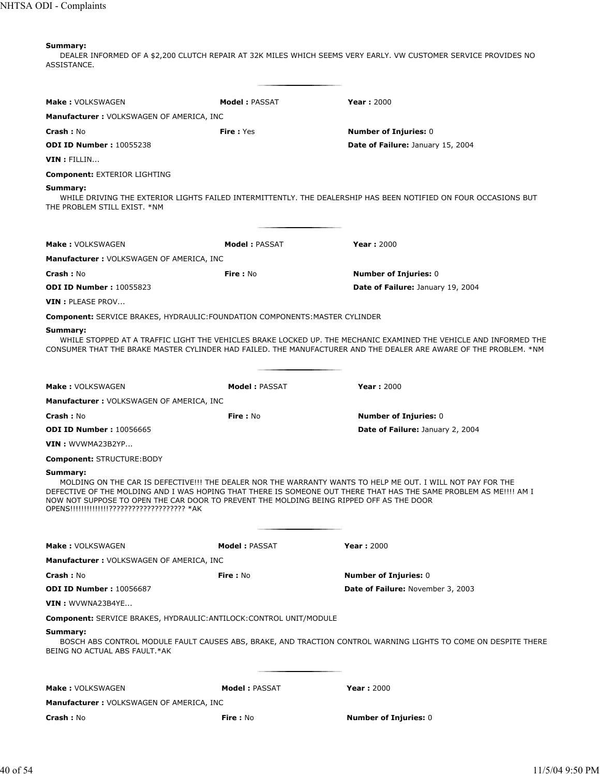DEALER INFORMED OF A \$2,200 CLUTCH REPAIR AT 32K MILES WHICH SEEMS VERY EARLY. VW CUSTOMER SERVICE PROVIDES NO ASSISTANCE.

| Make: VOLKSWAGEN                                                                                                                                    | <b>Model: PASSAT</b>  | <b>Year: 2000</b>                                                                                                                                                                                                                      |
|-----------------------------------------------------------------------------------------------------------------------------------------------------|-----------------------|----------------------------------------------------------------------------------------------------------------------------------------------------------------------------------------------------------------------------------------|
| <b>Manufacturer: VOLKSWAGEN OF AMERICA, INC</b>                                                                                                     |                       |                                                                                                                                                                                                                                        |
| <b>Crash :</b> No                                                                                                                                   | <b>Fire: Yes</b>      | <b>Number of Injuries: 0</b>                                                                                                                                                                                                           |
| <b>ODI ID Number: 10055238</b>                                                                                                                      |                       | Date of Failure: January 15, 2004                                                                                                                                                                                                      |
| $VIN: {\sf FILLIN}$                                                                                                                                 |                       |                                                                                                                                                                                                                                        |
| <b>Component: EXTERIOR LIGHTING</b>                                                                                                                 |                       |                                                                                                                                                                                                                                        |
| Summary:                                                                                                                                            |                       |                                                                                                                                                                                                                                        |
| THE PROBLEM STILL EXIST. *NM                                                                                                                        |                       | WHILE DRIVING THE EXTERIOR LIGHTS FAILED INTERMITTENTLY. THE DEALERSHIP HAS BEEN NOTIFIED ON FOUR OCCASIONS BUT                                                                                                                        |
| Make: VOLKSWAGEN                                                                                                                                    | <b>Model: PASSAT</b>  | <b>Year: 2000</b>                                                                                                                                                                                                                      |
| <b>Manufacturer: VOLKSWAGEN OF AMERICA, INC</b>                                                                                                     |                       |                                                                                                                                                                                                                                        |
| <b>Crash: No</b>                                                                                                                                    | Fire: No              | <b>Number of Injuries: 0</b>                                                                                                                                                                                                           |
| <b>ODI ID Number: 10055823</b>                                                                                                                      |                       | <b>Date of Failure: January 19, 2004</b>                                                                                                                                                                                               |
| VIN : PLEASE PROV                                                                                                                                   |                       |                                                                                                                                                                                                                                        |
| <b>Component:</b> SERVICE BRAKES, HYDRAULIC:FOUNDATION COMPONENTS:MASTER CYLINDER                                                                   |                       |                                                                                                                                                                                                                                        |
| Summary:                                                                                                                                            |                       | WHILE STOPPED AT A TRAFFIC LIGHT THE VEHICLES BRAKE LOCKED UP. THE MECHANIC EXAMINED THE VEHICLE AND INFORMED THE<br>CONSUMER THAT THE BRAKE MASTER CYLINDER HAD FAILED. THE MANUFACTURER AND THE DEALER ARE AWARE OF THE PROBLEM. *NM |
| <b>Make: VOLKSWAGEN</b>                                                                                                                             | <b>Model : PASSAT</b> | <b>Year: 2000</b>                                                                                                                                                                                                                      |
| <b>Manufacturer: VOLKSWAGEN OF AMERICA, INC</b>                                                                                                     |                       |                                                                                                                                                                                                                                        |
| <b>Crash :</b> No                                                                                                                                   | Fire: No              | <b>Number of Injuries: 0</b>                                                                                                                                                                                                           |
| <b>ODI ID Number: 10056665</b>                                                                                                                      |                       | Date of Failure: January 2, 2004                                                                                                                                                                                                       |
| VIN : WVWMA23B2YP                                                                                                                                   |                       |                                                                                                                                                                                                                                        |
| <b>Component: STRUCTURE:BODY</b>                                                                                                                    |                       |                                                                                                                                                                                                                                        |
| Summary:<br>NOW NOT SUPPOSE TO OPEN THE CAR DOOR TO PREVENT THE MOLDING BEING RIPPED OFF AS THE DOOR<br>OPENS!!!!!!!!!!!!!!???????????????????? *AK |                       | MOLDING ON THE CAR IS DEFECTIVE!!! THE DEALER NOR THE WARRANTY WANTS TO HELP ME OUT. I WILL NOT PAY FOR THE<br>DEFECTIVE OF THE MOLDING AND I WAS HOPING THAT THERE IS SOMEONE OUT THERE THAT HAS THE SAME PROBLEM AS ME!!!! AM I      |
| <b>Make: VOLKSWAGEN</b>                                                                                                                             | <b>Model: PASSAT</b>  | <b>Year: 2000</b>                                                                                                                                                                                                                      |
| <b>Manufacturer: VOLKSWAGEN OF AMERICA, INC</b>                                                                                                     |                       |                                                                                                                                                                                                                                        |
| <b>Crash :</b> No                                                                                                                                   | <b>Fire: No</b>       | <b>Number of Injuries: 0</b>                                                                                                                                                                                                           |
| <b>ODI ID Number: 10056687</b>                                                                                                                      |                       | <b>Date of Failure: November 3, 2003</b>                                                                                                                                                                                               |
| <b>VIN</b> : WVWNA23B4YE                                                                                                                            |                       |                                                                                                                                                                                                                                        |
| <b>Component:</b> SERVICE BRAKES, HYDRAULIC: ANTILOCK: CONTROL UNIT/MODULE                                                                          |                       |                                                                                                                                                                                                                                        |
| Summary:<br>BEING NO ACTUAL ABS FAULT.*AK                                                                                                           |                       | BOSCH ABS CONTROL MODULE FAULT CAUSES ABS, BRAKE, AND TRACTION CONTROL WARNING LIGHTS TO COME ON DESPITE THERE                                                                                                                         |
| <b>Make: VOLKSWAGEN</b>                                                                                                                             | <b>Model: PASSAT</b>  | <b>Year: 2000</b>                                                                                                                                                                                                                      |
| <b>Manufacturer: VOLKSWAGEN OF AMERICA, INC</b>                                                                                                     |                       |                                                                                                                                                                                                                                        |
| <b>Crash :</b> No                                                                                                                                   | <b>Fire:</b> No       | <b>Number of Injuries: 0</b>                                                                                                                                                                                                           |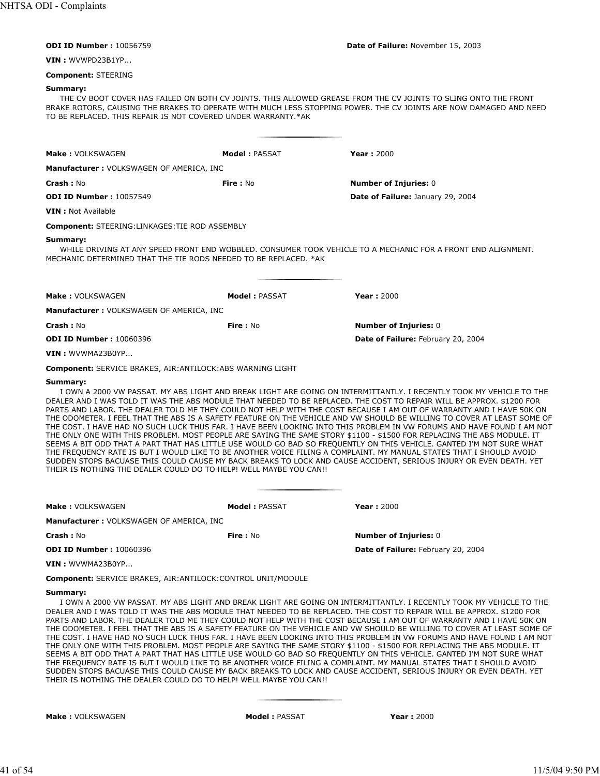| <b>ODI ID Number: 10056759</b>                                                                                                                                                                                                                                                                                                                                                                                                                                                                                                                                                                                                                                                                                                                                                                                                                                                                                                                                                                                                                                                                                                                                                                             |                      | Date of Failure: November 15, 2003                                                                                                                                                                                                  |
|------------------------------------------------------------------------------------------------------------------------------------------------------------------------------------------------------------------------------------------------------------------------------------------------------------------------------------------------------------------------------------------------------------------------------------------------------------------------------------------------------------------------------------------------------------------------------------------------------------------------------------------------------------------------------------------------------------------------------------------------------------------------------------------------------------------------------------------------------------------------------------------------------------------------------------------------------------------------------------------------------------------------------------------------------------------------------------------------------------------------------------------------------------------------------------------------------------|----------------------|-------------------------------------------------------------------------------------------------------------------------------------------------------------------------------------------------------------------------------------|
| VIN : WVWPD23B1YP                                                                                                                                                                                                                                                                                                                                                                                                                                                                                                                                                                                                                                                                                                                                                                                                                                                                                                                                                                                                                                                                                                                                                                                          |                      |                                                                                                                                                                                                                                     |
| <b>Component: STEERING</b>                                                                                                                                                                                                                                                                                                                                                                                                                                                                                                                                                                                                                                                                                                                                                                                                                                                                                                                                                                                                                                                                                                                                                                                 |                      |                                                                                                                                                                                                                                     |
| Summary:<br>TO BE REPLACED. THIS REPAIR IS NOT COVERED UNDER WARRANTY.*AK                                                                                                                                                                                                                                                                                                                                                                                                                                                                                                                                                                                                                                                                                                                                                                                                                                                                                                                                                                                                                                                                                                                                  |                      | THE CV BOOT COVER HAS FAILED ON BOTH CV JOINTS. THIS ALLOWED GREASE FROM THE CV JOINTS TO SLING ONTO THE FRONT<br>BRAKE ROTORS, CAUSING THE BRAKES TO OPERATE WITH MUCH LESS STOPPING POWER. THE CV JOINTS ARE NOW DAMAGED AND NEED |
| <b>Make: VOLKSWAGEN</b>                                                                                                                                                                                                                                                                                                                                                                                                                                                                                                                                                                                                                                                                                                                                                                                                                                                                                                                                                                                                                                                                                                                                                                                    | <b>Model: PASSAT</b> | <b>Year: 2000</b>                                                                                                                                                                                                                   |
| <b>Manufacturer: VOLKSWAGEN OF AMERICA, INC</b>                                                                                                                                                                                                                                                                                                                                                                                                                                                                                                                                                                                                                                                                                                                                                                                                                                                                                                                                                                                                                                                                                                                                                            |                      |                                                                                                                                                                                                                                     |
| <b>Crash: No</b>                                                                                                                                                                                                                                                                                                                                                                                                                                                                                                                                                                                                                                                                                                                                                                                                                                                                                                                                                                                                                                                                                                                                                                                           | Fire: No             | <b>Number of Injuries: 0</b>                                                                                                                                                                                                        |
| <b>ODI ID Number: 10057549</b>                                                                                                                                                                                                                                                                                                                                                                                                                                                                                                                                                                                                                                                                                                                                                                                                                                                                                                                                                                                                                                                                                                                                                                             |                      | Date of Failure: January 29, 2004                                                                                                                                                                                                   |
| <b>VIN</b> : Not Available                                                                                                                                                                                                                                                                                                                                                                                                                                                                                                                                                                                                                                                                                                                                                                                                                                                                                                                                                                                                                                                                                                                                                                                 |                      |                                                                                                                                                                                                                                     |
| <b>Component: STEERING:LINKAGES:TIE ROD ASSEMBLY</b>                                                                                                                                                                                                                                                                                                                                                                                                                                                                                                                                                                                                                                                                                                                                                                                                                                                                                                                                                                                                                                                                                                                                                       |                      |                                                                                                                                                                                                                                     |
| Summary:<br>MECHANIC DETERMINED THAT THE TIE RODS NEEDED TO BE REPLACED. *AK                                                                                                                                                                                                                                                                                                                                                                                                                                                                                                                                                                                                                                                                                                                                                                                                                                                                                                                                                                                                                                                                                                                               |                      | WHILE DRIVING AT ANY SPEED FRONT END WOBBLED. CONSUMER TOOK VEHICLE TO A MECHANIC FOR A FRONT END ALIGNMENT.                                                                                                                        |
| Make: VOLKSWAGEN                                                                                                                                                                                                                                                                                                                                                                                                                                                                                                                                                                                                                                                                                                                                                                                                                                                                                                                                                                                                                                                                                                                                                                                           | <b>Model: PASSAT</b> | <b>Year: 2000</b>                                                                                                                                                                                                                   |
| <b>Manufacturer: VOLKSWAGEN OF AMERICA, INC</b>                                                                                                                                                                                                                                                                                                                                                                                                                                                                                                                                                                                                                                                                                                                                                                                                                                                                                                                                                                                                                                                                                                                                                            |                      |                                                                                                                                                                                                                                     |
| <b>Crash: No</b>                                                                                                                                                                                                                                                                                                                                                                                                                                                                                                                                                                                                                                                                                                                                                                                                                                                                                                                                                                                                                                                                                                                                                                                           | <b>Fire: No</b>      | <b>Number of Injuries: 0</b>                                                                                                                                                                                                        |
| <b>ODI ID Number: 10060396</b>                                                                                                                                                                                                                                                                                                                                                                                                                                                                                                                                                                                                                                                                                                                                                                                                                                                                                                                                                                                                                                                                                                                                                                             |                      | Date of Failure: February 20, 2004                                                                                                                                                                                                  |
| VIN: WVWMA23B0YP                                                                                                                                                                                                                                                                                                                                                                                                                                                                                                                                                                                                                                                                                                                                                                                                                                                                                                                                                                                                                                                                                                                                                                                           |                      |                                                                                                                                                                                                                                     |
| <b>Component: SERVICE BRAKES, AIR: ANTILOCK: ABS WARNING LIGHT</b>                                                                                                                                                                                                                                                                                                                                                                                                                                                                                                                                                                                                                                                                                                                                                                                                                                                                                                                                                                                                                                                                                                                                         |                      |                                                                                                                                                                                                                                     |
| Summary:<br>I OWN A 2000 VW PASSAT. MY ABS LIGHT AND BREAK LIGHT ARE GOING ON INTERMITTANTLY. I RECENTLY TOOK MY VEHICLE TO THE<br>DEALER AND I WAS TOLD IT WAS THE ABS MODULE THAT NEEDED TO BE REPLACED. THE COST TO REPAIR WILL BE APPROX. \$1200 FOR<br>PARTS AND LABOR. THE DEALER TOLD ME THEY COULD NOT HELP WITH THE COST BECAUSE I AM OUT OF WARRANTY AND I HAVE 50K ON<br>THE ODOMETER. I FEEL THAT THE ABS IS A SAFETY FEATURE ON THE VEHICLE AND VW SHOULD BE WILLING TO COVER AT LEAST SOME OF<br>THE COST. I HAVE HAD NO SUCH LUCK THUS FAR. I HAVE BEEN LOOKING INTO THIS PROBLEM IN VW FORUMS AND HAVE FOUND I AM NOT<br>THE ONLY ONE WITH THIS PROBLEM. MOST PEOPLE ARE SAYING THE SAME STORY \$1100 - \$1500 FOR REPLACING THE ABS MODULE. IT<br>SEEMS A BIT ODD THAT A PART THAT HAS LITTLE USE WOULD GO BAD SO FREQUENTLY ON THIS VEHICLE. GANTED I'M NOT SURE WHAT<br>THE FREQUENCY RATE IS BUT I WOULD LIKE TO BE ANOTHER VOICE FILING A COMPLAINT. MY MANUAL STATES THAT I SHOULD AVOID<br>SUDDEN STOPS BACUASE THIS COULD CAUSE MY BACK BREAKS TO LOCK AND CAUSE ACCIDENT, SERIOUS INJURY OR EVEN DEATH. YET<br>THEIR IS NOTHING THE DEALER COULD DO TO HELP! WELL MAYBE YOU CAN!! |                      |                                                                                                                                                                                                                                     |
| Make: VOLKSWAGEN                                                                                                                                                                                                                                                                                                                                                                                                                                                                                                                                                                                                                                                                                                                                                                                                                                                                                                                                                                                                                                                                                                                                                                                           | <b>Model: PASSAT</b> | <b>Year: 2000</b>                                                                                                                                                                                                                   |
| Manufacturer: VOLKSWAGEN OF AMERICA, INC                                                                                                                                                                                                                                                                                                                                                                                                                                                                                                                                                                                                                                                                                                                                                                                                                                                                                                                                                                                                                                                                                                                                                                   |                      |                                                                                                                                                                                                                                     |
| <b>Crash: No</b>                                                                                                                                                                                                                                                                                                                                                                                                                                                                                                                                                                                                                                                                                                                                                                                                                                                                                                                                                                                                                                                                                                                                                                                           | Fire: No             | <b>Number of Injuries: 0</b>                                                                                                                                                                                                        |
| <b>ODI ID Number: 10060396</b>                                                                                                                                                                                                                                                                                                                                                                                                                                                                                                                                                                                                                                                                                                                                                                                                                                                                                                                                                                                                                                                                                                                                                                             |                      | Date of Failure: February 20, 2004                                                                                                                                                                                                  |
| <b>VIN</b> : WVWMA23B0YP                                                                                                                                                                                                                                                                                                                                                                                                                                                                                                                                                                                                                                                                                                                                                                                                                                                                                                                                                                                                                                                                                                                                                                                   |                      |                                                                                                                                                                                                                                     |
| <b>Component: SERVICE BRAKES, AIR: ANTILOCK: CONTROL UNIT/MODULE</b>                                                                                                                                                                                                                                                                                                                                                                                                                                                                                                                                                                                                                                                                                                                                                                                                                                                                                                                                                                                                                                                                                                                                       |                      |                                                                                                                                                                                                                                     |
|                                                                                                                                                                                                                                                                                                                                                                                                                                                                                                                                                                                                                                                                                                                                                                                                                                                                                                                                                                                                                                                                                                                                                                                                            |                      |                                                                                                                                                                                                                                     |

I OWN A 2000 VW PASSAT. MY ABS LIGHT AND BREAK LIGHT ARE GOING ON INTERMITTANTLY. I RECENTLY TOOK MY VEHICLE TO THE DEALER AND I WAS TOLD IT WAS THE ABS MODULE THAT NEEDED TO BE REPLACED. THE COST TO REPAIR WILL BE APPROX. \$1200 FOR PARTS AND LABOR. THE DEALER TOLD ME THEY COULD NOT HELP WITH THE COST BECAUSE I AM OUT OF WARRANTY AND I HAVE 50K ON THE ODOMETER. I FEEL THAT THE ABS IS A SAFETY FEATURE ON THE VEHICLE AND VW SHOULD BE WILLING TO COVER AT LEAST SOME OF THE COST. I HAVE HAD NO SUCH LUCK THUS FAR. I HAVE BEEN LOOKING INTO THIS PROBLEM IN VW FORUMS AND HAVE FOUND I AM NOT THE ONLY ONE WITH THIS PROBLEM. MOST PEOPLE ARE SAYING THE SAME STORY \$1100 - \$1500 FOR REPLACING THE ABS MODULE. IT SEEMS A BIT ODD THAT A PART THAT HAS LITTLE USE WOULD GO BAD SO FREQUENTLY ON THIS VEHICLE. GANTED I'M NOT SURE WHAT THE FREQUENCY RATE IS BUT I WOULD LIKE TO BE ANOTHER VOICE FILING A COMPLAINT. MY MANUAL STATES THAT I SHOULD AVOID SUDDEN STOPS BACUASE THIS COULD CAUSE MY BACK BREAKS TO LOCK AND CAUSE ACCIDENT, SERIOUS INJURY OR EVEN DEATH. YET THEIR IS NOTHING THE DEALER COULD DO TO HELP! WELL MAYBE YOU CAN!!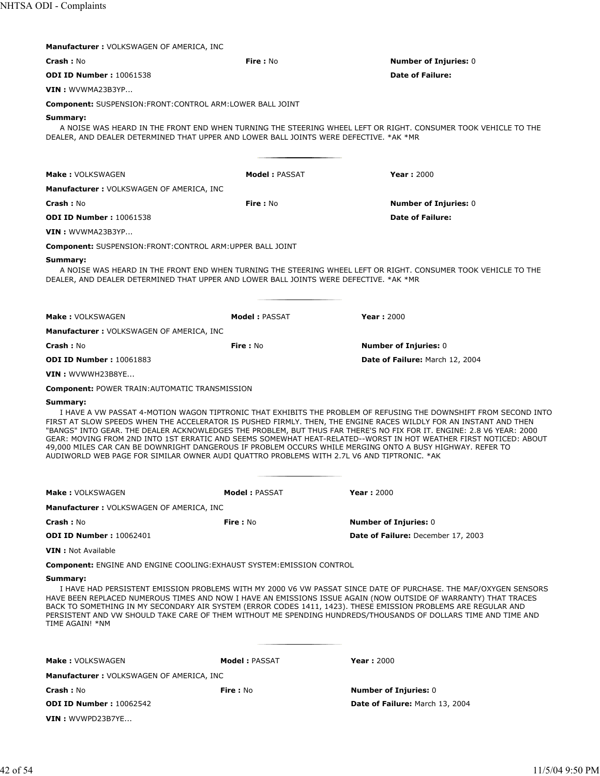| <b>Manufacturer: VOLKSWAGEN OF AMERICA, INC</b>                                                                                                                                                                                                                                                                                          |                       |                                                                                                                                                                                                                                                                                                                                                                |
|------------------------------------------------------------------------------------------------------------------------------------------------------------------------------------------------------------------------------------------------------------------------------------------------------------------------------------------|-----------------------|----------------------------------------------------------------------------------------------------------------------------------------------------------------------------------------------------------------------------------------------------------------------------------------------------------------------------------------------------------------|
| <b>Crash: No</b>                                                                                                                                                                                                                                                                                                                         | Fire: No              | <b>Number of Injuries: 0</b>                                                                                                                                                                                                                                                                                                                                   |
| <b>ODI ID Number: 10061538</b>                                                                                                                                                                                                                                                                                                           |                       | <b>Date of Failure:</b>                                                                                                                                                                                                                                                                                                                                        |
| VIN: WVWMA23B3YP                                                                                                                                                                                                                                                                                                                         |                       |                                                                                                                                                                                                                                                                                                                                                                |
| <b>Component: SUSPENSION:FRONT:CONTROL ARM:LOWER BALL JOINT</b>                                                                                                                                                                                                                                                                          |                       |                                                                                                                                                                                                                                                                                                                                                                |
| Summary:<br>DEALER, AND DEALER DETERMINED THAT UPPER AND LOWER BALL JOINTS WERE DEFECTIVE, *AK *MR                                                                                                                                                                                                                                       |                       | A NOISE WAS HEARD IN THE FRONT END WHEN TURNING THE STEERING WHEEL LEFT OR RIGHT. CONSUMER TOOK VEHICLE TO THE                                                                                                                                                                                                                                                 |
| Make: VOLKSWAGEN                                                                                                                                                                                                                                                                                                                         | Model: PASSAT         | <b>Year: 2000</b>                                                                                                                                                                                                                                                                                                                                              |
| <b>Manufacturer: VOLKSWAGEN OF AMERICA, INC</b>                                                                                                                                                                                                                                                                                          |                       |                                                                                                                                                                                                                                                                                                                                                                |
| <b>Crash: No</b>                                                                                                                                                                                                                                                                                                                         | Fire: No              | <b>Number of Injuries: 0</b>                                                                                                                                                                                                                                                                                                                                   |
| <b>ODI ID Number: 10061538</b>                                                                                                                                                                                                                                                                                                           |                       | <b>Date of Failure:</b>                                                                                                                                                                                                                                                                                                                                        |
| VIN: WVWMA23B3YP                                                                                                                                                                                                                                                                                                                         |                       |                                                                                                                                                                                                                                                                                                                                                                |
| Component: SUSPENSION: FRONT: CONTROL ARM: UPPER BALL JOINT                                                                                                                                                                                                                                                                              |                       |                                                                                                                                                                                                                                                                                                                                                                |
| Summary:<br>DEALER, AND DEALER DETERMINED THAT UPPER AND LOWER BALL JOINTS WERE DEFECTIVE. *AK *MR                                                                                                                                                                                                                                       |                       | A NOISE WAS HEARD IN THE FRONT END WHEN TURNING THE STEERING WHEEL LEFT OR RIGHT. CONSUMER TOOK VEHICLE TO THE                                                                                                                                                                                                                                                 |
| Make: VOLKSWAGEN                                                                                                                                                                                                                                                                                                                         | <b>Model: PASSAT</b>  | <b>Year: 2000</b>                                                                                                                                                                                                                                                                                                                                              |
| Manufacturer: VOLKSWAGEN OF AMERICA, INC                                                                                                                                                                                                                                                                                                 |                       |                                                                                                                                                                                                                                                                                                                                                                |
| <b>Crash: No</b>                                                                                                                                                                                                                                                                                                                         | <b>Fire: No</b>       | <b>Number of Injuries: 0</b>                                                                                                                                                                                                                                                                                                                                   |
| <b>ODI ID Number: 10061883</b>                                                                                                                                                                                                                                                                                                           |                       | Date of Failure: March 12, 2004                                                                                                                                                                                                                                                                                                                                |
| VIN: WVWWH23B8YE                                                                                                                                                                                                                                                                                                                         |                       |                                                                                                                                                                                                                                                                                                                                                                |
| <b>Component: POWER TRAIN: AUTOMATIC TRANSMISSION</b>                                                                                                                                                                                                                                                                                    |                       |                                                                                                                                                                                                                                                                                                                                                                |
| Summary:<br>FIRST AT SLOW SPEEDS WHEN THE ACCELERATOR IS PUSHED FIRMLY. THEN, THE ENGINE RACES WILDLY FOR AN INSTANT AND THEN<br>49,000 MILES CAR CAN BE DOWNRIGHT DANGEROUS IF PROBLEM OCCURS WHILE MERGING ONTO A BUSY HIGHWAY. REFER TO<br>AUDIWORLD WEB PAGE FOR SIMILAR OWNER AUDI QUATTRO PROBLEMS WITH 2.7L V6 AND TIPTRONIC. *AK |                       | I HAVE A VW PASSAT 4-MOTION WAGON TIPTRONIC THAT EXHIBITS THE PROBLEM OF REFUSING THE DOWNSHIFT FROM SECOND INTO<br>"BANGS" INTO GEAR. THE DEALER ACKNOWLEDGES THE PROBLEM, BUT THUS FAR THERE'S NO FIX FOR IT. ENGINE: 2.8 V6 YEAR: 2000<br>GEAR: MOVING FROM 2ND INTO 1ST ERRATIC AND SEEMS SOMEWHAT HEAT-RELATED--WORST IN HOT WEATHER FIRST NOTICED: ABOUT |
| <b>Make: VOLKSWAGEN</b>                                                                                                                                                                                                                                                                                                                  | <b>Model : PASSAT</b> | <b>Year: 2000</b>                                                                                                                                                                                                                                                                                                                                              |
| <b>Manufacturer: VOLKSWAGEN OF AMERICA, INC.</b>                                                                                                                                                                                                                                                                                         |                       |                                                                                                                                                                                                                                                                                                                                                                |
| <b>Crash: No</b>                                                                                                                                                                                                                                                                                                                         | <b>Fire: No</b>       | <b>Number of Injuries: 0</b>                                                                                                                                                                                                                                                                                                                                   |
| <b>ODI ID Number: 10062401</b>                                                                                                                                                                                                                                                                                                           |                       | Date of Failure: December 17, 2003                                                                                                                                                                                                                                                                                                                             |
| <b>VIN</b> : Not Available                                                                                                                                                                                                                                                                                                               |                       |                                                                                                                                                                                                                                                                                                                                                                |
| <b>Component: ENGINE AND ENGINE COOLING: EXHAUST SYSTEM: EMISSION CONTROL</b>                                                                                                                                                                                                                                                            |                       |                                                                                                                                                                                                                                                                                                                                                                |
| Summary:<br>BACK TO SOMETHING IN MY SECONDARY AIR SYSTEM (ERROR CODES 1411, 1423). THESE EMISSION PROBLEMS ARE REGULAR AND<br>TIME AGAIN! *NM                                                                                                                                                                                            |                       | I HAVE HAD PERSISTENT EMISSION PROBLEMS WITH MY 2000 V6 VW PASSAT SINCE DATE OF PURCHASE. THE MAF/OXYGEN SENSORS<br>HAVE BEEN REPLACED NUMEROUS TIMES AND NOW I HAVE AN EMISSIONS ISSUE AGAIN (NOW OUTSIDE OF WARRANTY) THAT TRACES<br>PERSISTENT AND VW SHOULD TAKE CARE OF THEM WITHOUT ME SPENDING HUNDREDS/THOUSANDS OF DOLLARS TIME AND TIME AND          |
| <b>Make: VOLKSWAGEN</b>                                                                                                                                                                                                                                                                                                                  | <b>Model: PASSAT</b>  | <b>Year: 2000</b>                                                                                                                                                                                                                                                                                                                                              |
| <b>Manufacturer: VOLKSWAGEN OF AMERICA, INC</b>                                                                                                                                                                                                                                                                                          |                       |                                                                                                                                                                                                                                                                                                                                                                |
| <b>Crash: No</b>                                                                                                                                                                                                                                                                                                                         | Fire: No              | <b>Number of Injuries: 0</b>                                                                                                                                                                                                                                                                                                                                   |
| <b>ODI ID Number: 10062542</b>                                                                                                                                                                                                                                                                                                           |                       | Date of Failure: March 13, 2004                                                                                                                                                                                                                                                                                                                                |
| VIN: WVWPD23B7YE                                                                                                                                                                                                                                                                                                                         |                       |                                                                                                                                                                                                                                                                                                                                                                |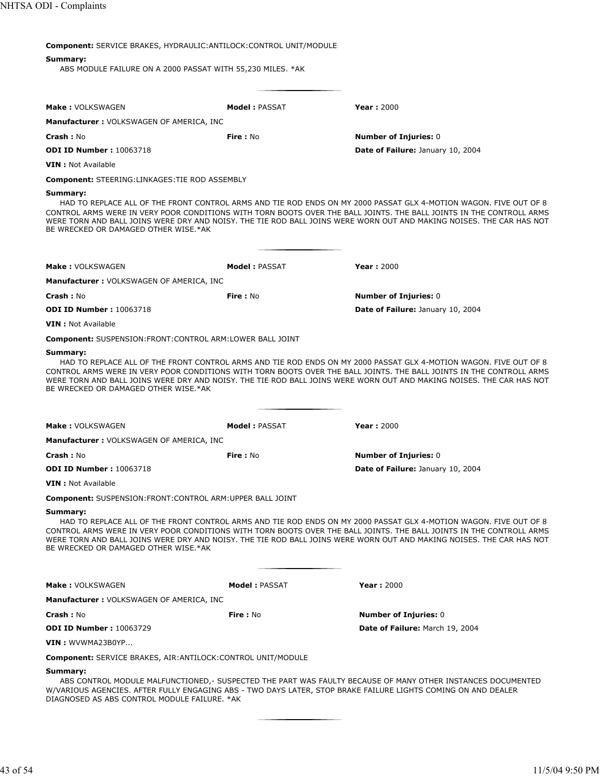| <b>Component:</b> SERVICE BRAKES, HYDRAULIC: ANTILOCK: CONTROL UNIT/MODULE                                                                                                                                                                                                                                                                                                                                            |                      |                                                                                                                                                                                                                                                                                                                                                                   |  |
|-----------------------------------------------------------------------------------------------------------------------------------------------------------------------------------------------------------------------------------------------------------------------------------------------------------------------------------------------------------------------------------------------------------------------|----------------------|-------------------------------------------------------------------------------------------------------------------------------------------------------------------------------------------------------------------------------------------------------------------------------------------------------------------------------------------------------------------|--|
| Summary:<br>ABS MODULE FAILURE ON A 2000 PASSAT WITH 55,230 MILES. *AK                                                                                                                                                                                                                                                                                                                                                |                      |                                                                                                                                                                                                                                                                                                                                                                   |  |
| <b>Make: VOLKSWAGEN</b>                                                                                                                                                                                                                                                                                                                                                                                               | Model: PASSAT        | <b>Year: 2000</b>                                                                                                                                                                                                                                                                                                                                                 |  |
| <b>Manufacturer: VOLKSWAGEN OF AMERICA, INC</b>                                                                                                                                                                                                                                                                                                                                                                       |                      |                                                                                                                                                                                                                                                                                                                                                                   |  |
| <b>Crash: No</b>                                                                                                                                                                                                                                                                                                                                                                                                      | Fire: No             | <b>Number of Injuries: 0</b>                                                                                                                                                                                                                                                                                                                                      |  |
| <b>ODI ID Number: 10063718</b>                                                                                                                                                                                                                                                                                                                                                                                        |                      | Date of Failure: January 10, 2004                                                                                                                                                                                                                                                                                                                                 |  |
| <b>VIN</b> : Not Available                                                                                                                                                                                                                                                                                                                                                                                            |                      |                                                                                                                                                                                                                                                                                                                                                                   |  |
| <b>Component: STEERING:LINKAGES:TIE ROD ASSEMBLY</b>                                                                                                                                                                                                                                                                                                                                                                  |                      |                                                                                                                                                                                                                                                                                                                                                                   |  |
| Summary:<br>BE WRECKED OR DAMAGED OTHER WISE.*AK                                                                                                                                                                                                                                                                                                                                                                      |                      | HAD TO REPLACE ALL OF THE FRONT CONTROL ARMS AND TIE ROD ENDS ON MY 2000 PASSAT GLX 4-MOTION WAGON. FIVE OUT OF 8<br>CONTROL ARMS WERE IN VERY POOR CONDITIONS WITH TORN BOOTS OVER THE BALL JOINTS. THE BALL JOINTS IN THE CONTROLL ARMS<br>WERE TORN AND BALL JOINS WERE DRY AND NOISY. THE TIE ROD BALL JOINS WERE WORN OUT AND MAKING NOISES. THE CAR HAS NOT |  |
|                                                                                                                                                                                                                                                                                                                                                                                                                       |                      |                                                                                                                                                                                                                                                                                                                                                                   |  |
| <b>Make: VOLKSWAGEN</b>                                                                                                                                                                                                                                                                                                                                                                                               | <b>Model: PASSAT</b> | <b>Year: 2000</b>                                                                                                                                                                                                                                                                                                                                                 |  |
| Manufacturer : VOLKSWAGEN OF AMERICA, INC                                                                                                                                                                                                                                                                                                                                                                             |                      |                                                                                                                                                                                                                                                                                                                                                                   |  |
| <b>Crash: No</b>                                                                                                                                                                                                                                                                                                                                                                                                      | <b>Fire: No</b>      | <b>Number of Injuries: 0</b>                                                                                                                                                                                                                                                                                                                                      |  |
| <b>ODI ID Number: 10063718</b>                                                                                                                                                                                                                                                                                                                                                                                        |                      | Date of Failure: January 10, 2004                                                                                                                                                                                                                                                                                                                                 |  |
| <b>VIN</b> : Not Available                                                                                                                                                                                                                                                                                                                                                                                            |                      |                                                                                                                                                                                                                                                                                                                                                                   |  |
| <b>Component: SUSPENSION:FRONT:CONTROL ARM:LOWER BALL JOINT</b>                                                                                                                                                                                                                                                                                                                                                       |                      |                                                                                                                                                                                                                                                                                                                                                                   |  |
| BE WRECKED OR DAMAGED OTHER WISE.*AK                                                                                                                                                                                                                                                                                                                                                                                  |                      | HAD TO REPLACE ALL OF THE FRONT CONTROL ARMS AND TIE ROD ENDS ON MY 2000 PASSAT GLX 4-MOTION WAGON. FIVE OUT OF 8<br>CONTROL ARMS WERE IN VERY POOR CONDITIONS WITH TORN BOOTS OVER THE BALL JOINTS. THE BALL JOINTS IN THE CONTROLL ARMS<br>WERE TORN AND BALL JOINS WERE DRY AND NOISY. THE TIE ROD BALL JOINS WERE WORN OUT AND MAKING NOISES. THE CAR HAS NOT |  |
| <b>Make: VOLKSWAGEN</b>                                                                                                                                                                                                                                                                                                                                                                                               | Model: PASSAT        | <b>Year: 2000</b>                                                                                                                                                                                                                                                                                                                                                 |  |
| <b>Manufacturer: VOLKSWAGEN OF AMERICA, INC</b>                                                                                                                                                                                                                                                                                                                                                                       |                      |                                                                                                                                                                                                                                                                                                                                                                   |  |
| <b>Crash: No</b>                                                                                                                                                                                                                                                                                                                                                                                                      | <b>Fire</b> : No     | <b>Number of Injuries: 0</b>                                                                                                                                                                                                                                                                                                                                      |  |
| <b>ODI ID Number: 10063718</b>                                                                                                                                                                                                                                                                                                                                                                                        |                      | Date of Failure: January 10, 2004                                                                                                                                                                                                                                                                                                                                 |  |
| <b>VIN</b> : Not Available                                                                                                                                                                                                                                                                                                                                                                                            |                      |                                                                                                                                                                                                                                                                                                                                                                   |  |
| <b>Component: SUSPENSION:FRONT:CONTROL ARM:UPPER BALL JOINT</b>                                                                                                                                                                                                                                                                                                                                                       |                      |                                                                                                                                                                                                                                                                                                                                                                   |  |
| Summary:<br>HAD TO REPLACE ALL OF THE FRONT CONTROL ARMS AND TIE ROD ENDS ON MY 2000 PASSAT GLX 4-MOTION WAGON. FIVE OUT OF 8<br>CONTROL ARMS WERE IN VERY POOR CONDITIONS WITH TORN BOOTS OVER THE BALL JOINTS. THE BALL JOINTS IN THE CONTROLL ARMS<br>WERE TORN AND BALL JOINS WERE DRY AND NOISY. THE TIE ROD BALL JOINS WERE WORN OUT AND MAKING NOISES. THE CAR HAS NOT<br>BE WRECKED OR DAMAGED OTHER WISE.*AK |                      |                                                                                                                                                                                                                                                                                                                                                                   |  |
| <b>Make: VOLKSWAGEN</b>                                                                                                                                                                                                                                                                                                                                                                                               | <b>Model: PASSAT</b> | Year: 2000                                                                                                                                                                                                                                                                                                                                                        |  |
| <b>Manufacturer: VOLKSWAGEN OF AMERICA, INC</b>                                                                                                                                                                                                                                                                                                                                                                       |                      |                                                                                                                                                                                                                                                                                                                                                                   |  |
| <b>Crash: No</b>                                                                                                                                                                                                                                                                                                                                                                                                      | Fire: No             | <b>Number of Injuries: 0</b>                                                                                                                                                                                                                                                                                                                                      |  |
| <b>ODI ID Number: 10063729</b>                                                                                                                                                                                                                                                                                                                                                                                        |                      | Date of Failure: March 19, 2004                                                                                                                                                                                                                                                                                                                                   |  |
| VIN: WVWMA23B0YP                                                                                                                                                                                                                                                                                                                                                                                                      |                      |                                                                                                                                                                                                                                                                                                                                                                   |  |
| <b>Component: SERVICE BRAKES, AIR: ANTILOCK: CONTROL UNIT/MODULE</b>                                                                                                                                                                                                                                                                                                                                                  |                      |                                                                                                                                                                                                                                                                                                                                                                   |  |
| Summary:<br>W/VARIOUS AGENCIES. AFTER FULLY ENGAGING ABS - TWO DAYS LATER, STOP BRAKE FAILURE LIGHTS COMING ON AND DEALER<br>DIAGNOSED AS ABS CONTROL MODULE FAILURE. * AK                                                                                                                                                                                                                                            |                      | ABS CONTROL MODULE MALFUNCTIONED,- SUSPECTED THE PART WAS FAULTY BECAUSE OF MANY OTHER INSTANCES DOCUMENTED                                                                                                                                                                                                                                                       |  |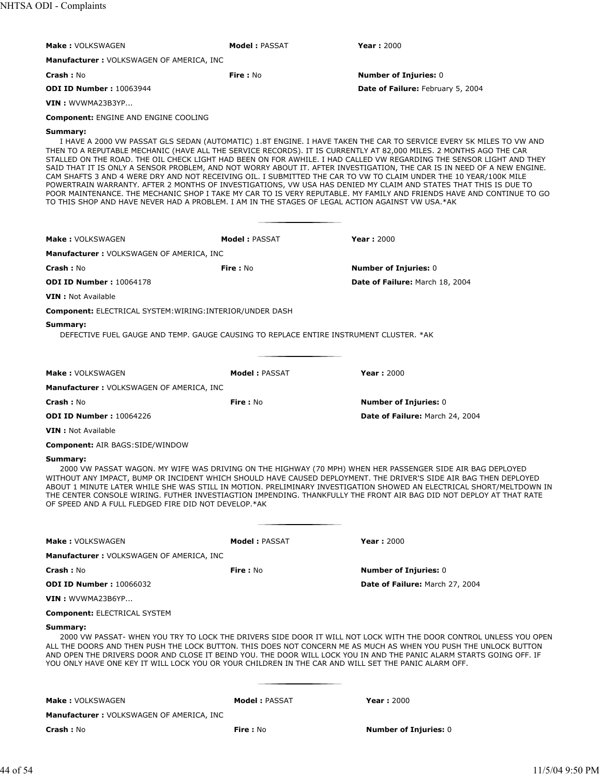| <b>Make: VOLKSWAGEN</b>                                                                                                                                                                                                                                                                                                                                                                                                                                                                                                                            | <b>Model : PASSAT</b> | <b>Year: 2000</b>                                                                                                                                                                                                                                                                                                                                                                                                                                                                                                                                                                                                   |  |
|----------------------------------------------------------------------------------------------------------------------------------------------------------------------------------------------------------------------------------------------------------------------------------------------------------------------------------------------------------------------------------------------------------------------------------------------------------------------------------------------------------------------------------------------------|-----------------------|---------------------------------------------------------------------------------------------------------------------------------------------------------------------------------------------------------------------------------------------------------------------------------------------------------------------------------------------------------------------------------------------------------------------------------------------------------------------------------------------------------------------------------------------------------------------------------------------------------------------|--|
| <b>Manufacturer: VOLKSWAGEN OF AMERICA, INC</b>                                                                                                                                                                                                                                                                                                                                                                                                                                                                                                    |                       |                                                                                                                                                                                                                                                                                                                                                                                                                                                                                                                                                                                                                     |  |
| Crash: No                                                                                                                                                                                                                                                                                                                                                                                                                                                                                                                                          | <b>Fire: No</b>       | <b>Number of Injuries: 0</b>                                                                                                                                                                                                                                                                                                                                                                                                                                                                                                                                                                                        |  |
| <b>ODI ID Number: 10063944</b>                                                                                                                                                                                                                                                                                                                                                                                                                                                                                                                     |                       | Date of Failure: February 5, 2004                                                                                                                                                                                                                                                                                                                                                                                                                                                                                                                                                                                   |  |
| <b>VIN</b> : WVWMA23B3YP                                                                                                                                                                                                                                                                                                                                                                                                                                                                                                                           |                       |                                                                                                                                                                                                                                                                                                                                                                                                                                                                                                                                                                                                                     |  |
|                                                                                                                                                                                                                                                                                                                                                                                                                                                                                                                                                    |                       |                                                                                                                                                                                                                                                                                                                                                                                                                                                                                                                                                                                                                     |  |
| <b>Component: ENGINE AND ENGINE COOLING</b>                                                                                                                                                                                                                                                                                                                                                                                                                                                                                                        |                       |                                                                                                                                                                                                                                                                                                                                                                                                                                                                                                                                                                                                                     |  |
| Summary:<br>THEN TO A REPUTABLE MECHANIC (HAVE ALL THE SERVICE RECORDS). IT IS CURRENTLY AT 82,000 MILES. 2 MONTHS AGO THE CAR<br>CAM SHAFTS 3 AND 4 WERE DRY AND NOT RECEIVING OIL. I SUBMITTED THE CAR TO VW TO CLAIM UNDER THE 10 YEAR/100K MILE<br>TO THIS SHOP AND HAVE NEVER HAD A PROBLEM. I AM IN THE STAGES OF LEGAL ACTION AGAINST VW USA.*AK                                                                                                                                                                                            |                       | I HAVE A 2000 VW PASSAT GLS SEDAN (AUTOMATIC) 1.8T ENGINE. I HAVE TAKEN THE CAR TO SERVICE EVERY 5K MILES TO VW AND<br>STALLED ON THE ROAD. THE OIL CHECK LIGHT HAD BEEN ON FOR AWHILE. I HAD CALLED VW REGARDING THE SENSOR LIGHT AND THEY<br>SAID THAT IT IS ONLY A SENSOR PROBLEM, AND NOT WORRY ABOUT IT. AFTER INVESTIGATION, THE CAR IS IN NEED OF A NEW ENGINE.<br>POWERTRAIN WARRANTY. AFTER 2 MONTHS OF INVESTIGATIONS, VW USA HAS DENIED MY CLAIM AND STATES THAT THIS IS DUE TO<br>POOR MAINTENANCE. THE MECHANIC SHOP I TAKE MY CAR TO IS VERY REPUTABLE. MY FAMILY AND FRIENDS HAVE AND CONTINUE TO GO |  |
| Make: VOLKSWAGEN                                                                                                                                                                                                                                                                                                                                                                                                                                                                                                                                   | <b>Model: PASSAT</b>  | <b>Year: 2000</b>                                                                                                                                                                                                                                                                                                                                                                                                                                                                                                                                                                                                   |  |
| Manufacturer: VOLKSWAGEN OF AMERICA, INC                                                                                                                                                                                                                                                                                                                                                                                                                                                                                                           |                       |                                                                                                                                                                                                                                                                                                                                                                                                                                                                                                                                                                                                                     |  |
| <b>Crash: No</b>                                                                                                                                                                                                                                                                                                                                                                                                                                                                                                                                   | <b>Fire: No</b>       | <b>Number of Injuries: 0</b>                                                                                                                                                                                                                                                                                                                                                                                                                                                                                                                                                                                        |  |
| <b>ODI ID Number: 10064178</b>                                                                                                                                                                                                                                                                                                                                                                                                                                                                                                                     |                       | Date of Failure: March 18, 2004                                                                                                                                                                                                                                                                                                                                                                                                                                                                                                                                                                                     |  |
| <b>VIN</b> : Not Available                                                                                                                                                                                                                                                                                                                                                                                                                                                                                                                         |                       |                                                                                                                                                                                                                                                                                                                                                                                                                                                                                                                                                                                                                     |  |
| <b>Component: ELECTRICAL SYSTEM: WIRING: INTERIOR/UNDER DASH</b>                                                                                                                                                                                                                                                                                                                                                                                                                                                                                   |                       |                                                                                                                                                                                                                                                                                                                                                                                                                                                                                                                                                                                                                     |  |
| Summary:<br>DEFECTIVE FUEL GAUGE AND TEMP. GAUGE CAUSING TO REPLACE ENTIRE INSTRUMENT CLUSTER. *AK                                                                                                                                                                                                                                                                                                                                                                                                                                                 |                       |                                                                                                                                                                                                                                                                                                                                                                                                                                                                                                                                                                                                                     |  |
| <b>Make: VOLKSWAGEN</b>                                                                                                                                                                                                                                                                                                                                                                                                                                                                                                                            | <b>Model: PASSAT</b>  | <b>Year: 2000</b>                                                                                                                                                                                                                                                                                                                                                                                                                                                                                                                                                                                                   |  |
| <b>Manufacturer: VOLKSWAGEN OF AMERICA, INC</b>                                                                                                                                                                                                                                                                                                                                                                                                                                                                                                    |                       |                                                                                                                                                                                                                                                                                                                                                                                                                                                                                                                                                                                                                     |  |
| Crash: No                                                                                                                                                                                                                                                                                                                                                                                                                                                                                                                                          | Fire: No              | <b>Number of Injuries: 0</b>                                                                                                                                                                                                                                                                                                                                                                                                                                                                                                                                                                                        |  |
| <b>ODI ID Number: 10064226</b>                                                                                                                                                                                                                                                                                                                                                                                                                                                                                                                     |                       | Date of Failure: March 24, 2004                                                                                                                                                                                                                                                                                                                                                                                                                                                                                                                                                                                     |  |
| <b>VIN</b> : Not Available                                                                                                                                                                                                                                                                                                                                                                                                                                                                                                                         |                       |                                                                                                                                                                                                                                                                                                                                                                                                                                                                                                                                                                                                                     |  |
| <b>Component: AIR BAGS:SIDE/WINDOW</b>                                                                                                                                                                                                                                                                                                                                                                                                                                                                                                             |                       |                                                                                                                                                                                                                                                                                                                                                                                                                                                                                                                                                                                                                     |  |
| Summary:<br>2000 VW PASSAT WAGON. MY WIFE WAS DRIVING ON THE HIGHWAY (70 MPH) WHEN HER PASSENGER SIDE AIR BAG DEPLOYED<br>WITHOUT ANY IMPACT, BUMP OR INCIDENT WHICH SHOULD HAVE CAUSED DEPLOYMENT. THE DRIVER'S SIDE AIR BAG THEN DEPLOYED<br>ABOUT 1 MINUTE LATER WHILE SHE WAS STILL IN MOTION. PRELIMINARY INVESTIGATION SHOWED AN ELECTRICAL SHORT/MELTDOWN IN<br>THE CENTER CONSOLE WIRING. FUTHER INVESTIAGTION IMPENDING. THANKFULLY THE FRONT AIR BAG DID NOT DEPLOY AT THAT RATE<br>OF SPEED AND A FULL FLEDGED FIRE DID NOT DEVELOP.*AK |                       |                                                                                                                                                                                                                                                                                                                                                                                                                                                                                                                                                                                                                     |  |
| <b>Make: VOLKSWAGEN</b>                                                                                                                                                                                                                                                                                                                                                                                                                                                                                                                            | <b>Model: PASSAT</b>  | <b>Year: 2000</b>                                                                                                                                                                                                                                                                                                                                                                                                                                                                                                                                                                                                   |  |
| <b>Manufacturer: VOLKSWAGEN OF AMERICA, INC</b>                                                                                                                                                                                                                                                                                                                                                                                                                                                                                                    |                       |                                                                                                                                                                                                                                                                                                                                                                                                                                                                                                                                                                                                                     |  |
| Crash: No                                                                                                                                                                                                                                                                                                                                                                                                                                                                                                                                          | Fire: No              | <b>Number of Injuries: 0</b>                                                                                                                                                                                                                                                                                                                                                                                                                                                                                                                                                                                        |  |
| <b>ODI ID Number: 10066032</b>                                                                                                                                                                                                                                                                                                                                                                                                                                                                                                                     |                       | Date of Failure: March 27, 2004                                                                                                                                                                                                                                                                                                                                                                                                                                                                                                                                                                                     |  |
| VIN: WVWMA23B6YP                                                                                                                                                                                                                                                                                                                                                                                                                                                                                                                                   |                       |                                                                                                                                                                                                                                                                                                                                                                                                                                                                                                                                                                                                                     |  |
| <b>Component: ELECTRICAL SYSTEM</b>                                                                                                                                                                                                                                                                                                                                                                                                                                                                                                                |                       |                                                                                                                                                                                                                                                                                                                                                                                                                                                                                                                                                                                                                     |  |
| Summary:<br>2000 VW PASSAT- WHEN YOU TRY TO LOCK THE DRIVERS SIDE DOOR IT WILL NOT LOCK WITH THE DOOR CONTROL UNLESS YOU OPEN<br>ALL THE DOORS AND THEN PUSH THE LOCK BUTTON. THIS DOES NOT CONCERN ME AS MUCH AS WHEN YOU PUSH THE UNLOCK BUTTON<br>AND OPEN THE DRIVERS DOOR AND CLOSE IT BEIND YOU. THE DOOR WILL LOCK YOU IN AND THE PANIC ALARM STARTS GOING OFF. IF<br>YOU ONLY HAVE ONE KEY IT WILL LOCK YOU OR YOUR CHILDREN IN THE CAR AND WILL SET THE PANIC ALARM OFF.                                                                  |                       |                                                                                                                                                                                                                                                                                                                                                                                                                                                                                                                                                                                                                     |  |
| <b>Make: VOLKSWAGEN</b>                                                                                                                                                                                                                                                                                                                                                                                                                                                                                                                            | <b>Model: PASSAT</b>  | <b>Year: 2000</b>                                                                                                                                                                                                                                                                                                                                                                                                                                                                                                                                                                                                   |  |
| <b>Manufacturer: VOLKSWAGEN OF AMERICA, INC</b>                                                                                                                                                                                                                                                                                                                                                                                                                                                                                                    |                       |                                                                                                                                                                                                                                                                                                                                                                                                                                                                                                                                                                                                                     |  |
| Crash: No                                                                                                                                                                                                                                                                                                                                                                                                                                                                                                                                          | Fire: No              | <b>Number of Injuries: 0</b>                                                                                                                                                                                                                                                                                                                                                                                                                                                                                                                                                                                        |  |
|                                                                                                                                                                                                                                                                                                                                                                                                                                                                                                                                                    |                       |                                                                                                                                                                                                                                                                                                                                                                                                                                                                                                                                                                                                                     |  |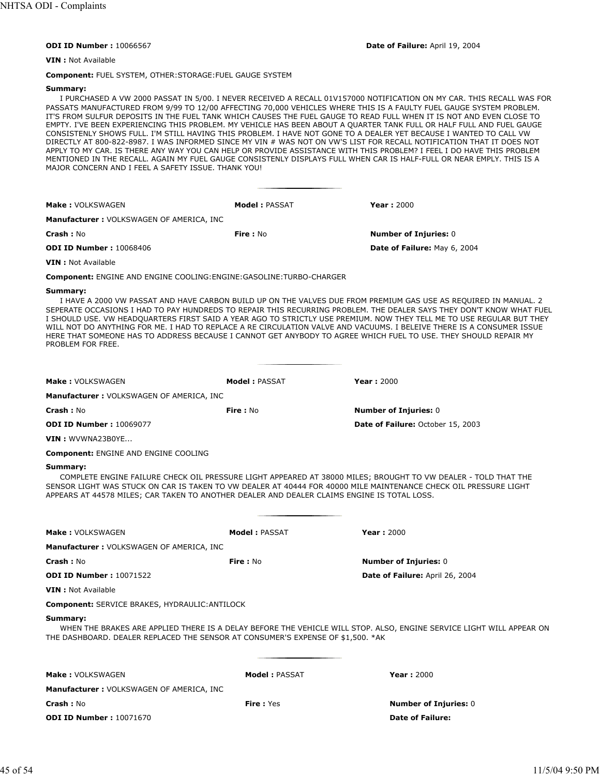#### **ODI ID Number :** 10066567 **Date of Failure:** April 19, 2004

**VIN :** Not Available

**Component:** FUEL SYSTEM, OTHER:STORAGE:FUEL GAUGE SYSTEM

#### **Summary:**

I PURCHASED A VW 2000 PASSAT IN 5/00. I NEVER RECEIVED A RECALL 01V157000 NOTIFICATION ON MY CAR. THIS RECALL WAS FOR PASSATS MANUFACTURED FROM 9/99 TO 12/00 AFFECTING 70,000 VEHICLES WHERE THIS IS A FAULTY FUEL GAUGE SYSTEM PROBLEM. IT'S FROM SULFUR DEPOSITS IN THE FUEL TANK WHICH CAUSES THE FUEL GAUGE TO READ FULL WHEN IT IS NOT AND EVEN CLOSE TO EMPTY. I'VE BEEN EXPERIENCING THIS PROBLEM. MY VEHICLE HAS BEEN ABOUT A QUARTER TANK FULL OR HALF FULL AND FUEL GAUGE CONSISTENLY SHOWS FULL. I'M STILL HAVING THIS PROBLEM. I HAVE NOT GONE TO A DEALER YET BECAUSE I WANTED TO CALL VW DIRECTLY AT 800-822-8987. I WAS INFORMED SINCE MY VIN # WAS NOT ON VW'S LIST FOR RECALL NOTIFICATION THAT IT DOES NOT APPLY TO MY CAR. IS THERE ANY WAY YOU CAN HELP OR PROVIDE ASSISTANCE WITH THIS PROBLEM? I FEEL I DO HAVE THIS PROBLEM MENTIONED IN THE RECALL. AGAIN MY FUEL GAUGE CONSISTENLY DISPLAYS FULL WHEN CAR IS HALF-FULL OR NEAR EMPLY. THIS IS A MAJOR CONCERN AND I FEEL A SAFETY ISSUE. THANK YOU!

| <b>Make: VOLKSWAGEN</b>                  | Model: PASSAT | Year: $2000$                 |
|------------------------------------------|---------------|------------------------------|
| Manufacturer: VOLKSWAGEN OF AMERICA, INC |               |                              |
| <b>Crash :</b> No                        | Fire: No      | <b>Number of Injuries: 0</b> |
| <b>ODI ID Number: 10068406</b>           |               | Date of Failure: May 6, 2004 |
| <b>VIN: Not Available</b>                |               |                              |

**Component:** ENGINE AND ENGINE COOLING:ENGINE:GASOLINE:TURBO-CHARGER

#### **Summary:**

I HAVE A 2000 VW PASSAT AND HAVE CARBON BUILD UP ON THE VALVES DUE FROM PREMIUM GAS USE AS REQUIRED IN MANUAL. 2 SEPERATE OCCASIONS I HAD TO PAY HUNDREDS TO REPAIR THIS RECURRING PROBLEM. THE DEALER SAYS THEY DON'T KNOW WHAT FUEL I SHOULD USE. VW HEADQUARTERS FIRST SAID A YEAR AGO TO STRICTLY USE PREMIUM. NOW THEY TELL ME TO USE REGULAR BUT THEY WILL NOT DO ANYTHING FOR ME. I HAD TO REPLACE A RE CIRCULATION VALVE AND VACUUMS. I BELEIVE THERE IS A CONSUMER ISSUE HERE THAT SOMEONE HAS TO ADDRESS BECAUSE I CANNOT GET ANYBODY TO AGREE WHICH FUEL TO USE. THEY SHOULD REPAIR MY PROBLEM FOR FREE.

| Make: VOLKSWAGEN                                                                                        | Model: PASSAT        | <b>Year: 2000</b>                                                                                                                                                                                                                  |
|---------------------------------------------------------------------------------------------------------|----------------------|------------------------------------------------------------------------------------------------------------------------------------------------------------------------------------------------------------------------------------|
| Manufacturer : VOLKSWAGEN OF AMERICA, INC                                                               |                      |                                                                                                                                                                                                                                    |
| Crash: No                                                                                               | Fire: No             | <b>Number of Injuries: 0</b>                                                                                                                                                                                                       |
| <b>ODI ID Number: 10069077</b>                                                                          |                      | Date of Failure: October 15, 2003                                                                                                                                                                                                  |
| VIN: WVWNA23B0YE                                                                                        |                      |                                                                                                                                                                                                                                    |
| <b>Component: ENGINE AND ENGINE COOLING</b>                                                             |                      |                                                                                                                                                                                                                                    |
| Summary:<br>APPEARS AT 44578 MILES; CAR TAKEN TO ANOTHER DEALER AND DEALER CLAIMS ENGINE IS TOTAL LOSS. |                      | COMPLETE ENGINE FAILURE CHECK OIL PRESSURE LIGHT APPEARED AT 38000 MILES; BROUGHT TO VW DEALER - TOLD THAT THE<br>SENSOR LIGHT WAS STUCK ON CAR IS TAKEN TO VW DEALER AT 40444 FOR 40000 MILE MAINTENANCE CHECK OIL PRESSURE LIGHT |
| Make: VOLKSWAGEN                                                                                        | <b>Model: PASSAT</b> | <b>Year: 2000</b>                                                                                                                                                                                                                  |
| Manufacturer: VOLKSWAGEN OF AMERICA, INC                                                                |                      |                                                                                                                                                                                                                                    |
| Crash: No                                                                                               | Fire: No             | <b>Number of Injuries: 0</b>                                                                                                                                                                                                       |
| <b>ODI ID Number: 10071522</b>                                                                          |                      | Date of Failure: April 26, 2004                                                                                                                                                                                                    |
| <b>VIN</b> : Not Available                                                                              |                      |                                                                                                                                                                                                                                    |
| Component: SERVICE BRAKES, HYDRAULIC: ANTILOCK                                                          |                      |                                                                                                                                                                                                                                    |
| Summary:<br>THE DASHBOARD. DEALER REPLACED THE SENSOR AT CONSUMER'S EXPENSE OF \$1,500. *AK             |                      | WHEN THE BRAKES ARE APPLIED THERE IS A DELAY BEFORE THE VEHICLE WILL STOP. ALSO, ENGINE SERVICE LIGHT WILL APPEAR ON                                                                                                               |
| <b>Make: VOLKSWAGEN</b>                                                                                 | <b>Model: PASSAT</b> | <b>Year: 2000</b>                                                                                                                                                                                                                  |
| Manufacturer: VOLKSWAGEN OF AMERICA, INC                                                                |                      |                                                                                                                                                                                                                                    |
| Crash: No                                                                                               | Fire: Yes            | <b>Number of Injuries: 0</b>                                                                                                                                                                                                       |
| <b>ODI ID Number: 10071670</b>                                                                          |                      | Date of Failure:                                                                                                                                                                                                                   |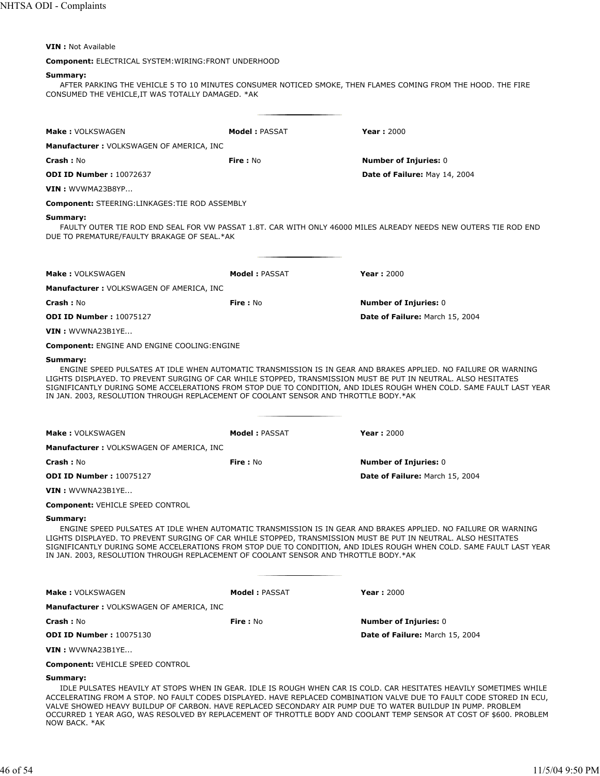# **VIN :** Not Available

# **Component:** ELECTRICAL SYSTEM:WIRING:FRONT UNDERHOOD

# **Summary:**

AFTER PARKING THE VEHICLE 5 TO 10 MINUTES CONSUMER NOTICED SMOKE, THEN FLAMES COMING FROM THE HOOD. THE FIRE CONSUMED THE VEHICLE,IT WAS TOTALLY DAMAGED. \*AK

| <b>Make: VOLKSWAGEN</b>                                                                          | <b>Model: PASSAT</b> | <b>Year: 2000</b>                                                                                                                                                                                                                                                                                                                                                                                                                                                                 |
|--------------------------------------------------------------------------------------------------|----------------------|-----------------------------------------------------------------------------------------------------------------------------------------------------------------------------------------------------------------------------------------------------------------------------------------------------------------------------------------------------------------------------------------------------------------------------------------------------------------------------------|
| <b>Manufacturer: VOLKSWAGEN OF AMERICA, INC</b>                                                  |                      |                                                                                                                                                                                                                                                                                                                                                                                                                                                                                   |
| <b>Crash: No</b>                                                                                 | Fire: No             | <b>Number of Injuries: 0</b>                                                                                                                                                                                                                                                                                                                                                                                                                                                      |
| <b>ODI ID Number: 10072637</b>                                                                   |                      | Date of Failure: May 14, 2004                                                                                                                                                                                                                                                                                                                                                                                                                                                     |
| VIN: WVWMA23B8YP                                                                                 |                      |                                                                                                                                                                                                                                                                                                                                                                                                                                                                                   |
| <b>Component: STEERING:LINKAGES:TIE ROD ASSEMBLY</b>                                             |                      |                                                                                                                                                                                                                                                                                                                                                                                                                                                                                   |
| Summary:<br>DUE TO PREMATURE/FAULTY BRAKAGE OF SEAL.*AK                                          |                      | FAULTY OUTER TIE ROD END SEAL FOR VW PASSAT 1.8T. CAR WITH ONLY 46000 MILES ALREADY NEEDS NEW OUTERS TIE ROD END                                                                                                                                                                                                                                                                                                                                                                  |
| <b>Make: VOLKSWAGEN</b>                                                                          | <b>Model: PASSAT</b> | <b>Year: 2000</b>                                                                                                                                                                                                                                                                                                                                                                                                                                                                 |
| <b>Manufacturer: VOLKSWAGEN OF AMERICA, INC</b>                                                  |                      |                                                                                                                                                                                                                                                                                                                                                                                                                                                                                   |
| <b>Crash: No</b>                                                                                 | <b>Fire:</b> No      | <b>Number of Injuries: 0</b>                                                                                                                                                                                                                                                                                                                                                                                                                                                      |
| <b>ODI ID Number: 10075127</b>                                                                   |                      | Date of Failure: March 15, 2004                                                                                                                                                                                                                                                                                                                                                                                                                                                   |
| VIN: WVWNA23B1YE                                                                                 |                      |                                                                                                                                                                                                                                                                                                                                                                                                                                                                                   |
| <b>Component: ENGINE AND ENGINE COOLING: ENGINE</b>                                              |                      |                                                                                                                                                                                                                                                                                                                                                                                                                                                                                   |
| IN JAN. 2003, RESOLUTION THROUGH REPLACEMENT OF COOLANT SENSOR AND THROTTLE BODY.*AK             |                      | ENGINE SPEED PULSATES AT IDLE WHEN AUTOMATIC TRANSMISSION IS IN GEAR AND BRAKES APPLIED. NO FAILURE OR WARNING<br>LIGHTS DISPLAYED. TO PREVENT SURGING OF CAR WHILE STOPPED, TRANSMISSION MUST BE PUT IN NEUTRAL. ALSO HESITATES<br>SIGNIFICANTLY DURING SOME ACCELERATIONS FROM STOP DUE TO CONDITION, AND IDLES ROUGH WHEN COLD. SAME FAULT LAST YEAR                                                                                                                           |
| <b>Make: VOLKSWAGEN</b>                                                                          | <b>Model: PASSAT</b> | <b>Year: 2000</b>                                                                                                                                                                                                                                                                                                                                                                                                                                                                 |
| <b>Manufacturer: VOLKSWAGEN OF AMERICA, INC</b>                                                  |                      |                                                                                                                                                                                                                                                                                                                                                                                                                                                                                   |
| <b>Crash: No</b>                                                                                 | <b>Fire: No</b>      | <b>Number of Injuries: 0</b>                                                                                                                                                                                                                                                                                                                                                                                                                                                      |
| <b>ODI ID Number: 10075127</b>                                                                   |                      | Date of Failure: March 15, 2004                                                                                                                                                                                                                                                                                                                                                                                                                                                   |
| VIN: WVWNA23B1YE                                                                                 |                      |                                                                                                                                                                                                                                                                                                                                                                                                                                                                                   |
| <b>Component: VEHICLE SPEED CONTROL</b>                                                          |                      |                                                                                                                                                                                                                                                                                                                                                                                                                                                                                   |
| Summary:<br>IN JAN. 2003, RESOLUTION THROUGH REPLACEMENT OF COOLANT SENSOR AND THROTTLE BODY.*AK |                      | ENGINE SPEED PULSATES AT IDLE WHEN AUTOMATIC TRANSMISSION IS IN GEAR AND BRAKES APPLIED. NO FAILURE OR WARNING<br>LIGHTS DISPLAYED. TO PREVENT SURGING OF CAR WHILE STOPPED, TRANSMISSION MUST BE PUT IN NEUTRAL. ALSO HESITATES<br>SIGNIFICANTLY DURING SOME ACCELERATIONS FROM STOP DUE TO CONDITION, AND IDLES ROUGH WHEN COLD. SAME FAULT LAST YEAR                                                                                                                           |
| Make: VOLKSWAGEN                                                                                 | <b>Model: PASSAT</b> | <b>Year: 2000</b>                                                                                                                                                                                                                                                                                                                                                                                                                                                                 |
| <b>Manufacturer: VOLKSWAGEN OF AMERICA, INC</b>                                                  |                      |                                                                                                                                                                                                                                                                                                                                                                                                                                                                                   |
| Crash: No                                                                                        | Fire: No             | <b>Number of Injuries: 0</b>                                                                                                                                                                                                                                                                                                                                                                                                                                                      |
| <b>ODI ID Number: 10075130</b>                                                                   |                      | Date of Failure: March 15, 2004                                                                                                                                                                                                                                                                                                                                                                                                                                                   |
| VIN : WVWNA23B1YE                                                                                |                      |                                                                                                                                                                                                                                                                                                                                                                                                                                                                                   |
| <b>Component: VEHICLE SPEED CONTROL</b>                                                          |                      |                                                                                                                                                                                                                                                                                                                                                                                                                                                                                   |
| Summary:                                                                                         |                      | IDLE PULSATES HEAVILY AT STOPS WHEN IN GEAR. IDLE IS ROUGH WHEN CAR IS COLD. CAR HESITATES HEAVILY SOMETIMES WHILE<br>ACCELERATING FROM A STOP. NO FAULT CODES DISPLAYED. HAVE REPLACED COMBINATION VALVE DUE TO FAULT CODE STORED IN ECU,<br>VALVE SHOWED HEAVY BUILDUP OF CARBON. HAVE REPLACED SECONDARY AIR PUMP DUE TO WATER BUILDUP IN PUMP. PROBLEM<br>OCCURRED 1 YEAR AGO, WAS RESOLVED BY REPLACEMENT OF THROTTLE BODY AND COOLANT TEMP SENSOR AT COST OF \$600. PROBLEM |

NOW BACK. \*AK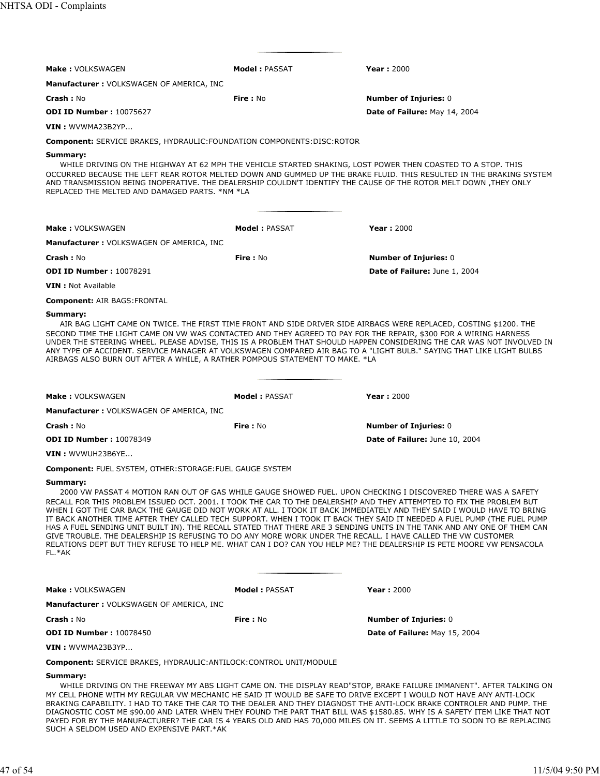| <b>Make: VOLKSWAGEN</b>                                                                                                                                                                          | <b>Model: PASSAT</b> | <b>Year: 2000</b>                                                                                                                                                                                                                                                                                                                                                                                                                                                                                                                                                                                                                                                                                                                            |
|--------------------------------------------------------------------------------------------------------------------------------------------------------------------------------------------------|----------------------|----------------------------------------------------------------------------------------------------------------------------------------------------------------------------------------------------------------------------------------------------------------------------------------------------------------------------------------------------------------------------------------------------------------------------------------------------------------------------------------------------------------------------------------------------------------------------------------------------------------------------------------------------------------------------------------------------------------------------------------------|
| <b>Manufacturer: VOLKSWAGEN OF AMERICA, INC</b>                                                                                                                                                  |                      |                                                                                                                                                                                                                                                                                                                                                                                                                                                                                                                                                                                                                                                                                                                                              |
| <b>Crash: No</b>                                                                                                                                                                                 | <b>Fire: No</b>      | <b>Number of Injuries: 0</b>                                                                                                                                                                                                                                                                                                                                                                                                                                                                                                                                                                                                                                                                                                                 |
| <b>ODI ID Number: 10075627</b>                                                                                                                                                                   |                      | Date of Failure: May 14, 2004                                                                                                                                                                                                                                                                                                                                                                                                                                                                                                                                                                                                                                                                                                                |
| <b>VIN</b> : WVWMA23B2YP                                                                                                                                                                         |                      |                                                                                                                                                                                                                                                                                                                                                                                                                                                                                                                                                                                                                                                                                                                                              |
| <b>Component:</b> SERVICE BRAKES, HYDRAULIC: FOUNDATION COMPONENTS: DISC: ROTOR                                                                                                                  |                      |                                                                                                                                                                                                                                                                                                                                                                                                                                                                                                                                                                                                                                                                                                                                              |
| Summary:<br>AND TRANSMISSION BEING INOPERATIVE. THE DEALERSHIP COULDN'T IDENTIFY THE CAUSE OF THE ROTOR MELT DOWN ,THEY ONLY<br>REPLACED THE MELTED AND DAMAGED PARTS. *NM *LA                   |                      | WHILE DRIVING ON THE HIGHWAY AT 62 MPH THE VEHICLE STARTED SHAKING, LOST POWER THEN COASTED TO A STOP. THIS<br>OCCURRED BECAUSE THE LEFT REAR ROTOR MELTED DOWN AND GUMMED UP THE BRAKE FLUID. THIS RESULTED IN THE BRAKING SYSTEM                                                                                                                                                                                                                                                                                                                                                                                                                                                                                                           |
| <b>Make: VOLKSWAGEN</b>                                                                                                                                                                          | Model: PASSAT        | <b>Year: 2000</b>                                                                                                                                                                                                                                                                                                                                                                                                                                                                                                                                                                                                                                                                                                                            |
| <b>Manufacturer: VOLKSWAGEN OF AMERICA, INC</b>                                                                                                                                                  |                      |                                                                                                                                                                                                                                                                                                                                                                                                                                                                                                                                                                                                                                                                                                                                              |
| Crash: No                                                                                                                                                                                        | <b>Fire: No</b>      | <b>Number of Injuries: 0</b>                                                                                                                                                                                                                                                                                                                                                                                                                                                                                                                                                                                                                                                                                                                 |
| <b>ODI ID Number: 10078291</b>                                                                                                                                                                   |                      | Date of Failure: June 1, 2004                                                                                                                                                                                                                                                                                                                                                                                                                                                                                                                                                                                                                                                                                                                |
| <b>VIN</b> : Not Available                                                                                                                                                                       |                      |                                                                                                                                                                                                                                                                                                                                                                                                                                                                                                                                                                                                                                                                                                                                              |
| <b>Component: AIR BAGS:FRONTAL</b>                                                                                                                                                               |                      |                                                                                                                                                                                                                                                                                                                                                                                                                                                                                                                                                                                                                                                                                                                                              |
| SECOND TIME THE LIGHT CAME ON VW WAS CONTACTED AND THEY AGREED TO PAY FOR THE REPAIR, \$300 FOR A WIRING HARNESS<br>AIRBAGS ALSO BURN OUT AFTER A WHILE, A RATHER POMPOUS STATEMENT TO MAKE. *LA |                      | AIR BAG LIGHT CAME ON TWICE. THE FIRST TIME FRONT AND SIDE DRIVER SIDE AIRBAGS WERE REPLACED, COSTING \$1200. THE<br>UNDER THE STEERING WHEEL. PLEASE ADVISE, THIS IS A PROBLEM THAT SHOULD HAPPEN CONSIDERING THE CAR WAS NOT INVOLVED IN<br>ANY TYPE OF ACCIDENT. SERVICE MANAGER AT VOLKSWAGEN COMPARED AIR BAG TO A "LIGHT BULB." SAYING THAT LIKE LIGHT BULBS                                                                                                                                                                                                                                                                                                                                                                           |
| Make: VOLKSWAGEN                                                                                                                                                                                 | <b>Model: PASSAT</b> | <b>Year: 2000</b>                                                                                                                                                                                                                                                                                                                                                                                                                                                                                                                                                                                                                                                                                                                            |
| <b>Manufacturer: VOLKSWAGEN OF AMERICA, INC</b>                                                                                                                                                  |                      |                                                                                                                                                                                                                                                                                                                                                                                                                                                                                                                                                                                                                                                                                                                                              |
| Crash: No                                                                                                                                                                                        | <b>Fire: No</b>      | <b>Number of Injuries: 0</b>                                                                                                                                                                                                                                                                                                                                                                                                                                                                                                                                                                                                                                                                                                                 |
| <b>ODI ID Number: 10078349</b>                                                                                                                                                                   |                      | Date of Failure: June 10, 2004                                                                                                                                                                                                                                                                                                                                                                                                                                                                                                                                                                                                                                                                                                               |
| VIN : WVWUH23B6YE                                                                                                                                                                                |                      |                                                                                                                                                                                                                                                                                                                                                                                                                                                                                                                                                                                                                                                                                                                                              |
| <b>Component: FUEL SYSTEM, OTHER: STORAGE: FUEL GAUGE SYSTEM</b>                                                                                                                                 |                      |                                                                                                                                                                                                                                                                                                                                                                                                                                                                                                                                                                                                                                                                                                                                              |
| Summary:<br>GIVE TROUBLE. THE DEALERSHIP IS REFUSING TO DO ANY MORE WORK UNDER THE RECALL. I HAVE CALLED THE VW CUSTOMER<br>FL.*AK                                                               |                      | 2000 VW PASSAT 4 MOTION RAN OUT OF GAS WHILE GAUGE SHOWED FUEL. UPON CHECKING I DISCOVERED THERE WAS A SAFETY<br>RECALL FOR THIS PROBLEM ISSUED OCT. 2001. I TOOK THE CAR TO THE DEALERSHIP AND THEY ATTEMPTED TO FIX THE PROBLEM BUT<br>WHEN I GOT THE CAR BACK THE GAUGE DID NOT WORK AT ALL. I TOOK IT BACK IMMEDIATELY AND THEY SAID I WOULD HAVE TO BRING<br>IT BACK ANOTHER TIME AFTER THEY CALLED TECH SUPPORT. WHEN I TOOK IT BACK THEY SAID IT NEEDED A FUEL PUMP (THE FUEL PUMP<br>HAS A FUEL SENDING UNIT BUILT IN). THE RECALL STATED THAT THERE ARE 3 SENDING UNITS IN THE TANK AND ANY ONE OF THEM CAN<br>RELATIONS DEPT BUT THEY REFUSE TO HELP ME. WHAT CAN I DO? CAN YOU HELP ME? THE DEALERSHIP IS PETE MOORE VW PENSACOLA |
| Make: VOLKSWAGEN                                                                                                                                                                                 | <b>Model: PASSAT</b> | <b>Year: 2000</b>                                                                                                                                                                                                                                                                                                                                                                                                                                                                                                                                                                                                                                                                                                                            |
| Manufacturer: VOLKSWAGEN OF AMERICA, INC                                                                                                                                                         |                      |                                                                                                                                                                                                                                                                                                                                                                                                                                                                                                                                                                                                                                                                                                                                              |
| Crash: No                                                                                                                                                                                        | Fire: No             | <b>Number of Injuries: 0</b>                                                                                                                                                                                                                                                                                                                                                                                                                                                                                                                                                                                                                                                                                                                 |
| <b>ODI ID Number: 10078450</b>                                                                                                                                                                   |                      | Date of Failure: May 15, 2004                                                                                                                                                                                                                                                                                                                                                                                                                                                                                                                                                                                                                                                                                                                |
| VIN: WVWMA23B3YP                                                                                                                                                                                 |                      |                                                                                                                                                                                                                                                                                                                                                                                                                                                                                                                                                                                                                                                                                                                                              |
| <b>Component:</b> SERVICE BRAKES, HYDRAULIC: ANTILOCK: CONTROL UNIT/MODULE                                                                                                                       |                      |                                                                                                                                                                                                                                                                                                                                                                                                                                                                                                                                                                                                                                                                                                                                              |
| Summary:                                                                                                                                                                                         |                      | WHILE DRIVING ON THE FREEWAY MY ABS LIGHT CAME ON. THE DISPLAY READ"STOP, BRAKE FAILURE IMMANENT". AFTER TALKING ON<br>MY CELL PHONE WITH MY REGULAR VW MECHANIC HE SAID IT WOULD BE SAFE TO DRIVE EXCEPT I WOULD NOT HAVE ANY ANTI-LOCK                                                                                                                                                                                                                                                                                                                                                                                                                                                                                                     |

BRAKING CAPABILITY. I HAD TO TAKE THE CAR TO THE DEALER AND THEY DIAGNOST THE ANTI-LOCK BRAKE CONTROLER AND PUMP. THE DIAGNOSTIC COST ME \$90.00 AND LATER WHEN THEY FOUND THE PART THAT BILL WAS \$1580.85. WHY IS A SAFETY ITEM LIKE THAT NOT PAYED FOR BY THE MANUFACTURER? THE CAR IS 4 YEARS OLD AND HAS 70,000 MILES ON IT. SEEMS A LITTLE TO SOON TO BE REPLACING SUCH A SELDOM USED AND EXPENSIVE PART.\*AK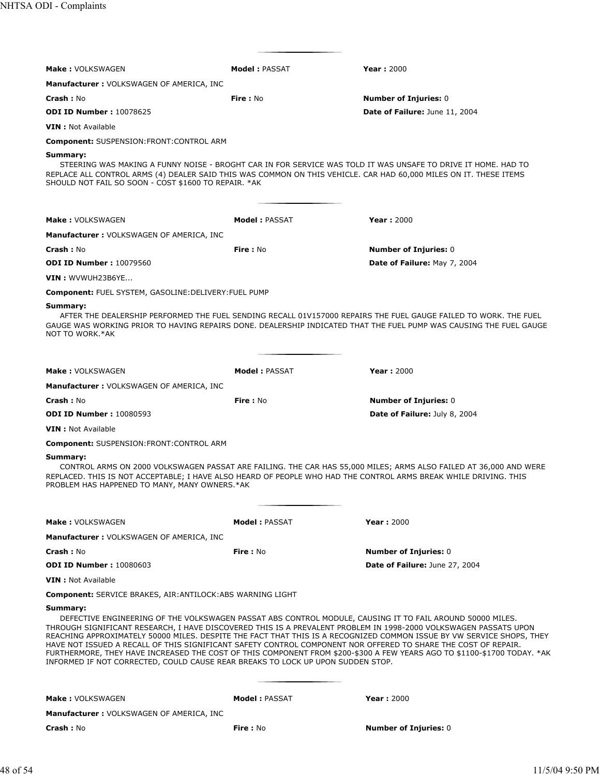| <b>Make: VOLKSWAGEN</b>                                                                                                                                                                                                                                                                                                                                                                                                                        | <b>Model: PASSAT</b> | <b>Year: 2000</b>                                                                                                                                                                                                                                 |
|------------------------------------------------------------------------------------------------------------------------------------------------------------------------------------------------------------------------------------------------------------------------------------------------------------------------------------------------------------------------------------------------------------------------------------------------|----------------------|---------------------------------------------------------------------------------------------------------------------------------------------------------------------------------------------------------------------------------------------------|
| <b>Manufacturer: VOLKSWAGEN OF AMERICA, INC</b>                                                                                                                                                                                                                                                                                                                                                                                                |                      |                                                                                                                                                                                                                                                   |
| Crash: No                                                                                                                                                                                                                                                                                                                                                                                                                                      | Fire: No             | <b>Number of Injuries: 0</b>                                                                                                                                                                                                                      |
| <b>ODI ID Number: 10078625</b>                                                                                                                                                                                                                                                                                                                                                                                                                 |                      | Date of Failure: June 11, 2004                                                                                                                                                                                                                    |
| <b>VIN</b> : Not Available                                                                                                                                                                                                                                                                                                                                                                                                                     |                      |                                                                                                                                                                                                                                                   |
| <b>Component: SUSPENSION:FRONT:CONTROL ARM</b>                                                                                                                                                                                                                                                                                                                                                                                                 |                      |                                                                                                                                                                                                                                                   |
| Summary:<br>STEERING WAS MAKING A FUNNY NOISE - BROGHT CAR IN FOR SERVICE WAS TOLD IT WAS UNSAFE TO DRIVE IT HOME. HAD TO<br>REPLACE ALL CONTROL ARMS (4) DEALER SAID THIS WAS COMMON ON THIS VEHICLE. CAR HAD 60,000 MILES ON IT. THESE ITEMS<br>SHOULD NOT FAIL SO SOON - COST \$1600 TO REPAIR. * AK                                                                                                                                        |                      |                                                                                                                                                                                                                                                   |
| Make: VOLKSWAGEN                                                                                                                                                                                                                                                                                                                                                                                                                               | <b>Model: PASSAT</b> | <b>Year: 2000</b>                                                                                                                                                                                                                                 |
| <b>Manufacturer: VOLKSWAGEN OF AMERICA, INC</b>                                                                                                                                                                                                                                                                                                                                                                                                |                      |                                                                                                                                                                                                                                                   |
| Crash: No                                                                                                                                                                                                                                                                                                                                                                                                                                      | Fire: No             | <b>Number of Injuries: 0</b>                                                                                                                                                                                                                      |
| <b>ODI ID Number: 10079560</b>                                                                                                                                                                                                                                                                                                                                                                                                                 |                      | Date of Failure: May 7, 2004                                                                                                                                                                                                                      |
| VIN: WVWUH23B6YE                                                                                                                                                                                                                                                                                                                                                                                                                               |                      |                                                                                                                                                                                                                                                   |
| Component: FUEL SYSTEM, GASOLINE: DELIVERY: FUEL PUMP                                                                                                                                                                                                                                                                                                                                                                                          |                      |                                                                                                                                                                                                                                                   |
| Summary:<br>NOT TO WORK.*AK                                                                                                                                                                                                                                                                                                                                                                                                                    |                      | AFTER THE DEALERSHIP PERFORMED THE FUEL SENDING RECALL 01V157000 REPAIRS THE FUEL GAUGE FAILED TO WORK. THE FUEL<br>GAUGE WAS WORKING PRIOR TO HAVING REPAIRS DONE. DEALERSHIP INDICATED THAT THE FUEL PUMP WAS CAUSING THE FUEL GAUGE            |
| Make: VOLKSWAGEN                                                                                                                                                                                                                                                                                                                                                                                                                               | <b>Model: PASSAT</b> | <b>Year: 2000</b>                                                                                                                                                                                                                                 |
| <b>Manufacturer: VOLKSWAGEN OF AMERICA, INC</b>                                                                                                                                                                                                                                                                                                                                                                                                |                      |                                                                                                                                                                                                                                                   |
| Crash: No                                                                                                                                                                                                                                                                                                                                                                                                                                      | <b>Fire: No</b>      | <b>Number of Injuries: 0</b>                                                                                                                                                                                                                      |
| <b>ODI ID Number: 10080593</b>                                                                                                                                                                                                                                                                                                                                                                                                                 |                      | Date of Failure: July 8, 2004                                                                                                                                                                                                                     |
| <b>VIN</b> : Not Available                                                                                                                                                                                                                                                                                                                                                                                                                     |                      |                                                                                                                                                                                                                                                   |
| <b>Component: SUSPENSION:FRONT:CONTROL ARM</b>                                                                                                                                                                                                                                                                                                                                                                                                 |                      |                                                                                                                                                                                                                                                   |
| Summary:<br>REPLACED. THIS IS NOT ACCEPTABLE; I HAVE ALSO HEARD OF PEOPLE WHO HAD THE CONTROL ARMS BREAK WHILE DRIVING. THIS<br>PROBLEM HAS HAPPENED TO MANY, MANY OWNERS.*AK                                                                                                                                                                                                                                                                  |                      | CONTROL ARMS ON 2000 VOLKSWAGEN PASSAT ARE FAILING. THE CAR HAS 55,000 MILES; ARMS ALSO FAILED AT 36,000 AND WERE                                                                                                                                 |
| <b>Make: VOLKSWAGEN</b>                                                                                                                                                                                                                                                                                                                                                                                                                        | <b>Model: PASSAT</b> | <b>Year: 2000</b>                                                                                                                                                                                                                                 |
| <b>Manufacturer: VOLKSWAGEN OF AMERICA, INC</b>                                                                                                                                                                                                                                                                                                                                                                                                |                      |                                                                                                                                                                                                                                                   |
| Crash: No                                                                                                                                                                                                                                                                                                                                                                                                                                      | Fire: No             | <b>Number of Injuries: 0</b>                                                                                                                                                                                                                      |
| <b>ODI ID Number: 10080603</b>                                                                                                                                                                                                                                                                                                                                                                                                                 |                      | Date of Failure: June 27, 2004                                                                                                                                                                                                                    |
| <b>VIN</b> : Not Available                                                                                                                                                                                                                                                                                                                                                                                                                     |                      |                                                                                                                                                                                                                                                   |
| Component: SERVICE BRAKES, AIR: ANTILOCK: ABS WARNING LIGHT                                                                                                                                                                                                                                                                                                                                                                                    |                      |                                                                                                                                                                                                                                                   |
| Summary:<br>DEFECTIVE ENGINEERING OF THE VOLKSWAGEN PASSAT ABS CONTROL MODULE, CAUSING IT TO FAIL AROUND 50000 MILES.<br>THROUGH SIGNIFICANT RESEARCH, I HAVE DISCOVERED THIS IS A PREVALENT PROBLEM IN 1998-2000 VOLKSWAGEN PASSATS UPON<br>HAVE NOT ISSUED A RECALL OF THIS SIGNIFICANT SAFETY CONTROL COMPONENT NOR OFFERED TO SHARE THE COST OF REPAIR.<br>INFORMED IF NOT CORRECTED, COULD CAUSE REAR BREAKS TO LOCK UP UPON SUDDEN STOP. |                      | REACHING APPROXIMATELY 50000 MILES. DESPITE THE FACT THAT THIS IS A RECOGNIZED COMMON ISSUE BY VW SERVICE SHOPS, THEY<br>FURTHERMORE, THEY HAVE INCREASED THE COST OF THIS COMPONENT FROM \$200-\$300 A FEW YEARS AGO TO \$1100-\$1700 TODAY. *AK |
| <b>Make: VOLKSWAGEN</b>                                                                                                                                                                                                                                                                                                                                                                                                                        | <b>Model: PASSAT</b> | <b>Year: 2000</b>                                                                                                                                                                                                                                 |
| <b>Manufacturer: VOLKSWAGEN OF AMERICA, INC</b>                                                                                                                                                                                                                                                                                                                                                                                                |                      |                                                                                                                                                                                                                                                   |
| <b>Crash: No</b>                                                                                                                                                                                                                                                                                                                                                                                                                               | Fire: No             | <b>Number of Injuries: 0</b>                                                                                                                                                                                                                      |
|                                                                                                                                                                                                                                                                                                                                                                                                                                                |                      |                                                                                                                                                                                                                                                   |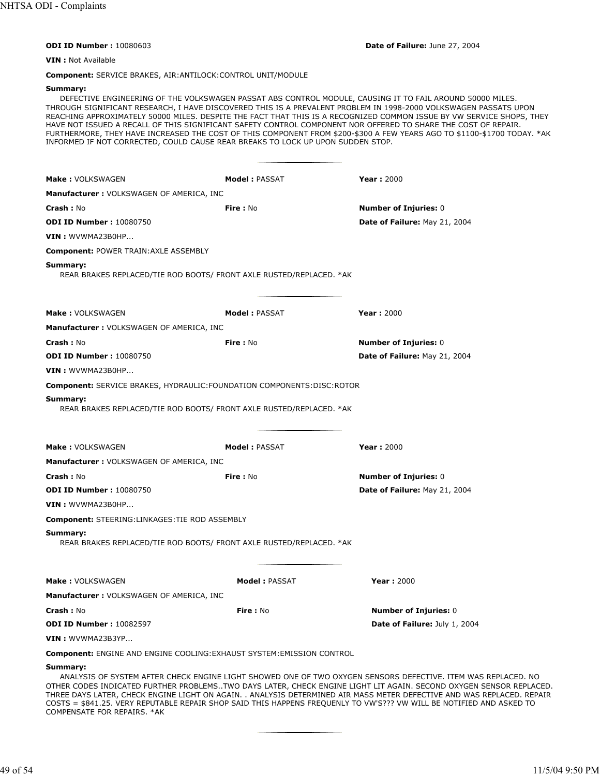**ODI ID Number :** 10080603 **Date of Failure:** June 27, 2004

**VIN :** Not Available

**Component:** SERVICE BRAKES, AIR:ANTILOCK:CONTROL UNIT/MODULE

#### **Summary:**

DEFECTIVE ENGINEERING OF THE VOLKSWAGEN PASSAT ABS CONTROL MODULE, CAUSING IT TO FAIL AROUND 50000 MILES. THROUGH SIGNIFICANT RESEARCH, I HAVE DISCOVERED THIS IS A PREVALENT PROBLEM IN 1998-2000 VOLKSWAGEN PASSATS UPON REACHING APPROXIMATELY 50000 MILES. DESPITE THE FACT THAT THIS IS A RECOGNIZED COMMON ISSUE BY VW SERVICE SHOPS, THEY HAVE NOT ISSUED A RECALL OF THIS SIGNIFICANT SAFETY CONTROL COMPONENT NOR OFFERED TO SHARE THE COST OF REPAIR. FURTHERMORE, THEY HAVE INCREASED THE COST OF THIS COMPONENT FROM \$200-\$300 A FEW YEARS AGO TO \$1100-\$1700 TODAY. \*AK INFORMED IF NOT CORRECTED, COULD CAUSE REAR BREAKS TO LOCK UP UPON SUDDEN STOP.

| <b>Make: VOLKSWAGEN</b>                                                         | <b>Model: PASSAT</b>                                                 | <b>Year: 2000</b>                                                                                                                                                                                                                                                                                                                                                                                                                                                                     |
|---------------------------------------------------------------------------------|----------------------------------------------------------------------|---------------------------------------------------------------------------------------------------------------------------------------------------------------------------------------------------------------------------------------------------------------------------------------------------------------------------------------------------------------------------------------------------------------------------------------------------------------------------------------|
| Manufacturer: VOLKSWAGEN OF AMERICA, INC                                        |                                                                      |                                                                                                                                                                                                                                                                                                                                                                                                                                                                                       |
| <b>Crash: No</b>                                                                | Fire: No                                                             | <b>Number of Injuries: 0</b>                                                                                                                                                                                                                                                                                                                                                                                                                                                          |
| <b>ODI ID Number: 10080750</b>                                                  |                                                                      | Date of Failure: May 21, 2004                                                                                                                                                                                                                                                                                                                                                                                                                                                         |
| VIN: WVWMA23B0HP                                                                |                                                                      |                                                                                                                                                                                                                                                                                                                                                                                                                                                                                       |
| <b>Component: POWER TRAIN: AXLE ASSEMBLY</b>                                    |                                                                      |                                                                                                                                                                                                                                                                                                                                                                                                                                                                                       |
| Summary:                                                                        | REAR BRAKES REPLACED/TIE ROD BOOTS/ FRONT AXLE RUSTED/REPLACED. *AK  |                                                                                                                                                                                                                                                                                                                                                                                                                                                                                       |
| <b>Make: VOLKSWAGEN</b>                                                         | <b>Model: PASSAT</b>                                                 | <b>Year: 2000</b>                                                                                                                                                                                                                                                                                                                                                                                                                                                                     |
| <b>Manufacturer: VOLKSWAGEN OF AMERICA, INC</b>                                 |                                                                      |                                                                                                                                                                                                                                                                                                                                                                                                                                                                                       |
| <b>Crash: No</b>                                                                | <b>Fire</b> : No                                                     | <b>Number of Injuries: 0</b>                                                                                                                                                                                                                                                                                                                                                                                                                                                          |
| <b>ODI ID Number: 10080750</b>                                                  |                                                                      | Date of Failure: May 21, 2004                                                                                                                                                                                                                                                                                                                                                                                                                                                         |
| VIN: WVWMA23B0HP                                                                |                                                                      |                                                                                                                                                                                                                                                                                                                                                                                                                                                                                       |
| <b>Component: SERVICE BRAKES, HYDRAULIC: FOUNDATION COMPONENTS: DISC: ROTOR</b> |                                                                      |                                                                                                                                                                                                                                                                                                                                                                                                                                                                                       |
| Summary:                                                                        | REAR BRAKES REPLACED/TIE ROD BOOTS/ FRONT AXLE RUSTED/REPLACED. *AK  |                                                                                                                                                                                                                                                                                                                                                                                                                                                                                       |
| <b>Make: VOLKSWAGEN</b>                                                         | <b>Model: PASSAT</b>                                                 | <b>Year: 2000</b>                                                                                                                                                                                                                                                                                                                                                                                                                                                                     |
| <b>Manufacturer: VOLKSWAGEN OF AMERICA, INC</b>                                 |                                                                      |                                                                                                                                                                                                                                                                                                                                                                                                                                                                                       |
| <b>Crash: No</b>                                                                | Fire: No                                                             | <b>Number of Injuries: 0</b>                                                                                                                                                                                                                                                                                                                                                                                                                                                          |
| <b>ODI ID Number: 10080750</b>                                                  |                                                                      | Date of Failure: May 21, 2004                                                                                                                                                                                                                                                                                                                                                                                                                                                         |
| VIN: WVWMA23B0HP                                                                |                                                                      |                                                                                                                                                                                                                                                                                                                                                                                                                                                                                       |
| <b>Component: STEERING:LINKAGES: TIE ROD ASSEMBLY</b>                           |                                                                      |                                                                                                                                                                                                                                                                                                                                                                                                                                                                                       |
| Summary:                                                                        | REAR BRAKES REPLACED/TIE ROD BOOTS/ FRONT AXLE RUSTED/REPLACED. * AK |                                                                                                                                                                                                                                                                                                                                                                                                                                                                                       |
| <b>Make: VOLKSWAGEN</b>                                                         | <b>Model: PASSAT</b>                                                 | <b>Year: 2000</b>                                                                                                                                                                                                                                                                                                                                                                                                                                                                     |
| <b>Manufacturer: VOLKSWAGEN OF AMERICA, INC</b>                                 |                                                                      |                                                                                                                                                                                                                                                                                                                                                                                                                                                                                       |
| Crash: No                                                                       | Fire: No                                                             | <b>Number of Injuries: 0</b>                                                                                                                                                                                                                                                                                                                                                                                                                                                          |
| <b>ODI ID Number: 10082597</b>                                                  |                                                                      | Date of Failure: July 1, 2004                                                                                                                                                                                                                                                                                                                                                                                                                                                         |
| VIN: WVWMA23B3YP                                                                |                                                                      |                                                                                                                                                                                                                                                                                                                                                                                                                                                                                       |
| <b>Component: ENGINE AND ENGINE COOLING: EXHAUST SYSTEM: EMISSION CONTROL</b>   |                                                                      |                                                                                                                                                                                                                                                                                                                                                                                                                                                                                       |
| Summary:<br>COMPENSATE FOR REPAIRS. * AK                                        |                                                                      | ANALYSIS OF SYSTEM AFTER CHECK ENGINE LIGHT SHOWED ONE OF TWO OXYGEN SENSORS DEFECTIVE. ITEM WAS REPLACED. NO<br>OTHER CODES INDICATED FURTHER PROBLEMSTWO DAYS LATER, CHECK ENGINE LIGHT LIT AGAIN. SECOND OXYGEN SENSOR REPLACED.<br>THREE DAYS LATER, CHECK ENGINE LIGHT ON AGAIN. . ANALYSIS DETERMINED AIR MASS METER DEFECTIVE AND WAS REPLACED. REPAIR<br>COSTS = \$841.25. VERY REPUTABLE REPAIR SHOP SAID THIS HAPPENS FREQUENLY TO VW'S??? VW WILL BE NOTIFIED AND ASKED TO |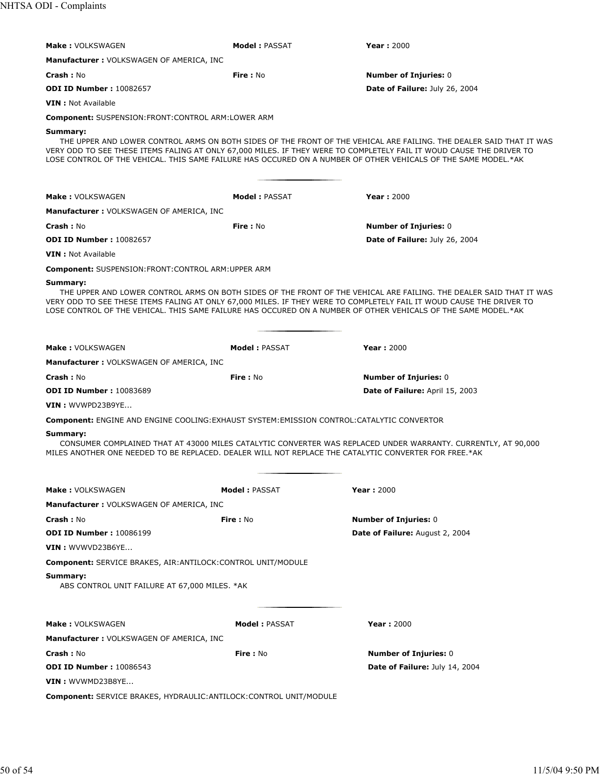| <b>Make: VOLKSWAGEN</b>                                                                                                                                                                                                                                                                                                                                                   | <b>Model: PASSAT</b> | <b>Year: 2000</b>                                                                                                   |  |
|---------------------------------------------------------------------------------------------------------------------------------------------------------------------------------------------------------------------------------------------------------------------------------------------------------------------------------------------------------------------------|----------------------|---------------------------------------------------------------------------------------------------------------------|--|
|                                                                                                                                                                                                                                                                                                                                                                           |                      |                                                                                                                     |  |
| <b>Manufacturer: VOLKSWAGEN OF AMERICA, INC</b>                                                                                                                                                                                                                                                                                                                           |                      |                                                                                                                     |  |
| <b>Crash: No</b><br><b>ODI ID Number: 10082657</b>                                                                                                                                                                                                                                                                                                                        | <b>Fire</b> : No     | <b>Number of Injuries: 0</b><br>Date of Failure: July 26, 2004                                                      |  |
|                                                                                                                                                                                                                                                                                                                                                                           |                      |                                                                                                                     |  |
| <b>VIN</b> : Not Available                                                                                                                                                                                                                                                                                                                                                |                      |                                                                                                                     |  |
| <b>Component: SUSPENSION:FRONT:CONTROL ARM:LOWER ARM</b>                                                                                                                                                                                                                                                                                                                  |                      |                                                                                                                     |  |
| Summary:<br>VERY ODD TO SEE THESE ITEMS FALING AT ONLY 67,000 MILES. IF THEY WERE TO COMPLETELY FAIL IT WOUD CAUSE THE DRIVER TO<br>LOSE CONTROL OF THE VEHICAL. THIS SAME FAILURE HAS OCCURED ON A NUMBER OF OTHER VEHICALS OF THE SAME MODEL.*AK                                                                                                                        |                      | THE UPPER AND LOWER CONTROL ARMS ON BOTH SIDES OF THE FRONT OF THE VEHICAL ARE FAILING. THE DEALER SAID THAT IT WAS |  |
| <b>Make: VOLKSWAGEN</b>                                                                                                                                                                                                                                                                                                                                                   | <b>Model: PASSAT</b> | <b>Year: 2000</b>                                                                                                   |  |
| <b>Manufacturer: VOLKSWAGEN OF AMERICA, INC</b>                                                                                                                                                                                                                                                                                                                           |                      |                                                                                                                     |  |
| <b>Crash: No</b>                                                                                                                                                                                                                                                                                                                                                          | <b>Fire: No</b>      | <b>Number of Injuries: 0</b>                                                                                        |  |
| <b>ODI ID Number: 10082657</b>                                                                                                                                                                                                                                                                                                                                            |                      | Date of Failure: July 26, 2004                                                                                      |  |
| <b>VIN</b> : Not Available                                                                                                                                                                                                                                                                                                                                                |                      |                                                                                                                     |  |
| <b>Component:</b> SUSPENSION:FRONT:CONTROL ARM:UPPER ARM                                                                                                                                                                                                                                                                                                                  |                      |                                                                                                                     |  |
| Summary:<br>THE UPPER AND LOWER CONTROL ARMS ON BOTH SIDES OF THE FRONT OF THE VEHICAL ARE FAILING. THE DEALER SAID THAT IT WAS<br>VERY ODD TO SEE THESE ITEMS FALING AT ONLY 67,000 MILES. IF THEY WERE TO COMPLETELY FAIL IT WOUD CAUSE THE DRIVER TO<br>LOSE CONTROL OF THE VEHICAL. THIS SAME FAILURE HAS OCCURED ON A NUMBER OF OTHER VEHICALS OF THE SAME MODEL.*AK |                      |                                                                                                                     |  |
| <b>Make: VOLKSWAGEN</b>                                                                                                                                                                                                                                                                                                                                                   | <b>Model: PASSAT</b> | <b>Year: 2000</b>                                                                                                   |  |
| <b>Manufacturer: VOLKSWAGEN OF AMERICA, INC</b>                                                                                                                                                                                                                                                                                                                           |                      |                                                                                                                     |  |
| <b>Crash: No</b>                                                                                                                                                                                                                                                                                                                                                          | <b>Fire: No</b>      | <b>Number of Injuries: 0</b>                                                                                        |  |
| <b>ODI ID Number: 10083689</b>                                                                                                                                                                                                                                                                                                                                            |                      | Date of Failure: April 15, 2003                                                                                     |  |
| VIN: WVWPD23B9YE                                                                                                                                                                                                                                                                                                                                                          |                      |                                                                                                                     |  |
| Component: ENGINE AND ENGINE COOLING: EXHAUST SYSTEM: EMISSION CONTROL: CATALYTIC CONVERTOR                                                                                                                                                                                                                                                                               |                      |                                                                                                                     |  |
| Summary:<br>CONSUMER COMPLAINED THAT AT 43000 MILES CATALYTIC CONVERTER WAS REPLACED UNDER WARRANTY. CURRENTLY, AT 90,000<br>MILES ANOTHER ONE NEEDED TO BE REPLACED. DEALER WILL NOT REPLACE THE CATALYTIC CONVERTER FOR FREE.*AK                                                                                                                                        |                      |                                                                                                                     |  |
| <b>Make: VOLKSWAGEN</b>                                                                                                                                                                                                                                                                                                                                                   | <b>Model: PASSAT</b> | <b>Year: 2000</b>                                                                                                   |  |
| Manufacturer: VOLKSWAGEN OF AMERICA, INC                                                                                                                                                                                                                                                                                                                                  |                      |                                                                                                                     |  |
| <b>Crash: No</b>                                                                                                                                                                                                                                                                                                                                                          | Fire: No             | <b>Number of Injuries: 0</b>                                                                                        |  |
| <b>ODI ID Number: 10086199</b>                                                                                                                                                                                                                                                                                                                                            |                      | Date of Failure: August 2, 2004                                                                                     |  |
| $VIN:$ WVWVD23B6YE                                                                                                                                                                                                                                                                                                                                                        |                      |                                                                                                                     |  |
| Component: SERVICE BRAKES, AIR: ANTILOCK: CONTROL UNIT/MODULE                                                                                                                                                                                                                                                                                                             |                      |                                                                                                                     |  |
| Summary:<br>ABS CONTROL UNIT FAILURE AT 67,000 MILES. *AK                                                                                                                                                                                                                                                                                                                 |                      |                                                                                                                     |  |
| <b>Make: VOLKSWAGEN</b>                                                                                                                                                                                                                                                                                                                                                   | <b>Model: PASSAT</b> | <b>Year: 2000</b>                                                                                                   |  |
| Manufacturer : VOLKSWAGEN OF AMERICA, INC                                                                                                                                                                                                                                                                                                                                 |                      |                                                                                                                     |  |
| <b>Crash: No</b>                                                                                                                                                                                                                                                                                                                                                          | Fire: No             | <b>Number of Injuries: 0</b>                                                                                        |  |
| <b>ODI ID Number: 10086543</b>                                                                                                                                                                                                                                                                                                                                            |                      | <b>Date of Failure: July 14, 2004</b>                                                                               |  |
| <b>VIN</b> : WVWMD23B8YE                                                                                                                                                                                                                                                                                                                                                  |                      |                                                                                                                     |  |
| <b>Component:</b> SERVICE BRAKES, HYDRAULIC: ANTILOCK: CONTROL UNIT/MODULE                                                                                                                                                                                                                                                                                                |                      |                                                                                                                     |  |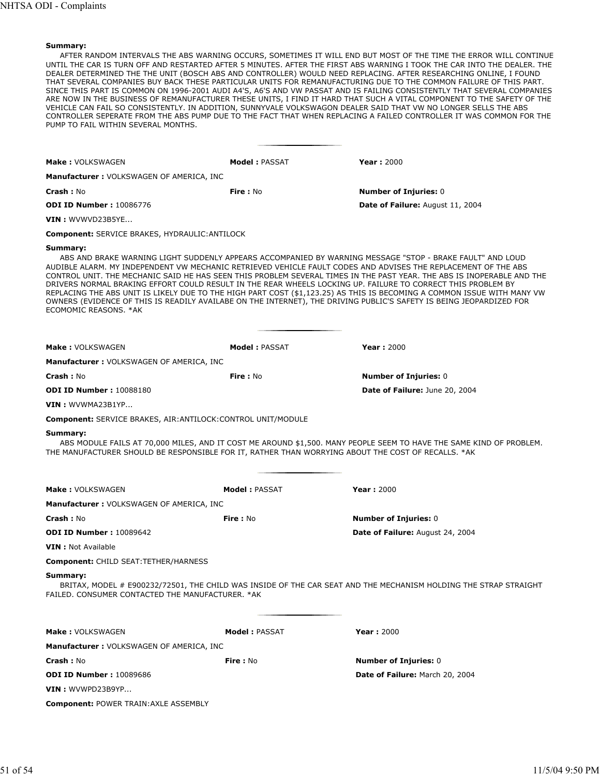AFTER RANDOM INTERVALS THE ABS WARNING OCCURS, SOMETIMES IT WILL END BUT MOST OF THE TIME THE ERROR WILL CONTINUE UNTIL THE CAR IS TURN OFF AND RESTARTED AFTER 5 MINUTES. AFTER THE FIRST ABS WARNING I TOOK THE CAR INTO THE DEALER. THE DEALER DETERMINED THE THE UNIT (BOSCH ABS AND CONTROLLER) WOULD NEED REPLACING. AFTER RESEARCHING ONLINE, I FOUND THAT SEVERAL COMPANIES BUY BACK THESE PARTICULAR UNITS FOR REMANUFACTURING DUE TO THE COMMON FAILURE OF THIS PART. SINCE THIS PART IS COMMON ON 1996-2001 AUDI A4'S, A6'S AND VW PASSAT AND IS FAILING CONSISTENTLY THAT SEVERAL COMPANIES ARE NOW IN THE BUSINESS OF REMANUFACTURER THESE UNITS, I FIND IT HARD THAT SUCH A VITAL COMPONENT TO THE SAFETY OF THE VEHICLE CAN FAIL SO CONSISTENTLY. IN ADDITION, SUNNYVALE VOLKSWAGON DEALER SAID THAT VW NO LONGER SELLS THE ABS CONTROLLER SEPERATE FROM THE ABS PUMP DUE TO THE FACT THAT WHEN REPLACING A FAILED CONTROLLER IT WAS COMMON FOR THE PUMP TO FAIL WITHIN SEVERAL MONTHS.

| <b>Make: VOLKSWAGEN</b>                                                                                                                                                                                                                                                                                                                                                                                                                                                                                                                                                                                                                                                                                                                                      | <b>Model: PASSAT</b> | <b>Year: 2000</b>                |  |
|--------------------------------------------------------------------------------------------------------------------------------------------------------------------------------------------------------------------------------------------------------------------------------------------------------------------------------------------------------------------------------------------------------------------------------------------------------------------------------------------------------------------------------------------------------------------------------------------------------------------------------------------------------------------------------------------------------------------------------------------------------------|----------------------|----------------------------------|--|
| Manufacturer: VOLKSWAGEN OF AMERICA, INC                                                                                                                                                                                                                                                                                                                                                                                                                                                                                                                                                                                                                                                                                                                     |                      |                                  |  |
| <b>Crash: No</b>                                                                                                                                                                                                                                                                                                                                                                                                                                                                                                                                                                                                                                                                                                                                             | <b>Fire: No</b>      | <b>Number of Injuries: 0</b>     |  |
| <b>ODI ID Number: 10086776</b>                                                                                                                                                                                                                                                                                                                                                                                                                                                                                                                                                                                                                                                                                                                               |                      | Date of Failure: August 11, 2004 |  |
| <b>VIN: WVWVD23B5YE</b>                                                                                                                                                                                                                                                                                                                                                                                                                                                                                                                                                                                                                                                                                                                                      |                      |                                  |  |
| <b>Component: SERVICE BRAKES, HYDRAULIC: ANTILOCK</b>                                                                                                                                                                                                                                                                                                                                                                                                                                                                                                                                                                                                                                                                                                        |                      |                                  |  |
| Summary:<br>ABS AND BRAKE WARNING LIGHT SUDDENLY APPEARS ACCOMPANIED BY WARNING MESSAGE "STOP - BRAKE FAULT" AND LOUD<br>AUDIBLE ALARM. MY INDEPENDENT VW MECHANIC RETRIEVED VEHICLE FAULT CODES AND ADVISES THE REPLACEMENT OF THE ABS<br>CONTROL UNIT. THE MECHANIC SAID HE HAS SEEN THIS PROBLEM SEVERAL TIMES IN THE PAST YEAR. THE ABS IS INOPERABLE AND THE<br>DRIVERS NORMAL BRAKING EFFORT COULD RESULT IN THE REAR WHEELS LOCKING UP. FAILURE TO CORRECT THIS PROBLEM BY<br>REPLACING THE ABS UNIT IS LIKELY DUE TO THE HIGH PART COST (\$1,123.25) AS THIS IS BECOMING A COMMON ISSUE WITH MANY VW<br>OWNERS (EVIDENCE OF THIS IS READILY AVAILABE ON THE INTERNET), THE DRIVING PUBLIC'S SAFETY IS BEING JEOPARDIZED FOR<br>ECOMOMIC REASONS, *AK |                      |                                  |  |
|                                                                                                                                                                                                                                                                                                                                                                                                                                                                                                                                                                                                                                                                                                                                                              |                      |                                  |  |
| <b>Make: VOLKSWAGEN</b>                                                                                                                                                                                                                                                                                                                                                                                                                                                                                                                                                                                                                                                                                                                                      | <b>Model: PASSAT</b> | <b>Year: 2000</b>                |  |
| <b>Manufacturer: VOLKSWAGEN OF AMERICA, INC</b>                                                                                                                                                                                                                                                                                                                                                                                                                                                                                                                                                                                                                                                                                                              |                      |                                  |  |
| <b>Crash: No</b>                                                                                                                                                                                                                                                                                                                                                                                                                                                                                                                                                                                                                                                                                                                                             | <b>Fire: No</b>      | <b>Number of Injuries: 0</b>     |  |
| <b>ODI ID Number: 10088180</b>                                                                                                                                                                                                                                                                                                                                                                                                                                                                                                                                                                                                                                                                                                                               |                      | Date of Failure: June 20, 2004   |  |
| VIN: WVWMA23B1YP                                                                                                                                                                                                                                                                                                                                                                                                                                                                                                                                                                                                                                                                                                                                             |                      |                                  |  |
| Component: SERVICE BRAKES, AIR: ANTILOCK: CONTROL UNIT/MODULE                                                                                                                                                                                                                                                                                                                                                                                                                                                                                                                                                                                                                                                                                                |                      |                                  |  |
| Summary:<br>ABS MODULE FAILS AT 70,000 MILES, AND IT COST ME AROUND \$1,500. MANY PEOPLE SEEM TO HAVE THE SAME KIND OF PROBLEM.<br>THE MANUFACTURER SHOULD BE RESPONSIBLE FOR IT, RATHER THAN WORRYING ABOUT THE COST OF RECALLS. *AK                                                                                                                                                                                                                                                                                                                                                                                                                                                                                                                        |                      |                                  |  |
| <b>Make: VOLKSWAGEN</b>                                                                                                                                                                                                                                                                                                                                                                                                                                                                                                                                                                                                                                                                                                                                      | <b>Model: PASSAT</b> | <b>Year: 2000</b>                |  |
| Manufacturer : VOLKSWAGEN OF AMERICA, INC                                                                                                                                                                                                                                                                                                                                                                                                                                                                                                                                                                                                                                                                                                                    |                      |                                  |  |
| <b>Crash: No</b>                                                                                                                                                                                                                                                                                                                                                                                                                                                                                                                                                                                                                                                                                                                                             | Fire: No             | <b>Number of Injuries: 0</b>     |  |
| <b>ODI ID Number: 10089642</b>                                                                                                                                                                                                                                                                                                                                                                                                                                                                                                                                                                                                                                                                                                                               |                      | Date of Failure: August 24, 2004 |  |
| <b>VIN</b> : Not Available                                                                                                                                                                                                                                                                                                                                                                                                                                                                                                                                                                                                                                                                                                                                   |                      |                                  |  |
| Component: CHILD SEAT:TETHER/HARNESS                                                                                                                                                                                                                                                                                                                                                                                                                                                                                                                                                                                                                                                                                                                         |                      |                                  |  |
| Summary:<br>BRITAX, MODEL # E900232/72501, THE CHILD WAS INSIDE OF THE CAR SEAT AND THE MECHANISM HOLDING THE STRAP STRAIGHT<br>FAILED. CONSUMER CONTACTED THE MANUFACTURER. * AK                                                                                                                                                                                                                                                                                                                                                                                                                                                                                                                                                                            |                      |                                  |  |
| <b>Make: VOLKSWAGEN</b>                                                                                                                                                                                                                                                                                                                                                                                                                                                                                                                                                                                                                                                                                                                                      | <b>Model: PASSAT</b> | <b>Year: 2000</b>                |  |
| <b>Manufacturer: VOLKSWAGEN OF AMERICA, INC</b>                                                                                                                                                                                                                                                                                                                                                                                                                                                                                                                                                                                                                                                                                                              |                      |                                  |  |
| Crash: No                                                                                                                                                                                                                                                                                                                                                                                                                                                                                                                                                                                                                                                                                                                                                    | <b>Fire:</b> No      | <b>Number of Injuries: 0</b>     |  |
| <b>ODI ID Number: 10089686</b>                                                                                                                                                                                                                                                                                                                                                                                                                                                                                                                                                                                                                                                                                                                               |                      | Date of Failure: March 20, 2004  |  |
| VIN: WVWPD23B9YP                                                                                                                                                                                                                                                                                                                                                                                                                                                                                                                                                                                                                                                                                                                                             |                      |                                  |  |
| <b>Component: POWER TRAIN: AXLE ASSEMBLY</b>                                                                                                                                                                                                                                                                                                                                                                                                                                                                                                                                                                                                                                                                                                                 |                      |                                  |  |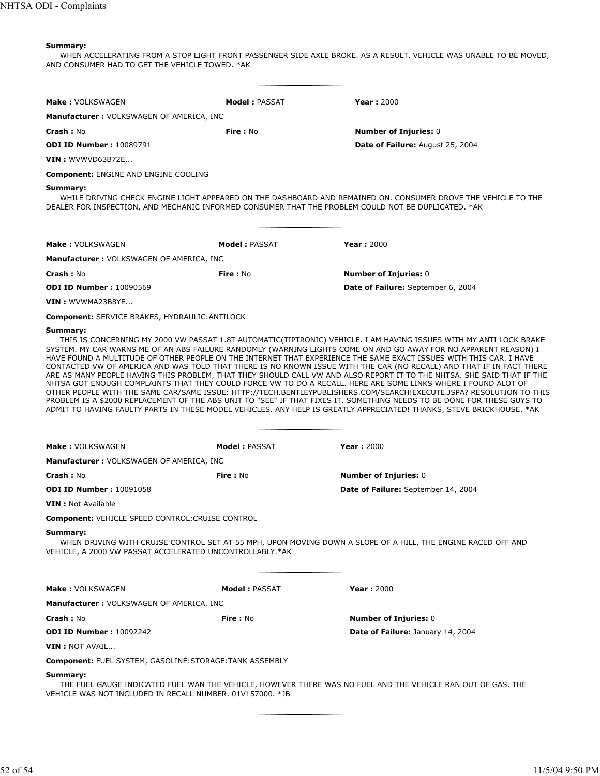WHEN ACCELERATING FROM A STOP LIGHT FRONT PASSENGER SIDE AXLE BROKE. AS A RESULT, VEHICLE WAS UNABLE TO BE MOVED, AND CONSUMER HAD TO GET THE VEHICLE TOWED. \*AK

| <b>Make: VOLKSWAGEN</b>                                                                                         | <b>Model: PASSAT</b> | <b>Year: 2000</b>                                                                                                                                                                                                                                                                                                                                                                                                                                                                                                                                                                                                                                                                                                                                                                                                                                                                                                                                                                                                                                                                                           |
|-----------------------------------------------------------------------------------------------------------------|----------------------|-------------------------------------------------------------------------------------------------------------------------------------------------------------------------------------------------------------------------------------------------------------------------------------------------------------------------------------------------------------------------------------------------------------------------------------------------------------------------------------------------------------------------------------------------------------------------------------------------------------------------------------------------------------------------------------------------------------------------------------------------------------------------------------------------------------------------------------------------------------------------------------------------------------------------------------------------------------------------------------------------------------------------------------------------------------------------------------------------------------|
| <b>Manufacturer: VOLKSWAGEN OF AMERICA, INC</b>                                                                 |                      |                                                                                                                                                                                                                                                                                                                                                                                                                                                                                                                                                                                                                                                                                                                                                                                                                                                                                                                                                                                                                                                                                                             |
| Crash: No                                                                                                       | <b>Fire: No</b>      | <b>Number of Injuries: 0</b>                                                                                                                                                                                                                                                                                                                                                                                                                                                                                                                                                                                                                                                                                                                                                                                                                                                                                                                                                                                                                                                                                |
| <b>ODI ID Number: 10089791</b>                                                                                  |                      | Date of Failure: August 25, 2004                                                                                                                                                                                                                                                                                                                                                                                                                                                                                                                                                                                                                                                                                                                                                                                                                                                                                                                                                                                                                                                                            |
| <b>VIN</b> : WVWVD63B72E                                                                                        |                      |                                                                                                                                                                                                                                                                                                                                                                                                                                                                                                                                                                                                                                                                                                                                                                                                                                                                                                                                                                                                                                                                                                             |
| <b>Component: ENGINE AND ENGINE COOLING</b>                                                                     |                      |                                                                                                                                                                                                                                                                                                                                                                                                                                                                                                                                                                                                                                                                                                                                                                                                                                                                                                                                                                                                                                                                                                             |
| Summary:<br>DEALER FOR INSPECTION, AND MECHANIC INFORMED CONSUMER THAT THE PROBLEM COULD NOT BE DUPLICATED. *AK |                      | WHILE DRIVING CHECK ENGINE LIGHT APPEARED ON THE DASHBOARD AND REMAINED ON. CONSUMER DROVE THE VEHICLE TO THE                                                                                                                                                                                                                                                                                                                                                                                                                                                                                                                                                                                                                                                                                                                                                                                                                                                                                                                                                                                               |
| <b>Make: VOLKSWAGEN</b>                                                                                         | <b>Model: PASSAT</b> | <b>Year: 2000</b>                                                                                                                                                                                                                                                                                                                                                                                                                                                                                                                                                                                                                                                                                                                                                                                                                                                                                                                                                                                                                                                                                           |
| <b>Manufacturer: VOLKSWAGEN OF AMERICA, INC.</b>                                                                |                      |                                                                                                                                                                                                                                                                                                                                                                                                                                                                                                                                                                                                                                                                                                                                                                                                                                                                                                                                                                                                                                                                                                             |
| <b>Crash: No</b>                                                                                                | <b>Fire: No</b>      | <b>Number of Injuries: 0</b>                                                                                                                                                                                                                                                                                                                                                                                                                                                                                                                                                                                                                                                                                                                                                                                                                                                                                                                                                                                                                                                                                |
| <b>ODI ID Number: 10090569</b>                                                                                  |                      | <b>Date of Failure:</b> September 6, 2004                                                                                                                                                                                                                                                                                                                                                                                                                                                                                                                                                                                                                                                                                                                                                                                                                                                                                                                                                                                                                                                                   |
| VIN: WVWMA23B8YE                                                                                                |                      |                                                                                                                                                                                                                                                                                                                                                                                                                                                                                                                                                                                                                                                                                                                                                                                                                                                                                                                                                                                                                                                                                                             |
| <b>Component: SERVICE BRAKES, HYDRAULIC: ANTILOCK</b>                                                           |                      |                                                                                                                                                                                                                                                                                                                                                                                                                                                                                                                                                                                                                                                                                                                                                                                                                                                                                                                                                                                                                                                                                                             |
|                                                                                                                 |                      | THIS IS CONCERNING MY 2000 VW PASSAT 1.8T AUTOMATIC(TIPTRONIC) VEHICLE. I AM HAVING ISSUES WITH MY ANTI LOCK BRAKE<br>SYSTEM. MY CAR WARNS ME OF AN ABS FAILURE RANDOMLY (WARNING LIGHTS COME ON AND GO AWAY FOR NO APPARENT REASON) I<br>HAVE FOUND A MULTITUDE OF OTHER PEOPLE ON THE INTERNET THAT EXPERIENCE THE SAME EXACT ISSUES WITH THIS CAR. I HAVE<br>CONTACTED VW OF AMERICA AND WAS TOLD THAT THERE IS NO KNOWN ISSUE WITH THE CAR (NO RECALL) AND THAT IF IN FACT THERE<br>ARE AS MANY PEOPLE HAVING THIS PROBLEM, THAT THEY SHOULD CALL VW AND ALSO REPORT IT TO THE NHTSA. SHE SAID THAT IF THE<br>NHTSA GOT ENOUGH COMPLAINTS THAT THEY COULD FORCE VW TO DO A RECALL. HERE ARE SOME LINKS WHERE I FOUND ALOT OF<br>OTHER PEOPLE WITH THE SAME CAR/SAME ISSUE: HTTP://TECH.BENTLEYPUBLISHERS.COM/SEARCH!EXECUTE.JSPA? RESOLUTION TO THIS<br>PROBLEM IS A \$2000 REPLACEMENT OF THE ABS UNIT TO "SEE" IF THAT FIXES IT. SOMETHING NEEDS TO BE DONE FOR THESE GUYS TO<br>ADMIT TO HAVING FAULTY PARTS IN THESE MODEL VEHICLES. ANY HELP IS GREATLY APPRECIATED! THANKS, STEVE BRICKHOUSE. *AK |
| <b>Make: VOLKSWAGEN</b>                                                                                         | <b>Model: PASSAT</b> | <b>Year: 2000</b>                                                                                                                                                                                                                                                                                                                                                                                                                                                                                                                                                                                                                                                                                                                                                                                                                                                                                                                                                                                                                                                                                           |
| Manufacturer: VOLKSWAGEN OF AMERICA, INC                                                                        |                      |                                                                                                                                                                                                                                                                                                                                                                                                                                                                                                                                                                                                                                                                                                                                                                                                                                                                                                                                                                                                                                                                                                             |
| <b>Crash: No</b>                                                                                                | Fire: No             | <b>Number of Injuries: 0</b>                                                                                                                                                                                                                                                                                                                                                                                                                                                                                                                                                                                                                                                                                                                                                                                                                                                                                                                                                                                                                                                                                |
| <b>ODI ID Number: 10091058</b>                                                                                  |                      | Date of Failure: September 14, 2004                                                                                                                                                                                                                                                                                                                                                                                                                                                                                                                                                                                                                                                                                                                                                                                                                                                                                                                                                                                                                                                                         |
| <b>VIN</b> : Not Available                                                                                      |                      |                                                                                                                                                                                                                                                                                                                                                                                                                                                                                                                                                                                                                                                                                                                                                                                                                                                                                                                                                                                                                                                                                                             |
| <b>Component: VEHICLE SPEED CONTROL: CRUISE CONTROL</b>                                                         |                      |                                                                                                                                                                                                                                                                                                                                                                                                                                                                                                                                                                                                                                                                                                                                                                                                                                                                                                                                                                                                                                                                                                             |
| Summary:<br>VEHICLE, A 2000 VW PASSAT ACCELERATED UNCONTROLLABLY.*AK                                            |                      | WHEN DRIVING WITH CRUISE CONTROL SET AT 55 MPH, UPON MOVING DOWN A SLOPE OF A HILL, THE ENGINE RACED OFF AND                                                                                                                                                                                                                                                                                                                                                                                                                                                                                                                                                                                                                                                                                                                                                                                                                                                                                                                                                                                                |
| <b>Make: VOLKSWAGEN</b>                                                                                         | <b>Model: PASSAT</b> | <b>Year: 2000</b>                                                                                                                                                                                                                                                                                                                                                                                                                                                                                                                                                                                                                                                                                                                                                                                                                                                                                                                                                                                                                                                                                           |
| <b>Manufacturer: VOLKSWAGEN OF AMERICA, INC</b>                                                                 |                      |                                                                                                                                                                                                                                                                                                                                                                                                                                                                                                                                                                                                                                                                                                                                                                                                                                                                                                                                                                                                                                                                                                             |
| <b>Crash: No</b>                                                                                                | <b>Fire: No</b>      | <b>Number of Injuries: 0</b>                                                                                                                                                                                                                                                                                                                                                                                                                                                                                                                                                                                                                                                                                                                                                                                                                                                                                                                                                                                                                                                                                |
| <b>ODI ID Number: 10092242</b>                                                                                  |                      | Date of Failure: January 14, 2004                                                                                                                                                                                                                                                                                                                                                                                                                                                                                                                                                                                                                                                                                                                                                                                                                                                                                                                                                                                                                                                                           |
| <b>VIN</b> : NOT AVAIL                                                                                          |                      |                                                                                                                                                                                                                                                                                                                                                                                                                                                                                                                                                                                                                                                                                                                                                                                                                                                                                                                                                                                                                                                                                                             |
| <b>Component: FUEL SYSTEM, GASOLINE:STORAGE:TANK ASSEMBLY</b>                                                   |                      |                                                                                                                                                                                                                                                                                                                                                                                                                                                                                                                                                                                                                                                                                                                                                                                                                                                                                                                                                                                                                                                                                                             |
| Summary:<br>VEHICLE WAS NOT INCLUDED IN RECALL NUMBER. 01V157000. *JB                                           |                      | THE FUEL GAUGE INDICATED FUEL WAN THE VEHICLE, HOWEVER THERE WAS NO FUEL AND THE VEHICLE RAN OUT OF GAS. THE                                                                                                                                                                                                                                                                                                                                                                                                                                                                                                                                                                                                                                                                                                                                                                                                                                                                                                                                                                                                |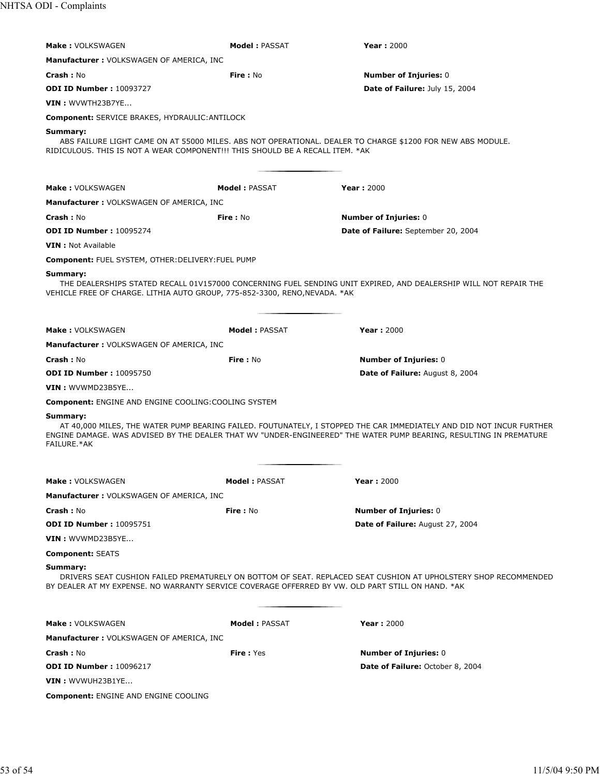| <b>Make: VOLKSWAGEN</b>                                                                                                                                                                                                          | <b>Model: PASSAT</b>  | Year: 2000                                                                                                                                                                                                                                 |  |
|----------------------------------------------------------------------------------------------------------------------------------------------------------------------------------------------------------------------------------|-----------------------|--------------------------------------------------------------------------------------------------------------------------------------------------------------------------------------------------------------------------------------------|--|
| <b>Manufacturer: VOLKSWAGEN OF AMERICA, INC</b>                                                                                                                                                                                  |                       |                                                                                                                                                                                                                                            |  |
| Crash: No                                                                                                                                                                                                                        | <b>Fire: No</b>       | <b>Number of Injuries: 0</b>                                                                                                                                                                                                               |  |
| <b>ODI ID Number: 10093727</b>                                                                                                                                                                                                   |                       | Date of Failure: July 15, 2004                                                                                                                                                                                                             |  |
| VIN: WVWTH23B7YE                                                                                                                                                                                                                 |                       |                                                                                                                                                                                                                                            |  |
| Component: SERVICE BRAKES, HYDRAULIC: ANTILOCK                                                                                                                                                                                   |                       |                                                                                                                                                                                                                                            |  |
| Summary:<br>RIDICULOUS. THIS IS NOT A WEAR COMPONENT!!! THIS SHOULD BE A RECALL ITEM. *AK                                                                                                                                        |                       | ABS FAILURE LIGHT CAME ON AT 55000 MILES. ABS NOT OPERATIONAL. DEALER TO CHARGE \$1200 FOR NEW ABS MODULE.                                                                                                                                 |  |
| <b>Make: VOLKSWAGEN</b>                                                                                                                                                                                                          | <b>Model: PASSAT</b>  | <b>Year: 2000</b>                                                                                                                                                                                                                          |  |
| <b>Manufacturer: VOLKSWAGEN OF AMERICA, INC</b>                                                                                                                                                                                  |                       |                                                                                                                                                                                                                                            |  |
| Crash: No                                                                                                                                                                                                                        | <b>Fire: No</b>       | <b>Number of Injuries: 0</b>                                                                                                                                                                                                               |  |
| <b>ODI ID Number: 10095274</b>                                                                                                                                                                                                   |                       | Date of Failure: September 20, 2004                                                                                                                                                                                                        |  |
| <b>VIN</b> : Not Available                                                                                                                                                                                                       |                       |                                                                                                                                                                                                                                            |  |
| Component: FUEL SYSTEM, OTHER: DELIVERY: FUEL PUMP                                                                                                                                                                               |                       |                                                                                                                                                                                                                                            |  |
| Summary:<br>VEHICLE FREE OF CHARGE. LITHIA AUTO GROUP, 775-852-3300, RENO, NEVADA. * AK                                                                                                                                          |                       | THE DEALERSHIPS STATED RECALL 01V157000 CONCERNING FUEL SENDING UNIT EXPIRED, AND DEALERSHIP WILL NOT REPAIR THE                                                                                                                           |  |
| <b>Make: VOLKSWAGEN</b>                                                                                                                                                                                                          | <b>Model : PASSAT</b> | Year: 2000                                                                                                                                                                                                                                 |  |
| Manufacturer: VOLKSWAGEN OF AMERICA, INC                                                                                                                                                                                         |                       |                                                                                                                                                                                                                                            |  |
| <b>Crash: No</b>                                                                                                                                                                                                                 | Fire: No              | <b>Number of Injuries: 0</b>                                                                                                                                                                                                               |  |
| <b>ODI ID Number: 10095750</b>                                                                                                                                                                                                   |                       | Date of Failure: August 8, 2004                                                                                                                                                                                                            |  |
| VIN: WVWMD23B5YE                                                                                                                                                                                                                 |                       |                                                                                                                                                                                                                                            |  |
| <b>Component: ENGINE AND ENGINE COOLING: COOLING SYSTEM</b>                                                                                                                                                                      |                       |                                                                                                                                                                                                                                            |  |
| Summary:<br>FAILURE.*AK                                                                                                                                                                                                          |                       | AT 40,000 MILES, THE WATER PUMP BEARING FAILED. FOUTUNATELY, I STOPPED THE CAR IMMEDIATELY AND DID NOT INCUR FURTHER<br>ENGINE DAMAGE. WAS ADVISED BY THE DEALER THAT WV "UNDER-ENGINEERED" THE WATER PUMP BEARING, RESULTING IN PREMATURE |  |
| Make: VOLKSWAGEN                                                                                                                                                                                                                 | <b>Model: PASSAT</b>  | Year: 2000                                                                                                                                                                                                                                 |  |
| <b>Manufacturer: VOLKSWAGEN OF AMERICA, INC</b>                                                                                                                                                                                  |                       |                                                                                                                                                                                                                                            |  |
| <b>Crash: No</b>                                                                                                                                                                                                                 | <b>Fire:</b> No       | <b>Number of Injuries: 0</b>                                                                                                                                                                                                               |  |
| <b>ODI ID Number: 10095751</b>                                                                                                                                                                                                   |                       | Date of Failure: August 27, 2004                                                                                                                                                                                                           |  |
| VIN: WVWMD23B5YE                                                                                                                                                                                                                 |                       |                                                                                                                                                                                                                                            |  |
| <b>Component: SEATS</b>                                                                                                                                                                                                          |                       |                                                                                                                                                                                                                                            |  |
| Summary:<br>DRIVERS SEAT CUSHION FAILED PREMATURELY ON BOTTOM OF SEAT. REPLACED SEAT CUSHION AT UPHOLSTERY SHOP RECOMMENDED<br>BY DEALER AT MY EXPENSE. NO WARRANTY SERVICE COVERAGE OFFERRED BY VW. OLD PART STILL ON HAND. *AK |                       |                                                                                                                                                                                                                                            |  |
| <b>Make: VOLKSWAGEN</b>                                                                                                                                                                                                          | <b>Model: PASSAT</b>  | <b>Year: 2000</b>                                                                                                                                                                                                                          |  |
| <b>Manufacturer: VOLKSWAGEN OF AMERICA, INC</b>                                                                                                                                                                                  |                       |                                                                                                                                                                                                                                            |  |
| <b>Crash: No</b>                                                                                                                                                                                                                 | <b>Fire:</b> Yes      | <b>Number of Injuries: 0</b>                                                                                                                                                                                                               |  |
| <b>ODI ID Number: 10096217</b>                                                                                                                                                                                                   |                       | Date of Failure: October 8, 2004                                                                                                                                                                                                           |  |
| <b>VIN</b> : WVWUH23B1YE                                                                                                                                                                                                         |                       |                                                                                                                                                                                                                                            |  |
| <b>Component: ENGINE AND ENGINE COOLING</b>                                                                                                                                                                                      |                       |                                                                                                                                                                                                                                            |  |